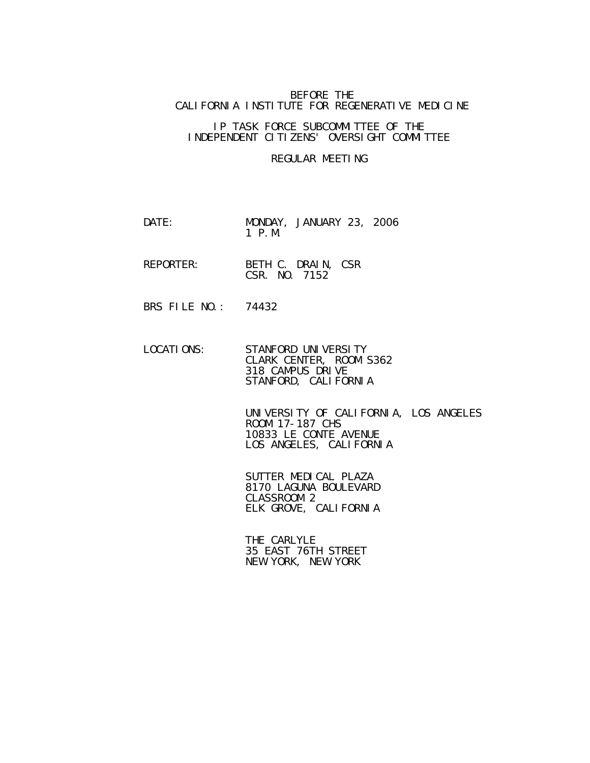## BEFORE THE CALIFORNIA INSTITUTE FOR REGENERATIVE MEDICINE

## IP TASK FORCE SUBCOMMITTEE OF THE INDEPENDENT CITIZENS' OVERSIGHT COMMITTEE

## REGULAR MEETING

- DATE: MONDAY, JANUARY 23, 2006 1 P.M.
- REPORTER: BETH C. DRAIN, CSR **CSR.** NO. 7152
	- BRS FILE NO.: 74432
	- LOCATIONS: STANFORD UNIVERSITY CLARK CENTER, ROOM S362 318 CAMPUS DRIVE STANFORD, CALIFORNIA

 UNIVERSITY OF CALIFORNIA, LOS ANGELES ROOM 17-187 CHS 10833 LE CONTE AVENUE LOS ANGELES, CALIFORNIA

 SUTTER MEDICAL PLAZA 8170 LAGUNA BOULEVARD CLASSROOM 2 ELK GROVE, CALIFORNIA

 THE CARLYLE 35 EAST 76TH STREET NEW YORK, NEW YORK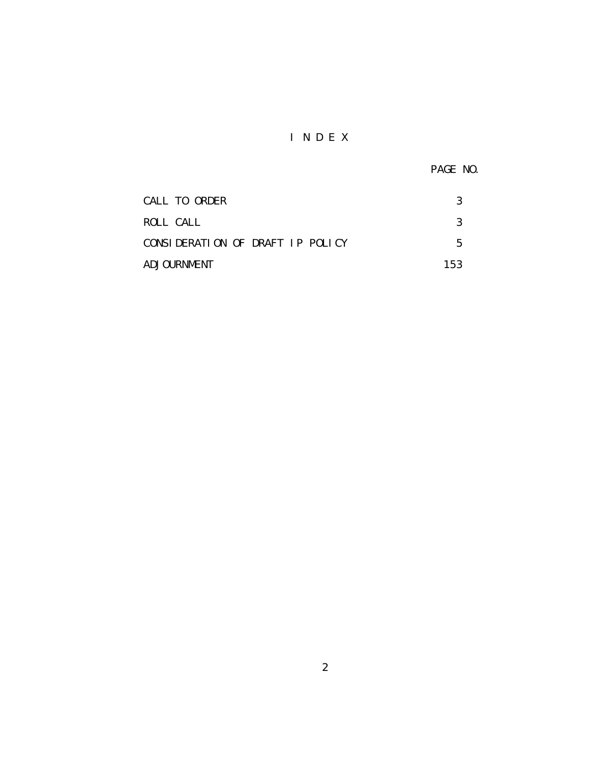## I N D E X

PAGE NO.

| CALL TO ORDER                    |     |
|----------------------------------|-----|
| ROLL CALL                        |     |
| CONSIDERATION OF DRAFT IP POLICY | 5   |
| ADJOURNMENT                      | 153 |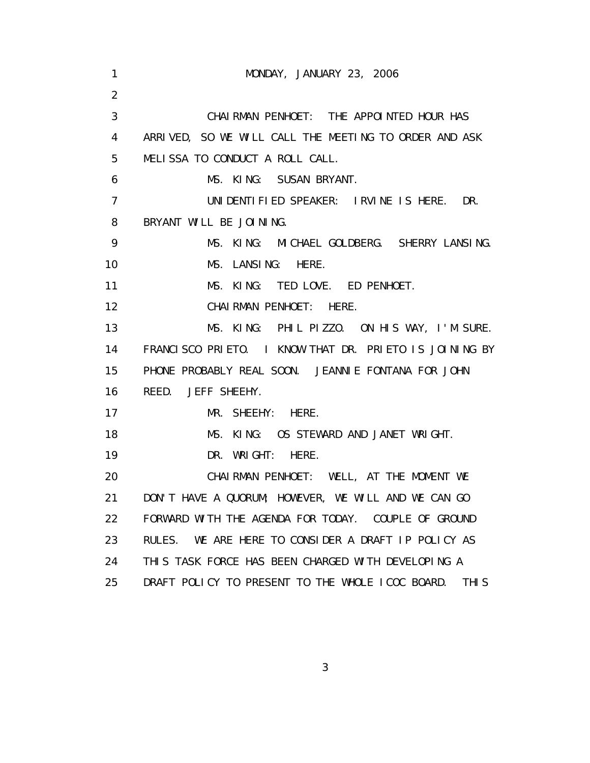| 1              | MONDAY, JANUARY 23, 2006                                             |
|----------------|----------------------------------------------------------------------|
| 2              |                                                                      |
| 3              | CHAI RMAN PENHOET: THE APPOINTED HOUR HAS                            |
| 4              | ARRIVED, SO WE WILL CALL THE MEETING TO ORDER AND ASK                |
| 5              | MELISSA TO CONDUCT A ROLL CALL.                                      |
| 6              | MS. KING: SUSAN BRYANT.                                              |
| $\overline{7}$ | UNI DENTI FI ED SPEAKER: I RVI NE I SHERE. DR.                       |
| 8              | BRYANT WILL BE JOINING.                                              |
| 9              | MS. KING: MICHAEL GOLDBERG. SHERRY LANSING.                          |
| 10             | MS. LANSING: HERE.                                                   |
| 11             | MS. KING: TED LOVE. ED PENHOET.                                      |
| 12             | CHAIRMAN PENHOET: HERE.                                              |
| 13             | MS. KING: PHIL PIZZO. ON HIS WAY, I'M SURE.                          |
| 14             | FRANCISCO PRIETO. I KNOW THAT DR. PRIETO IS JOINING BY               |
| 15             | PHONE PROBABLY REAL SOON. JEANNIE FONTANA FOR JOHN                   |
| 16             | REED. JEFF SHEEHY.                                                   |
| 17             | MR. SHEEHY: HERE.                                                    |
| 18             | MS. KING: OS STEWARD AND JANET WRIGHT.                               |
| 19             | DR. WRIGHT: HERE.                                                    |
| 20             | CHAIRMAN PENHOET: WELL, AT THE MOMENT WE                             |
| 21             | DON'T HAVE A QUORUM; HOWEVER, WE WILL AND WE CAN GO                  |
| 22             | FORWARD WITH THE AGENDA FOR TODAY. COUPLE OF GROUND                  |
| 23             | RULES. WE ARE HERE TO CONSIDER A DRAFT IP POLICY AS                  |
| 24             | THIS TASK FORCE HAS BEEN CHARGED WITH DEVELOPING A                   |
| 25             | DRAFT POLICY TO PRESENT TO THE WHOLE ICOC BOARD.<br>THI <sub>S</sub> |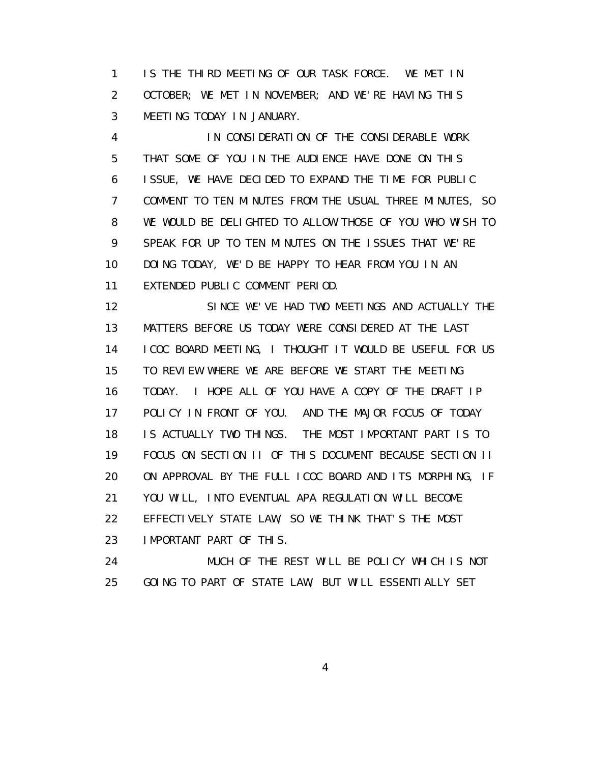1 IS THE THIRD MEETING OF OUR TASK FORCE. WE MET IN 2 OCTOBER; WE MET IN NOVEMBER; AND WE'RE HAVING THIS 3 MEETING TODAY IN JANUARY.

 4 IN CONSIDERATION OF THE CONSIDERABLE WORK 5 THAT SOME OF YOU IN THE AUDIENCE HAVE DONE ON THIS 6 ISSUE, WE HAVE DECIDED TO EXPAND THE TIME FOR PUBLIC 7 COMMENT TO TEN MINUTES FROM THE USUAL THREE MINUTES, SO 8 WE WOULD BE DELIGHTED TO ALLOW THOSE OF YOU WHO WISH TO 9 SPEAK FOR UP TO TEN MINUTES ON THE ISSUES THAT WE'RE 10 DOING TODAY, WE'D BE HAPPY TO HEAR FROM YOU IN AN 11 EXTENDED PUBLIC COMMENT PERIOD.

 12 SINCE WE'VE HAD TWO MEETINGS AND ACTUALLY THE 13 MATTERS BEFORE US TODAY WERE CONSIDERED AT THE LAST 14 ICOC BOARD MEETING, I THOUGHT IT WOULD BE USEFUL FOR US 15 TO REVIEW WHERE WE ARE BEFORE WE START THE MEETING 16 TODAY. I HOPE ALL OF YOU HAVE A COPY OF THE DRAFT IP 17 POLICY IN FRONT OF YOU. AND THE MAJOR FOCUS OF TODAY 18 IS ACTUALLY TWO THINGS. THE MOST IMPORTANT PART IS TO 19 FOCUS ON SECTION II OF THIS DOCUMENT BECAUSE SECTION II 20 ON APPROVAL BY THE FULL ICOC BOARD AND ITS MORPHING, IF 21 YOU WILL, INTO EVENTUAL APA REGULATION WILL BECOME 22 EFFECTIVELY STATE LAW, SO WE THINK THAT'S THE MOST 23 IMPORTANT PART OF THIS.

 24 MUCH OF THE REST WILL BE POLICY WHICH IS NOT 25 GOING TO PART OF STATE LAW, BUT WILL ESSENTIALLY SET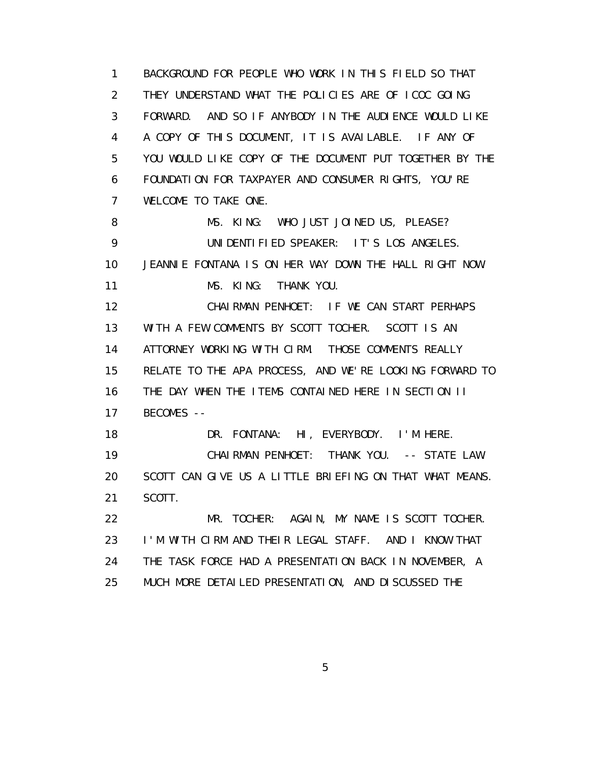1 BACKGROUND FOR PEOPLE WHO WORK IN THIS FIELD SO THAT 2 THEY UNDERSTAND WHAT THE POLICIES ARE OF ICOC GOING 3 FORWARD. AND SO IF ANYBODY IN THE AUDIENCE WOULD LIKE 4 A COPY OF THIS DOCUMENT, IT IS AVAILABLE. IF ANY OF 5 YOU WOULD LIKE COPY OF THE DOCUMENT PUT TOGETHER BY THE 6 FOUNDATION FOR TAXPAYER AND CONSUMER RIGHTS, YOU'RE 7 WELCOME TO TAKE ONE. 8 MS. KING: WHO JUST JOINED US, PLEASE? 9 UNIDENTIFIED SPEAKER: IT'S LOS ANGELES. 10 JEANNIE FONTANA IS ON HER WAY DOWN THE HALL RIGHT NOW. 11 MS. KING: THANK YOU. 12 CHAIRMAN PENHOET: IF WE CAN START PERHAPS 13 WITH A FEW COMMENTS BY SCOTT TOCHER. SCOTT IS AN 14 ATTORNEY WORKING WITH CIRM. THOSE COMMENTS REALLY 15 RELATE TO THE APA PROCESS, AND WE'RE LOOKING FORWARD TO 16 THE DAY WHEN THE ITEMS CONTAINED HERE IN SECTION II 17 BECOMES -- 18 DR. FONTANA: HI, EVERYBODY. I'M HERE. 19 CHAIRMAN PENHOET: THANK YOU. -- STATE LAW. 20 SCOTT CAN GIVE US A LITTLE BRIEFING ON THAT WHAT MEANS. 21 SCOTT. 22 MR. TOCHER: AGAIN, MY NAME IS SCOTT TOCHER. 23 I'M WITH CIRM AND THEIR LEGAL STAFF. AND I KNOW THAT 24 THE TASK FORCE HAD A PRESENTATION BACK IN NOVEMBER, A 25 MUCH MORE DETAILED PRESENTATION, AND DISCUSSED THE

 $\sim$  5  $\sim$  5  $\sim$  5  $\sim$  5  $\sim$  5  $\sim$  5  $\sim$  5  $\sim$  5  $\sim$  5  $\sim$  5  $\sim$  5  $\sim$  5  $\sim$  5  $\sim$  5  $\sim$  5  $\sim$  5  $\sim$  5  $\sim$  5  $\sim$  5  $\sim$  5  $\sim$  5  $\sim$  5  $\sim$  5  $\sim$  5  $\sim$  5  $\sim$  5  $\sim$  5  $\sim$  5  $\sim$  5  $\sim$  5  $\sim$  5  $\sim$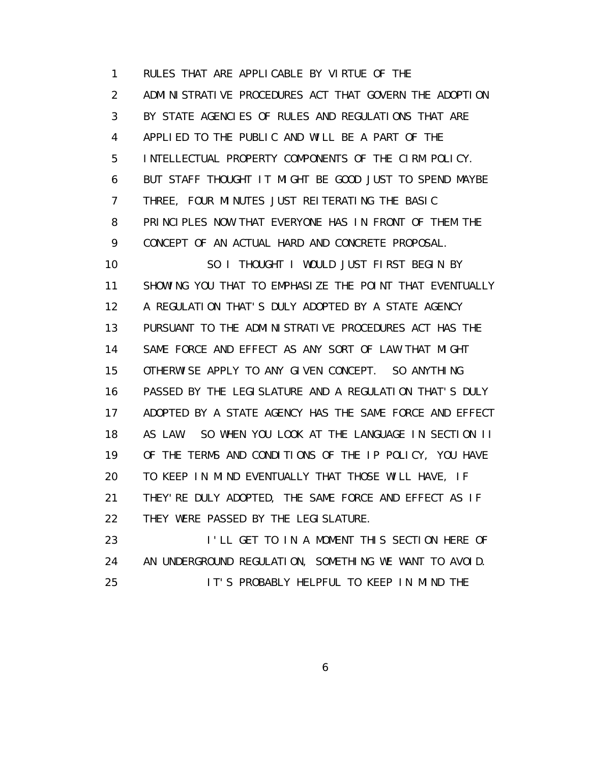1 RULES THAT ARE APPLICABLE BY VIRTUE OF THE 2 ADMINISTRATIVE PROCEDURES ACT THAT GOVERN THE ADOPTION 3 BY STATE AGENCIES OF RULES AND REGULATIONS THAT ARE 4 APPLIED TO THE PUBLIC AND WILL BE A PART OF THE 5 INTELLECTUAL PROPERTY COMPONENTS OF THE CIRM POLICY. 6 BUT STAFF THOUGHT IT MIGHT BE GOOD JUST TO SPEND MAYBE 7 THREE, FOUR MINUTES JUST REITERATING THE BASIC 8 PRINCIPLES NOW THAT EVERYONE HAS IN FRONT OF THEM THE 9 CONCEPT OF AN ACTUAL HARD AND CONCRETE PROPOSAL. 10 SO I THOUGHT I WOULD JUST FIRST BEGIN BY 11 SHOWING YOU THAT TO EMPHASIZE THE POINT THAT EVENTUALLY 12 A REGULATION THAT'S DULY ADOPTED BY A STATE AGENCY 13 PURSUANT TO THE ADMINISTRATIVE PROCEDURES ACT HAS THE

 14 SAME FORCE AND EFFECT AS ANY SORT OF LAW THAT MIGHT 15 OTHERWISE APPLY TO ANY GIVEN CONCEPT. SO ANYTHING 16 PASSED BY THE LEGISLATURE AND A REGULATION THAT'S DULY 17 ADOPTED BY A STATE AGENCY HAS THE SAME FORCE AND EFFECT 18 AS LAW. SO WHEN YOU LOOK AT THE LANGUAGE IN SECTION II 19 OF THE TERMS AND CONDITIONS OF THE IP POLICY, YOU HAVE 20 TO KEEP IN MIND EVENTUALLY THAT THOSE WILL HAVE, IF 21 THEY'RE DULY ADOPTED, THE SAME FORCE AND EFFECT AS IF 22 THEY WERE PASSED BY THE LEGISLATURE.

 23 I'LL GET TO IN A MOMENT THIS SECTION HERE OF 24 AN UNDERGROUND REGULATION, SOMETHING WE WANT TO AVOID. 25 IT'S PROBABLY HELPFUL TO KEEP IN MIND THE

 $\sim$  6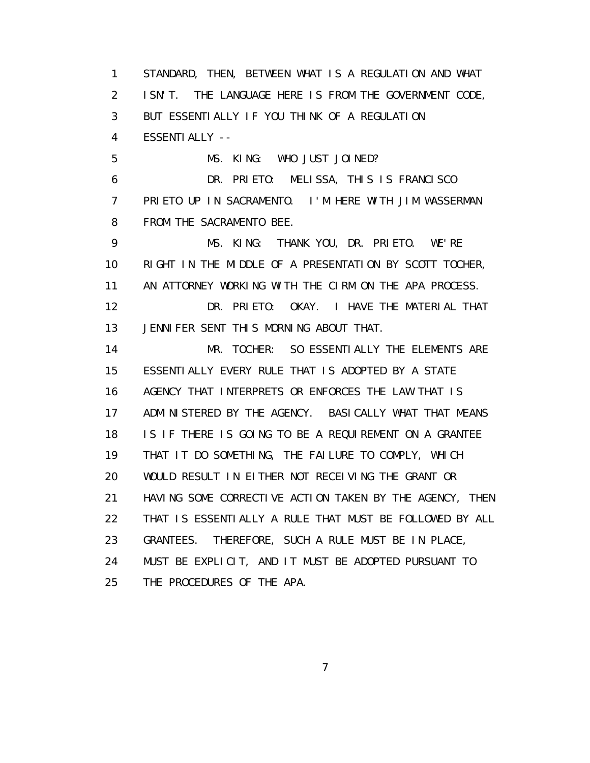1 STANDARD, THEN, BETWEEN WHAT IS A REGULATION AND WHAT 2 ISN'T. THE LANGUAGE HERE IS FROM THE GOVERNMENT CODE, 3 BUT ESSENTIALLY IF YOU THINK OF A REGULATION 4 ESSENTIALLY -- 5 MS. KING: WHO JUST JOINED? 6 DR. PRIETO: MELISSA, THIS IS FRANCISCO 7 PRIETO UP IN SACRAMENTO. I'M HERE WITH JIM WASSERMAN 8 FROM THE SACRAMENTO BEE. 9 MS. KING: THANK YOU, DR. PRIETO. WE'RE 10 RIGHT IN THE MIDDLE OF A PRESENTATION BY SCOTT TOCHER, 11 AN ATTORNEY WORKING WITH THE CIRM ON THE APA PROCESS. 12 DR. PRIETO: OKAY. I HAVE THE MATERIAL THAT 13 JENNIFER SENT THIS MORNING ABOUT THAT. 14 MR. TOCHER: SO ESSENTIALLY THE ELEMENTS ARE 15 ESSENTIALLY EVERY RULE THAT IS ADOPTED BY A STATE 16 AGENCY THAT INTERPRETS OR ENFORCES THE LAW THAT IS 17 ADMINISTERED BY THE AGENCY. BASICALLY WHAT THAT MEANS 18 IS IF THERE IS GOING TO BE A REQUIREMENT ON A GRANTEE 19 THAT IT DO SOMETHING, THE FAILURE TO COMPLY, WHICH 20 WOULD RESULT IN EITHER NOT RECEIVING THE GRANT OR 21 HAVING SOME CORRECTIVE ACTION TAKEN BY THE AGENCY, THEN 22 THAT IS ESSENTIALLY A RULE THAT MUST BE FOLLOWED BY ALL 23 GRANTEES. THEREFORE, SUCH A RULE MUST BE IN PLACE, 24 MUST BE EXPLICIT, AND IT MUST BE ADOPTED PURSUANT TO 25 THE PROCEDURES OF THE APA.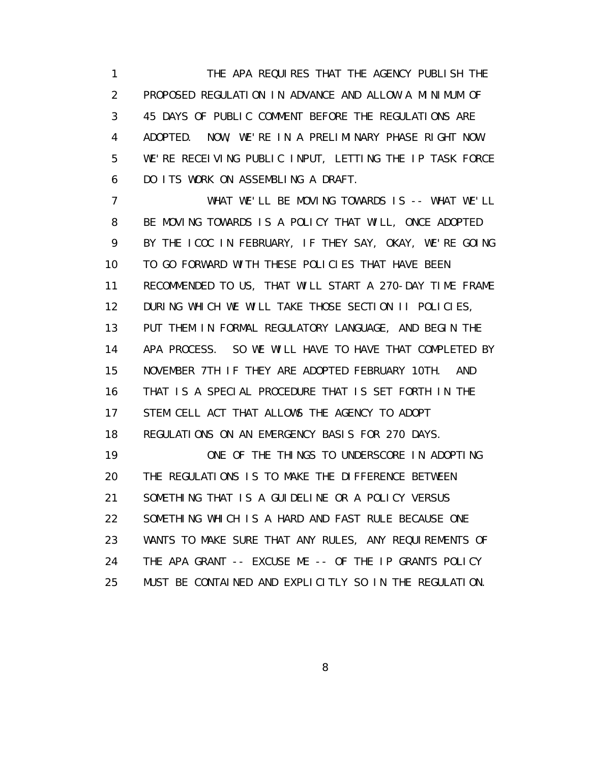1 THE APA REQUIRES THAT THE AGENCY PUBLISH THE 2 PROPOSED REGULATION IN ADVANCE AND ALLOW A MINIMUM OF 3 45 DAYS OF PUBLIC COMMENT BEFORE THE REGULATIONS ARE 4 ADOPTED. NOW, WE'RE IN A PRELIMINARY PHASE RIGHT NOW. 5 WE'RE RECEIVING PUBLIC INPUT, LETTING THE IP TASK FORCE 6 DO ITS WORK ON ASSEMBLING A DRAFT.

 7 WHAT WE'LL BE MOVING TOWARDS IS -- WHAT WE'LL 8 BE MOVING TOWARDS IS A POLICY THAT WILL, ONCE ADOPTED 9 BY THE ICOC IN FEBRUARY, IF THEY SAY, OKAY, WE'RE GOING 10 TO GO FORWARD WITH THESE POLICIES THAT HAVE BEEN 11 RECOMMENDED TO US, THAT WILL START A 270-DAY TIME FRAME 12 DURING WHICH WE WILL TAKE THOSE SECTION II POLICIES, 13 PUT THEM IN FORMAL REGULATORY LANGUAGE, AND BEGIN THE 14 APA PROCESS. SO WE WILL HAVE TO HAVE THAT COMPLETED BY 15 NOVEMBER 7TH IF THEY ARE ADOPTED FEBRUARY 10TH. AND 16 THAT IS A SPECIAL PROCEDURE THAT IS SET FORTH IN THE 17 STEM CELL ACT THAT ALLOWS THE AGENCY TO ADOPT 18 REGULATIONS ON AN EMERGENCY BASIS FOR 270 DAYS. 19 ONE OF THE THINGS TO UNDERSCORE IN ADOPTING 20 THE REGULATIONS IS TO MAKE THE DIFFERENCE BETWEEN 21 SOMETHING THAT IS A GUIDELINE OR A POLICY VERSUS 22 SOMETHING WHICH IS A HARD AND FAST RULE BECAUSE ONE 23 WANTS TO MAKE SURE THAT ANY RULES, ANY REQUIREMENTS OF 24 THE APA GRANT -- EXCUSE ME -- OF THE IP GRANTS POLICY 25 MUST BE CONTAINED AND EXPLICITLY SO IN THE REGULATION.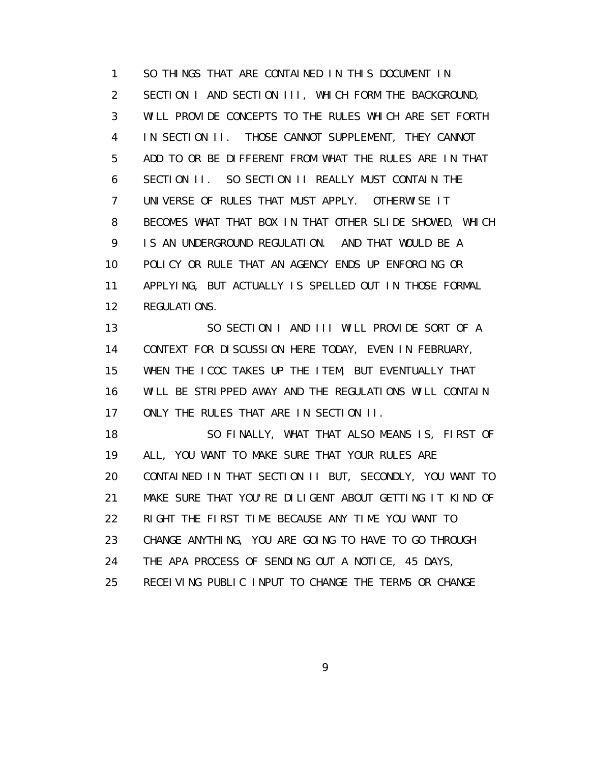1 SO THINGS THAT ARE CONTAINED IN THIS DOCUMENT IN 2 SECTION I AND SECTION III, WHICH FORM THE BACKGROUND, 3 WILL PROVIDE CONCEPTS TO THE RULES WHICH ARE SET FORTH 4 IN SECTION II. THOSE CANNOT SUPPLEMENT, THEY CANNOT 5 ADD TO OR BE DIFFERENT FROM WHAT THE RULES ARE IN THAT 6 SECTION II. SO SECTION II REALLY MUST CONTAIN THE 7 UNIVERSE OF RULES THAT MUST APPLY. OTHERWISE IT 8 BECOMES WHAT THAT BOX IN THAT OTHER SLIDE SHOWED, WHICH 9 IS AN UNDERGROUND REGULATION. AND THAT WOULD BE A 10 POLICY OR RULE THAT AN AGENCY ENDS UP ENFORCING OR 11 APPLYING, BUT ACTUALLY IS SPELLED OUT IN THOSE FORMAL 12 REGULATIONS.

 13 SO SECTION I AND III WILL PROVIDE SORT OF A 14 CONTEXT FOR DISCUSSION HERE TODAY, EVEN IN FEBRUARY, 15 WHEN THE ICOC TAKES UP THE ITEM, BUT EVENTUALLY THAT 16 WILL BE STRIPPED AWAY AND THE REGULATIONS WILL CONTAIN 17 ONLY THE RULES THAT ARE IN SECTION II.

 18 SO FINALLY, WHAT THAT ALSO MEANS IS, FIRST OF 19 ALL, YOU WANT TO MAKE SURE THAT YOUR RULES ARE 20 CONTAINED IN THAT SECTION II BUT, SECONDLY, YOU WANT TO 21 MAKE SURE THAT YOU'RE DILIGENT ABOUT GETTING IT KIND OF 22 RIGHT THE FIRST TIME BECAUSE ANY TIME YOU WANT TO 23 CHANGE ANYTHING, YOU ARE GOING TO HAVE TO GO THROUGH 24 THE APA PROCESS OF SENDING OUT A NOTICE, 45 DAYS, 25 RECEIVING PUBLIC INPUT TO CHANGE THE TERMS OR CHANGE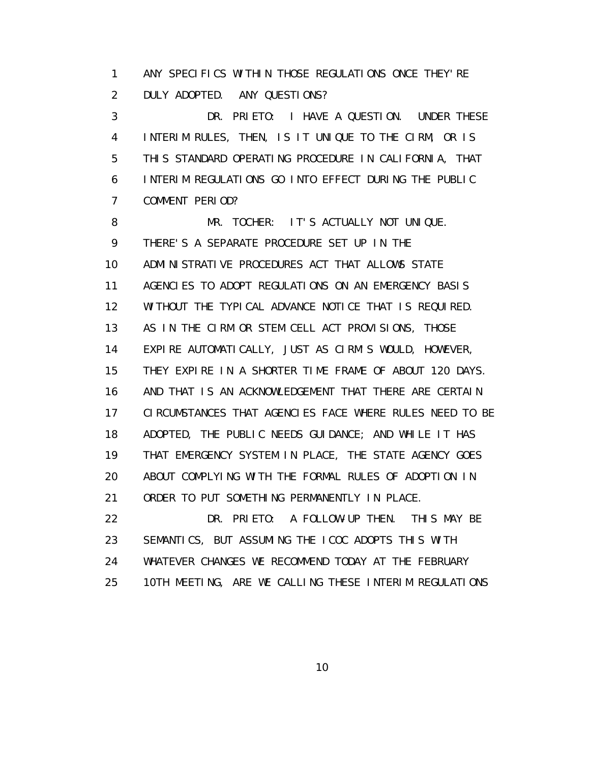1 ANY SPECIFICS WITHIN THOSE REGULATIONS ONCE THEY'RE 2 DULY ADOPTED. ANY QUESTIONS?

 3 DR. PRIETO: I HAVE A QUESTION. UNDER THESE 4 INTERIM RULES, THEN, IS IT UNIQUE TO THE CIRM, OR IS 5 THIS STANDARD OPERATING PROCEDURE IN CALIFORNIA, THAT 6 INTERIM REGULATIONS GO INTO EFFECT DURING THE PUBLIC 7 COMMENT PERIOD?

 8 MR. TOCHER: IT'S ACTUALLY NOT UNIQUE. 9 THERE'S A SEPARATE PROCEDURE SET UP IN THE 10 ADMINISTRATIVE PROCEDURES ACT THAT ALLOWS STATE 11 AGENCIES TO ADOPT REGULATIONS ON AN EMERGENCY BASIS 12 WITHOUT THE TYPICAL ADVANCE NOTICE THAT IS REQUIRED. 13 AS IN THE CIRM OR STEM CELL ACT PROVISIONS, THOSE 14 EXPIRE AUTOMATICALLY, JUST AS CIRM'S WOULD, HOWEVER, 15 THEY EXPIRE IN A SHORTER TIME FRAME OF ABOUT 120 DAYS. 16 AND THAT IS AN ACKNOWLEDGEMENT THAT THERE ARE CERTAIN 17 CIRCUMSTANCES THAT AGENCIES FACE WHERE RULES NEED TO BE 18 ADOPTED, THE PUBLIC NEEDS GUIDANCE; AND WHILE IT HAS 19 THAT EMERGENCY SYSTEM IN PLACE, THE STATE AGENCY GOES 20 ABOUT COMPLYING WITH THE FORMAL RULES OF ADOPTION IN 21 ORDER TO PUT SOMETHING PERMANENTLY IN PLACE. 22 DR. PRIETO: A FOLLOW-UP THEN. THIS MAY BE 23 SEMANTICS, BUT ASSUMING THE ICOC ADOPTS THIS WITH

 24 WHATEVER CHANGES WE RECOMMEND TODAY AT THE FEBRUARY 25 10TH MEETING, ARE WE CALLING THESE INTERIM REGULATIONS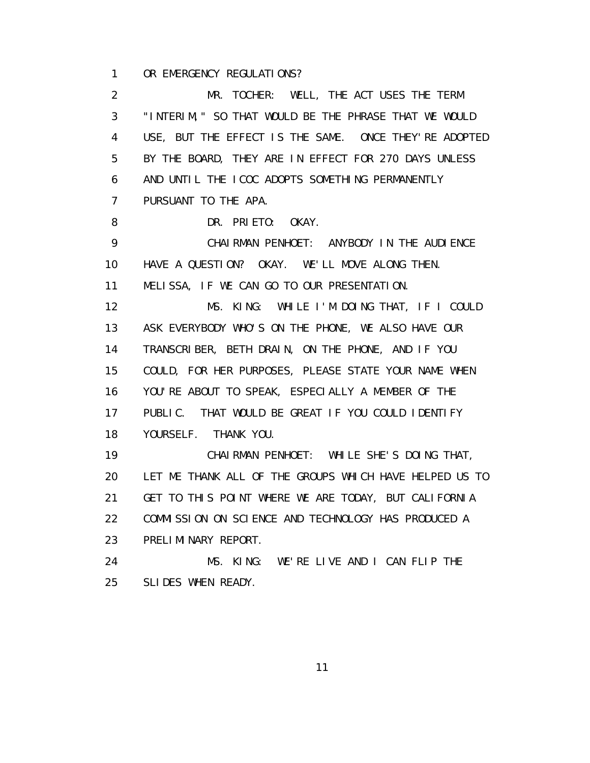1 OR EMERGENCY REGULATIONS?

 2 MR. TOCHER: WELL, THE ACT USES THE TERM 3 "INTERIM," SO THAT WOULD BE THE PHRASE THAT WE WOULD 4 USE, BUT THE EFFECT IS THE SAME. ONCE THEY'RE ADOPTED 5 BY THE BOARD, THEY ARE IN EFFECT FOR 270 DAYS UNLESS 6 AND UNTIL THE ICOC ADOPTS SOMETHING PERMANENTLY 7 PURSUANT TO THE APA. 8 DR. PRIETO: OKAY. 9 CHAIRMAN PENHOET: ANYBODY IN THE AUDIENCE 10 HAVE A QUESTION? OKAY. WE'LL MOVE ALONG THEN. 11 MELISSA, IF WE CAN GO TO OUR PRESENTATION. 12 MS. KING: WHILE I'M DOING THAT, IF I COULD 13 ASK EVERYBODY WHO'S ON THE PHONE, WE ALSO HAVE OUR 14 TRANSCRIBER, BETH DRAIN, ON THE PHONE, AND IF YOU 15 COULD, FOR HER PURPOSES, PLEASE STATE YOUR NAME WHEN 16 YOU'RE ABOUT TO SPEAK, ESPECIALLY A MEMBER OF THE 17 PUBLIC. THAT WOULD BE GREAT IF YOU COULD IDENTIFY 18 YOURSELF. THANK YOU. 19 CHAIRMAN PENHOET: WHILE SHE'S DOING THAT, 20 LET ME THANK ALL OF THE GROUPS WHICH HAVE HELPED US TO 21 GET TO THIS POINT WHERE WE ARE TODAY, BUT CALIFORNIA 22 COMMISSION ON SCIENCE AND TECHNOLOGY HAS PRODUCED A 23 PRELIMINARY REPORT. 24 MS. KING: WE'RE LIVE AND I CAN FLIP THE 25 SLIDES WHEN READY.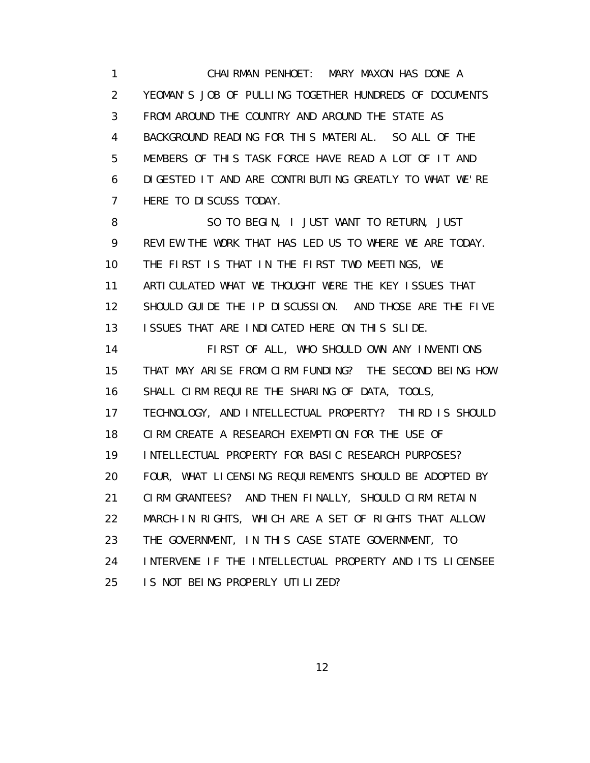1 CHAIRMAN PENHOET: MARY MAXON HAS DONE A 2 YEOMAN'S JOB OF PULLING TOGETHER HUNDREDS OF DOCUMENTS 3 FROM AROUND THE COUNTRY AND AROUND THE STATE AS 4 BACKGROUND READING FOR THIS MATERIAL. SO ALL OF THE 5 MEMBERS OF THIS TASK FORCE HAVE READ A LOT OF IT AND 6 DIGESTED IT AND ARE CONTRIBUTING GREATLY TO WHAT WE'RE 7 HERE TO DISCUSS TODAY.

 8 SO TO BEGIN, I JUST WANT TO RETURN, JUST 9 REVIEW THE WORK THAT HAS LED US TO WHERE WE ARE TODAY. 10 THE FIRST IS THAT IN THE FIRST TWO MEETINGS, WE 11 ARTICULATED WHAT WE THOUGHT WERE THE KEY ISSUES THAT 12 SHOULD GUIDE THE IP DISCUSSION. AND THOSE ARE THE FIVE 13 ISSUES THAT ARE INDICATED HERE ON THIS SLIDE.

 14 FIRST OF ALL, WHO SHOULD OWN ANY INVENTIONS 15 THAT MAY ARISE FROM CIRM FUNDING? THE SECOND BEING HOW 16 SHALL CIRM REQUIRE THE SHARING OF DATA, TOOLS, 17 TECHNOLOGY, AND INTELLECTUAL PROPERTY? THIRD IS SHOULD 18 CIRM CREATE A RESEARCH EXEMPTION FOR THE USE OF 19 INTELLECTUAL PROPERTY FOR BASIC RESEARCH PURPOSES? 20 FOUR, WHAT LICENSING REQUIREMENTS SHOULD BE ADOPTED BY 21 CIRM GRANTEES? AND THEN FINALLY, SHOULD CIRM RETAIN 22 MARCH-IN RIGHTS, WHICH ARE A SET OF RIGHTS THAT ALLOW 23 THE GOVERNMENT, IN THIS CASE STATE GOVERNMENT, TO 24 INTERVENE IF THE INTELLECTUAL PROPERTY AND ITS LICENSEE 25 IS NOT BEING PROPERLY UTILIZED?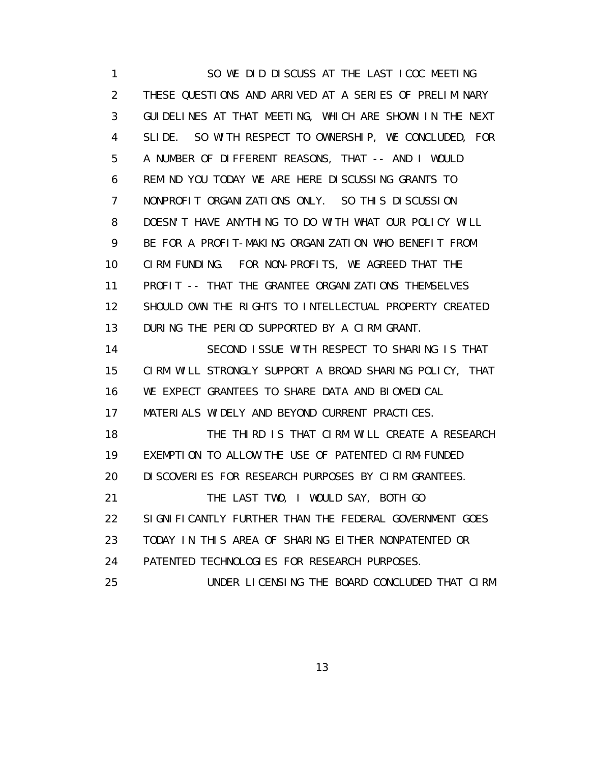1 SO WE DID DISCUSS AT THE LAST ICOC MEETING 2 THESE QUESTIONS AND ARRIVED AT A SERIES OF PRELIMINARY 3 GUIDELINES AT THAT MEETING, WHICH ARE SHOWN IN THE NEXT 4 SLIDE. SO WITH RESPECT TO OWNERSHIP, WE CONCLUDED, FOR 5 A NUMBER OF DIFFERENT REASONS, THAT -- AND I WOULD 6 REMIND YOU TODAY WE ARE HERE DISCUSSING GRANTS TO 7 NONPROFIT ORGANIZATIONS ONLY. SO THIS DISCUSSION 8 DOESN'T HAVE ANYTHING TO DO WITH WHAT OUR POLICY WILL 9 BE FOR A PROFIT-MAKING ORGANIZATION WHO BENEFIT FROM 10 CIRM FUNDING. FOR NON-PROFITS, WE AGREED THAT THE 11 PROFIT -- THAT THE GRANTEE ORGANIZATIONS THEMSELVES 12 SHOULD OWN THE RIGHTS TO INTELLECTUAL PROPERTY CREATED 13 DURING THE PERIOD SUPPORTED BY A CIRM GRANT. 14 SECOND ISSUE WITH RESPECT TO SHARING IS THAT 15 CIRM WILL STRONGLY SUPPORT A BROAD SHARING POLICY, THAT 16 WE EXPECT GRANTEES TO SHARE DATA AND BIOMEDICAL 17 MATERIALS WIDELY AND BEYOND CURRENT PRACTICES. 18 THE THIRD IS THAT CIRM WILL CREATE A RESEARCH 19 EXEMPTION TO ALLOW THE USE OF PATENTED CIRM-FUNDED 20 DI SCOVERIES FOR RESEARCH PURPOSES BY CIRM GRANTEES. 21 THE LAST TWO, I WOULD SAY, BOTH GO 22 SIGNIFICANTLY FURTHER THAN THE FEDERAL GOVERNMENT GOES 23 TODAY IN THIS AREA OF SHARING EITHER NONPATENTED OR 24 PATENTED TECHNOLOGIES FOR RESEARCH PURPOSES. 25 UNDER LICENSING THE BOARD CONCLUDED THAT CIRM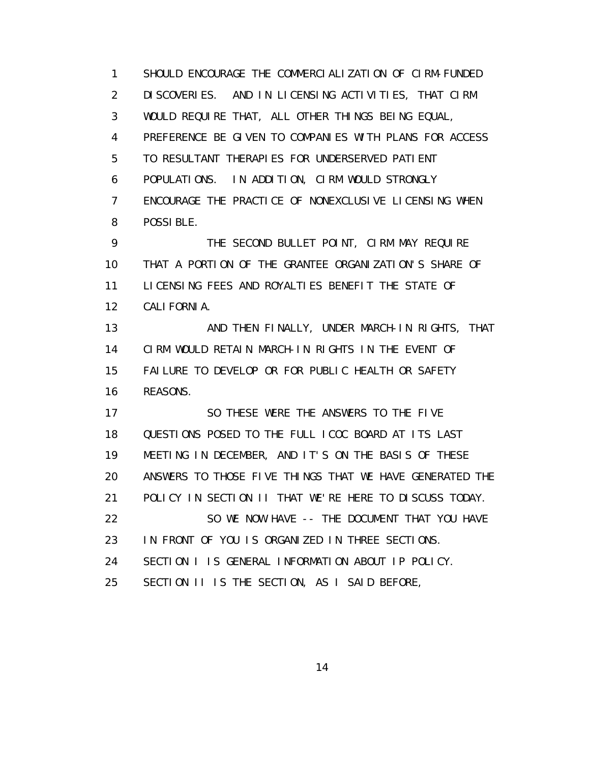1 SHOULD ENCOURAGE THE COMMERCIALIZATION OF CIRM-FUNDED 2 DISCOVERIES. AND IN LICENSING ACTIVITIES, THAT CIRM 3 WOULD REQUIRE THAT, ALL OTHER THINGS BEING EQUAL, 4 PREFERENCE BE GIVEN TO COMPANIES WITH PLANS FOR ACCESS 5 TO RESULTANT THERAPIES FOR UNDERSERVED PATIENT 6 POPULATIONS. IN ADDITION, CIRM WOULD STRONGLY 7 ENCOURAGE THE PRACTICE OF NONEXCLUSIVE LICENSING WHEN 8 POSSIBLE. 9 THE SECOND BULLET POINT, CIRM MAY REQUIRE 10 THAT A PORTION OF THE GRANTEE ORGANIZATION'S SHARE OF 11 LICENSING FEES AND ROYALTIES BENEFIT THE STATE OF 12 CALIFORNIA. 13 AND THEN FINALLY, UNDER MARCH-IN RIGHTS, THAT 14 CIRM WOULD RETAIN MARCH-IN RIGHTS IN THE EVENT OF 15 FAILURE TO DEVELOP OR FOR PUBLIC HEALTH OR SAFETY 16 REASONS. 17 SO THESE WERE THE ANSWERS TO THE FIVE

 18 QUESTIONS POSED TO THE FULL ICOC BOARD AT ITS LAST 19 MEETING IN DECEMBER, AND IT'S ON THE BASIS OF THESE 20 ANSWERS TO THOSE FIVE THINGS THAT WE HAVE GENERATED THE 21 POLICY IN SECTION II THAT WE'RE HERE TO DISCUSS TODAY. 22 SO WE NOW HAVE -- THE DOCUMENT THAT YOU HAVE 23 IN FRONT OF YOU IS ORGANIZED IN THREE SECTIONS. 24 SECTION I IS GENERAL INFORMATION ABOUT IP POLICY. 25 SECTION II IS THE SECTION, AS I SAID BEFORE,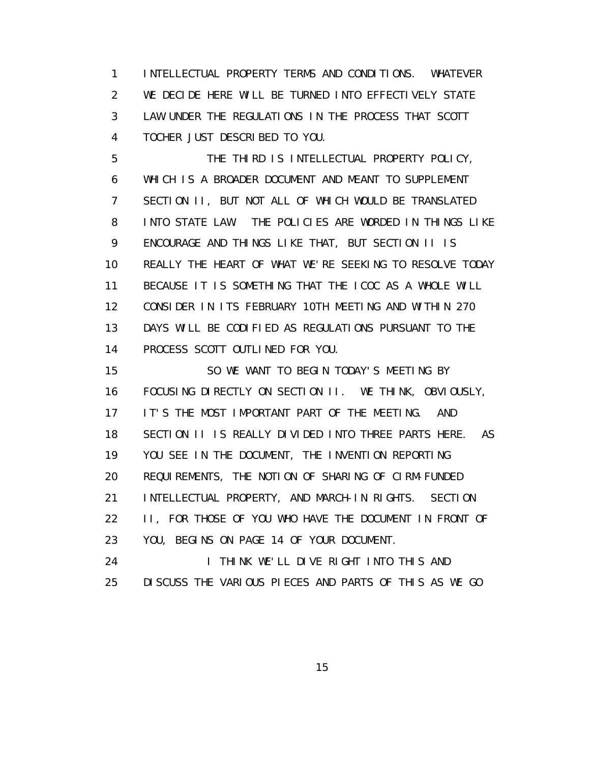1 INTELLECTUAL PROPERTY TERMS AND CONDITIONS. WHATEVER 2 WE DECIDE HERE WILL BE TURNED INTO EFFECTIVELY STATE 3 LAW UNDER THE REGULATIONS IN THE PROCESS THAT SCOTT 4 TOCHER JUST DESCRIBED TO YOU.

 5 THE THIRD IS INTELLECTUAL PROPERTY POLICY, 6 WHICH IS A BROADER DOCUMENT AND MEANT TO SUPPLEMENT 7 SECTION II, BUT NOT ALL OF WHICH WOULD BE TRANSLATED 8 INTO STATE LAW. THE POLICIES ARE WORDED IN THINGS LIKE 9 ENCOURAGE AND THINGS LIKE THAT, BUT SECTION II IS 10 REALLY THE HEART OF WHAT WE'RE SEEKING TO RESOLVE TODAY 11 BECAUSE IT IS SOMETHING THAT THE ICOC AS A WHOLE WILL 12 CONSIDER IN ITS FEBRUARY 10TH MEETING AND WITHIN 270 13 DAYS WILL BE CODIFIED AS REGULATIONS PURSUANT TO THE 14 PROCESS SCOTT OUTLINED FOR YOU.

 15 SO WE WANT TO BEGIN TODAY'S MEETING BY 16 FOCUSING DIRECTLY ON SECTION II. WE THINK, OBVIOUSLY, 17 IT'S THE MOST IMPORTANT PART OF THE MEETING. AND 18 SECTION II IS REALLY DIVIDED INTO THREE PARTS HERE. AS 19 YOU SEE IN THE DOCUMENT, THE INVENTION REPORTING 20 REQUIREMENTS, THE NOTION OF SHARING OF CIRM-FUNDED 21 INTELLECTUAL PROPERTY, AND MARCH-IN RIGHTS. SECTION 22 II, FOR THOSE OF YOU WHO HAVE THE DOCUMENT IN FRONT OF 23 YOU, BEGINS ON PAGE 14 OF YOUR DOCUMENT. 24 I THINK WE'LL DIVE RIGHT INTO THIS AND

25 DISCUSS THE VARIOUS PIECES AND PARTS OF THIS AS WE GO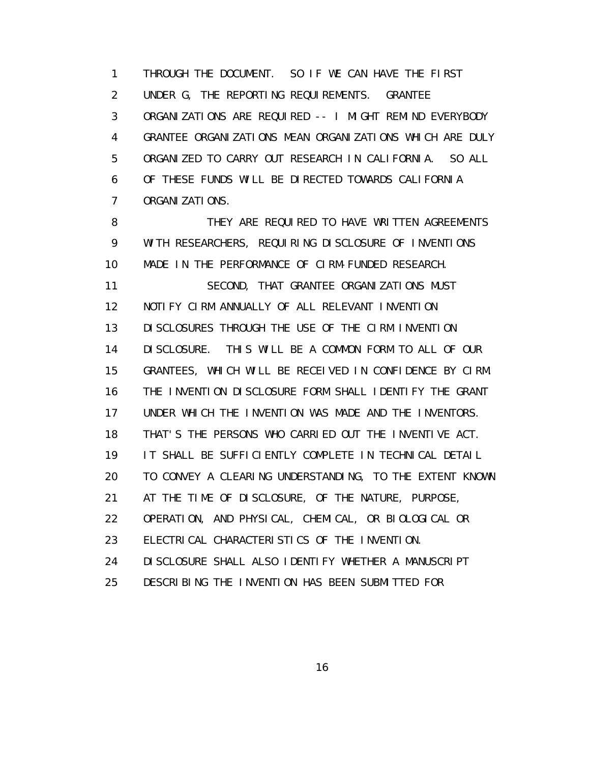1 THROUGH THE DOCUMENT. SO IF WE CAN HAVE THE FIRST 2 UNDER G, THE REPORTING REQUIREMENTS. GRANTEE 3 ORGANIZATIONS ARE REQUIRED -- I MIGHT REMIND EVERYBODY 4 GRANTEE ORGANIZATIONS MEAN ORGANIZATIONS WHICH ARE DULY 5 ORGANIZED TO CARRY OUT RESEARCH IN CALIFORNIA. SO ALL 6 OF THESE FUNDS WILL BE DIRECTED TOWARDS CALIFORNIA 7 ORGANIZATIONS.

8 THEY ARE REQUIRED TO HAVE WRITTEN AGREEMENTS 9 WITH RESEARCHERS, REQUIRING DISCLOSURE OF INVENTIONS 10 MADE IN THE PERFORMANCE OF CIRM-FUNDED RESEARCH. 11 SECOND, THAT GRANTEE ORGANIZATIONS MUST 12 NOTIFY CIRM ANNUALLY OF ALL RELEVANT INVENTION 13 DISCLOSURES THROUGH THE USE OF THE CIRM INVENTION 14 DISCLOSURE. THIS WILL BE A COMMON FORM TO ALL OF OUR 15 GRANTEES, WHICH WILL BE RECEIVED IN CONFIDENCE BY CIRM. 16 THE INVENTION DISCLOSURE FORM SHALL IDENTIFY THE GRANT 17 UNDER WHICH THE INVENTION WAS MADE AND THE INVENTORS. 18 THAT'S THE PERSONS WHO CARRIED OUT THE INVENTIVE ACT. 19 IT SHALL BE SUFFICIENTLY COMPLETE IN TECHNICAL DETAIL 20 TO CONVEY A CLEARING UNDERSTANDING, TO THE EXTENT KNOWN 21 AT THE TIME OF DISCLOSURE, OF THE NATURE, PURPOSE, 22 OPERATION, AND PHYSICAL, CHEMICAL, OR BIOLOGICAL OR 23 ELECTRICAL CHARACTERISTICS OF THE INVENTION. 24 DISCLOSURE SHALL ALSO IDENTIFY WHETHER A MANUSCRIPT 25 DESCRIBING THE INVENTION HAS BEEN SUBMITTED FOR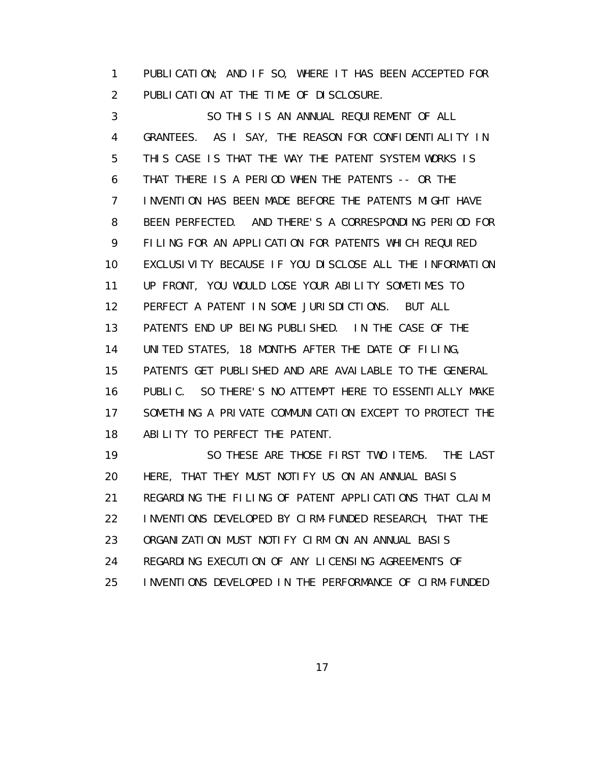1 PUBLICATION; AND IF SO, WHERE IT HAS BEEN ACCEPTED FOR 2 PUBLICATION AT THE TIME OF DISCLOSURE.

 3 SO THIS IS AN ANNUAL REQUIREMENT OF ALL 4 GRANTEES. AS I SAY, THE REASON FOR CONFIDENTIALITY IN 5 THIS CASE IS THAT THE WAY THE PATENT SYSTEM WORKS IS 6 THAT THERE IS A PERIOD WHEN THE PATENTS -- OR THE 7 INVENTION HAS BEEN MADE BEFORE THE PATENTS MIGHT HAVE 8 BEEN PERFECTED. AND THERE'S A CORRESPONDING PERIOD FOR 9 FILING FOR AN APPLICATION FOR PATENTS WHICH REQUIRED 10 EXCLUSIVITY BECAUSE IF YOU DISCLOSE ALL THE INFORMATION 11 UP FRONT, YOU WOULD LOSE YOUR ABILITY SOMETIMES TO 12 PERFECT A PATENT IN SOME JURISDICTIONS. BUT ALL 13 PATENTS END UP BEING PUBLISHED. IN THE CASE OF THE 14 UNITED STATES, 18 MONTHS AFTER THE DATE OF FILING, 15 PATENTS GET PUBLISHED AND ARE AVAILABLE TO THE GENERAL 16 PUBLIC. SO THERE'S NO ATTEMPT HERE TO ESSENTIALLY MAKE 17 SOMETHING A PRIVATE COMMUNICATION EXCEPT TO PROTECT THE 18 ABILITY TO PERFECT THE PATENT. 19 SO THESE ARE THOSE FIRST TWO ITEMS. THE LAST

 20 HERE, THAT THEY MUST NOTIFY US ON AN ANNUAL BASIS 21 REGARDING THE FILING OF PATENT APPLICATIONS THAT CLAIM 22 INVENTIONS DEVELOPED BY CIRM-FUNDED RESEARCH, THAT THE 23 ORGANIZATION MUST NOTIFY CIRM ON AN ANNUAL BASIS 24 REGARDING EXECUTION OF ANY LICENSING AGREEMENTS OF 25 INVENTIONS DEVELOPED IN THE PERFORMANCE OF CIRM-FUNDED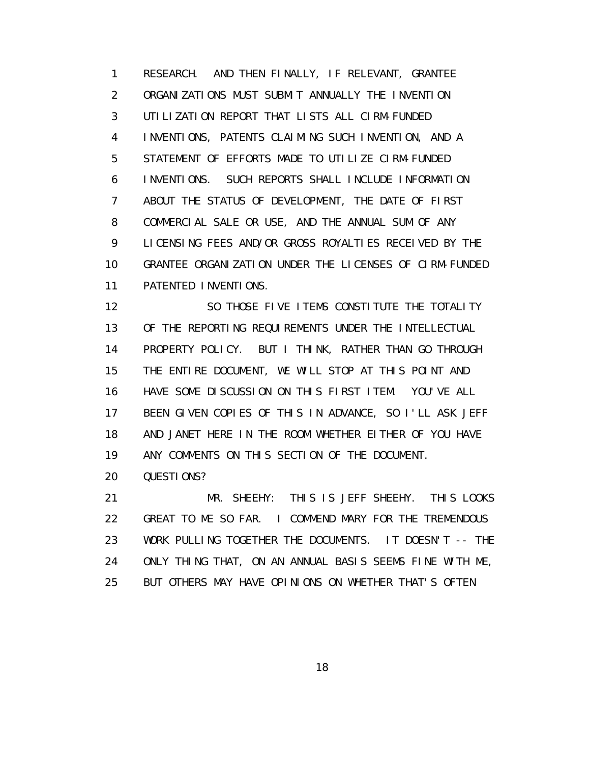1 RESEARCH. AND THEN FINALLY, IF RELEVANT, GRANTEE 2 ORGANIZATIONS MUST SUBMIT ANNUALLY THE INVENTION 3 UTILIZATION REPORT THAT LISTS ALL CIRM-FUNDED 4 INVENTIONS, PATENTS CLAIMING SUCH INVENTION, AND A 5 STATEMENT OF EFFORTS MADE TO UTILIZE CIRM-FUNDED 6 INVENTIONS. SUCH REPORTS SHALL INCLUDE INFORMATION 7 ABOUT THE STATUS OF DEVELOPMENT, THE DATE OF FIRST 8 COMMERCIAL SALE OR USE, AND THE ANNUAL SUM OF ANY 9 LICENSING FEES AND/OR GROSS ROYALTIES RECEIVED BY THE 10 GRANTEE ORGANIZATION UNDER THE LICENSES OF CIRM-FUNDED 11 PATENTED INVENTIONS.

12 SO THOSE FIVE I TEMS CONSTITUTE THE TOTALITY 13 OF THE REPORTING REQUIREMENTS UNDER THE INTELLECTUAL 14 PROPERTY POLICY. BUT I THINK, RATHER THAN GO THROUGH 15 THE ENTIRE DOCUMENT, WE WILL STOP AT THIS POINT AND 16 HAVE SOME DISCUSSION ON THIS FIRST ITEM. YOU'VE ALL 17 BEEN GIVEN COPIES OF THIS IN ADVANCE, SO I'LL ASK JEFF 18 AND JANET HERE IN THE ROOM WHETHER EITHER OF YOU HAVE 19 ANY COMMENTS ON THIS SECTION OF THE DOCUMENT.

20 QUESTIONS?

 21 MR. SHEEHY: THIS IS JEFF SHEEHY. THIS LOOKS 22 GREAT TO ME SO FAR. I COMMEND MARY FOR THE TREMENDOUS 23 WORK PULLING TOGETHER THE DOCUMENTS. IT DOESN'T -- THE 24 ONLY THING THAT, ON AN ANNUAL BASIS SEEMS FINE WITH ME, 25 BUT OTHERS MAY HAVE OPINIONS ON WHETHER THAT'S OFTEN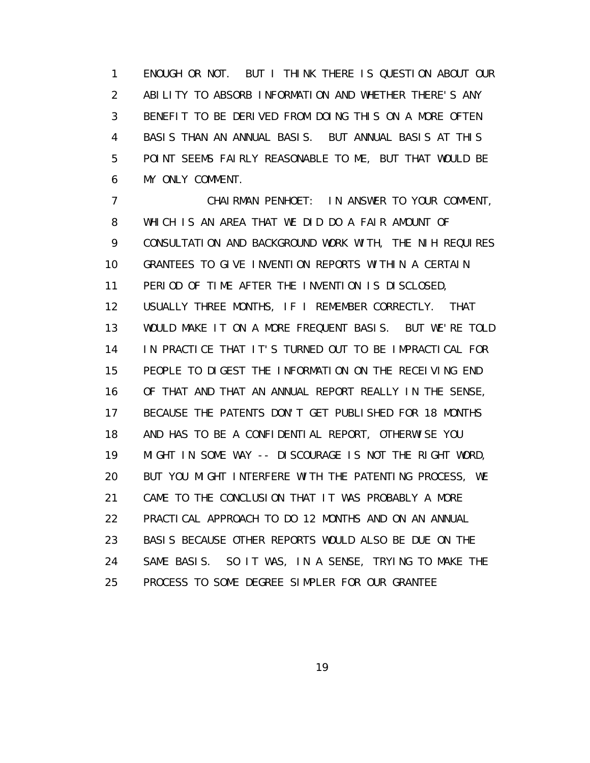1 ENOUGH OR NOT. BUT I THINK THERE IS QUESTION ABOUT OUR 2 ABILITY TO ABSORB INFORMATION AND WHETHER THERE'S ANY 3 BENEFIT TO BE DERIVED FROM DOING THIS ON A MORE OFTEN 4 BASIS THAN AN ANNUAL BASIS. BUT ANNUAL BASIS AT THIS 5 POINT SEEMS FAIRLY REASONABLE TO ME, BUT THAT WOULD BE 6 MY ONLY COMMENT.

 7 CHAIRMAN PENHOET: IN ANSWER TO YOUR COMMENT, 8 WHICH IS AN AREA THAT WE DID DO A FAIR AMOUNT OF 9 CONSULTATION AND BACKGROUND WORK WITH, THE NIH REQUIRES 10 GRANTEES TO GIVE INVENTION REPORTS WITHIN A CERTAIN 11 PERIOD OF TIME AFTER THE INVENTION IS DISCLOSED, 12 USUALLY THREE MONTHS, IF I REMEMBER CORRECTLY. THAT 13 WOULD MAKE IT ON A MORE FREQUENT BASIS. BUT WE'RE TOLD 14 IN PRACTICE THAT IT'S TURNED OUT TO BE IMPRACTICAL FOR 15 PEOPLE TO DIGEST THE INFORMATION ON THE RECEIVING END 16 OF THAT AND THAT AN ANNUAL REPORT REALLY IN THE SENSE, 17 BECAUSE THE PATENTS DON'T GET PUBLISHED FOR 18 MONTHS 18 AND HAS TO BE A CONFIDENTIAL REPORT, OTHERWISE YOU 19 MIGHT IN SOME WAY -- DISCOURAGE IS NOT THE RIGHT WORD, 20 BUT YOU MIGHT INTERFERE WITH THE PATENTING PROCESS, WE 21 CAME TO THE CONCLUSION THAT IT WAS PROBABLY A MORE 22 PRACTICAL APPROACH TO DO 12 MONTHS AND ON AN ANNUAL 23 BASIS BECAUSE OTHER REPORTS WOULD ALSO BE DUE ON THE 24 SAME BASIS. SO IT WAS, IN A SENSE, TRYING TO MAKE THE 25 PROCESS TO SOME DEGREE SIMPLER FOR OUR GRANTEE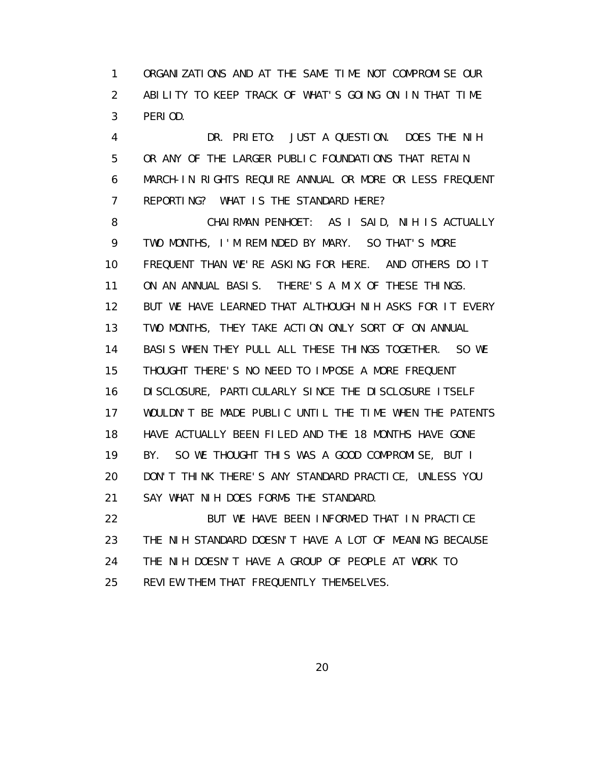1 ORGANIZATIONS AND AT THE SAME TIME NOT COMPROMISE OUR 2 ABILITY TO KEEP TRACK OF WHAT'S GOING ON IN THAT TIME 3 PERIOD.

 4 DR. PRIETO: JUST A QUESTION. DOES THE NIH 5 OR ANY OF THE LARGER PUBLIC FOUNDATIONS THAT RETAIN 6 MARCH-IN RIGHTS REQUIRE ANNUAL OR MORE OR LESS FREQUENT 7 REPORTING? WHAT IS THE STANDARD HERE?

 8 CHAIRMAN PENHOET: AS I SAID, NIH IS ACTUALLY 9 TWO MONTHS, I'M REMINDED BY MARY. SO THAT'S MORE 10 FREQUENT THAN WE'RE ASKING FOR HERE. AND OTHERS DO IT 11 ON AN ANNUAL BASIS. THERE'S A MIX OF THESE THINGS. 12 BUT WE HAVE LEARNED THAT ALTHOUGH NIH ASKS FOR IT EVERY 13 TWO MONTHS, THEY TAKE ACTION ONLY SORT OF ON ANNUAL 14 BASIS WHEN THEY PULL ALL THESE THINGS TOGETHER. SO WE 15 THOUGHT THERE'S NO NEED TO IMPOSE A MORE FREQUENT 16 DISCLOSURE, PARTICULARLY SINCE THE DISCLOSURE ITSELF 17 WOULDN'T BE MADE PUBLIC UNTIL THE TIME WHEN THE PATENTS 18 HAVE ACTUALLY BEEN FILED AND THE 18 MONTHS HAVE GONE 19 BY. SO WE THOUGHT THIS WAS A GOOD COMPROMISE, BUT I 20 DON'T THINK THERE'S ANY STANDARD PRACTICE, UNLESS YOU 21 SAY WHAT NIH DOES FORMS THE STANDARD.

 22 BUT WE HAVE BEEN INFORMED THAT IN PRACTICE 23 THE NIH STANDARD DOESN'T HAVE A LOT OF MEANING BECAUSE 24 THE NIH DOESN'T HAVE A GROUP OF PEOPLE AT WORK TO 25 REVIEW THEM THAT FREQUENTLY THEMSELVES.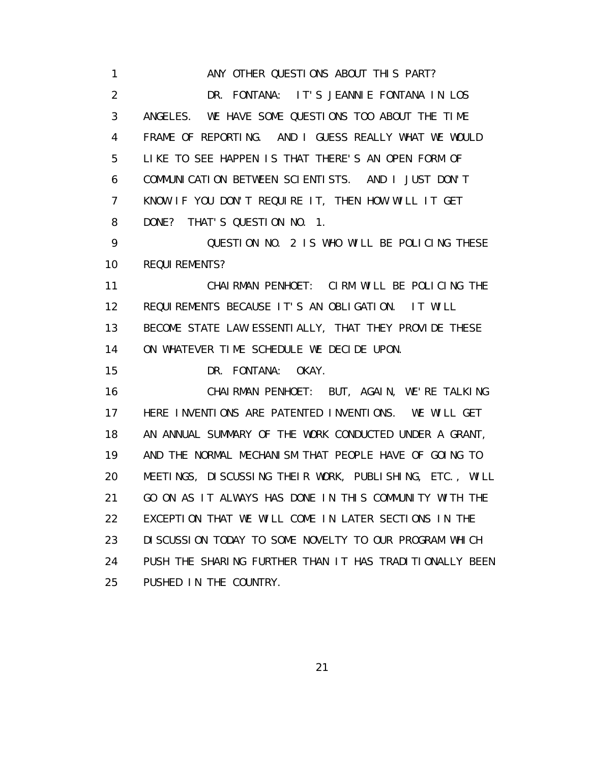1 **ANY OTHER QUESTIONS ABOUT THIS PART?**  2 DR. FONTANA: IT'S JEANNIE FONTANA IN LOS 3 ANGELES. WE HAVE SOME QUESTIONS TOO ABOUT THE TIME 4 FRAME OF REPORTING. AND I GUESS REALLY WHAT WE WOULD 5 LIKE TO SEE HAPPEN IS THAT THERE'S AN OPEN FORM OF 6 COMMUNICATION BETWEEN SCIENTISTS. AND I JUST DON'T 7 KNOW IF YOU DON'T REQUIRE IT, THEN HOW WILL IT GET 8 DONE? THAT'S QUESTION NO. 1. 9 QUESTION NO. 2 IS WHO WILL BE POLICING THESE 10 REQUIREMENTS? 11 CHAIRMAN PENHOET: CIRM WILL BE POLICING THE 12 REQUIREMENTS BECAUSE IT'S AN OBLIGATION. IT WILL 13 BECOME STATE LAW ESSENTIALLY, THAT THEY PROVIDE THESE 14 ON WHATEVER TIME SCHEDULE WE DECIDE UPON. 15 DR. FONTANA: OKAY. 16 CHAIRMAN PENHOET: BUT, AGAIN, WE'RE TALKING 17 HERE INVENTIONS ARE PATENTED INVENTIONS. WE WILL GET 18 AN ANNUAL SUMMARY OF THE WORK CONDUCTED UNDER A GRANT, 19 AND THE NORMAL MECHANISM THAT PEOPLE HAVE OF GOING TO 20 MEETINGS, DISCUSSING THEIR WORK, PUBLISHING, ETC., WILL 21 GO ON AS IT ALWAYS HAS DONE IN THIS COMMUNITY WITH THE 22 EXCEPTION THAT WE WILL COME IN LATER SECTIONS IN THE 23 DISCUSSION TODAY TO SOME NOVELTY TO OUR PROGRAM WHICH 24 PUSH THE SHARING FURTHER THAN IT HAS TRADITIONALLY BEEN 25 PUSHED IN THE COUNTRY.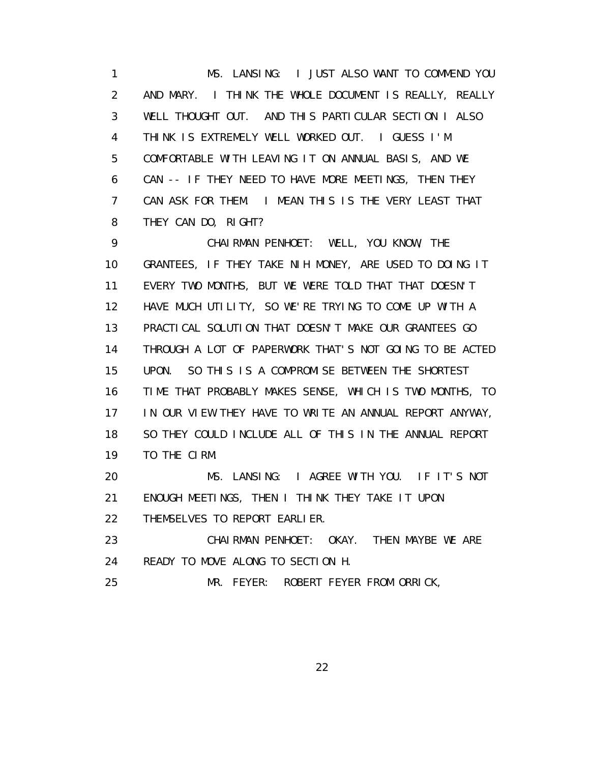1 MS. LANSING: I JUST ALSO WANT TO COMMEND YOU 2 AND MARY. I THINK THE WHOLE DOCUMENT IS REALLY, REALLY 3 WELL THOUGHT OUT. AND THIS PARTICULAR SECTION I ALSO 4 THINK IS EXTREMELY WELL WORKED OUT. I GUESS I'M 5 COMFORTABLE WITH LEAVING IT ON ANNUAL BASIS, AND WE 6 CAN -- IF THEY NEED TO HAVE MORE MEETINGS, THEN THEY 7 CAN ASK FOR THEM. I MEAN THIS IS THE VERY LEAST THAT 8 THEY CAN DO, RIGHT?

 9 CHAIRMAN PENHOET: WELL, YOU KNOW, THE 10 GRANTEES, IF THEY TAKE NIH MONEY, ARE USED TO DOING IT 11 EVERY TWO MONTHS, BUT WE WERE TOLD THAT THAT DOESN'T 12 HAVE MUCH UTILITY, SO WE'RE TRYING TO COME UP WITH A 13 PRACTICAL SOLUTION THAT DOESN'T MAKE OUR GRANTEES GO 14 THROUGH A LOT OF PAPERWORK THAT'S NOT GOING TO BE ACTED 15 UPON. SO THIS IS A COMPROMISE BETWEEN THE SHORTEST 16 TIME THAT PROBABLY MAKES SENSE, WHICH IS TWO MONTHS, TO 17 IN OUR VIEW THEY HAVE TO WRITE AN ANNUAL REPORT ANYWAY, 18 SO THEY COULD INCLUDE ALL OF THIS IN THE ANNUAL REPORT 19 TO THE CIRM.

 20 MS. LANSING: I AGREE WITH YOU. IF IT'S NOT 21 ENOUGH MEETINGS, THEN I THINK THEY TAKE IT UPON 22 THEMSELVES TO REPORT EARLIER.

 23 CHAIRMAN PENHOET: OKAY. THEN MAYBE WE ARE 24 READY TO MOVE ALONG TO SECTION H.

25 MR. FEYER: ROBERT FEYER FROM ORRICK,

<u>22</u>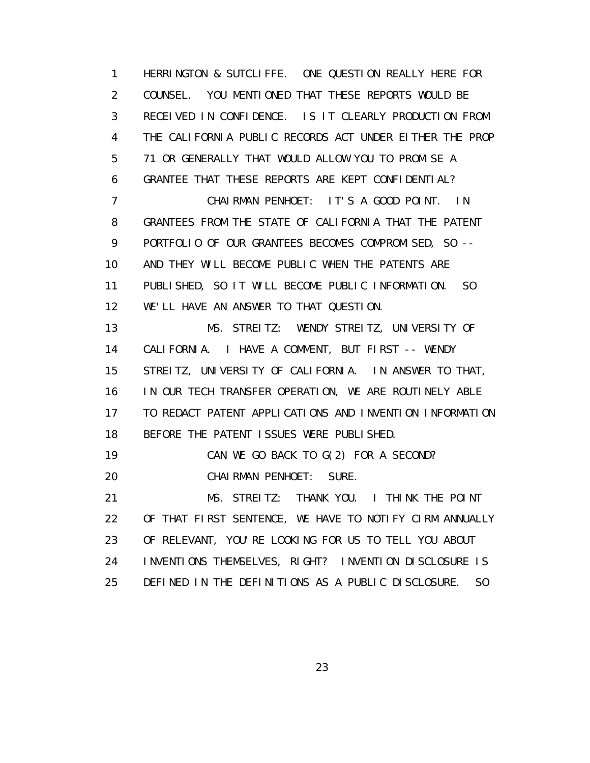1 HERRINGTON & SUTCLIFFE. ONE QUESTION REALLY HERE FOR 2 COUNSEL. YOU MENTIONED THAT THESE REPORTS WOULD BE 3 RECEIVED IN CONFIDENCE. IS IT CLEARLY PRODUCTION FROM 4 THE CALIFORNIA PUBLIC RECORDS ACT UNDER EITHER THE PROP 5 71 OR GENERALLY THAT WOULD ALLOW YOU TO PROMISE A 6 GRANTEE THAT THESE REPORTS ARE KEPT CONFIDENTIAL? 7 CHAIRMAN PENHOET: IT'S A GOOD POINT. IN 8 GRANTEES FROM THE STATE OF CALIFORNIA THAT THE PATENT 9 PORTFOLIO OF OUR GRANTEES BECOMES COMPROMISED, SO -- 10 AND THEY WILL BECOME PUBLIC WHEN THE PATENTS ARE 11 PUBLISHED, SO IT WILL BECOME PUBLIC INFORMATION. SO 12 WE'LL HAVE AN ANSWER TO THAT QUESTION. 13 MS. STREITZ: WENDY STREITZ, UNIVERSITY OF 14 CALIFORNIA. I HAVE A COMMENT, BUT FIRST -- WENDY 15 STREITZ, UNIVERSITY OF CALIFORNIA. IN ANSWER TO THAT, 16 IN OUR TECH TRANSFER OPERATION, WE ARE ROUTINELY ABLE 17 TO REDACT PATENT APPLICATIONS AND INVENTION INFORMATION 18 BEFORE THE PATENT ISSUES WERE PUBLISHED. 19 CAN WE GO BACK TO G(2) FOR A SECOND? 20 CHAIRMAN PENHOET: SURE. 21 MS. STREITZ: THANK YOU. I THINK THE POINT 22 OF THAT FIRST SENTENCE, WE HAVE TO NOTIFY CIRM ANNUALLY 23 OF RELEVANT, YOU'RE LOOKING FOR US TO TELL YOU ABOUT 24 INVENTIONS THEMSELVES, RIGHT? INVENTION DISCLOSURE IS 25 DEFINED IN THE DEFINITIONS AS A PUBLIC DISCLOSURE. SO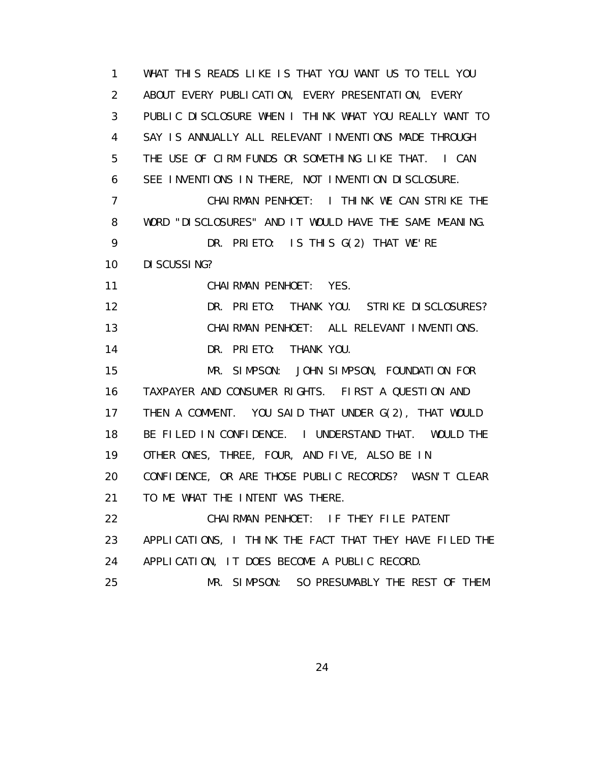1 WHAT THIS READS LIKE IS THAT YOU WANT US TO TELL YOU 2 ABOUT EVERY PUBLICATION, EVERY PRESENTATION, EVERY 3 PUBLIC DISCLOSURE WHEN I THINK WHAT YOU REALLY WANT TO 4 SAY IS ANNUALLY ALL RELEVANT INVENTIONS MADE THROUGH 5 THE USE OF CIRM FUNDS OR SOMETHING LIKE THAT. I CAN 6 SEE INVENTIONS IN THERE, NOT INVENTION DISCLOSURE. 7 CHAIRMAN PENHOET: I THINK WE CAN STRIKE THE 8 WORD "DISCLOSURES" AND IT WOULD HAVE THE SAME MEANING. 9 DR. PRIETO: IS THIS G(2) THAT WE'RE 10 DISCUSSING? 11 CHAIRMAN PENHOET: YES. 12 DR. PRIETO: THANK YOU. STRIKE DISCLOSURES? 13 CHAIRMAN PENHOET: ALL RELEVANT INVENTIONS. 14 DR. PRIETO: THANK YOU. 15 MR. SIMPSON: JOHN SIMPSON, FOUNDATION FOR 16 TAXPAYER AND CONSUMER RIGHTS. FIRST A QUESTION AND 17 THEN A COMMENT. YOU SAID THAT UNDER G(2), THAT WOULD 18 BE FILED IN CONFIDENCE. I UNDERSTAND THAT. WOULD THE 19 OTHER ONES, THREE, FOUR, AND FIVE, ALSO BE IN 20 CONFIDENCE, OR ARE THOSE PUBLIC RECORDS? WASN'T CLEAR 21 TO ME WHAT THE INTENT WAS THERE. 22 CHAIRMAN PENHOET: IF THEY FILE PATENT 23 APPLICATIONS, I THINK THE FACT THAT THEY HAVE FILED THE 24 APPLICATION, IT DOES BECOME A PUBLIC RECORD. 25 MR. SIMPSON: SO PRESUMABLY THE REST OF THEM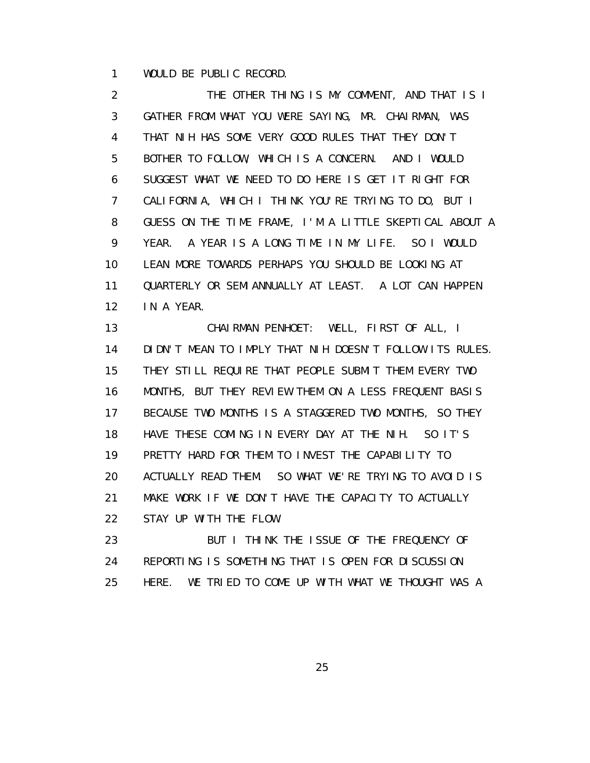1 WOULD BE PUBLIC RECORD.

 2 THE OTHER THING IS MY COMMENT, AND THAT IS I 3 GATHER FROM WHAT YOU WERE SAYING, MR. CHAIRMAN, WAS 4 THAT NIH HAS SOME VERY GOOD RULES THAT THEY DON'T 5 BOTHER TO FOLLOW, WHICH IS A CONCERN. AND I WOULD 6 SUGGEST WHAT WE NEED TO DO HERE IS GET IT RIGHT FOR 7 CALIFORNIA, WHICH I THINK YOU'RE TRYING TO DO, BUT I 8 GUESS ON THE TIME FRAME, I'M A LITTLE SKEPTICAL ABOUT A 9 YEAR. A YEAR IS A LONG TIME IN MY LIFE. SO I WOULD 10 LEAN MORE TOWARDS PERHAPS YOU SHOULD BE LOOKING AT 11 QUARTERLY OR SEMIANNUALLY AT LEAST. A LOT CAN HAPPEN 12 IN A YEAR.

 13 CHAIRMAN PENHOET: WELL, FIRST OF ALL, I 14 DIDN'T MEAN TO IMPLY THAT NIH DOESN'T FOLLOW ITS RULES. 15 THEY STILL REQUIRE THAT PEOPLE SUBMIT THEM EVERY TWO 16 MONTHS, BUT THEY REVIEW THEM ON A LESS FREQUENT BASIS 17 BECAUSE TWO MONTHS IS A STAGGERED TWO MONTHS, SO THEY 18 HAVE THESE COMING IN EVERY DAY AT THE NIH. SO IT'S 19 PRETTY HARD FOR THEM TO INVEST THE CAPABILITY TO 20 ACTUALLY READ THEM. SO WHAT WE'RE TRYING TO AVOID IS 21 MAKE WORK IF WE DON'T HAVE THE CAPACITY TO ACTUALLY 22 STAY UP WITH THE FLOW.

23 BUT I THINK THE ISSUE OF THE FREQUENCY OF 24 REPORTING IS SOMETHING THAT IS OPEN FOR DISCUSSION 25 HERE. WE TRIED TO COME UP WITH WHAT WE THOUGHT WAS A

<u>25 and 25 and 26 and 26 and 26 and 26 and 26 and 26 and 26 and 26 and 26 and 26 and 26 and 26 and 26 and 26 and 26 and 26 and 26 and 26 and 26 and 26 and 26 and 26 and 27 and 27 and 27 and 27 and 27 and 27 and 27 and 27 a</u>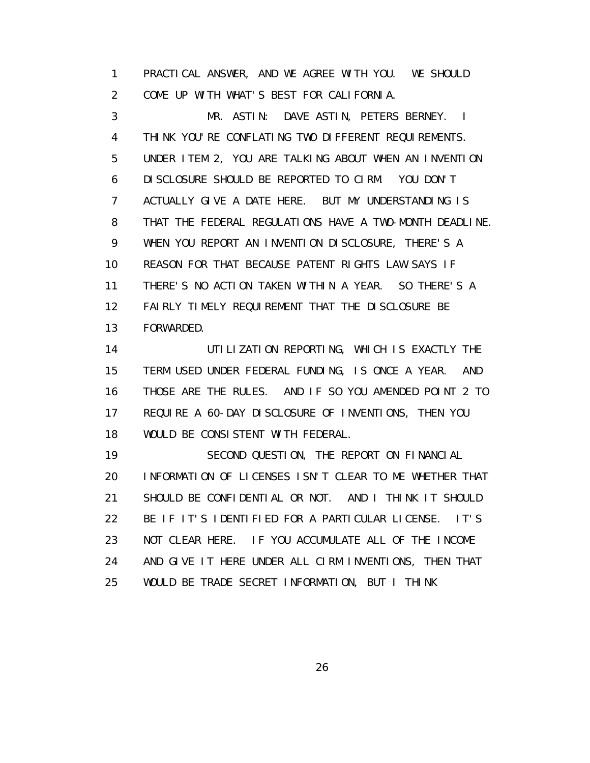1 PRACTICAL ANSWER, AND WE AGREE WITH YOU. WE SHOULD 2 COME UP WITH WHAT'S BEST FOR CALIFORNIA.

 3 MR. ASTIN: DAVE ASTIN, PETERS BERNEY. I 4 THINK YOU'RE CONFLATING TWO DIFFERENT REQUIREMENTS. 5 UNDER ITEM 2, YOU ARE TALKING ABOUT WHEN AN INVENTION 6 DISCLOSURE SHOULD BE REPORTED TO CIRM. YOU DON'T 7 ACTUALLY GIVE A DATE HERE. BUT MY UNDERSTANDING IS 8 THAT THE FEDERAL REGULATIONS HAVE A TWO-MONTH DEADLINE. 9 WHEN YOU REPORT AN INVENTION DISCLOSURE, THERE'S A 10 REASON FOR THAT BECAUSE PATENT RIGHTS LAW SAYS IF 11 THERE'S NO ACTION TAKEN WITHIN A YEAR. SO THERE'S A 12 FAIRLY TIMELY REQUIREMENT THAT THE DISCLOSURE BE 13 FORWARDED.

14 UTILIZATION REPORTING, WHICH IS EXACTLY THE 15 TERM USED UNDER FEDERAL FUNDING, IS ONCE A YEAR. AND 16 THOSE ARE THE RULES. AND IF SO YOU AMENDED POINT 2 TO 17 REQUIRE A 60-DAY DISCLOSURE OF INVENTIONS, THEN YOU 18 WOULD BE CONSISTENT WITH FEDERAL.

 19 SECOND QUESTION, THE REPORT ON FINANCIAL 20 INFORMATION OF LICENSES ISN'T CLEAR TO ME WHETHER THAT 21 SHOULD BE CONFIDENTIAL OR NOT. AND I THINK IT SHOULD 22 BE IF IT'S IDENTIFIED FOR A PARTICULAR LICENSE. IT'S 23 NOT CLEAR HERE. IF YOU ACCUMULATE ALL OF THE INCOME 24 AND GIVE IT HERE UNDER ALL CIRM INVENTIONS, THEN THAT 25 WOULD BE TRADE SECRET INFORMATION, BUT I THINK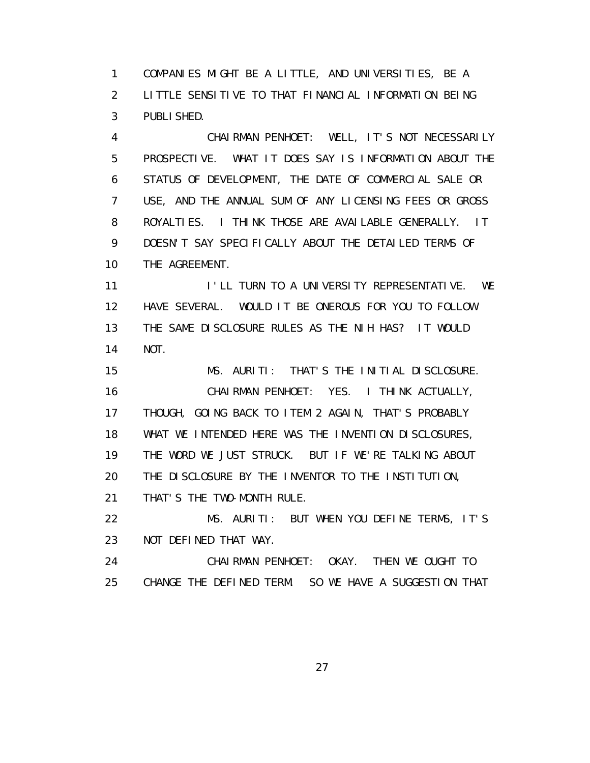1 COMPANIES MIGHT BE A LITTLE, AND UNIVERSITIES, BE A 2 LITTLE SENSITIVE TO THAT FINANCIAL INFORMATION BEING 3 PUBLISHED.

 4 CHAIRMAN PENHOET: WELL, IT'S NOT NECESSARILY 5 PROSPECTIVE. WHAT IT DOES SAY IS INFORMATION ABOUT THE 6 STATUS OF DEVELOPMENT, THE DATE OF COMMERCIAL SALE OR 7 USE, AND THE ANNUAL SUM OF ANY LICENSING FEES OR GROSS 8 ROYALTIES. I THINK THOSE ARE AVAILABLE GENERALLY. IT 9 DOESN'T SAY SPECIFICALLY ABOUT THE DETAILED TERMS OF 10 THE AGREEMENT.

11 I'LL TURN TO A UNIVERSITY REPRESENTATIVE. WE 12 HAVE SEVERAL. WOULD IT BE ONEROUS FOR YOU TO FOLLOW 13 THE SAME DISCLOSURE RULES AS THE NIH HAS? IT WOULD 14 NOT.

 15 MS. AURITI: THAT'S THE INITIAL DISCLOSURE. 16 CHAIRMAN PENHOET: YES. I THINK ACTUALLY, 17 THOUGH, GOING BACK TO ITEM 2 AGAIN, THAT'S PROBABLY 18 WHAT WE INTENDED HERE WAS THE INVENTION DISCLOSURES, 19 THE WORD WE JUST STRUCK. BUT IF WE'RE TALKING ABOUT 20 THE DISCLOSURE BY THE INVENTOR TO THE INSTITUTION, 21 THAT'S THE TWO-MONTH RULE.

 22 MS. AURITI: BUT WHEN YOU DEFINE TERMS, IT'S 23 NOT DEFINED THAT WAY.

 24 CHAIRMAN PENHOET: OKAY. THEN WE OUGHT TO 25 CHANGE THE DEFINED TERM. SO WE HAVE A SUGGESTION THAT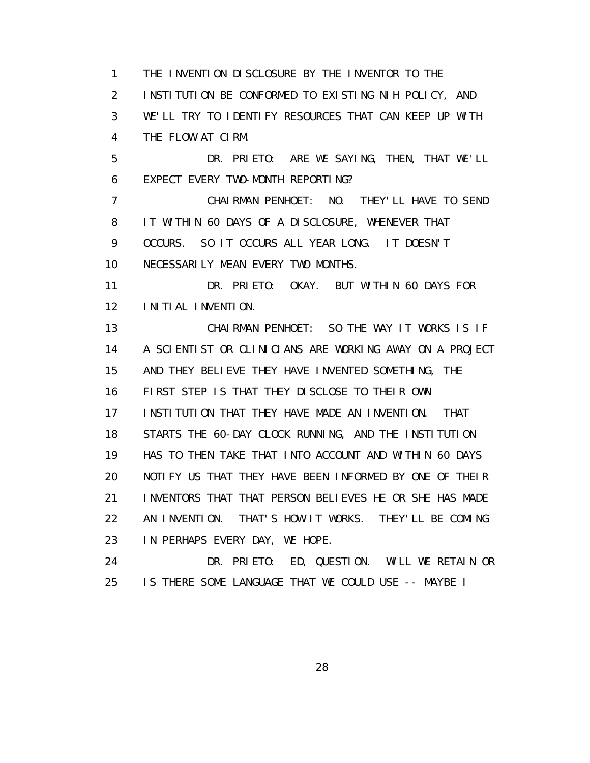1 THE INVENTION DISCLOSURE BY THE INVENTOR TO THE 2 INSTITUTION BE CONFORMED TO EXISTING NIH POLICY, AND 3 WE'LL TRY TO IDENTIFY RESOURCES THAT CAN KEEP UP WITH 4 THE FLOW AT CIRM.

 5 DR. PRIETO: ARE WE SAYING, THEN, THAT WE'LL 6 EXPECT EVERY TWO-MONTH REPORTING?

 7 CHAIRMAN PENHOET: NO. THEY'LL HAVE TO SEND 8 IT WITHIN 60 DAYS OF A DISCLOSURE, WHENEVER THAT 9 OCCURS. SO IT OCCURS ALL YEAR LONG. IT DOESN'T 10 NECESSARILY MEAN EVERY TWO MONTHS.

 11 DR. PRIETO: OKAY. BUT WITHIN 60 DAYS FOR 12 INITIAL INVENTION.

 13 CHAIRMAN PENHOET: SO THE WAY IT WORKS IS IF 14 A SCIENTIST OR CLINICIANS ARE WORKING AWAY ON A PROJECT 15 AND THEY BELIEVE THEY HAVE INVENTED SOMETHING, THE 16 FIRST STEP IS THAT THEY DISCLOSE TO THEIR OWN 17 INSTITUTION THAT THEY HAVE MADE AN INVENTION. THAT 18 STARTS THE 60-DAY CLOCK RUNNING, AND THE INSTITUTION 19 HAS TO THEN TAKE THAT INTO ACCOUNT AND WITHIN 60 DAYS 20 NOTIFY US THAT THEY HAVE BEEN INFORMED BY ONE OF THEIR 21 INVENTORS THAT THAT PERSON BELIEVES HE OR SHE HAS MADE 22 AN INVENTION. THAT'S HOW IT WORKS. THEY'LL BE COMING 23 IN PERHAPS EVERY DAY, WE HOPE.

 24 DR. PRIETO: ED, QUESTION. WILL WE RETAIN OR 25 IS THERE SOME LANGUAGE THAT WE COULD USE -- MAYBE I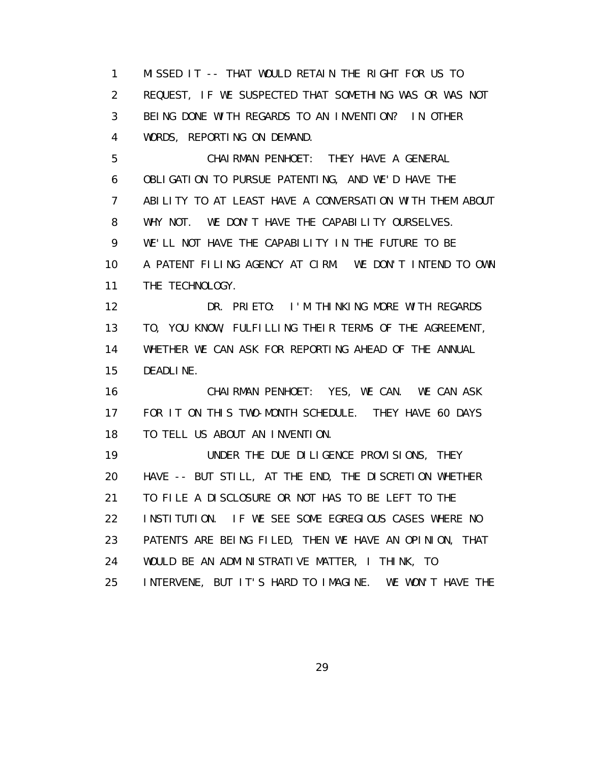1 MISSED IT -- THAT WOULD RETAIN THE RIGHT FOR US TO 2 REQUEST, IF WE SUSPECTED THAT SOMETHING WAS OR WAS NOT 3 BEING DONE WITH REGARDS TO AN INVENTION? IN OTHER 4 WORDS, REPORTING ON DEMAND.

 5 CHAIRMAN PENHOET: THEY HAVE A GENERAL 6 OBLIGATION TO PURSUE PATENTING, AND WE'D HAVE THE 7 ABILITY TO AT LEAST HAVE A CONVERSATION WITH THEM ABOUT 8 WHY NOT. WE DON'T HAVE THE CAPABILITY OURSELVES. 9 WE'LL NOT HAVE THE CAPABILITY IN THE FUTURE TO BE 10 A PATENT FILING AGENCY AT CIRM. WE DON'T INTEND TO OWN 11 THE TECHNOLOGY.

 12 DR. PRIETO: I'M THINKING MORE WITH REGARDS 13 TO, YOU KNOW, FULFILLING THEIR TERMS OF THE AGREEMENT, 14 WHETHER WE CAN ASK FOR REPORTING AHEAD OF THE ANNUAL 15 DEADLINE.

 16 CHAIRMAN PENHOET: YES, WE CAN. WE CAN ASK 17 FOR IT ON THIS TWO-MONTH SCHEDULE. THEY HAVE 60 DAYS 18 TO TELL US ABOUT AN INVENTION.

 19 UNDER THE DUE DILIGENCE PROVISIONS, THEY 20 HAVE -- BUT STILL, AT THE END, THE DISCRETION WHETHER 21 TO FILE A DISCLOSURE OR NOT HAS TO BE LEFT TO THE 22 INSTITUTION. IF WE SEE SOME EGREGIOUS CASES WHERE NO 23 PATENTS ARE BEING FILED, THEN WE HAVE AN OPINION, THAT 24 WOULD BE AN ADMINISTRATIVE MATTER, I THINK, TO 25 INTERVENE, BUT IT'S HARD TO IMAGINE. WE WON'T HAVE THE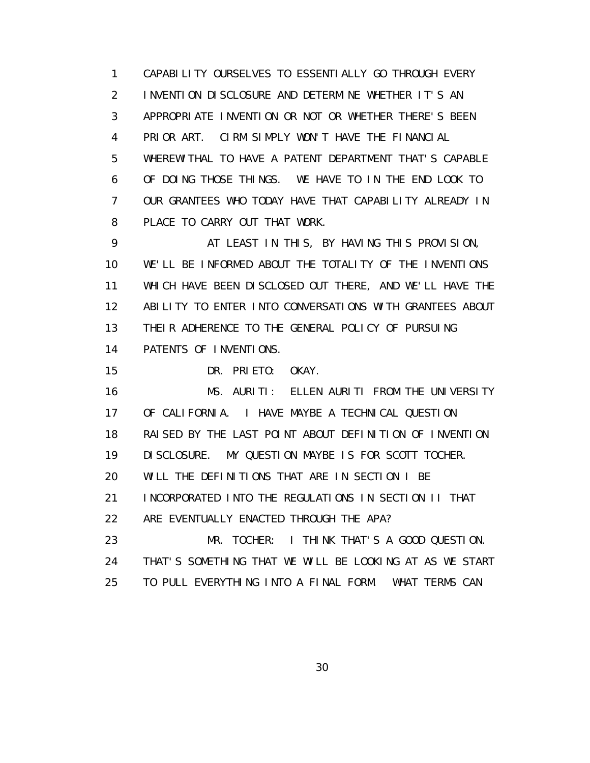1 CAPABILITY OURSELVES TO ESSENTIALLY GO THROUGH EVERY 2 INVENTION DISCLOSURE AND DETERMINE WHETHER IT'S AN 3 APPROPRIATE INVENTION OR NOT OR WHETHER THERE'S BEEN 4 PRIOR ART. CIRM SIMPLY WON'T HAVE THE FINANCIAL 5 WHEREWITHAL TO HAVE A PATENT DEPARTMENT THAT'S CAPABLE 6 OF DOING THOSE THINGS. WE HAVE TO IN THE END LOOK TO 7 OUR GRANTEES WHO TODAY HAVE THAT CAPABILITY ALREADY IN 8 PLACE TO CARRY OUT THAT WORK.

9 AT LEAST IN THIS, BY HAVING THIS PROVISION, 10 WE'LL BE INFORMED ABOUT THE TOTALITY OF THE INVENTIONS 11 WHICH HAVE BEEN DISCLOSED OUT THERE, AND WE'LL HAVE THE 12 ABILITY TO ENTER INTO CONVERSATIONS WITH GRANTEES ABOUT 13 THEIR ADHERENCE TO THE GENERAL POLICY OF PURSUING 14 PATENTS OF INVENTIONS.

15 DR. PRIETO: OKAY.

 16 MS. AURITI: ELLEN AURITI FROM THE UNIVERSITY 17 OF CALIFORNIA. I HAVE MAYBE A TECHNICAL QUESTION 18 RAISED BY THE LAST POINT ABOUT DEFINITION OF INVENTION 19 DISCLOSURE. MY QUESTION MAYBE IS FOR SCOTT TOCHER. 20 WILL THE DEFINITIONS THAT ARE IN SECTION I BE 21 INCORPORATED INTO THE REGULATIONS IN SECTION II THAT 22 ARE EVENTUALLY ENACTED THROUGH THE APA? 23 MR. TOCHER: I THINK THAT'S A GOOD QUESTION. 24 THAT'S SOMETHING THAT WE WILL BE LOOKING AT AS WE START 25 TO PULL EVERYTHING INTO A FINAL FORM. WHAT TERMS CAN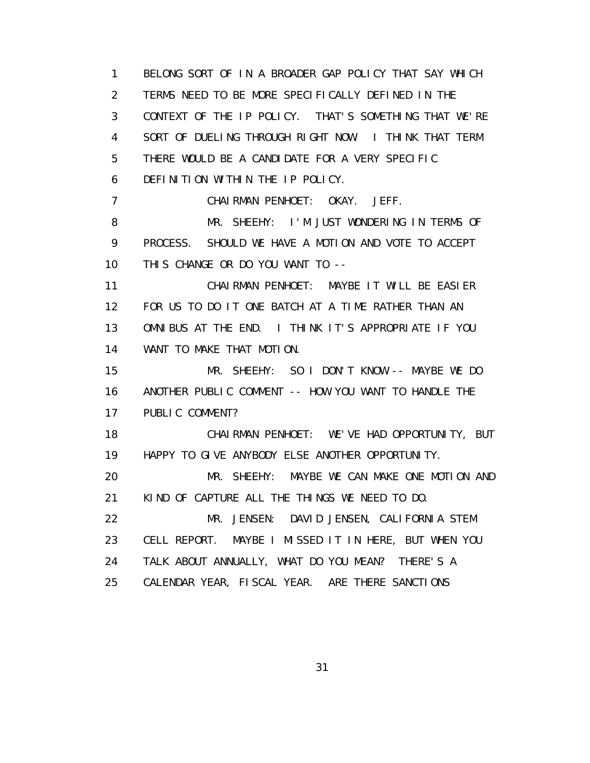1 BELONG SORT OF IN A BROADER GAP POLICY THAT SAY WHICH 2 TERMS NEED TO BE MORE SPECIFICALLY DEFINED IN THE 3 CONTEXT OF THE IP POLICY. THAT'S SOMETHING THAT WE'RE 4 SORT OF DUELING THROUGH RIGHT NOW. I THINK THAT TERM 5 THERE WOULD BE A CANDIDATE FOR A VERY SPECIFIC 6 DEFINITION WITHIN THE IP POLICY. 7 CHAIRMAN PENHOET: OKAY. JEFF. 8 MR. SHEEHY: I'M JUST WONDERING IN TERMS OF 9 PROCESS. SHOULD WE HAVE A MOTION AND VOTE TO ACCEPT 10 THIS CHANGE OR DO YOU WANT TO -- 11 CHAIRMAN PENHOET: MAYBE IT WILL BE EASIER 12 FOR US TO DO IT ONE BATCH AT A TIME RATHER THAN AN 13 OMNIBUS AT THE END. I THINK IT'S APPROPRIATE IF YOU 14 WANT TO MAKE THAT MOTION. 15 MR. SHEEHY: SO I DON'T KNOW -- MAYBE WE DO 16 ANOTHER PUBLIC COMMENT -- HOW YOU WANT TO HANDLE THE 17 PUBLIC COMMENT? 18 CHAIRMAN PENHOET: WE'VE HAD OPPORTUNITY, BUT 19 HAPPY TO GIVE ANYBODY ELSE ANOTHER OPPORTUNITY. 20 MR. SHEEHY: MAYBE WE CAN MAKE ONE MOTION AND 21 KIND OF CAPTURE ALL THE THINGS WE NEED TO DO. 22 MR. JENSEN: DAVID JENSEN, CALIFORNIA STEM 23 CELL REPORT. MAYBE I MISSED IT IN HERE, BUT WHEN YOU 24 TALK ABOUT ANNUALLY, WHAT DO YOU MEAN? THERE'S A 25 CALENDAR YEAR, FISCAL YEAR. ARE THERE SANCTIONS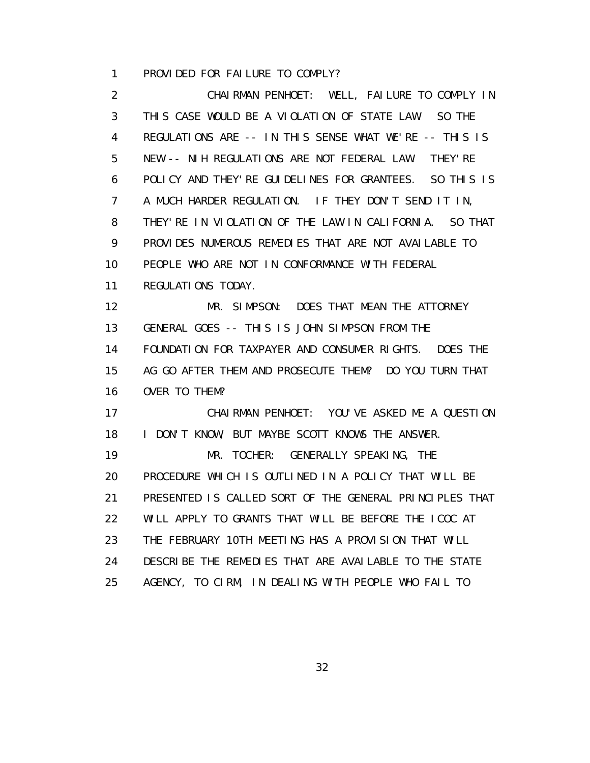1 PROVIDED FOR FAILURE TO COMPLY?

 2 CHAIRMAN PENHOET: WELL, FAILURE TO COMPLY IN 3 THIS CASE WOULD BE A VIOLATION OF STATE LAW. SO THE 4 REGULATIONS ARE -- IN THIS SENSE WHAT WE'RE -- THIS IS 5 NEW -- NIH REGULATIONS ARE NOT FEDERAL LAW. THEY'RE 6 POLICY AND THEY'RE GUIDELINES FOR GRANTEES. SO THIS IS 7 A MUCH HARDER REGULATION. IF THEY DON'T SEND IT IN, 8 THEY'RE IN VIOLATION OF THE LAW IN CALIFORNIA. SO THAT 9 PROVIDES NUMEROUS REMEDIES THAT ARE NOT AVAILABLE TO 10 PEOPLE WHO ARE NOT IN CONFORMANCE WITH FEDERAL 11 REGULATIONS TODAY. 12 MR. SIMPSON: DOES THAT MEAN THE ATTORNEY 13 GENERAL GOES -- THIS IS JOHN SIMPSON FROM THE 14 FOUNDATION FOR TAXPAYER AND CONSUMER RIGHTS. DOES THE 15 AG GO AFTER THEM AND PROSECUTE THEM? DO YOU TURN THAT 16 OVER TO THEM? 17 CHAIRMAN PENHOET: YOU'VE ASKED ME A QUESTION 18 I DON'T KNOW, BUT MAYBE SCOTT KNOWS THE ANSWER. 19 MR. TOCHER: GENERALLY SPEAKING, THE 20 PROCEDURE WHICH IS OUTLINED IN A POLICY THAT WILL BE 21 PRESENTED IS CALLED SORT OF THE GENERAL PRINCIPLES THAT 22 WILL APPLY TO GRANTS THAT WILL BE BEFORE THE ICOC AT 23 THE FEBRUARY 10TH MEETING HAS A PROVISION THAT WILL 24 DESCRIBE THE REMEDIES THAT ARE AVAILABLE TO THE STATE 25 AGENCY, TO CIRM, IN DEALING WITH PEOPLE WHO FAIL TO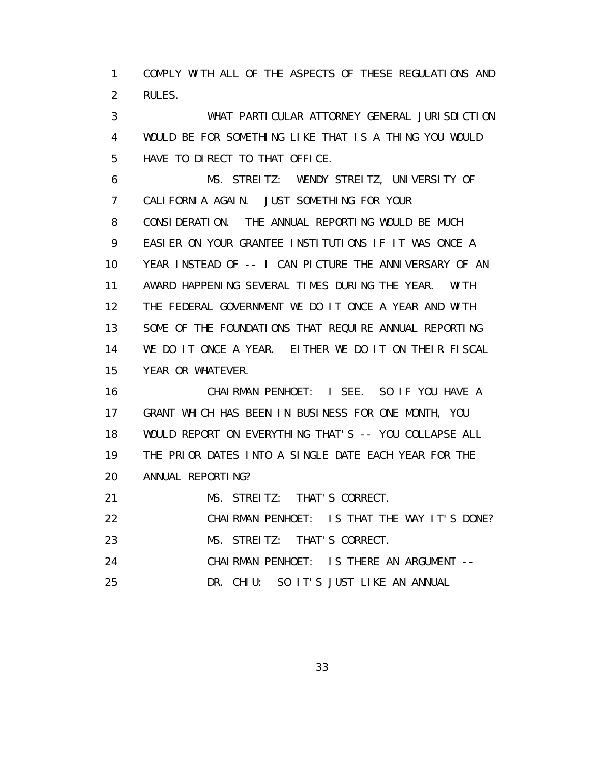1 COMPLY WITH ALL OF THE ASPECTS OF THESE REGULATIONS AND 2 RULES.

 3 WHAT PARTICULAR ATTORNEY GENERAL JURISDICTION 4 WOULD BE FOR SOMETHING LIKE THAT IS A THING YOU WOULD 5 HAVE TO DIRECT TO THAT OFFICE.

 6 MS. STREITZ: WENDY STREITZ, UNIVERSITY OF 7 CALIFORNIA AGAIN. JUST SOMETHING FOR YOUR 8 CONSIDERATION. THE ANNUAL REPORTING WOULD BE MUCH 9 EASIER ON YOUR GRANTEE INSTITUTIONS IF IT WAS ONCE A 10 YEAR INSTEAD OF -- I CAN PICTURE THE ANNIVERSARY OF AN 11 AWARD HAPPENING SEVERAL TIMES DURING THE YEAR. WITH 12 THE FEDERAL GOVERNMENT WE DO IT ONCE A YEAR AND WITH 13 SOME OF THE FOUNDATIONS THAT REQUIRE ANNUAL REPORTING 14 WE DO IT ONCE A YEAR. EITHER WE DO IT ON THEIR FISCAL 15 YEAR OR WHATEVER.

 16 CHAIRMAN PENHOET: I SEE. SO IF YOU HAVE A 17 GRANT WHICH HAS BEEN IN BUSINESS FOR ONE MONTH, YOU 18 WOULD REPORT ON EVERYTHING THAT'S -- YOU COLLAPSE ALL 19 THE PRIOR DATES INTO A SINGLE DATE EACH YEAR FOR THE 20 ANNUAL REPORTING?

21 MS. STREITZ: THAT'S CORRECT.

22 CHAIRMAN PENHOET: IS THAT THE WAY IT'S DONE?

23 MS. STREITZ: THAT'S CORRECT.

24 CHAIRMAN PENHOET: IS THERE AN ARGUMENT --

25 DR. CHIU: SO IT'S JUST LIKE AN ANNUAL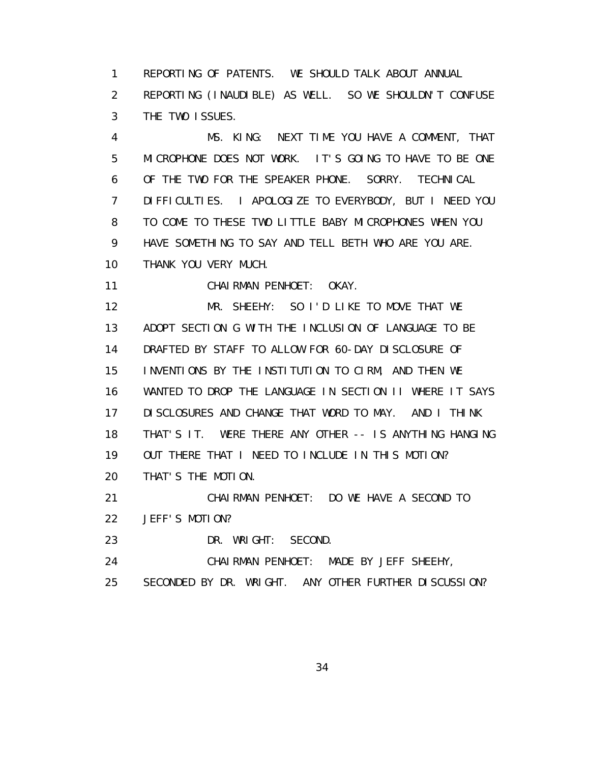1 REPORTING OF PATENTS. WE SHOULD TALK ABOUT ANNUAL 2 REPORTING (INAUDIBLE) AS WELL. SO WE SHOULDN'T CONFUSE 3 THE TWO ISSUES.

 4 MS. KING: NEXT TIME YOU HAVE A COMMENT, THAT 5 MICROPHONE DOES NOT WORK. IT'S GOING TO HAVE TO BE ONE 6 OF THE TWO FOR THE SPEAKER PHONE. SORRY. TECHNICAL 7 DIFFICULTIES. I APOLOGIZE TO EVERYBODY, BUT I NEED YOU 8 TO COME TO THESE TWO LITTLE BABY MICROPHONES WHEN YOU 9 HAVE SOMETHING TO SAY AND TELL BETH WHO ARE YOU ARE. 10 THANK YOU VERY MUCH.

11 CHAIRMAN PENHOET: OKAY.

 12 MR. SHEEHY: SO I'D LIKE TO MOVE THAT WE 13 ADOPT SECTION G WITH THE INCLUSION OF LANGUAGE TO BE 14 DRAFTED BY STAFF TO ALLOW FOR 60-DAY DISCLOSURE OF 15 INVENTIONS BY THE INSTITUTION TO CIRM, AND THEN WE 16 WANTED TO DROP THE LANGUAGE IN SECTION II WHERE IT SAYS 17 DISCLOSURES AND CHANGE THAT WORD TO MAY. AND I THINK 18 THAT'S IT. WERE THERE ANY OTHER -- IS ANYTHING HANGING 19 OUT THERE THAT I NEED TO INCLUDE IN THIS MOTION? 20 THAT'S THE MOTION.

21 CHAIRMAN PENHOET: DO WE HAVE A SECOND TO

22 JEFF'S MOTION?

23 DR. WRIGHT: SECOND.

24 CHAIRMAN PENHOET: MADE BY JEFF SHEEHY,

25 SECONDED BY DR. WRIGHT. ANY OTHER FURTHER DISCUSSION?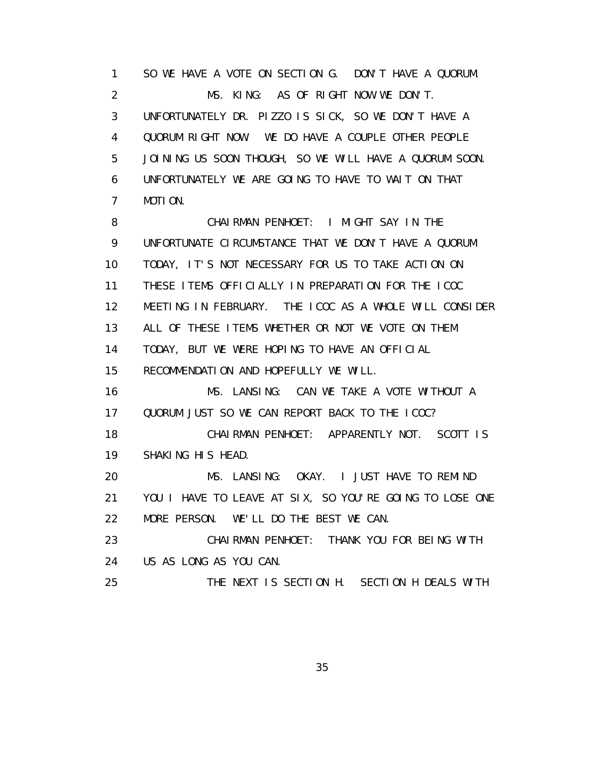1 SO WE HAVE A VOTE ON SECTION G. DON'T HAVE A QUORUM. 2 MS. KING: AS OF RIGHT NOW WE DON'T. 3 UNFORTUNATELY DR. PIZZO IS SICK, SO WE DON'T HAVE A 4 QUORUM RIGHT NOW. WE DO HAVE A COUPLE OTHER PEOPLE 5 JOINING US SOON THOUGH, SO WE WILL HAVE A QUORUM SOON. 6 UNFORTUNATELY WE ARE GOING TO HAVE TO WAIT ON THAT 7 MOTION.

 8 CHAIRMAN PENHOET: I MIGHT SAY IN THE 9 UNFORTUNATE CIRCUMSTANCE THAT WE DON'T HAVE A QUORUM 10 TODAY, IT'S NOT NECESSARY FOR US TO TAKE ACTION ON 11 THESE ITEMS OFFICIALLY IN PREPARATION FOR THE ICOC 12 MEETING IN FEBRUARY. THE ICOC AS A WHOLE WILL CONSIDER 13 ALL OF THESE ITEMS WHETHER OR NOT WE VOTE ON THEM 14 TODAY, BUT WE WERE HOPING TO HAVE AN OFFICIAL 15 RECOMMENDATION AND HOPEFULLY WE WILL.

16 MS. LANSING: CAN WE TAKE A VOTE WITHOUT A 17 QUORUM JUST SO WE CAN REPORT BACK TO THE ICOC?

 18 CHAIRMAN PENHOET: APPARENTLY NOT. SCOTT IS 19 SHAKING HIS HEAD.

 20 MS. LANSING: OKAY. I JUST HAVE TO REMIND 21 YOU I HAVE TO LEAVE AT SIX, SO YOU'RE GOING TO LOSE ONE 22 MORE PERSON. WE'LL DO THE BEST WE CAN.

 23 CHAIRMAN PENHOET: THANK YOU FOR BEING WITH 24 US AS LONG AS YOU CAN.

25 THE NEXT IS SECTION H. SECTION H DEALS WITH

<u>35 and 2012 and 2013 and 2014 and 2014 and 2014 and 2014 and 2014 and 2014 and 2014 and 2014 and 2014 and 201</u>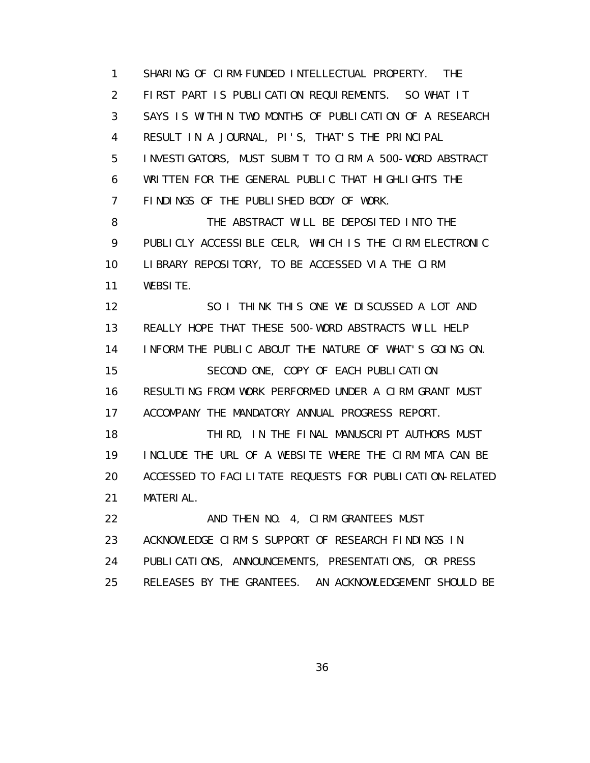1 SHARING OF CIRM-FUNDED INTELLECTUAL PROPERTY. THE 2 FIRST PART IS PUBLICATION REQUIREMENTS. SO WHAT IT 3 SAYS IS WITHIN TWO MONTHS OF PUBLICATION OF A RESEARCH 4 RESULT IN A JOURNAL, PI'S, THAT'S THE PRINCIPAL 5 INVESTIGATORS, MUST SUBMIT TO CIRM A 500-WORD ABSTRACT 6 WRITTEN FOR THE GENERAL PUBLIC THAT HIGHLIGHTS THE 7 FINDINGS OF THE PUBLISHED BODY OF WORK. 8 THE ABSTRACT WILL BE DEPOSITED INTO THE 9 PUBLICLY ACCESSIBLE CELR, WHICH IS THE CIRM ELECTRONIC 10 LIBRARY REPOSITORY, TO BE ACCESSED VIA THE CIRM 11 WEBSITE. 12 SO I THINK THIS ONE WE DISCUSSED A LOT AND 13 REALLY HOPE THAT THESE 500-WORD ABSTRACTS WILL HELP 14 INFORM THE PUBLIC ABOUT THE NATURE OF WHAT'S GOING ON. 15 SECOND ONE, COPY OF EACH PUBLICATION 16 RESULTING FROM WORK PERFORMED UNDER A CIRM GRANT MUST 17 ACCOMPANY THE MANDATORY ANNUAL PROGRESS REPORT. 18 THIRD, IN THE FINAL MANUSCRIPT AUTHORS MUST 19 INCLUDE THE URL OF A WEBSITE WHERE THE CIRM MTA CAN BE 20 ACCESSED TO FACILITATE REQUESTS FOR PUBLICATION-RELATED 21 MATERIAL. 22 AND THEN NO. 4, CIRM GRANTEES MUST 23 ACKNOWLEDGE CIRM'S SUPPORT OF RESEARCH FINDINGS IN 24 PUBLICATIONS, ANNOUNCEMENTS, PRESENTATIONS, OR PRESS 25 RELEASES BY THE GRANTEES. AN ACKNOWLEDGEMENT SHOULD BE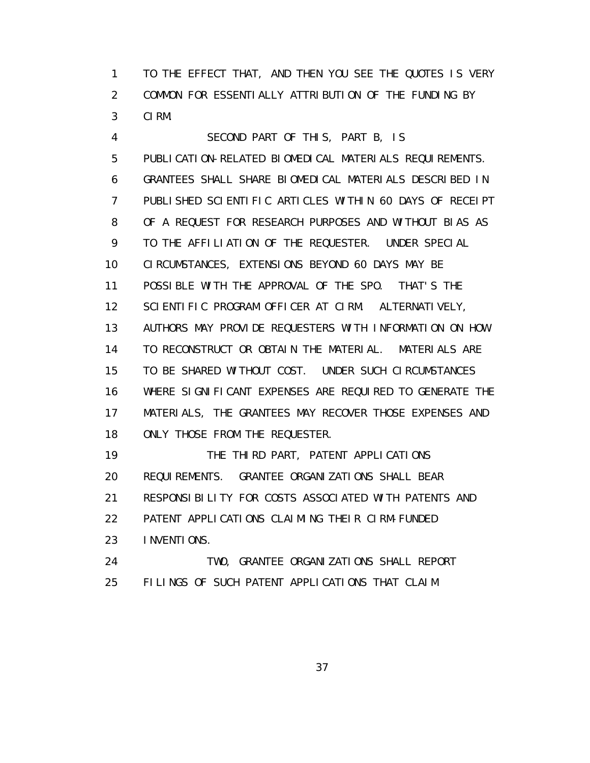1 TO THE EFFECT THAT, AND THEN YOU SEE THE QUOTES IS VERY 2 COMMON FOR ESSENTIALLY ATTRIBUTION OF THE FUNDING BY 3 CIRM.

 4 SECOND PART OF THIS, PART B, IS 5 PUBLICATION-RELATED BIOMEDICAL MATERIALS REQUIREMENTS. 6 GRANTEES SHALL SHARE BIOMEDICAL MATERIALS DESCRIBED IN 7 PUBLISHED SCIENTIFIC ARTICLES WITHIN 60 DAYS OF RECEIPT 8 OF A REQUEST FOR RESEARCH PURPOSES AND WITHOUT BIAS AS 9 TO THE AFFILIATION OF THE REQUESTER. UNDER SPECIAL 10 CIRCUMSTANCES, EXTENSIONS BEYOND 60 DAYS MAY BE 11 POSSIBLE WITH THE APPROVAL OF THE SPO. THAT'S THE 12 SCIENTIFIC PROGRAM OFFICER AT CIRM. ALTERNATIVELY, 13 AUTHORS MAY PROVIDE REQUESTERS WITH INFORMATION ON HOW 14 TO RECONSTRUCT OR OBTAIN THE MATERIAL. MATERIALS ARE 15 TO BE SHARED WITHOUT COST. UNDER SUCH CIRCUMSTANCES 16 WHERE SIGNIFICANT EXPENSES ARE REQUIRED TO GENERATE THE 17 MATERIALS, THE GRANTEES MAY RECOVER THOSE EXPENSES AND 18 ONLY THOSE FROM THE REQUESTER. 19 THE THIRD PART, PATENT APPLICATIONS 20 REQUIREMENTS. GRANTEE ORGANIZATIONS SHALL BEAR 21 RESPONSIBILITY FOR COSTS ASSOCIATED WITH PATENTS AND 22 PATENT APPLICATIONS CLAIMING THEIR CIRM-FUNDED

23 INVENTIONS.

 24 TWO, GRANTEE ORGANIZATIONS SHALL REPORT 25 FILINGS OF SUCH PATENT APPLICATIONS THAT CLAIM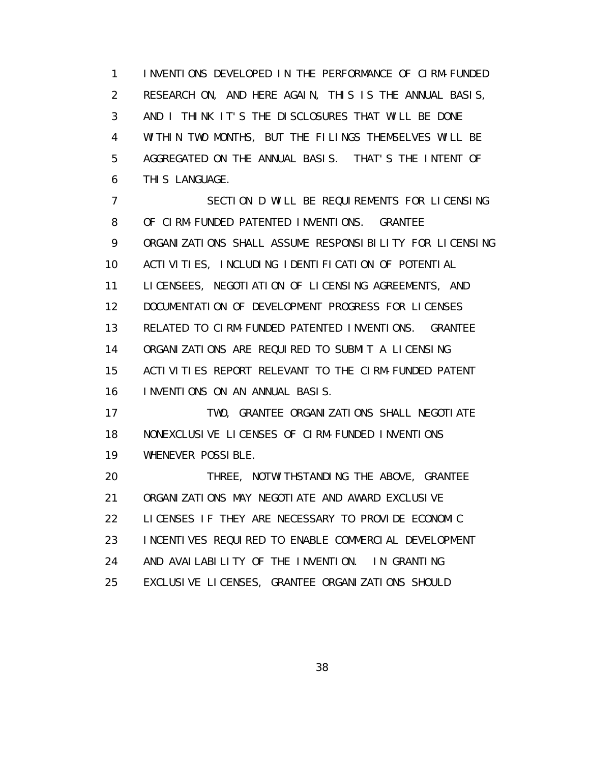1 INVENTIONS DEVELOPED IN THE PERFORMANCE OF CIRM-FUNDED 2 RESEARCH ON, AND HERE AGAIN, THIS IS THE ANNUAL BASIS, 3 AND I THINK IT'S THE DISCLOSURES THAT WILL BE DONE 4 WITHIN TWO MONTHS, BUT THE FILINGS THEMSELVES WILL BE 5 AGGREGATED ON THE ANNUAL BASIS. THAT'S THE INTENT OF 6 THIS LANGUAGE.

 7 SECTION D WILL BE REQUIREMENTS FOR LICENSING 8 OF CIRM-FUNDED PATENTED INVENTIONS. GRANTEE 9 ORGANIZATIONS SHALL ASSUME RESPONSIBILITY FOR LICENSING 10 ACTIVITIES, INCLUDING IDENTIFICATION OF POTENTIAL 11 LICENSEES, NEGOTIATION OF LICENSING AGREEMENTS, AND 12 DOCUMENTATION OF DEVELOPMENT PROGRESS FOR LICENSES 13 RELATED TO CIRM-FUNDED PATENTED INVENTIONS. GRANTEE 14 ORGANIZATIONS ARE REQUIRED TO SUBMIT A LICENSING 15 ACTIVITIES REPORT RELEVANT TO THE CIRM-FUNDED PATENT 16 INVENTIONS ON AN ANNUAL BASIS.

 17 TWO, GRANTEE ORGANIZATIONS SHALL NEGOTIATE 18 NONEXCLUSIVE LICENSES OF CIRM-FUNDED INVENTIONS 19 WHENEVER POSSIBLE.

20 THREE, NOTWITHSTANDING THE ABOVE, GRANTEE 21 ORGANIZATIONS MAY NEGOTIATE AND AWARD EXCLUSIVE 22 LICENSES IF THEY ARE NECESSARY TO PROVIDE ECONOMIC 23 INCENTIVES REQUIRED TO ENABLE COMMERCIAL DEVELOPMENT 24 AND AVAILABILITY OF THE INVENTION. IN GRANTING 25 EXCLUSIVE LICENSES, GRANTEE ORGANIZATIONS SHOULD

<u>38 and 2012 and 2013 and 2014 and 2014 and 2014 and 2014 and 2014 and 2014 and 2014 and 2014 and 2014 and 201</u>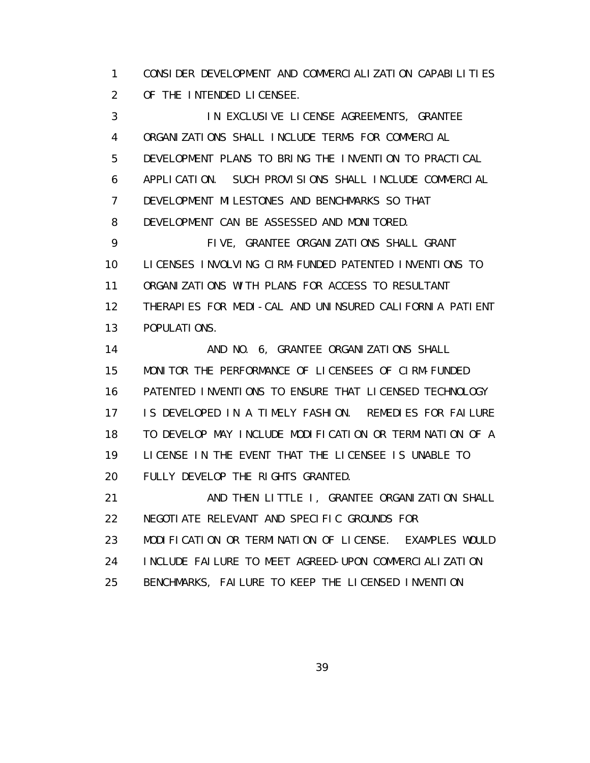1 CONSIDER DEVELOPMENT AND COMMERCIALIZATION CAPABILITIES 2 OF THE INTENDED LICENSEE.

 3 IN EXCLUSIVE LICENSE AGREEMENTS, GRANTEE 4 ORGANIZATIONS SHALL INCLUDE TERMS FOR COMMERCIAL 5 DEVELOPMENT PLANS TO BRING THE INVENTION TO PRACTICAL 6 APPLICATION. SUCH PROVISIONS SHALL INCLUDE COMMERCIAL 7 DEVELOPMENT MILESTONES AND BENCHMARKS SO THAT 8 DEVELOPMENT CAN BE ASSESSED AND MONITORED. 9 FIVE, GRANTEE ORGANIZATIONS SHALL GRANT 10 LICENSES INVOLVING CIRM-FUNDED PATENTED INVENTIONS TO 11 ORGANIZATIONS WITH PLANS FOR ACCESS TO RESULTANT 12 THERAPIES FOR MEDI-CAL AND UNINSURED CALIFORNIA PATIENT 13 POPULATIONS. 14 AND NO. 6, GRANTEE ORGANIZATIONS SHALL 15 MONITOR THE PERFORMANCE OF LICENSEES OF CIRM-FUNDED 16 PATENTED INVENTIONS TO ENSURE THAT LICENSED TECHNOLOGY 17 IS DEVELOPED IN A TIMELY FASHION. REMEDIES FOR FAILURE

 18 TO DEVELOP MAY INCLUDE MODIFICATION OR TERMINATION OF A 19 LICENSE IN THE EVENT THAT THE LICENSEE IS UNABLE TO 20 FULLY DEVELOP THE RIGHTS GRANTED.

 21 AND THEN LITTLE I, GRANTEE ORGANIZATION SHALL 22 NEGOTIATE RELEVANT AND SPECIFIC GROUNDS FOR 23 MODIFICATION OR TERMINATION OF LICENSE. EXAMPLES WOULD 24 INCLUDE FAILURE TO MEET AGREED-UPON COMMERCIALIZATION 25 BENCHMARKS, FAILURE TO KEEP THE LICENSED INVENTION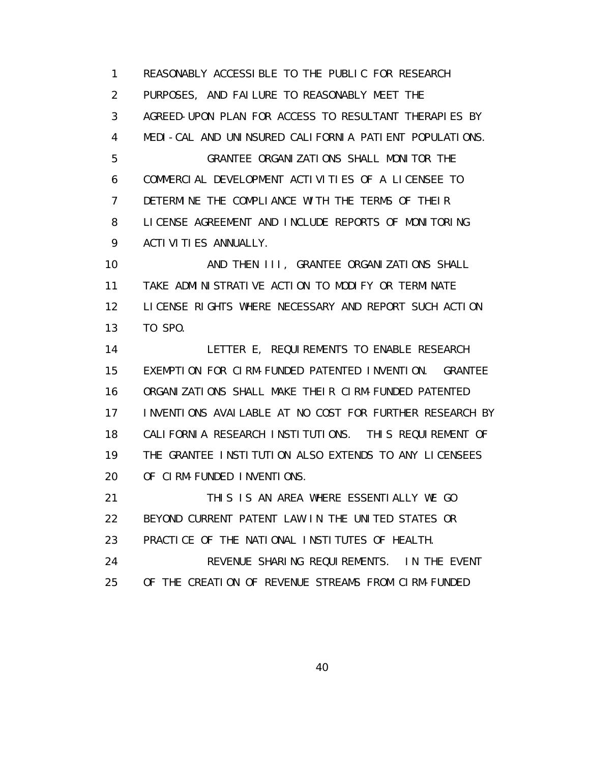1 REASONABLY ACCESSIBLE TO THE PUBLIC FOR RESEARCH 2 PURPOSES, AND FAILURE TO REASONABLY MEET THE 3 AGREED-UPON PLAN FOR ACCESS TO RESULTANT THERAPIES BY 4 MEDI-CAL AND UNINSURED CALIFORNIA PATIENT POPULATIONS. 5 GRANTEE ORGANIZATIONS SHALL MONITOR THE 6 COMMERCIAL DEVELOPMENT ACTIVITIES OF A LICENSEE TO 7 DETERMINE THE COMPLIANCE WITH THE TERMS OF THEIR 8 LICENSE AGREEMENT AND INCLUDE REPORTS OF MONITORING 9 ACTIVITIES ANNUALLY. 10 AND THEN III, GRANTEE ORGANIZATIONS SHALL

 11 TAKE ADMINISTRATIVE ACTION TO MODIFY OR TERMINATE 12 LICENSE RIGHTS WHERE NECESSARY AND REPORT SUCH ACTION 13 TO SPO.

 14 LETTER E, REQUIREMENTS TO ENABLE RESEARCH 15 EXEMPTION FOR CIRM-FUNDED PATENTED INVENTION. GRANTEE 16 ORGANIZATIONS SHALL MAKE THEIR CIRM-FUNDED PATENTED 17 INVENTIONS AVAILABLE AT NO COST FOR FURTHER RESEARCH BY 18 CALIFORNIA RESEARCH INSTITUTIONS. THIS REQUIREMENT OF 19 THE GRANTEE INSTITUTION ALSO EXTENDS TO ANY LICENSEES 20 OF CIRM-FUNDED INVENTIONS.

 21 THIS IS AN AREA WHERE ESSENTIALLY WE GO 22 BEYOND CURRENT PATENT LAW IN THE UNITED STATES OR 23 PRACTICE OF THE NATIONAL INSTITUTES OF HEALTH.

 24 REVENUE SHARING REQUIREMENTS. IN THE EVENT 25 OF THE CREATION OF REVENUE STREAMS FROM CIRM-FUNDED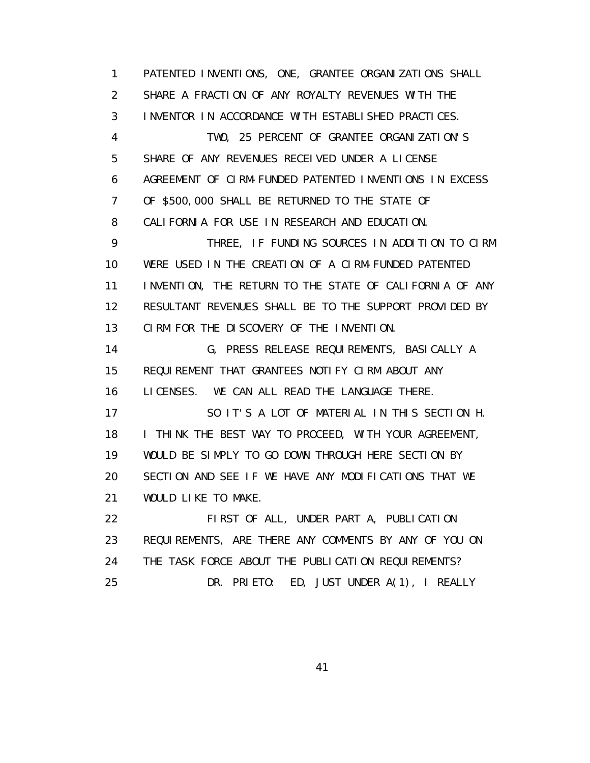1 PATENTED INVENTIONS, ONE, GRANTEE ORGANIZATIONS SHALL 2 SHARE A FRACTION OF ANY ROYALTY REVENUES WITH THE 3 INVENTOR IN ACCORDANCE WITH ESTABLISHED PRACTICES. 4 TWO, 25 PERCENT OF GRANTEE ORGANIZATION'S 5 SHARE OF ANY REVENUES RECEIVED UNDER A LICENSE 6 AGREEMENT OF CIRM-FUNDED PATENTED INVENTIONS IN EXCESS 7 OF \$500,000 SHALL BE RETURNED TO THE STATE OF 8 CALIFORNIA FOR USE IN RESEARCH AND EDUCATION. 9 THREE, IF FUNDING SOURCES IN ADDITION TO CIRM 10 WERE USED IN THE CREATION OF A CIRM-FUNDED PATENTED 11 INVENTION, THE RETURN TO THE STATE OF CALIFORNIA OF ANY 12 RESULTANT REVENUES SHALL BE TO THE SUPPORT PROVIDED BY 13 CIRM FOR THE DISCOVERY OF THE INVENTION. 14 G, PRESS RELEASE REQUIREMENTS, BASICALLY A 15 REQUIREMENT THAT GRANTEES NOTIFY CIRM ABOUT ANY 16 LICENSES. WE CAN ALL READ THE LANGUAGE THERE. 17 SO IT'S A LOT OF MATERIAL IN THIS SECTION H. 18 I THINK THE BEST WAY TO PROCEED, WITH YOUR AGREEMENT, 19 WOULD BE SIMPLY TO GO DOWN THROUGH HERE SECTION BY 20 SECTION AND SEE IF WE HAVE ANY MODIFICATIONS THAT WE 21 WOULD LIKE TO MAKE. 22 FIRST OF ALL, UNDER PART A, PUBLICATION 23 REQUIREMENTS, ARE THERE ANY COMMENTS BY ANY OF YOU ON 24 THE TASK FORCE ABOUT THE PUBLICATION REQUIREMENTS? 25 DR. PRIETO: ED, JUST UNDER A(1), I REALLY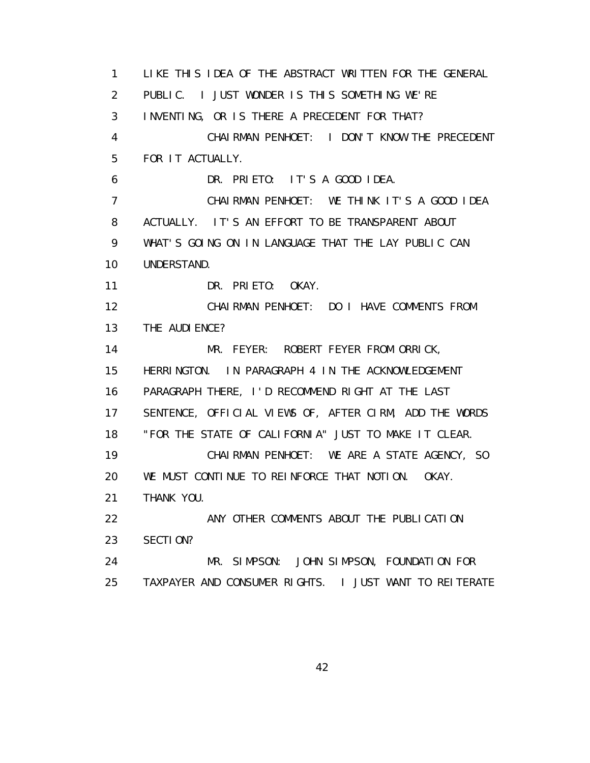1 LIKE THIS IDEA OF THE ABSTRACT WRITTEN FOR THE GENERAL 2 PUBLIC. I JUST WONDER IS THIS SOMETHING WE'RE 3 INVENTING, OR IS THERE A PRECEDENT FOR THAT? 4 CHAIRMAN PENHOET: I DON'T KNOW THE PRECEDENT 5 FOR IT ACTUALLY. 6 DR. PRIETO: IT'S A GOOD IDEA. 7 CHAIRMAN PENHOET: WE THINK IT'S A GOOD IDEA 8 ACTUALLY. IT'S AN EFFORT TO BE TRANSPARENT ABOUT 9 WHAT'S GOING ON IN LANGUAGE THAT THE LAY PUBLIC CAN 10 UNDERSTAND. 11 DR. PRIETO: OKAY. 12 CHAIRMAN PENHOET: DO I HAVE COMMENTS FROM 13 THE AUDIENCE? 14 MR. FEYER: ROBERT FEYER FROM ORRICK, 15 HERRINGTON. IN PARAGRAPH 4 IN THE ACKNOWLEDGEMENT 16 PARAGRAPH THERE, I'D RECOMMEND RIGHT AT THE LAST 17 SENTENCE, OFFICIAL VIEWS OF, AFTER CIRM, ADD THE WORDS 18 "FOR THE STATE OF CALIFORNIA" JUST TO MAKE IT CLEAR. 19 CHAIRMAN PENHOET: WE ARE A STATE AGENCY, SO 20 WE MUST CONTINUE TO REINFORCE THAT NOTION. OKAY. 21 THANK YOU. 22 ANY OTHER COMMENTS ABOUT THE PUBLICATION 23 SECTION? 24 MR. SIMPSON: JOHN SIMPSON, FOUNDATION FOR 25 TAXPAYER AND CONSUMER RIGHTS. I JUST WANT TO REITERATE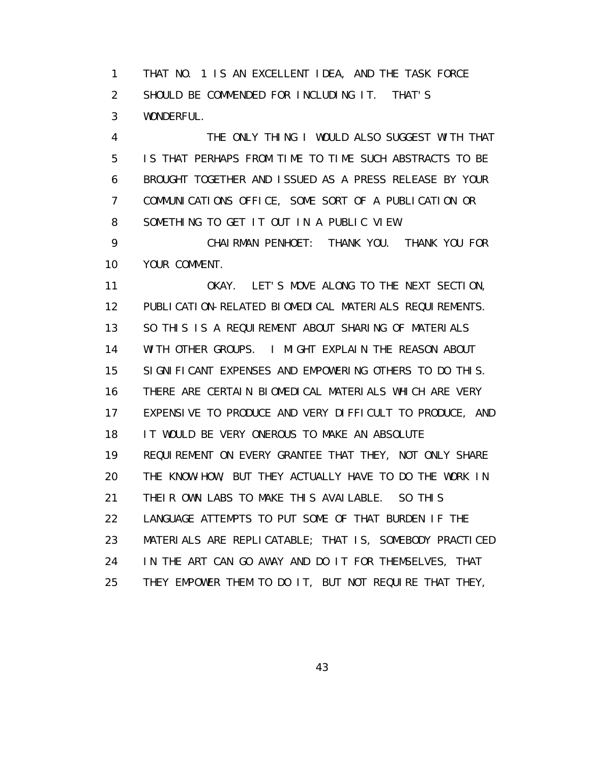1 THAT NO. 1 IS AN EXCELLENT IDEA, AND THE TASK FORCE 2 SHOULD BE COMMENDED FOR INCLUDING IT. THAT'S 3 WONDERFUL.

 4 THE ONLY THING I WOULD ALSO SUGGEST WITH THAT 5 IS THAT PERHAPS FROM TIME TO TIME SUCH ABSTRACTS TO BE 6 BROUGHT TOGETHER AND ISSUED AS A PRESS RELEASE BY YOUR 7 COMMUNICATIONS OFFICE, SOME SORT OF A PUBLICATION OR 8 SOMETHING TO GET IT OUT IN A PUBLIC VIEW.

 9 CHAIRMAN PENHOET: THANK YOU. THANK YOU FOR 10 YOUR COMMENT.

 11 OKAY. LET'S MOVE ALONG TO THE NEXT SECTION, 12 PUBLICATION-RELATED BIOMEDICAL MATERIALS REQUIREMENTS. 13 SO THIS IS A REQUIREMENT ABOUT SHARING OF MATERIALS 14 WITH OTHER GROUPS. I MIGHT EXPLAIN THE REASON ABOUT 15 SIGNIFICANT EXPENSES AND EMPOWERING OTHERS TO DO THIS. 16 THERE ARE CERTAIN BIOMEDICAL MATERIALS WHICH ARE VERY 17 EXPENSIVE TO PRODUCE AND VERY DIFFICULT TO PRODUCE, AND 18 IT WOULD BE VERY ONEROUS TO MAKE AN ABSOLUTE 19 REQUIREMENT ON EVERY GRANTEE THAT THEY, NOT ONLY SHARE 20 THE KNOW-HOW, BUT THEY ACTUALLY HAVE TO DO THE WORK IN 21 THEIR OWN LABS TO MAKE THIS AVAILABLE. SO THIS 22 LANGUAGE ATTEMPTS TO PUT SOME OF THAT BURDEN IF THE 23 MATERIALS ARE REPLICATABLE; THAT IS, SOMEBODY PRACTICED 24 IN THE ART CAN GO AWAY AND DO IT FOR THEMSELVES, THAT 25 THEY EMPOWER THEM TO DO IT, BUT NOT REQUIRE THAT THEY,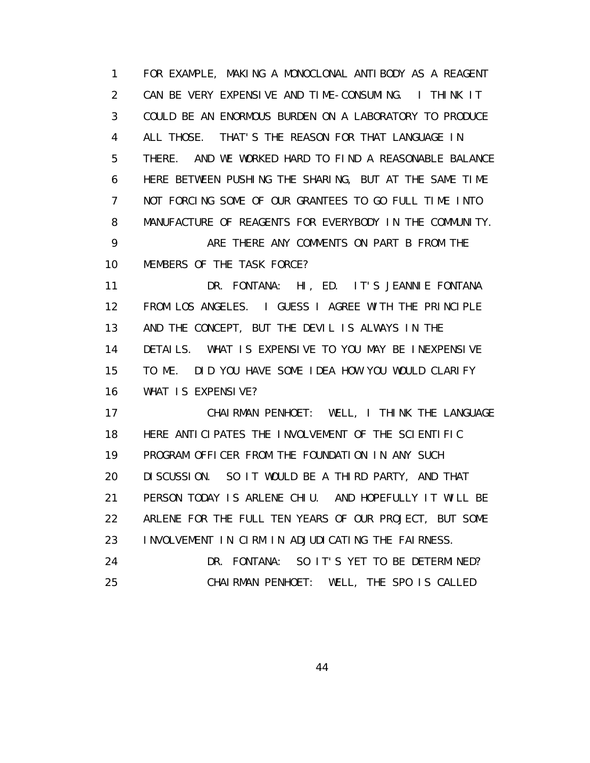1 FOR EXAMPLE, MAKING A MONOCLONAL ANTIBODY AS A REAGENT 2 CAN BE VERY EXPENSIVE AND TIME-CONSUMING. I THINK IT 3 COULD BE AN ENORMOUS BURDEN ON A LABORATORY TO PRODUCE 4 ALL THOSE. THAT'S THE REASON FOR THAT LANGUAGE IN 5 THERE. AND WE WORKED HARD TO FIND A REASONABLE BALANCE 6 HERE BETWEEN PUSHING THE SHARING, BUT AT THE SAME TIME 7 NOT FORCING SOME OF OUR GRANTEES TO GO FULL TIME INTO 8 MANUFACTURE OF REAGENTS FOR EVERYBODY IN THE COMMUNITY. 9 ARE THERE ANY COMMENTS ON PART B FROM THE 10 MEMBERS OF THE TASK FORCE? 11 DR. FONTANA: HI, ED. IT'S JEANNIE FONTANA

 12 FROM LOS ANGELES. I GUESS I AGREE WITH THE PRINCIPLE 13 AND THE CONCEPT, BUT THE DEVIL IS ALWAYS IN THE 14 DETAILS. WHAT IS EXPENSIVE TO YOU MAY BE INEXPENSIVE 15 TO ME. DID YOU HAVE SOME IDEA HOW YOU WOULD CLARIFY 16 WHAT IS EXPENSIVE?

 17 CHAIRMAN PENHOET: WELL, I THINK THE LANGUAGE 18 HERE ANTICIPATES THE INVOLVEMENT OF THE SCIENTIFIC 19 PROGRAM OFFICER FROM THE FOUNDATION IN ANY SUCH 20 DISCUSSION. SO IT WOULD BE A THIRD PARTY, AND THAT 21 PERSON TODAY IS ARLENE CHIU. AND HOPEFULLY IT WILL BE 22 ARLENE FOR THE FULL TEN YEARS OF OUR PROJECT, BUT SOME 23 INVOLVEMENT IN CIRM IN ADJUDICATING THE FAIRNESS. 24 DR. FONTANA: SO IT'S YET TO BE DETERMINED? 25 CHAIRMAN PENHOET: WELL, THE SPO IS CALLED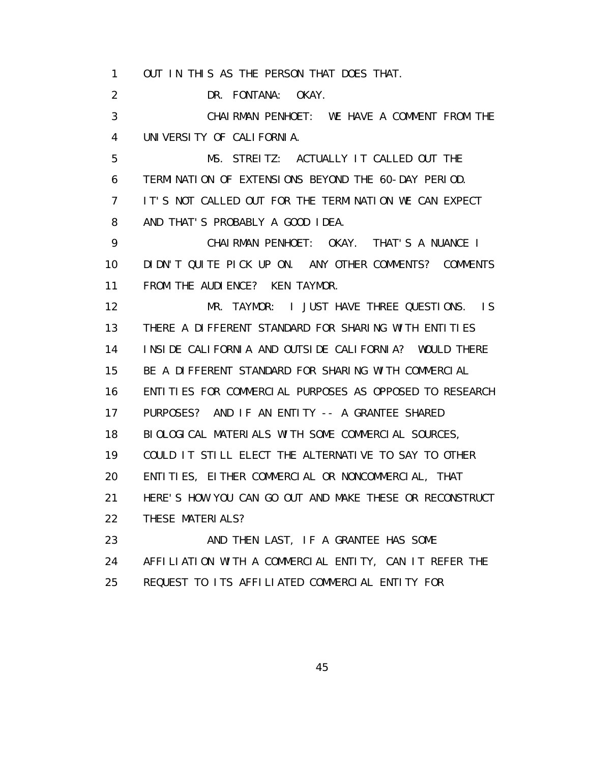1 OUT IN THIS AS THE PERSON THAT DOES THAT.

2 DR. FONTANA: OKAY.

 3 CHAIRMAN PENHOET: WE HAVE A COMMENT FROM THE 4 UNIVERSITY OF CALIFORNIA.

 5 MS. STREITZ: ACTUALLY IT CALLED OUT THE 6 TERMINATION OF EXTENSIONS BEYOND THE 60-DAY PERIOD. 7 IT'S NOT CALLED OUT FOR THE TERMINATION WE CAN EXPECT 8 AND THAT'S PROBABLY A GOOD IDEA.

 9 CHAIRMAN PENHOET: OKAY. THAT'S A NUANCE I 10 DIDN'T QUITE PICK UP ON. ANY OTHER COMMENTS? COMMENTS 11 FROM THE AUDIENCE? KEN TAYMOR.

 12 MR. TAYMOR: I JUST HAVE THREE QUESTIONS. IS 13 THERE A DIFFERENT STANDARD FOR SHARING WITH ENTITIES 14 INSIDE CALIFORNIA AND OUTSIDE CALIFORNIA? WOULD THERE 15 BE A DIFFERENT STANDARD FOR SHARING WITH COMMERCIAL 16 ENTITIES FOR COMMERCIAL PURPOSES AS OPPOSED TO RESEARCH 17 PURPOSES? AND IF AN ENTITY -- A GRANTEE SHARED 18 BIOLOGICAL MATERIALS WITH SOME COMMERCIAL SOURCES, 19 COULD IT STILL ELECT THE ALTERNATIVE TO SAY TO OTHER 20 ENTITIES, EITHER COMMERCIAL OR NONCOMMERCIAL, THAT 21 HERE'S HOW YOU CAN GO OUT AND MAKE THESE OR RECONSTRUCT 22 THESE MATERIALS? 23 AND THEN LAST, IF A GRANTEE HAS SOME

24 AFFILIATION WITH A COMMERCIAL ENTITY, CAN IT REFER THE

25 REQUEST TO ITS AFFILIATED COMMERCIAL ENTITY FOR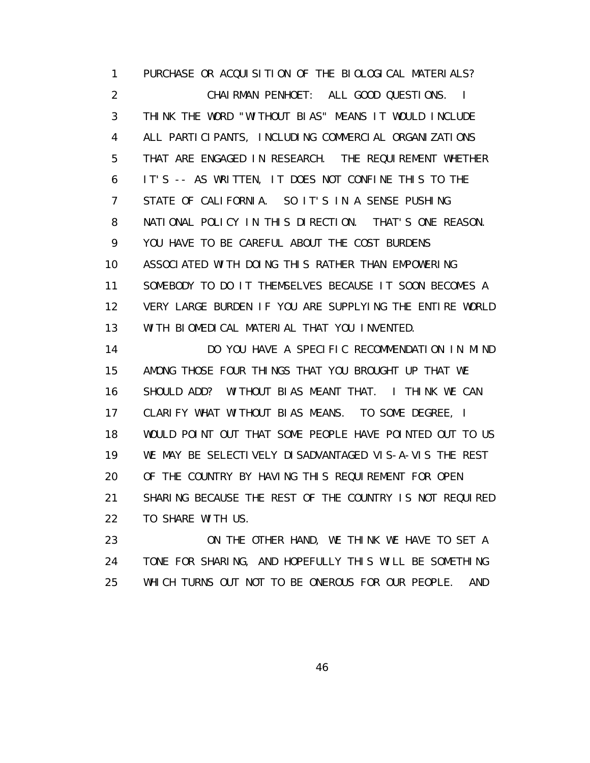1 PURCHASE OR ACQUISITION OF THE BIOLOGICAL MATERIALS? 2 CHAIRMAN PENHOET: ALL GOOD QUESTIONS. I 3 THINK THE WORD "WITHOUT BIAS" MEANS IT WOULD INCLUDE 4 ALL PARTICIPANTS, INCLUDING COMMERCIAL ORGANIZATIONS 5 THAT ARE ENGAGED IN RESEARCH. THE REQUIREMENT WHETHER 6 IT'S -- AS WRITTEN, IT DOES NOT CONFINE THIS TO THE 7 STATE OF CALIFORNIA. SO IT'S IN A SENSE PUSHING 8 NATIONAL POLICY IN THIS DIRECTION. THAT'S ONE REASON. 9 YOU HAVE TO BE CAREFUL ABOUT THE COST BURDENS 10 ASSOCIATED WITH DOING THIS RATHER THAN EMPOWERING 11 SOMEBODY TO DO IT THEMSELVES BECAUSE IT SOON BECOMES A 12 VERY LARGE BURDEN IF YOU ARE SUPPLYING THE ENTIRE WORLD 13 WITH BIOMEDICAL MATERIAL THAT YOU INVENTED.

 14 DO YOU HAVE A SPECIFIC RECOMMENDATION IN MIND 15 AMONG THOSE FOUR THINGS THAT YOU BROUGHT UP THAT WE 16 SHOULD ADD? WITHOUT BIAS MEANT THAT. I THINK WE CAN 17 CLARIFY WHAT WITHOUT BIAS MEANS. TO SOME DEGREE, I 18 WOULD POINT OUT THAT SOME PEOPLE HAVE POINTED OUT TO US 19 WE MAY BE SELECTIVELY DISADVANTAGED VIS-A-VIS THE REST 20 OF THE COUNTRY BY HAVING THIS REQUIREMENT FOR OPEN 21 SHARING BECAUSE THE REST OF THE COUNTRY IS NOT REQUIRED 22 TO SHARE WITH US.

 23 ON THE OTHER HAND, WE THINK WE HAVE TO SET A 24 TONE FOR SHARING, AND HOPEFULLY THIS WILL BE SOMETHING 25 WHICH TURNS OUT NOT TO BE ONEROUS FOR OUR PEOPLE. AND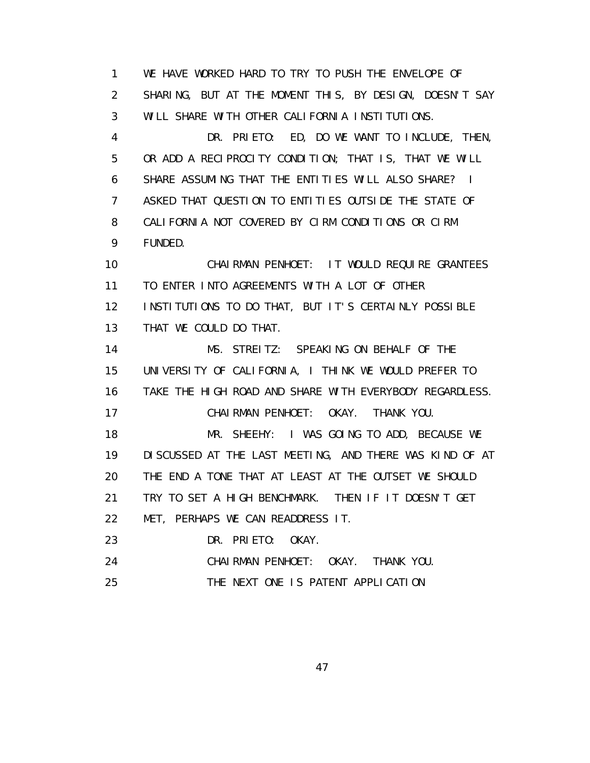1 WE HAVE WORKED HARD TO TRY TO PUSH THE ENVELOPE OF 2 SHARING, BUT AT THE MOMENT THIS, BY DESIGN, DOESN'T SAY 3 WILL SHARE WITH OTHER CALIFORNIA INSTITUTIONS.

 4 DR. PRIETO: ED, DO WE WANT TO INCLUDE, THEN, 5 OR ADD A RECIPROCITY CONDITION; THAT IS, THAT WE WILL 6 SHARE ASSUMING THAT THE ENTITIES WILL ALSO SHARE? I 7 ASKED THAT QUESTION TO ENTITIES OUTSIDE THE STATE OF 8 CALIFORNIA NOT COVERED BY CIRM CONDITIONS OR CIRM 9 FUNDED.

 10 CHAIRMAN PENHOET: IT WOULD REQUIRE GRANTEES 11 TO ENTER INTO AGREEMENTS WITH A LOT OF OTHER 12 INSTITUTIONS TO DO THAT, BUT IT'S CERTAINLY POSSIBLE 13 THAT WE COULD DO THAT.

 14 MS. STREITZ: SPEAKING ON BEHALF OF THE 15 UNIVERSITY OF CALIFORNIA, I THINK WE WOULD PREFER TO 16 TAKE THE HIGH ROAD AND SHARE WITH EVERYBODY REGARDLESS. 17 CHAIRMAN PENHOET: OKAY. THANK YOU. 18 MR. SHEEHY: I WAS GOING TO ADD, BECAUSE WE 19 DISCUSSED AT THE LAST MEETING, AND THERE WAS KIND OF AT 20 THE END A TONE THAT AT LEAST AT THE OUTSET WE SHOULD 21 TRY TO SET A HIGH BENCHMARK. THEN IF IT DOESN'T GET 22 MET, PERHAPS WE CAN READDRESS IT. 23 DR. PRIETO: OKAY.

24 CHAIRMAN PENHOET: OKAY. THANK YOU.

25 THE NEXT ONE IS PATENT APPLICATION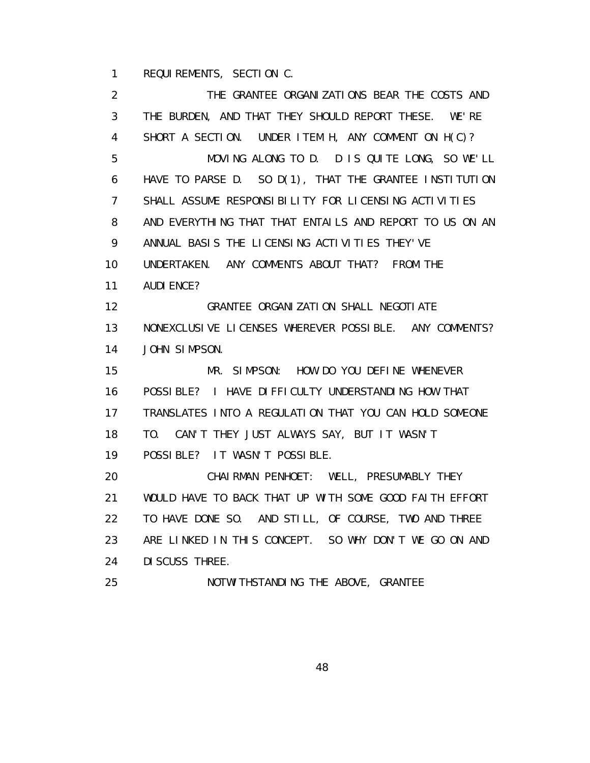1 REQUIREMENTS, SECTION C.

 2 THE GRANTEE ORGANIZATIONS BEAR THE COSTS AND 3 THE BURDEN, AND THAT THEY SHOULD REPORT THESE. WE'RE 4 SHORT A SECTION. UNDER ITEM H, ANY COMMENT ON H(C)? 5 MOVING ALONG TO D. D IS QUITE LONG, SO WE'LL 6 HAVE TO PARSE D. SO D(1), THAT THE GRANTEE INSTITUTION 7 SHALL ASSUME RESPONSIBILITY FOR LICENSING ACTIVITIES 8 AND EVERYTHING THAT THAT ENTAILS AND REPORT TO US ON AN 9 ANNUAL BASIS THE LICENSING ACTIVITIES THEY'VE 10 UNDERTAKEN. ANY COMMENTS ABOUT THAT? FROM THE 11 AUDIENCE? 12 GRANTEE ORGANIZATION SHALL NEGOTIATE 13 NONEXCLUSIVE LICENSES WHEREVER POSSIBLE. ANY COMMENTS? 14 JOHN SIMPSON. 15 MR. SIMPSON: HOW DO YOU DEFINE WHENEVER 16 POSSIBLE? I HAVE DIFFICULTY UNDERSTANDING HOW THAT 17 TRANSLATES INTO A REGULATION THAT YOU CAN HOLD SOMEONE 18 TO. CAN'T THEY JUST ALWAYS SAY, BUT IT WASN'T 19 POSSIBLE? IT WASN'T POSSIBLE. 20 CHAIRMAN PENHOET: WELL, PRESUMABLY THEY 21 WOULD HAVE TO BACK THAT UP WITH SOME GOOD FAITH EFFORT 22 TO HAVE DONE SO. AND STILL, OF COURSE, TWO AND THREE 23 ARE LINKED IN THIS CONCEPT. SO WHY DON'T WE GO ON AND 24 DISCUSS THREE. 25 NOTWI THSTANDING THE ABOVE, GRANTEE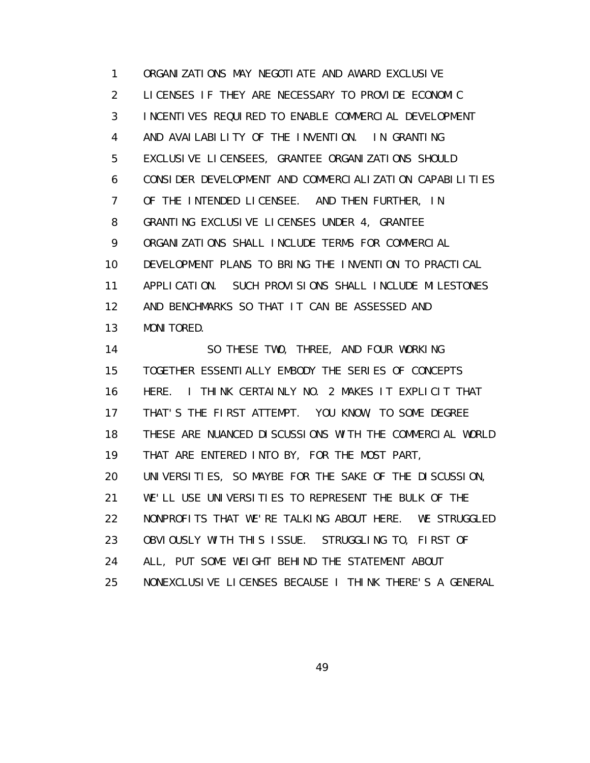1 ORGANIZATIONS MAY NEGOTIATE AND AWARD EXCLUSIVE 2 LICENSES IF THEY ARE NECESSARY TO PROVIDE ECONOMIC 3 INCENTIVES REQUIRED TO ENABLE COMMERCIAL DEVELOPMENT 4 AND AVAILABILITY OF THE INVENTION. IN GRANTING 5 EXCLUSIVE LICENSEES, GRANTEE ORGANIZATIONS SHOULD 6 CONSIDER DEVELOPMENT AND COMMERCIALIZATION CAPABILITIES 7 OF THE INTENDED LICENSEE. AND THEN FURTHER, IN 8 GRANTING EXCLUSIVE LICENSES UNDER 4, GRANTEE 9 ORGANIZATIONS SHALL INCLUDE TERMS FOR COMMERCIAL 10 DEVELOPMENT PLANS TO BRING THE INVENTION TO PRACTICAL 11 APPLICATION. SUCH PROVISIONS SHALL INCLUDE MILESTONES 12 AND BENCHMARKS SO THAT IT CAN BE ASSESSED AND 13 MONITORED.

 14 SO THESE TWO, THREE, AND FOUR WORKING 15 TOGETHER ESSENTIALLY EMBODY THE SERIES OF CONCEPTS 16 HERE. I THINK CERTAINLY NO. 2 MAKES IT EXPLICIT THAT 17 THAT'S THE FIRST ATTEMPT. YOU KNOW, TO SOME DEGREE 18 THESE ARE NUANCED DISCUSSIONS WITH THE COMMERCIAL WORLD 19 THAT ARE ENTERED INTO BY, FOR THE MOST PART, 20 UNIVERSITIES, SO MAYBE FOR THE SAKE OF THE DISCUSSION, 21 WE'LL USE UNIVERSITIES TO REPRESENT THE BULK OF THE 22 NONPROFITS THAT WE'RE TALKING ABOUT HERE. WE STRUGGLED 23 OBVIOUSLY WITH THIS ISSUE. STRUGGLING TO, FIRST OF 24 ALL, PUT SOME WEIGHT BEHIND THE STATEMENT ABOUT 25 NONEXCLUSIVE LICENSES BECAUSE I THINK THERE'S A GENERAL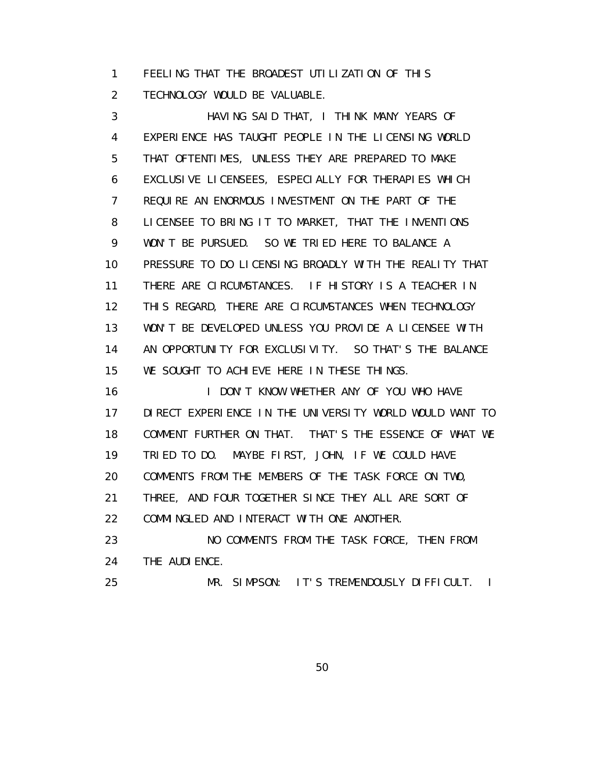1 FEELING THAT THE BROADEST UTILIZATION OF THIS 2 TECHNOLOGY WOULD BE VALUABLE.

 3 HAVING SAID THAT, I THINK MANY YEARS OF 4 EXPERIENCE HAS TAUGHT PEOPLE IN THE LICENSING WORLD 5 THAT OFTENTIMES, UNLESS THEY ARE PREPARED TO MAKE 6 EXCLUSIVE LICENSEES, ESPECIALLY FOR THERAPIES WHICH 7 REQUIRE AN ENORMOUS INVESTMENT ON THE PART OF THE 8 LICENSEE TO BRING IT TO MARKET, THAT THE INVENTIONS 9 WON'T BE PURSUED. SO WE TRIED HERE TO BALANCE A 10 PRESSURE TO DO LICENSING BROADLY WITH THE REALITY THAT 11 THERE ARE CIRCUMSTANCES. IF HISTORY IS A TEACHER IN 12 THIS REGARD, THERE ARE CIRCUMSTANCES WHEN TECHNOLOGY 13 WON'T BE DEVELOPED UNLESS YOU PROVIDE A LICENSEE WITH 14 AN OPPORTUNITY FOR EXCLUSIVITY. SO THAT'S THE BALANCE 15 WE SOUGHT TO ACHIEVE HERE IN THESE THINGS.

16 I DON'T KNOW WHETHER ANY OF YOU WHO HAVE 17 DIRECT EXPERIENCE IN THE UNIVERSITY WORLD WOULD WANT TO 18 COMMENT FURTHER ON THAT. THAT'S THE ESSENCE OF WHAT WE 19 TRIED TO DO. MAYBE FIRST, JOHN, IF WE COULD HAVE 20 COMMENTS FROM THE MEMBERS OF THE TASK FORCE ON TWO, 21 THREE, AND FOUR TOGETHER SINCE THEY ALL ARE SORT OF 22 COMMINGLED AND INTERACT WITH ONE ANOTHER. 23 NO COMMENTS FROM THE TASK FORCE, THEN FROM

24 THE AUDI ENCE.

25 MR. SIMPSON: IT'S TREMENDOUSLY DIFFICULT. I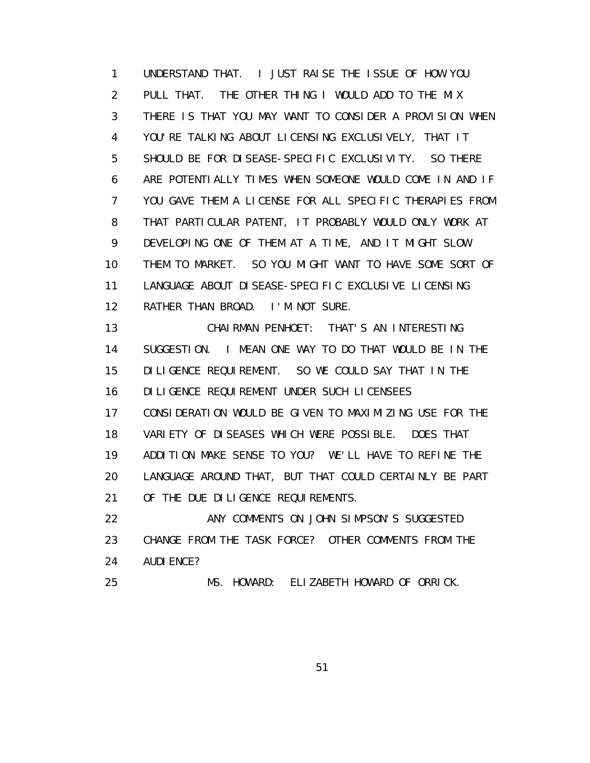1 UNDERSTAND THAT. I JUST RAISE THE ISSUE OF HOW YOU 2 PULL THAT. THE OTHER THING I WOULD ADD TO THE MIX 3 THERE IS THAT YOU MAY WANT TO CONSIDER A PROVISION WHEN 4 YOU'RE TALKING ABOUT LICENSING EXCLUSIVELY, THAT IT 5 SHOULD BE FOR DISEASE-SPECIFIC EXCLUSIVITY. SO THERE 6 ARE POTENTIALLY TIMES WHEN SOMEONE WOULD COME IN AND IF 7 YOU GAVE THEM A LICENSE FOR ALL SPECIFIC THERAPIES FROM 8 THAT PARTICULAR PATENT, IT PROBABLY WOULD ONLY WORK AT 9 DEVELOPING ONE OF THEM AT A TIME, AND IT MIGHT SLOW 10 THEM TO MARKET. SO YOU MIGHT WANT TO HAVE SOME SORT OF 11 LANGUAGE ABOUT DISEASE-SPECIFIC EXCLUSIVE LICENSING 12 RATHER THAN BROAD. I'M NOT SURE.

 13 CHAIRMAN PENHOET: THAT'S AN INTERESTING 14 SUGGESTION. I MEAN ONE WAY TO DO THAT WOULD BE IN THE 15 DILIGENCE REQUIREMENT. SO WE COULD SAY THAT IN THE 16 DILIGENCE REQUIREMENT UNDER SUCH LICENSEES 17 CONSIDERATION WOULD BE GIVEN TO MAXIMIZING USE FOR THE 18 VARIETY OF DISEASES WHICH WERE POSSIBLE. DOES THAT 19 ADDITION MAKE SENSE TO YOU? WE'LL HAVE TO REFINE THE 20 LANGUAGE AROUND THAT, BUT THAT COULD CERTAINLY BE PART 21 OF THE DUE DILIGENCE REQUIREMENTS.

22 ANY COMMENTS ON JOHN SIMPSON'S SUGGESTED 23 CHANGE FROM THE TASK FORCE? OTHER COMMENTS FROM THE 24 AUDIENCE?

25 MS. HOWARD: ELIZABETH HOWARD OF ORRICK.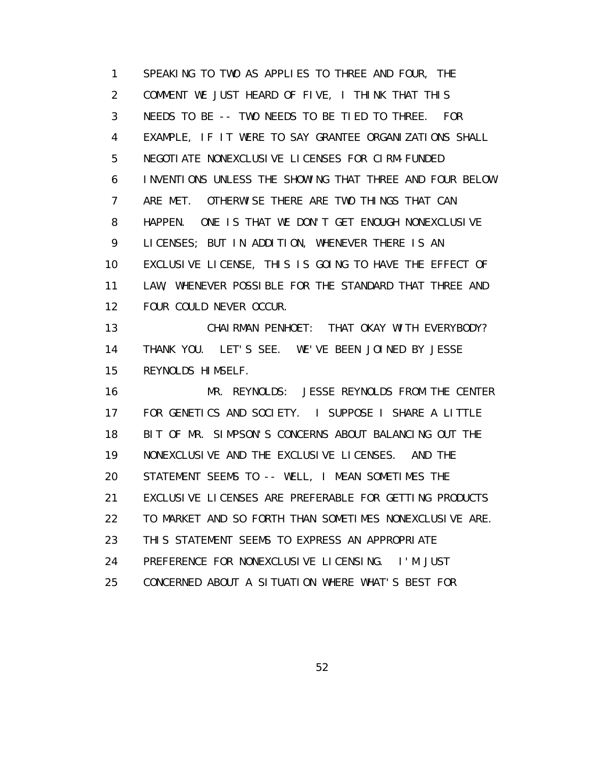1 SPEAKING TO TWO AS APPLIES TO THREE AND FOUR, THE 2 COMMENT WE JUST HEARD OF FIVE, I THINK THAT THIS 3 NEEDS TO BE -- TWO NEEDS TO BE TIED TO THREE. FOR 4 EXAMPLE, IF IT WERE TO SAY GRANTEE ORGANIZATIONS SHALL 5 NEGOTIATE NONEXCLUSIVE LICENSES FOR CIRM-FUNDED 6 INVENTIONS UNLESS THE SHOWING THAT THREE AND FOUR BELOW 7 ARE MET. OTHERWISE THERE ARE TWO THINGS THAT CAN 8 HAPPEN. ONE IS THAT WE DON'T GET ENOUGH NONEXCLUSIVE 9 LICENSES; BUT IN ADDITION, WHENEVER THERE IS AN 10 EXCLUSIVE LICENSE, THIS IS GOING TO HAVE THE EFFECT OF 11 LAW, WHENEVER POSSIBLE FOR THE STANDARD THAT THREE AND 12 FOUR COULD NEVER OCCUR. 13 CHAIRMAN PENHOET: THAT OKAY WITH EVERYBODY?

 14 THANK YOU. LET'S SEE. WE'VE BEEN JOINED BY JESSE 15 REYNOLDS HIMSELF.

 16 MR. REYNOLDS: JESSE REYNOLDS FROM THE CENTER 17 FOR GENETICS AND SOCIETY. I SUPPOSE I SHARE A LITTLE 18 BIT OF MR. SIMPSON'S CONCERNS ABOUT BALANCING OUT THE 19 NONEXCLUSIVE AND THE EXCLUSIVE LICENSES. AND THE 20 STATEMENT SEEMS TO -- WELL, I MEAN SOMETIMES THE 21 EXCLUSIVE LICENSES ARE PREFERABLE FOR GETTING PRODUCTS 22 TO MARKET AND SO FORTH THAN SOMETIMES NONEXCLUSIVE ARE. 23 THIS STATEMENT SEEMS TO EXPRESS AN APPROPRIATE 24 PREFERENCE FOR NONEXCLUSIVE LICENSING. I'M JUST 25 CONCERNED ABOUT A SITUATION WHERE WHAT'S BEST FOR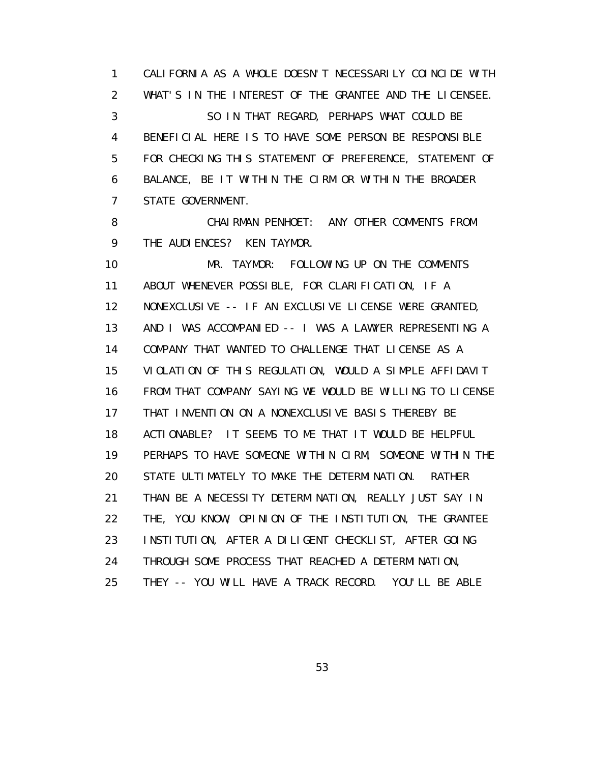1 CALIFORNIA AS A WHOLE DOESN'T NECESSARILY COINCIDE WITH 2 WHAT'S IN THE INTEREST OF THE GRANTEE AND THE LICENSEE. 3 SO IN THAT REGARD, PERHAPS WHAT COULD BE 4 BENEFICIAL HERE IS TO HAVE SOME PERSON BE RESPONSIBLE 5 FOR CHECKING THIS STATEMENT OF PREFERENCE, STATEMENT OF 6 BALANCE, BE IT WITHIN THE CIRM OR WITHIN THE BROADER 7 STATE GOVERNMENT.

8 CHAIRMAN PENHOET: ANY OTHER COMMENTS FROM 9 THE AUDI ENCES? KEN TAYMOR.

 10 MR. TAYMOR: FOLLOWING UP ON THE COMMENTS 11 ABOUT WHENEVER POSSIBLE, FOR CLARIFICATION, IF A 12 NONEXCLUSIVE -- IF AN EXCLUSIVE LICENSE WERE GRANTED, 13 AND I WAS ACCOMPANIED -- I WAS A LAWYER REPRESENTING A 14 COMPANY THAT WANTED TO CHALLENGE THAT LICENSE AS A 15 VIOLATION OF THIS REGULATION, WOULD A SIMPLE AFFIDAVIT 16 FROM THAT COMPANY SAYING WE WOULD BE WILLING TO LICENSE 17 THAT INVENTION ON A NONEXCLUSIVE BASIS THEREBY BE 18 ACTIONABLE? IT SEEMS TO ME THAT IT WOULD BE HELPFUL 19 PERHAPS TO HAVE SOMEONE WITHIN CIRM, SOMEONE WITHIN THE 20 STATE ULTIMATELY TO MAKE THE DETERMINATION. RATHER 21 THAN BE A NECESSITY DETERMINATION, REALLY JUST SAY IN 22 THE, YOU KNOW, OPINION OF THE INSTITUTION, THE GRANTEE 23 INSTITUTION, AFTER A DILIGENT CHECKLIST, AFTER GOING 24 THROUGH SOME PROCESS THAT REACHED A DETERMINATION, 25 THEY -- YOU WILL HAVE A TRACK RECORD. YOU'LL BE ABLE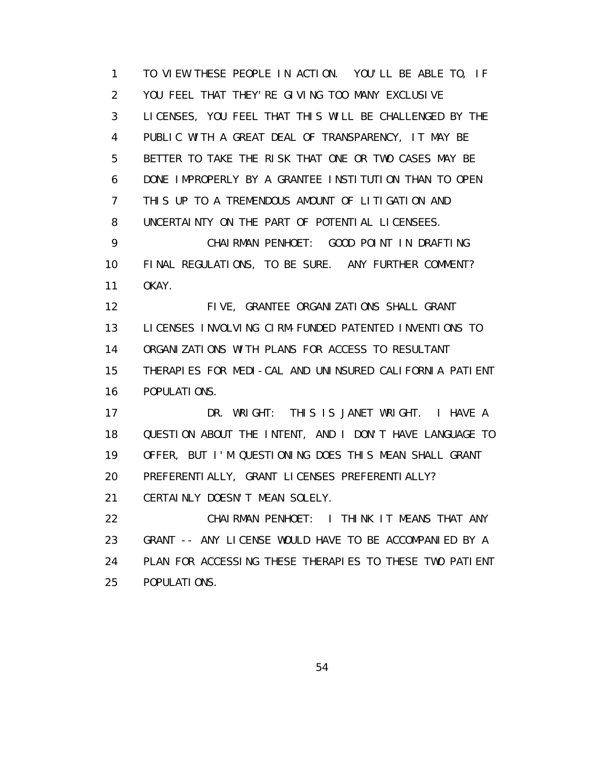1 TO VIEW THESE PEOPLE IN ACTION. YOU'LL BE ABLE TO, IF 2 YOU FEEL THAT THEY'RE GIVING TOO MANY EXCLUSIVE 3 LICENSES, YOU FEEL THAT THIS WILL BE CHALLENGED BY THE 4 PUBLIC WITH A GREAT DEAL OF TRANSPARENCY, IT MAY BE 5 BETTER TO TAKE THE RISK THAT ONE OR TWO CASES MAY BE 6 DONE IMPROPERLY BY A GRANTEE INSTITUTION THAN TO OPEN 7 THIS UP TO A TREMENDOUS AMOUNT OF LITIGATION AND 8 UNCERTAINTY ON THE PART OF POTENTIAL LICENSEES. 9 CHAIRMAN PENHOET: GOOD POINT IN DRAFTING 10 FINAL REGULATIONS, TO BE SURE. ANY FURTHER COMMENT? 11 OKAY. 12 FIVE, GRANTEE ORGANIZATIONS SHALL GRANT 13 LICENSES INVOLVING CIRM-FUNDED PATENTED INVENTIONS TO 14 ORGANIZATIONS WITH PLANS FOR ACCESS TO RESULTANT 15 THERAPIES FOR MEDI-CAL AND UNINSURED CALIFORNIA PATIENT 16 POPULATIONS.

 17 DR. WRIGHT: THIS IS JANET WRIGHT. I HAVE A 18 QUESTION ABOUT THE INTENT, AND I DON'T HAVE LANGUAGE TO 19 OFFER, BUT I'M QUESTIONING DOES THIS MEAN SHALL GRANT 20 PREFERENTIALLY, GRANT LICENSES PREFERENTIALLY? 21 CERTAINLY DOESN'T MEAN SOLELY.

 22 CHAIRMAN PENHOET: I THINK IT MEANS THAT ANY 23 GRANT -- ANY LICENSE WOULD HAVE TO BE ACCOMPANIED BY A 24 PLAN FOR ACCESSING THESE THERAPIES TO THESE TWO PATIENT 25 POPULATIONS.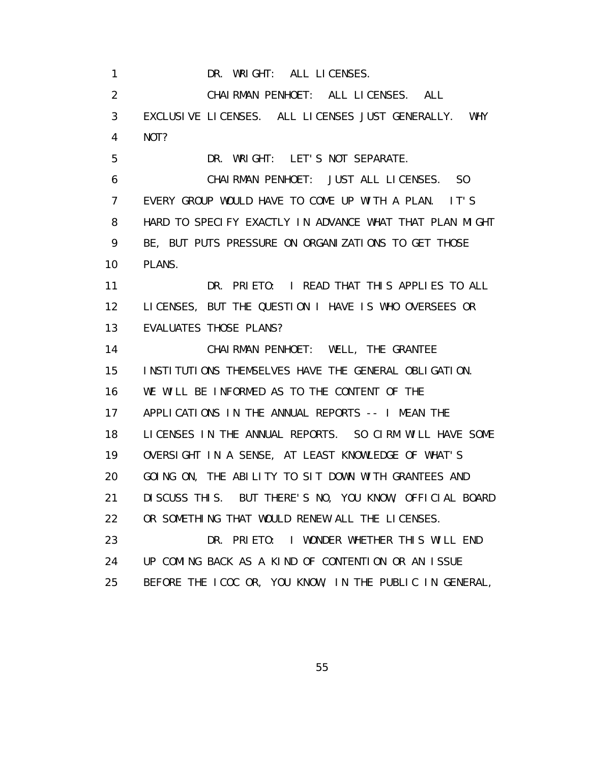1 DR. WRIGHT: ALL LICENSES. 2 CHAIRMAN PENHOET: ALL LICENSES. ALL 3 EXCLUSIVE LICENSES. ALL LICENSES JUST GENERALLY. WHY 4 NOT? 5 DR. WRIGHT: LET'S NOT SEPARATE. 6 CHAIRMAN PENHOET: JUST ALL LICENSES. SO 7 EVERY GROUP WOULD HAVE TO COME UP WITH A PLAN. IT'S 8 HARD TO SPECIFY EXACTLY IN ADVANCE WHAT THAT PLAN MIGHT 9 BE, BUT PUTS PRESSURE ON ORGANIZATIONS TO GET THOSE 10 PLANS. 11 DR. PRIETO: I READ THAT THIS APPLIES TO ALL 12 LICENSES, BUT THE QUESTION I HAVE IS WHO OVERSEES OR 13 EVALUATES THOSE PLANS? 14 CHAIRMAN PENHOET: WELL, THE GRANTEE 15 INSTITUTIONS THEMSELVES HAVE THE GENERAL OBLIGATION. 16 WE WILL BE INFORMED AS TO THE CONTENT OF THE 17 APPLICATIONS IN THE ANNUAL REPORTS -- I MEAN THE 18 LICENSES IN THE ANNUAL REPORTS. SO CIRM WILL HAVE SOME 19 OVERSIGHT IN A SENSE, AT LEAST KNOWLEDGE OF WHAT'S 20 GOING ON, THE ABILITY TO SIT DOWN WITH GRANTEES AND 21 DISCUSS THIS. BUT THERE'S NO, YOU KNOW, OFFICIAL BOARD 22 OR SOMETHING THAT WOULD RENEW ALL THE LICENSES. 23 DR. PRIETO: I WONDER WHETHER THIS WILL END 24 UP COMING BACK AS A KIND OF CONTENTION OR AN ISSUE 25 BEFORE THE ICOC OR, YOU KNOW, IN THE PUBLIC IN GENERAL,

<u>55 September 2006 September 2006 September 2006 September 2006 September 2006 September 2006 September 2006 S</u>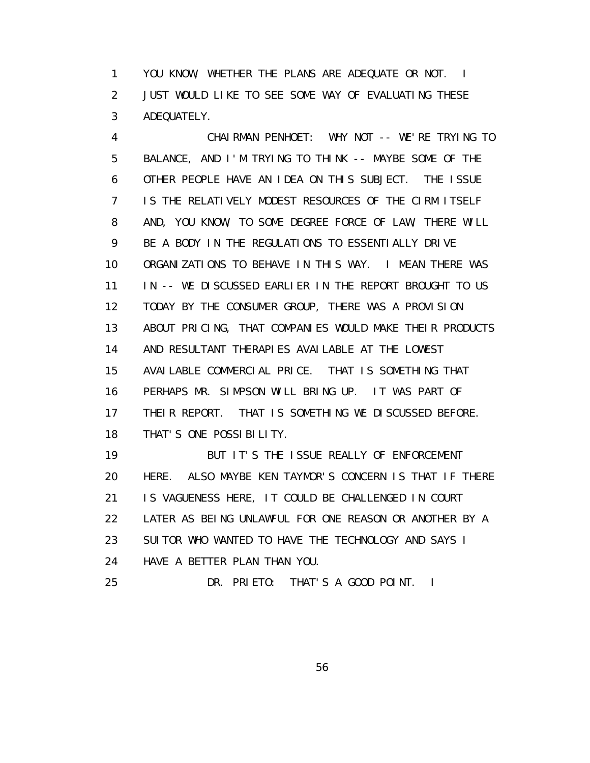1 YOU KNOW, WHETHER THE PLANS ARE ADEQUATE OR NOT. I 2 JUST WOULD LIKE TO SEE SOME WAY OF EVALUATING THESE 3 ADEQUATELY.

 4 CHAIRMAN PENHOET: WHY NOT -- WE'RE TRYING TO 5 BALANCE, AND I'M TRYING TO THINK -- MAYBE SOME OF THE 6 OTHER PEOPLE HAVE AN IDEA ON THIS SUBJECT. THE ISSUE 7 IS THE RELATIVELY MODEST RESOURCES OF THE CIRM ITSELF 8 AND, YOU KNOW, TO SOME DEGREE FORCE OF LAW, THERE WILL 9 BE A BODY IN THE REGULATIONS TO ESSENTIALLY DRIVE 10 ORGANIZATIONS TO BEHAVE IN THIS WAY. I MEAN THERE WAS 11 IN -- WE DISCUSSED EARLIER IN THE REPORT BROUGHT TO US 12 TODAY BY THE CONSUMER GROUP, THERE WAS A PROVISION 13 ABOUT PRICING, THAT COMPANIES WOULD MAKE THEIR PRODUCTS 14 AND RESULTANT THERAPIES AVAILABLE AT THE LOWEST 15 AVAILABLE COMMERCIAL PRICE. THAT IS SOMETHING THAT 16 PERHAPS MR. SIMPSON WILL BRING UP. IT WAS PART OF 17 THEIR REPORT. THAT IS SOMETHING WE DISCUSSED BEFORE. 18 THAT'S ONE POSSIBILITY. 19 BUT IT'S THE ISSUE REALLY OF ENFORCEMENT 20 HERE. ALSO MAYBE KEN TAYMOR'S CONCERN IS THAT IF THERE

21 IS VAGUENESS HERE, IT COULD BE CHALLENGED IN COURT

22 LATER AS BEING UNLAWFUL FOR ONE REASON OR ANOTHER BY A

23 SUITOR WHO WANTED TO HAVE THE TECHNOLOGY AND SAYS I

24 HAVE A BETTER PLAN THAN YOU.

25 DR. PRIETO: THAT'S A GOOD POINT. I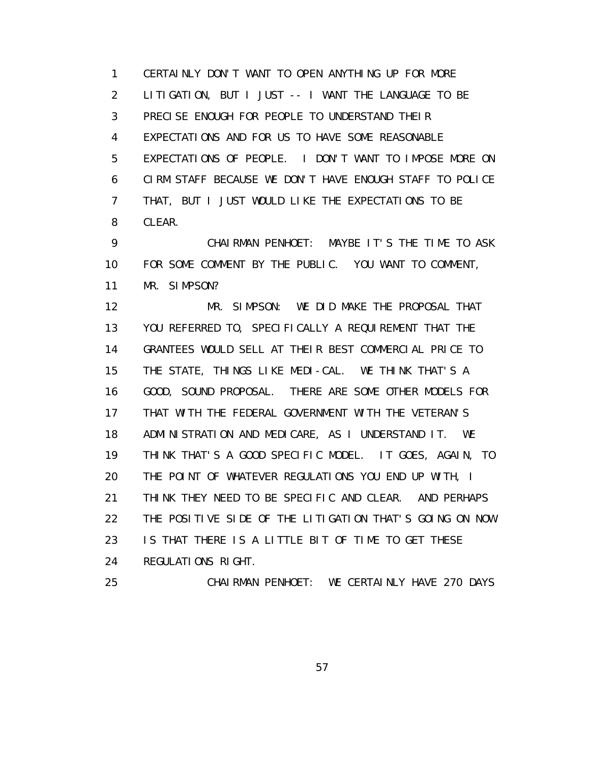1 CERTAINLY DON'T WANT TO OPEN ANYTHING UP FOR MORE 2 LITIGATION, BUT I JUST -- I WANT THE LANGUAGE TO BE 3 PRECISE ENOUGH FOR PEOPLE TO UNDERSTAND THEIR 4 EXPECTATIONS AND FOR US TO HAVE SOME REASONABLE 5 EXPECTATIONS OF PEOPLE. I DON'T WANT TO IMPOSE MORE ON 6 CIRM STAFF BECAUSE WE DON'T HAVE ENOUGH STAFF TO POLICE 7 THAT, BUT I JUST WOULD LIKE THE EXPECTATIONS TO BE 8 CLEAR.

 9 CHAIRMAN PENHOET: MAYBE IT'S THE TIME TO ASK 10 FOR SOME COMMENT BY THE PUBLIC. YOU WANT TO COMMENT, 11 MR. SIMPSON?

 12 MR. SIMPSON: WE DID MAKE THE PROPOSAL THAT 13 YOU REFERRED TO, SPECIFICALLY A REQUIREMENT THAT THE 14 GRANTEES WOULD SELL AT THEIR BEST COMMERCIAL PRICE TO 15 THE STATE, THINGS LIKE MEDI-CAL. WE THINK THAT'S A 16 GOOD, SOUND PROPOSAL. THERE ARE SOME OTHER MODELS FOR 17 THAT WITH THE FEDERAL GOVERNMENT WITH THE VETERAN'S 18 ADMINISTRATION AND MEDICARE, AS I UNDERSTAND IT. WE 19 THINK THAT'S A GOOD SPECIFIC MODEL. IT GOES, AGAIN, TO 20 THE POINT OF WHATEVER REGULATIONS YOU END UP WITH, I 21 THINK THEY NEED TO BE SPECIFIC AND CLEAR. AND PERHAPS 22 THE POSITIVE SIDE OF THE LITIGATION THAT'S GOING ON NOW 23 IS THAT THERE IS A LITTLE BIT OF TIME TO GET THESE 24 REGULATIONS RIGHT.

25 CHAIRMAN PENHOET: WE CERTAINLY HAVE 270 DAYS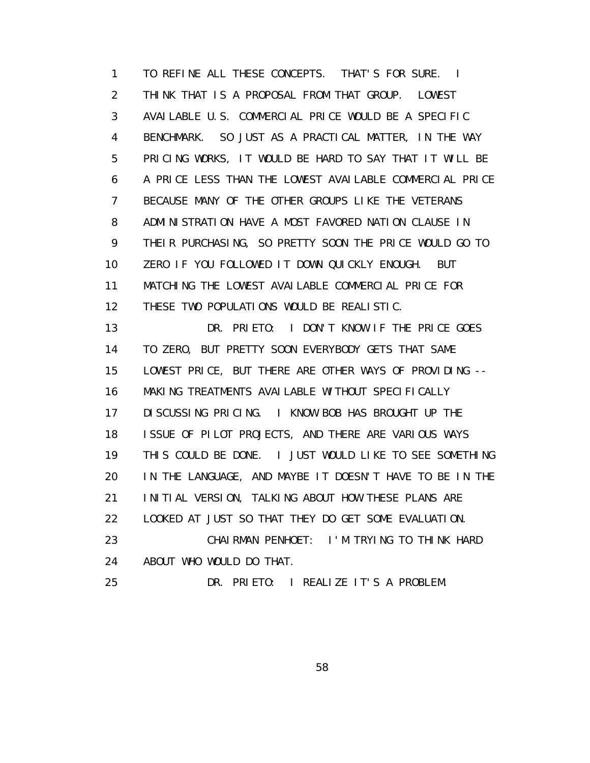1 TO REFINE ALL THESE CONCEPTS. THAT'S FOR SURE. I 2 THINK THAT IS A PROPOSAL FROM THAT GROUP. LOWEST 3 AVAILABLE U.S. COMMERCIAL PRICE WOULD BE A SPECIFIC 4 BENCHMARK. SO JUST AS A PRACTICAL MATTER, IN THE WAY 5 PRICING WORKS, IT WOULD BE HARD TO SAY THAT IT WILL BE 6 A PRICE LESS THAN THE LOWEST AVAILABLE COMMERCIAL PRICE 7 BECAUSE MANY OF THE OTHER GROUPS LIKE THE VETERANS 8 ADMINISTRATION HAVE A MOST FAVORED NATION CLAUSE IN 9 THEIR PURCHASING, SO PRETTY SOON THE PRICE WOULD GO TO 10 ZERO IF YOU FOLLOWED IT DOWN QUICKLY ENOUGH. BUT 11 MATCHING THE LOWEST AVAILABLE COMMERCIAL PRICE FOR 12 THESE TWO POPULATIONS WOULD BE REALISTIC. 13 DR. PRIETO: I DON'T KNOW IF THE PRICE GOES 14 TO ZERO, BUT PRETTY SOON EVERYBODY GETS THAT SAME 15 LOWEST PRICE, BUT THERE ARE OTHER WAYS OF PROVIDING -- 16 MAKING TREATMENTS AVAILABLE WITHOUT SPECIFICALLY 17 DISCUSSING PRICING. I KNOW BOB HAS BROUGHT UP THE 18 ISSUE OF PILOT PROJECTS, AND THERE ARE VARIOUS WAYS 19 THIS COULD BE DONE. I JUST WOULD LIKE TO SEE SOMETHING 20 IN THE LANGUAGE, AND MAYBE IT DOESN'T HAVE TO BE IN THE 21 INITIAL VERSION, TALKING ABOUT HOW THESE PLANS ARE 22 LOOKED AT JUST SO THAT THEY DO GET SOME EVALUATION. 23 CHAIRMAN PENHOET: I'M TRYING TO THINK HARD 24 ABOUT WHO WOULD DO THAT. 25 DR. PRIETO: I REALIZE IT'S A PROBLEM.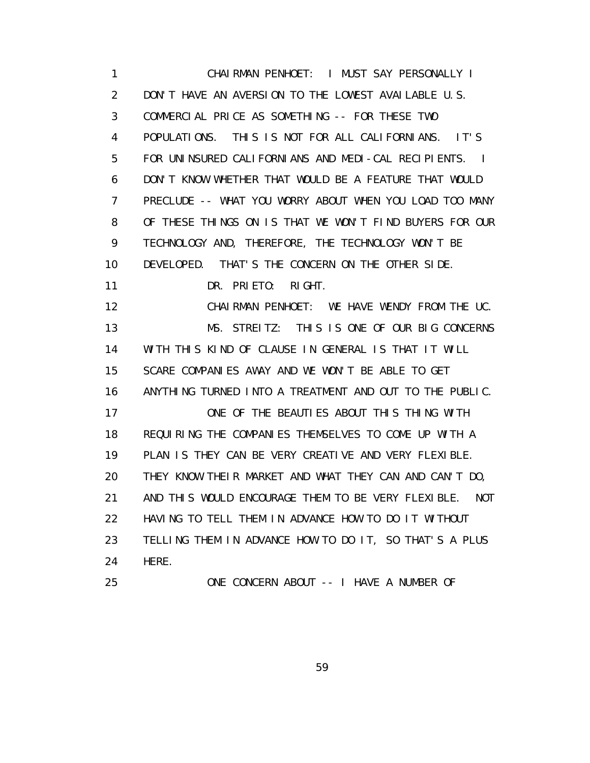1 CHAIRMAN PENHOET: I MUST SAY PERSONALLY I 2 DON'T HAVE AN AVERSION TO THE LOWEST AVAILABLE U.S. 3 COMMERCIAL PRICE AS SOMETHING -- FOR THESE TWO 4 POPULATIONS. THIS IS NOT FOR ALL CALIFORNIANS. IT'S 5 FOR UNINSURED CALIFORNIANS AND MEDI-CAL RECIPIENTS. I 6 DON'T KNOW WHETHER THAT WOULD BE A FEATURE THAT WOULD 7 PRECLUDE -- WHAT YOU WORRY ABOUT WHEN YOU LOAD TOO MANY 8 OF THESE THINGS ON IS THAT WE WON'T FIND BUYERS FOR OUR 9 TECHNOLOGY AND, THEREFORE, THE TECHNOLOGY WON'T BE 10 DEVELOPED. THAT'S THE CONCERN ON THE OTHER SIDE. 11 DR. PRIETO: RIGHT. 12 CHAIRMAN PENHOET: WE HAVE WENDY FROM THE UC. 13 MS. STREITZ: THIS IS ONE OF OUR BIG CONCERNS 14 WITH THIS KIND OF CLAUSE IN GENERAL IS THAT IT WILL 15 SCARE COMPANIES AWAY AND WE WON'T BE ABLE TO GET 16 ANYTHING TURNED INTO A TREATMENT AND OUT TO THE PUBLIC. 17 ONE OF THE BEAUTIES ABOUT THIS THING WITH 18 REQUIRING THE COMPANIES THEMSELVES TO COME UP WITH A 19 PLAN IS THEY CAN BE VERY CREATIVE AND VERY FLEXIBLE. 20 THEY KNOW THEIR MARKET AND WHAT THEY CAN AND CAN'T DO, 21 AND THIS WOULD ENCOURAGE THEM TO BE VERY FLEXIBLE. NOT 22 HAVING TO TELL THEM IN ADVANCE HOW TO DO IT WITHOUT 23 TELLING THEM IN ADVANCE HOW TO DO IT, SO THAT'S A PLUS 24 HERE. 25 ONE CONCERN ABOUT -- I HAVE A NUMBER OF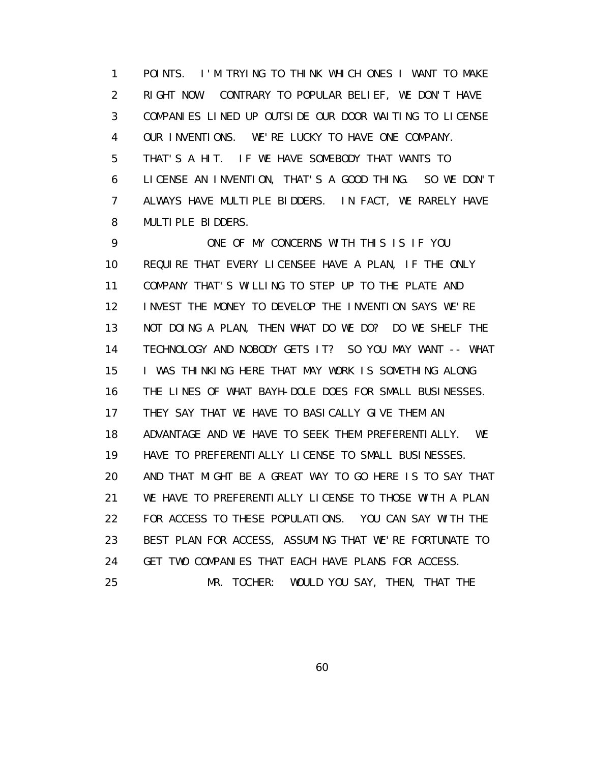1 POINTS. I'M TRYING TO THINK WHICH ONES I WANT TO MAKE 2 RIGHT NOW. CONTRARY TO POPULAR BELIEF, WE DON'T HAVE 3 COMPANIES LINED UP OUTSIDE OUR DOOR WAITING TO LICENSE 4 OUR INVENTIONS. WE'RE LUCKY TO HAVE ONE COMPANY. 5 THAT'S A HIT. IF WE HAVE SOMEBODY THAT WANTS TO 6 LICENSE AN INVENTION, THAT'S A GOOD THING. SO WE DON'T 7 ALWAYS HAVE MULTIPLE BIDDERS. IN FACT, WE RARELY HAVE 8 MULTIPLE BIDDERS.

 9 ONE OF MY CONCERNS WITH THIS IS IF YOU 10 REQUIRE THAT EVERY LICENSEE HAVE A PLAN, IF THE ONLY 11 COMPANY THAT'S WILLING TO STEP UP TO THE PLATE AND 12 INVEST THE MONEY TO DEVELOP THE INVENTION SAYS WE'RE 13 NOT DOING A PLAN, THEN WHAT DO WE DO? DO WE SHELF THE 14 TECHNOLOGY AND NOBODY GETS IT? SO YOU MAY WANT -- WHAT 15 I WAS THINKING HERE THAT MAY WORK IS SOMETHING ALONG 16 THE LINES OF WHAT BAYH-DOLE DOES FOR SMALL BUSINESSES. 17 THEY SAY THAT WE HAVE TO BASICALLY GIVE THEM AN 18 ADVANTAGE AND WE HAVE TO SEEK THEM PREFERENTIALLY. WE 19 HAVE TO PREFERENTIALLY LICENSE TO SMALL BUSINESSES. 20 AND THAT MIGHT BE A GREAT WAY TO GO HERE IS TO SAY THAT 21 WE HAVE TO PREFERENTIALLY LICENSE TO THOSE WITH A PLAN 22 FOR ACCESS TO THESE POPULATIONS. YOU CAN SAY WITH THE 23 BEST PLAN FOR ACCESS, ASSUMING THAT WE'RE FORTUNATE TO 24 GET TWO COMPANIES THAT EACH HAVE PLANS FOR ACCESS. 25 MR. TOCHER: WOULD YOU SAY, THEN, THAT THE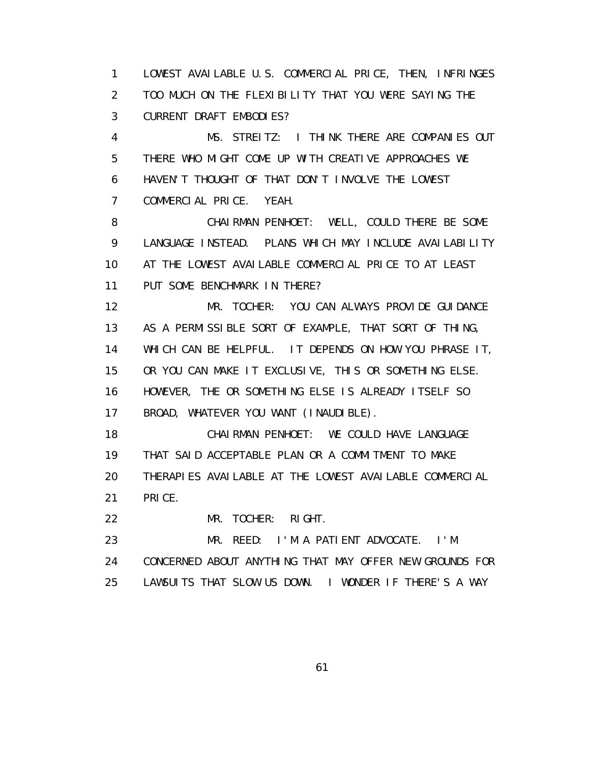1 LOWEST AVAILABLE U.S. COMMERCIAL PRICE, THEN, INFRINGES 2 TOO MUCH ON THE FLEXIBILITY THAT YOU WERE SAYING THE 3 CURRENT DRAFT EMBODIES?

 4 MS. STREITZ: I THINK THERE ARE COMPANIES OUT 5 THERE WHO MIGHT COME UP WITH CREATIVE APPROACHES WE 6 HAVEN'T THOUGHT OF THAT DON'T INVOLVE THE LOWEST 7 COMMERCIAL PRICE. YEAH.

 8 CHAIRMAN PENHOET: WELL, COULD THERE BE SOME 9 LANGUAGE INSTEAD. PLANS WHICH MAY INCLUDE AVAILABILITY 10 AT THE LOWEST AVAILABLE COMMERCIAL PRICE TO AT LEAST 11 PUT SOME BENCHMARK IN THERE?

 12 MR. TOCHER: YOU CAN ALWAYS PROVIDE GUIDANCE 13 AS A PERMISSIBLE SORT OF EXAMPLE, THAT SORT OF THING, 14 WHICH CAN BE HELPFUL. IT DEPENDS ON HOW YOU PHRASE IT, 15 OR YOU CAN MAKE IT EXCLUSIVE, THIS OR SOMETHING ELSE. 16 HOWEVER, THE OR SOMETHING ELSE IS ALREADY ITSELF SO 17 BROAD, WHATEVER YOU WANT (INAUDIBLE).

 18 CHAIRMAN PENHOET: WE COULD HAVE LANGUAGE 19 THAT SAID ACCEPTABLE PLAN OR A COMMITMENT TO MAKE 20 THERAPIES AVAILABLE AT THE LOWEST AVAILABLE COMMERCIAL 21 PRICE.

22 MR. TOCHER: RIGHT.

 23 MR. REED: I'M A PATIENT ADVOCATE. I'M 24 CONCERNED ABOUT ANYTHING THAT MAY OFFER NEW GROUNDS FOR 25 LAWSUITS THAT SLOW US DOWN. I WONDER IF THERE'S A WAY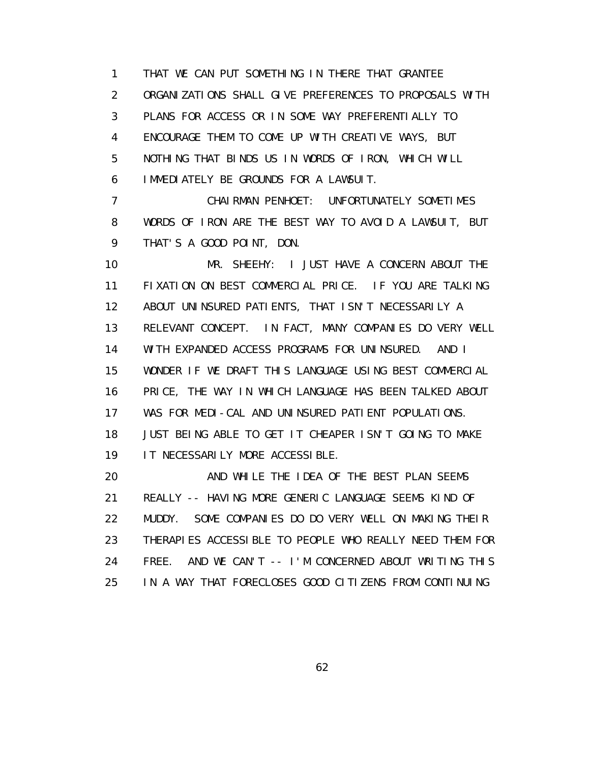1 THAT WE CAN PUT SOMETHING IN THERE THAT GRANTEE 2 ORGANIZATIONS SHALL GIVE PREFERENCES TO PROPOSALS WITH 3 PLANS FOR ACCESS OR IN SOME WAY PREFERENTIALLY TO 4 ENCOURAGE THEM TO COME UP WITH CREATIVE WAYS, BUT 5 NOTHING THAT BINDS US IN WORDS OF IRON, WHICH WILL 6 IMMEDIATELY BE GROUNDS FOR A LAWSUIT.

 7 CHAIRMAN PENHOET: UNFORTUNATELY SOMETIMES 8 WORDS OF IRON ARE THE BEST WAY TO AVOID A LAWSUIT, BUT 9 THAT'S A GOOD POINT, DON.

 10 MR. SHEEHY: I JUST HAVE A CONCERN ABOUT THE 11 FIXATION ON BEST COMMERCIAL PRICE. IF YOU ARE TALKING 12 ABOUT UNINSURED PATIENTS, THAT ISN'T NECESSARILY A 13 RELEVANT CONCEPT. IN FACT, MANY COMPANIES DO VERY WELL 14 WITH EXPANDED ACCESS PROGRAMS FOR UNINSURED. AND I 15 WONDER IF WE DRAFT THIS LANGUAGE USING BEST COMMERCIAL 16 PRICE, THE WAY IN WHICH LANGUAGE HAS BEEN TALKED ABOUT 17 WAS FOR MEDI-CAL AND UNINSURED PATIENT POPULATIONS. 18 JUST BEING ABLE TO GET IT CHEAPER ISN'T GOING TO MAKE 19 IT NECESSARILY MORE ACCESSIBLE.

 20 AND WHILE THE IDEA OF THE BEST PLAN SEEMS 21 REALLY -- HAVING MORE GENERIC LANGUAGE SEEMS KIND OF 22 MUDDY. SOME COMPANIES DO DO VERY WELL ON MAKING THEIR 23 THERAPIES ACCESSIBLE TO PEOPLE WHO REALLY NEED THEM FOR 24 FREE. AND WE CAN'T -- I'M CONCERNED ABOUT WRITING THIS 25 IN A WAY THAT FORECLOSES GOOD CITIZENS FROM CONTINUING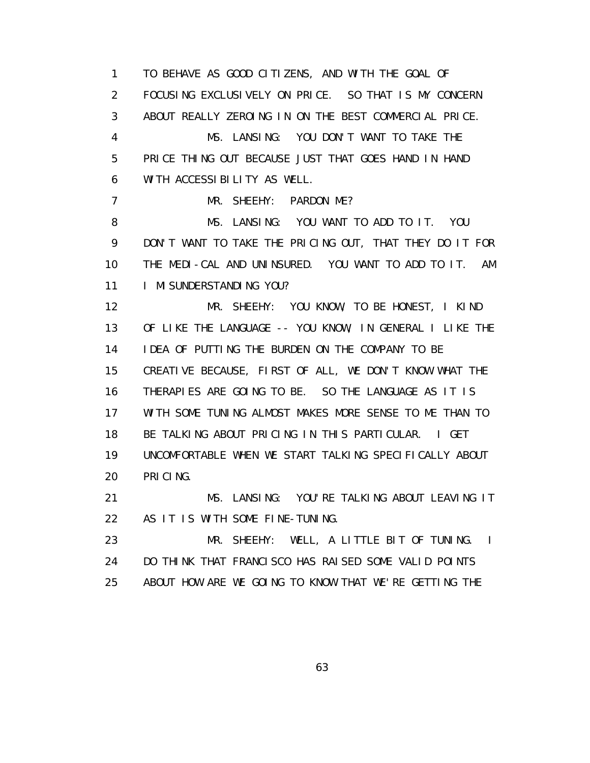1 TO BEHAVE AS GOOD CITIZENS, AND WITH THE GOAL OF 2 FOCUSING EXCLUSIVELY ON PRICE. SO THAT IS MY CONCERN 3 ABOUT REALLY ZEROING IN ON THE BEST COMMERCIAL PRICE. 4 MS. LANSING: YOU DON'T WANT TO TAKE THE 5 PRICE THING OUT BECAUSE JUST THAT GOES HAND IN HAND 6 WITH ACCESSIBILITY AS WELL. 7 MR. SHEEHY: PARDON ME? 8 MS. LANSING: YOU WANT TO ADD TO IT. YOU 9 DON'T WANT TO TAKE THE PRICING OUT, THAT THEY DO IT FOR 10 THE MEDI-CAL AND UNINSURED. YOU WANT TO ADD TO IT. AM 11 I MI SUNDERSTANDING YOU? 12 MR. SHEEHY: YOU KNOW, TO BE HONEST, I KIND 13 OF LIKE THE LANGUAGE -- YOU KNOW, IN GENERAL I LIKE THE 14 IDEA OF PUTTING THE BURDEN ON THE COMPANY TO BE 15 CREATIVE BECAUSE, FIRST OF ALL, WE DON'T KNOW WHAT THE 16 THERAPIES ARE GOING TO BE. SO THE LANGUAGE AS IT IS 17 WITH SOME TUNING ALMOST MAKES MORE SENSE TO ME THAN TO 18 BE TALKING ABOUT PRICING IN THIS PARTICULAR. I GET 19 UNCOMFORTABLE WHEN WE START TALKING SPECIFICALLY ABOUT 20 PRICING. 21 MS. LANSING: YOU'RE TALKING ABOUT LEAVING IT 22 AS IT IS WITH SOME FINE-TUNING. 23 MR. SHEEHY: WELL, A LITTLE BIT OF TUNING. I 24 DO THINK THAT FRANCISCO HAS RAISED SOME VALID POINTS

63

25 ABOUT HOW ARE WE GOING TO KNOW THAT WE'RE GETTING THE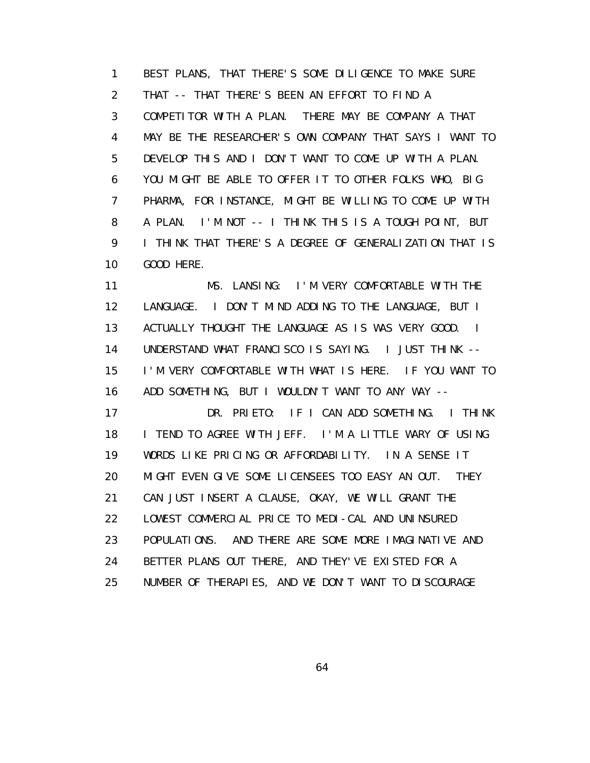1 BEST PLANS, THAT THERE'S SOME DILIGENCE TO MAKE SURE 2 THAT -- THAT THERE'S BEEN AN EFFORT TO FIND A 3 COMPETITOR WITH A PLAN. THERE MAY BE COMPANY A THAT 4 MAY BE THE RESEARCHER'S OWN COMPANY THAT SAYS I WANT TO 5 DEVELOP THIS AND I DON'T WANT TO COME UP WITH A PLAN. 6 YOU MIGHT BE ABLE TO OFFER IT TO OTHER FOLKS WHO, BIG 7 PHARMA, FOR INSTANCE, MIGHT BE WILLING TO COME UP WITH 8 A PLAN. I'M NOT -- I THINK THIS IS A TOUGH POINT, BUT 9 I THINK THAT THERE'S A DEGREE OF GENERALIZATION THAT IS 10 GOOD HERE.

 11 MS. LANSING: I'M VERY COMFORTABLE WITH THE 12 LANGUAGE. I DON'T MIND ADDING TO THE LANGUAGE, BUT I 13 ACTUALLY THOUGHT THE LANGUAGE AS IS WAS VERY GOOD. I 14 UNDERSTAND WHAT FRANCISCO IS SAYING. I JUST THINK -- 15 I'M VERY COMFORTABLE WITH WHAT IS HERE. IF YOU WANT TO 16 ADD SOMETHING, BUT I WOULDN'T WANT TO ANY WAY -- 17 DR. PRIETO: IF I CAN ADD SOMETHING. I THINK 18 I TEND TO AGREE WITH JEFF. I'M A LITTLE WARY OF USING 19 WORDS LIKE PRICING OR AFFORDABILITY. IN A SENSE IT 20 MIGHT EVEN GIVE SOME LICENSEES TOO EASY AN OUT. THEY 21 CAN JUST INSERT A CLAUSE, OKAY, WE WILL GRANT THE 22 LOWEST COMMERCIAL PRICE TO MEDI-CAL AND UNINSURED 23 POPULATIONS. AND THERE ARE SOME MORE IMAGINATIVE AND 24 BETTER PLANS OUT THERE, AND THEY'VE EXISTED FOR A

25 NUMBER OF THERAPIES, AND WE DON'T WANT TO DISCOURAGE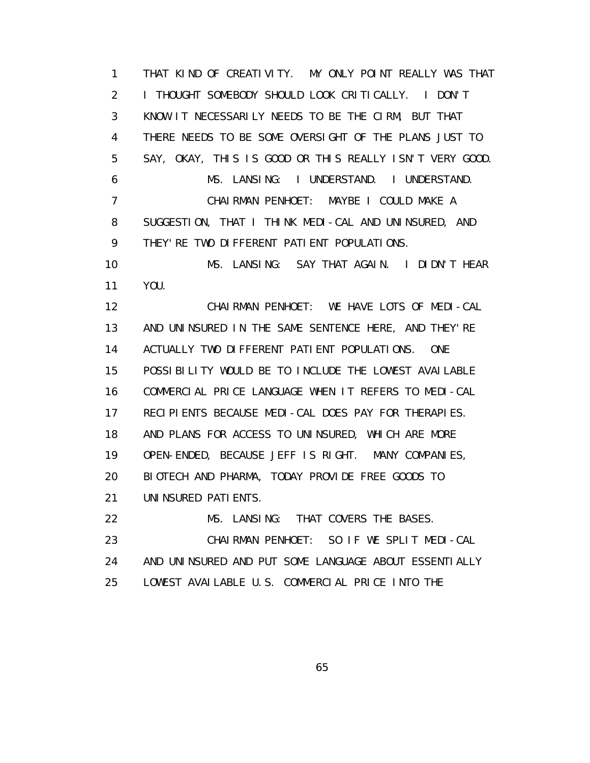1 THAT KIND OF CREATIVITY. MY ONLY POINT REALLY WAS THAT 2 I THOUGHT SOMEBODY SHOULD LOOK CRITICALLY. I DON'T 3 KNOW IT NECESSARILY NEEDS TO BE THE CIRM, BUT THAT 4 THERE NEEDS TO BE SOME OVERSIGHT OF THE PLANS JUST TO 5 SAY, OKAY, THIS IS GOOD OR THIS REALLY ISN'T VERY GOOD. 6 MS. LANSING: I UNDERSTAND. I UNDERSTAND. 7 CHAIRMAN PENHOET: MAYBE I COULD MAKE A 8 SUGGESTION, THAT I THINK MEDI-CAL AND UNINSURED, AND 9 THEY'RE TWO DIFFERENT PATIENT POPULATIONS. 10 MS. LANSING: SAY THAT AGAIN. I DIDN'T HEAR 11 YOU. 12 CHAIRMAN PENHOET: WE HAVE LOTS OF MEDI-CAL 13 AND UNINSURED IN THE SAME SENTENCE HERE, AND THEY'RE 14 ACTUALLY TWO DIFFERENT PATIENT POPULATIONS. ONE 15 POSSIBILITY WOULD BE TO INCLUDE THE LOWEST AVAILABLE 16 COMMERCIAL PRICE LANGUAGE WHEN IT REFERS TO MEDI-CAL 17 RECIPIENTS BECAUSE MEDI-CAL DOES PAY FOR THERAPIES. 18 AND PLANS FOR ACCESS TO UNINSURED, WHICH ARE MORE 19 OPEN-ENDED, BECAUSE JEFF IS RIGHT. MANY COMPANIES, 20 BIOTECH AND PHARMA, TODAY PROVIDE FREE GOODS TO 21 UNINSURED PATIENTS. 22 MS. LANSING: THAT COVERS THE BASES. 23 CHAIRMAN PENHOET: SO IF WE SPLIT MEDI-CAL 24 AND UNINSURED AND PUT SOME LANGUAGE ABOUT ESSENTIALLY 25 LOWEST AVAILABLE U.S. COMMERCIAL PRICE INTO THE

 $\sim$  65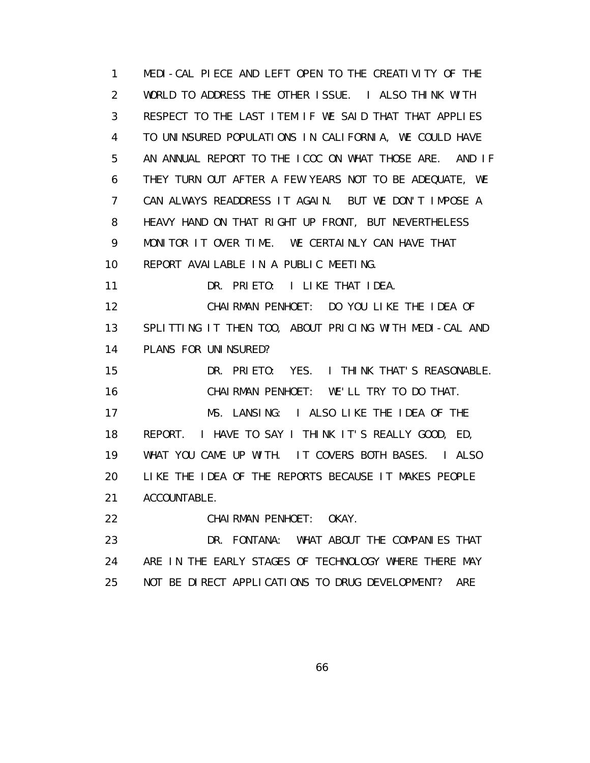1 MEDI-CAL PIECE AND LEFT OPEN TO THE CREATIVITY OF THE 2 WORLD TO ADDRESS THE OTHER ISSUE. I ALSO THINK WITH 3 RESPECT TO THE LAST ITEM IF WE SAID THAT THAT APPLIES 4 TO UNINSURED POPULATIONS IN CALIFORNIA, WE COULD HAVE 5 AN ANNUAL REPORT TO THE ICOC ON WHAT THOSE ARE. AND IF 6 THEY TURN OUT AFTER A FEW YEARS NOT TO BE ADEQUATE, WE 7 CAN ALWAYS READDRESS IT AGAIN. BUT WE DON'T IMPOSE A 8 HEAVY HAND ON THAT RIGHT UP FRONT, BUT NEVERTHELESS 9 MONITOR IT OVER TIME. WE CERTAINLY CAN HAVE THAT 10 REPORT AVAILABLE IN A PUBLIC MEETING. 11 DR. PRIETO: I LIKE THAT IDEA. 12 CHAIRMAN PENHOET: DO YOU LIKE THE IDEA OF 13 SPLITTING IT THEN TOO, ABOUT PRICING WITH MEDI-CAL AND 14 PLANS FOR UNINSURED? 15 DR. PRIETO: YES. I THINK THAT'S REASONABLE. 16 CHAIRMAN PENHOET: WE'LL TRY TO DO THAT. 17 MS. LANSING: I ALSO LIKE THE IDEA OF THE 18 REPORT. I HAVE TO SAY I THINK IT'S REALLY GOOD, ED, 19 WHAT YOU CAME UP WITH. IT COVERS BOTH BASES. I ALSO 20 LIKE THE IDEA OF THE REPORTS BECAUSE IT MAKES PEOPLE 21 ACCOUNTABLE. 22 CHAIRMAN PENHOET: OKAY. 23 DR. FONTANA: WHAT ABOUT THE COMPANIES THAT 24 ARE IN THE EARLY STAGES OF TECHNOLOGY WHERE THERE MAY 25 NOT BE DIRECT APPLICATIONS TO DRUG DEVELOPMENT? ARE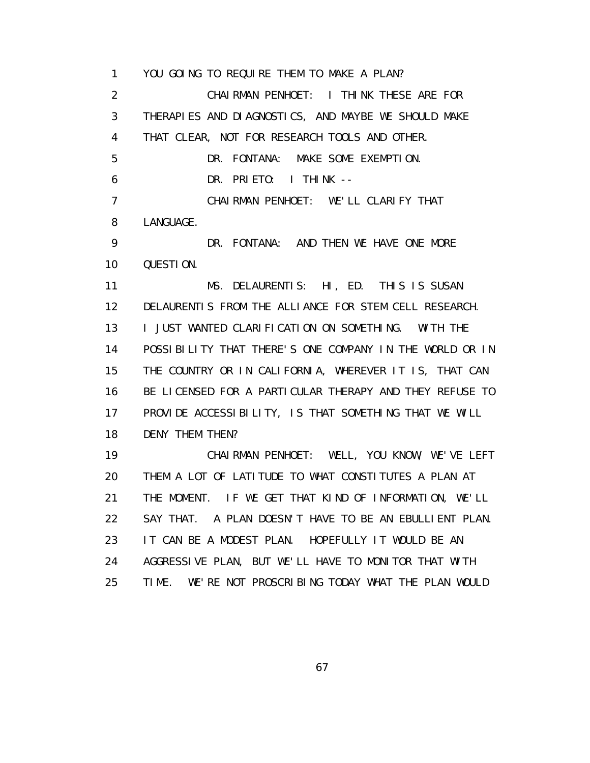1 YOU GOING TO REQUIRE THEM TO MAKE A PLAN? 2 CHAIRMAN PENHOET: I THINK THESE ARE FOR 3 THERAPIES AND DIAGNOSTICS, AND MAYBE WE SHOULD MAKE 4 THAT CLEAR, NOT FOR RESEARCH TOOLS AND OTHER. 5 DR. FONTANA: MAKE SOME EXEMPTION. 6 DR. PRIETO: I THINK -- 7 CHAIRMAN PENHOET: WE'LL CLARIFY THAT 8 LANGUAGE. 9 DR. FONTANA: AND THEN WE HAVE ONE MORE 10 QUESTION. 11 MS. DELAURENTIS: HI, ED. THIS IS SUSAN 12 DELAURENTIS FROM THE ALLIANCE FOR STEM CELL RESEARCH. 13 I JUST WANTED CLARIFICATION ON SOMETHING. WITH THE 14 POSSIBILITY THAT THERE'S ONE COMPANY IN THE WORLD OR IN 15 THE COUNTRY OR IN CALIFORNIA, WHEREVER IT IS, THAT CAN 16 BE LICENSED FOR A PARTICULAR THERAPY AND THEY REFUSE TO 17 PROVIDE ACCESSIBILITY, IS THAT SOMETHING THAT WE WILL 18 DENY THEM THEN? 19 CHAIRMAN PENHOET: WELL, YOU KNOW, WE'VE LEFT 20 THEM A LOT OF LATITUDE TO WHAT CONSTITUTES A PLAN AT 21 THE MOMENT. IF WE GET THAT KIND OF INFORMATION, WE'LL 22 SAY THAT. A PLAN DOESN'T HAVE TO BE AN EBULLIENT PLAN. 23 IT CAN BE A MODEST PLAN. HOPEFULLY IT WOULD BE AN 24 AGGRESSIVE PLAN, BUT WE'LL HAVE TO MONITOR THAT WITH 25 TIME. WE'RE NOT PROSCRIBING TODAY WHAT THE PLAN WOULD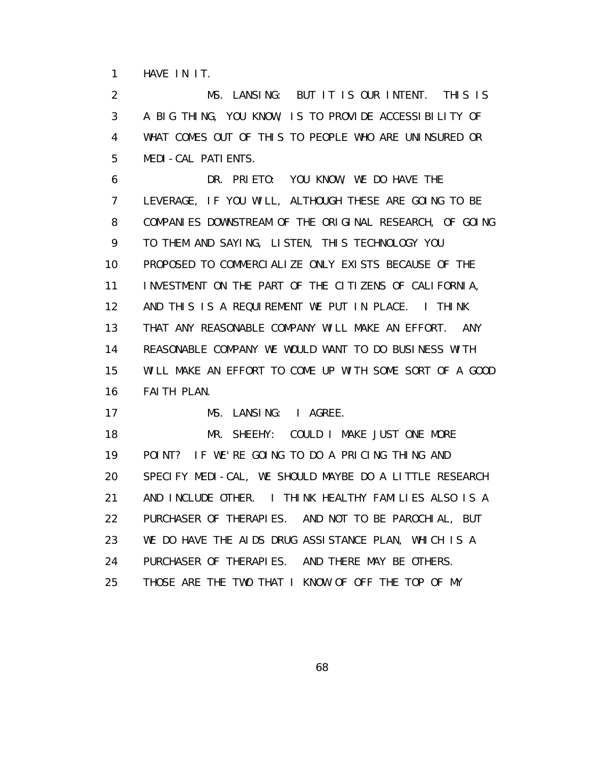1 HAVE IN IT.

 2 MS. LANSING: BUT IT IS OUR INTENT. THIS IS 3 A BIG THING, YOU KNOW, IS TO PROVIDE ACCESSIBILITY OF 4 WHAT COMES OUT OF THIS TO PEOPLE WHO ARE UNINSURED OR 5 MEDI-CAL PATIENTS.

 6 DR. PRIETO: YOU KNOW, WE DO HAVE THE 7 LEVERAGE, IF YOU WILL, ALTHOUGH THESE ARE GOING TO BE 8 COMPANIES DOWNSTREAM OF THE ORIGINAL RESEARCH, OF GOING 9 TO THEM AND SAYING, LISTEN, THIS TECHNOLOGY YOU 10 PROPOSED TO COMMERCIALIZE ONLY EXISTS BECAUSE OF THE 11 INVESTMENT ON THE PART OF THE CITIZENS OF CALIFORNIA, 12 AND THIS IS A REQUIREMENT WE PUT IN PLACE. I THINK 13 THAT ANY REASONABLE COMPANY WILL MAKE AN EFFORT. ANY 14 REASONABLE COMPANY WE WOULD WANT TO DO BUSINESS WITH 15 WILL MAKE AN EFFORT TO COME UP WITH SOME SORT OF A GOOD 16 FAITH PLAN.

17 MS. LANSING: I AGREE.

 18 MR. SHEEHY: COULD I MAKE JUST ONE MORE 19 POINT? IF WE'RE GOING TO DO A PRICING THING AND 20 SPECIFY MEDI-CAL, WE SHOULD MAYBE DO A LITTLE RESEARCH 21 AND INCLUDE OTHER. I THINK HEALTHY FAMILIES ALSO IS A 22 PURCHASER OF THERAPIES. AND NOT TO BE PAROCHIAL, BUT 23 WE DO HAVE THE AIDS DRUG ASSISTANCE PLAN, WHICH IS A 24 PURCHASER OF THERAPIES. AND THERE MAY BE OTHERS. 25 THOSE ARE THE TWO THAT I KNOW OF OFF THE TOP OF MY

 $\sim$  68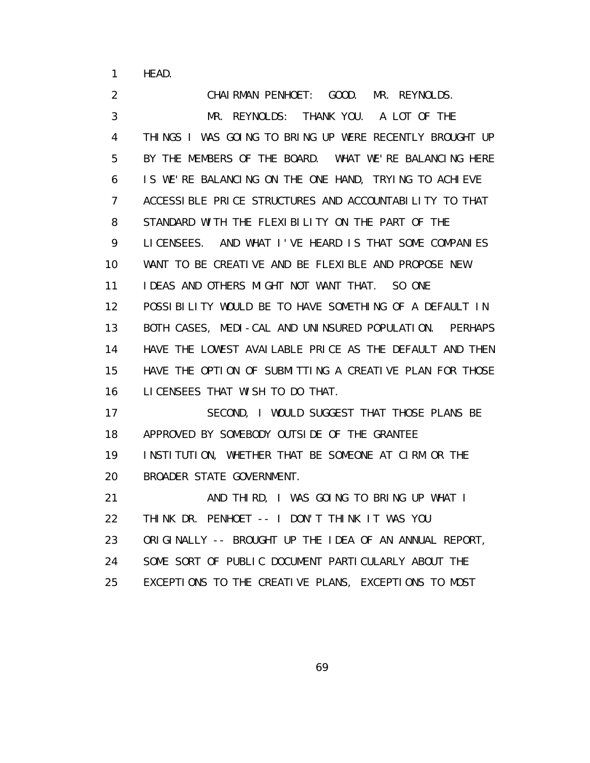1 HEAD.

 2 CHAIRMAN PENHOET: GOOD. MR. REYNOLDS. 3 MR. REYNOLDS: THANK YOU. A LOT OF THE 4 THINGS I WAS GOING TO BRING UP WERE RECENTLY BROUGHT UP 5 BY THE MEMBERS OF THE BOARD. WHAT WE'RE BALANCING HERE 6 IS WE'RE BALANCING ON THE ONE HAND, TRYING TO ACHIEVE 7 ACCESSIBLE PRICE STRUCTURES AND ACCOUNTABILITY TO THAT 8 STANDARD WITH THE FLEXIBILITY ON THE PART OF THE 9 LICENSEES. AND WHAT I'VE HEARD IS THAT SOME COMPANIES 10 WANT TO BE CREATIVE AND BE FLEXIBLE AND PROPOSE NEW 11 IDEAS AND OTHERS MIGHT NOT WANT THAT. SO ONE 12 POSSIBILITY WOULD BE TO HAVE SOMETHING OF A DEFAULT IN 13 BOTH CASES, MEDI-CAL AND UNINSURED POPULATION. PERHAPS 14 HAVE THE LOWEST AVAILABLE PRICE AS THE DEFAULT AND THEN 15 HAVE THE OPTION OF SUBMITTING A CREATIVE PLAN FOR THOSE 16 LICENSEES THAT WISH TO DO THAT. 17 SECOND, I WOULD SUGGEST THAT THOSE PLANS BE 18 APPROVED BY SOMEBODY OUTSIDE OF THE GRANTEE 19 INSTITUTION, WHETHER THAT BE SOMEONE AT CIRM OR THE 20 BROADER STATE GOVERNMENT. 21 AND THIRD, I WAS GOING TO BRING UP WHAT I 22 THINK DR. PENHOET -- I DON'T THINK IT WAS YOU 23 ORIGINALLY -- BROUGHT UP THE IDEA OF AN ANNUAL REPORT, 24 SOME SORT OF PUBLIC DOCUMENT PARTICULARLY ABOUT THE 25 EXCEPTIONS TO THE CREATIVE PLANS, EXCEPTIONS TO MOST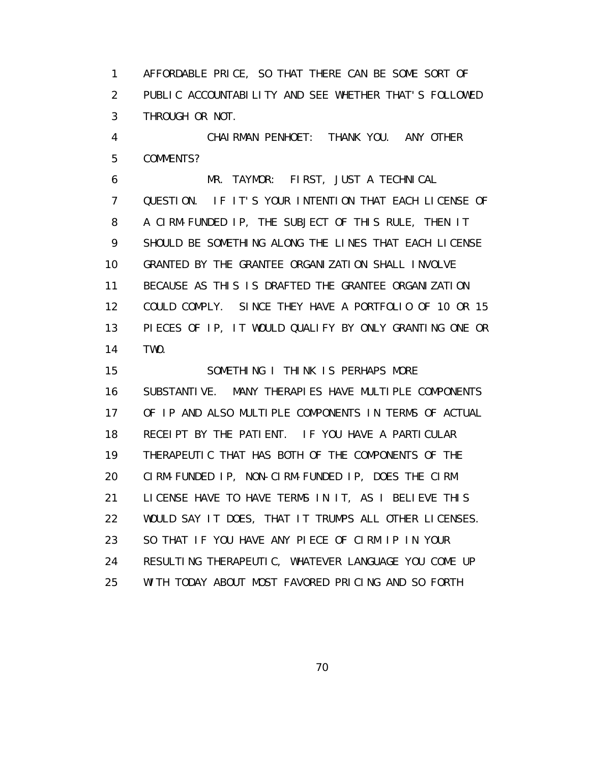1 AFFORDABLE PRICE, SO THAT THERE CAN BE SOME SORT OF 2 PUBLIC ACCOUNTABILITY AND SEE WHETHER THAT'S FOLLOWED 3 THROUGH OR NOT.

 4 CHAIRMAN PENHOET: THANK YOU. ANY OTHER 5 COMMENTS?

 6 MR. TAYMOR: FIRST, JUST A TECHNICAL 7 QUESTION. IF IT'S YOUR INTENTION THAT EACH LICENSE OF 8 A CIRM-FUNDED IP, THE SUBJECT OF THIS RULE, THEN IT 9 SHOULD BE SOMETHING ALONG THE LINES THAT EACH LICENSE 10 GRANTED BY THE GRANTEE ORGANIZATION SHALL INVOLVE 11 BECAUSE AS THIS IS DRAFTED THE GRANTEE ORGANIZATION 12 COULD COMPLY. SINCE THEY HAVE A PORTFOLIO OF 10 OR 15 13 PIECES OF IP, IT WOULD QUALIFY BY ONLY GRANTING ONE OR 14 TWO.

15 SOMETHING I THINK IS PERHAPS MORE 16 SUBSTANTIVE. MANY THERAPIES HAVE MULTIPLE COMPONENTS 17 OF IP AND ALSO MULTIPLE COMPONENTS IN TERMS OF ACTUAL 18 RECEIPT BY THE PATIENT. IF YOU HAVE A PARTICULAR 19 THERAPEUTIC THAT HAS BOTH OF THE COMPONENTS OF THE 20 CIRM-FUNDED IP, NON-CIRM-FUNDED IP, DOES THE CIRM 21 LICENSE HAVE TO HAVE TERMS IN IT, AS I BELIEVE THIS 22 WOULD SAY IT DOES, THAT IT TRUMPS ALL OTHER LICENSES. 23 SO THAT IF YOU HAVE ANY PIECE OF CIRM IP IN YOUR 24 RESULTING THERAPEUTIC, WHATEVER LANGUAGE YOU COME UP 25 WITH TODAY ABOUT MOST FAVORED PRICING AND SO FORTH

<u>70</u>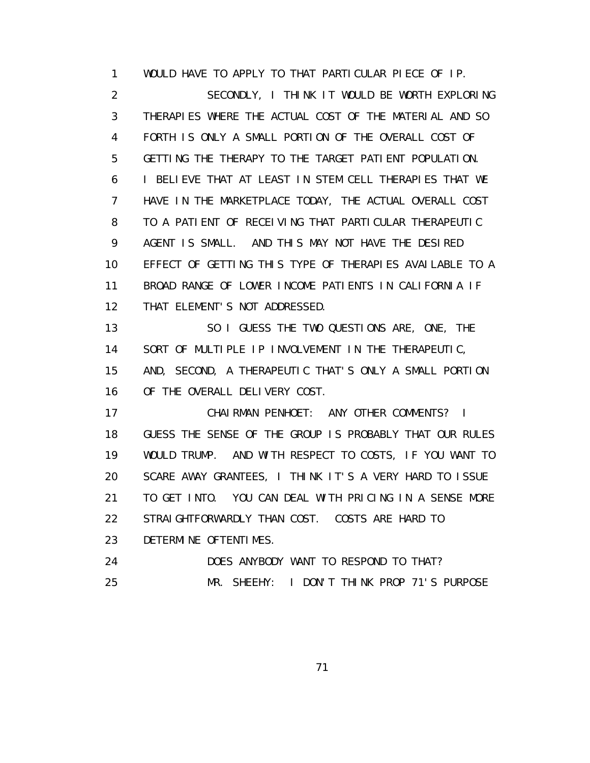1 WOULD HAVE TO APPLY TO THAT PARTICULAR PIECE OF IP. 2 SECONDLY, I THINK IT WOULD BE WORTH EXPLORING 3 THERAPIES WHERE THE ACTUAL COST OF THE MATERIAL AND SO 4 FORTH IS ONLY A SMALL PORTION OF THE OVERALL COST OF 5 GETTING THE THERAPY TO THE TARGET PATIENT POPULATION. 6 I BELIEVE THAT AT LEAST IN STEM CELL THERAPIES THAT WE 7 HAVE IN THE MARKETPLACE TODAY, THE ACTUAL OVERALL COST 8 TO A PATIENT OF RECEIVING THAT PARTICULAR THERAPEUTIC 9 AGENT IS SMALL. AND THIS MAY NOT HAVE THE DESIRED 10 EFFECT OF GETTING THIS TYPE OF THERAPIES AVAILABLE TO A 11 BROAD RANGE OF LOWER INCOME PATIENTS IN CALIFORNIA IF 12 THAT ELEMENT'S NOT ADDRESSED. 13 SO I GUESS THE TWO QUESTIONS ARE, ONE, THE 14 SORT OF MULTIPLE IP INVOLVEMENT IN THE THERAPEUTIC, 15 AND, SECOND, A THERAPEUTIC THAT'S ONLY A SMALL PORTION 16 OF THE OVERALL DELIVERY COST. 17 CHAIRMAN PENHOET: ANY OTHER COMMENTS? I 18 GUESS THE SENSE OF THE GROUP IS PROBABLY THAT OUR RULES 19 WOULD TRUMP. AND WITH RESPECT TO COSTS, IF YOU WANT TO 20 SCARE AWAY GRANTEES, I THINK IT'S A VERY HARD TO ISSUE 21 TO GET INTO. YOU CAN DEAL WITH PRICING IN A SENSE MORE 22 STRAIGHTFORWARDLY THAN COST. COSTS ARE HARD TO 23 DETERMINE OFTENTIMES. 24 DOES ANYBODY WANT TO RESPOND TO THAT? 25 MR. SHEEHY: I DON'T THINK PROP 71'S PURPOSE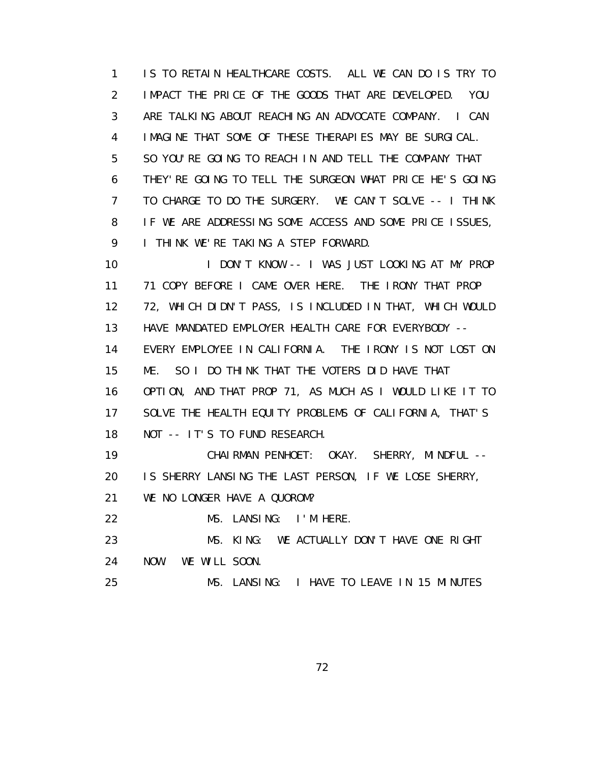1 IS TO RETAIN HEALTHCARE COSTS. ALL WE CAN DO IS TRY TO 2 IMPACT THE PRICE OF THE GOODS THAT ARE DEVELOPED. YOU 3 ARE TALKING ABOUT REACHING AN ADVOCATE COMPANY. I CAN 4 IMAGINE THAT SOME OF THESE THERAPIES MAY BE SURGICAL. 5 SO YOU'RE GOING TO REACH IN AND TELL THE COMPANY THAT 6 THEY'RE GOING TO TELL THE SURGEON WHAT PRICE HE'S GOING 7 TO CHARGE TO DO THE SURGERY. WE CAN'T SOLVE -- I THINK 8 IF WE ARE ADDRESSING SOME ACCESS AND SOME PRICE ISSUES, 9 I THINK WE'RE TAKING A STEP FORWARD.

 10 I DON'T KNOW -- I WAS JUST LOOKING AT MY PROP 11 71 COPY BEFORE I CAME OVER HERE. THE IRONY THAT PROP 12 72, WHICH DIDN'T PASS, IS INCLUDED IN THAT, WHICH WOULD 13 HAVE MANDATED EMPLOYER HEALTH CARE FOR EVERYBODY -- 14 EVERY EMPLOYEE IN CALIFORNIA. THE IRONY IS NOT LOST ON 15 ME. SO I DO THINK THAT THE VOTERS DID HAVE THAT 16 OPTION, AND THAT PROP 71, AS MUCH AS I WOULD LIKE IT TO 17 SOLVE THE HEALTH EQUITY PROBLEMS OF CALIFORNIA, THAT'S 18 NOT -- IT'S TO FUND RESEARCH. 19 CHAIRMAN PENHOET: OKAY. SHERRY, MINDFUL -- 20 IS SHERRY LANSING THE LAST PERSON, IF WE LOSE SHERRY, 21 WE NO LONGER HAVE A QUOROM?

22 MS. LANSING: I'M HERE.

 23 MS. KING: WE ACTUALLY DON'T HAVE ONE RIGHT 24 NOW. WE WILL SOON.

25 MS. LANSING: I HAVE TO LEAVE IN 15 MINUTES

<u>72</u>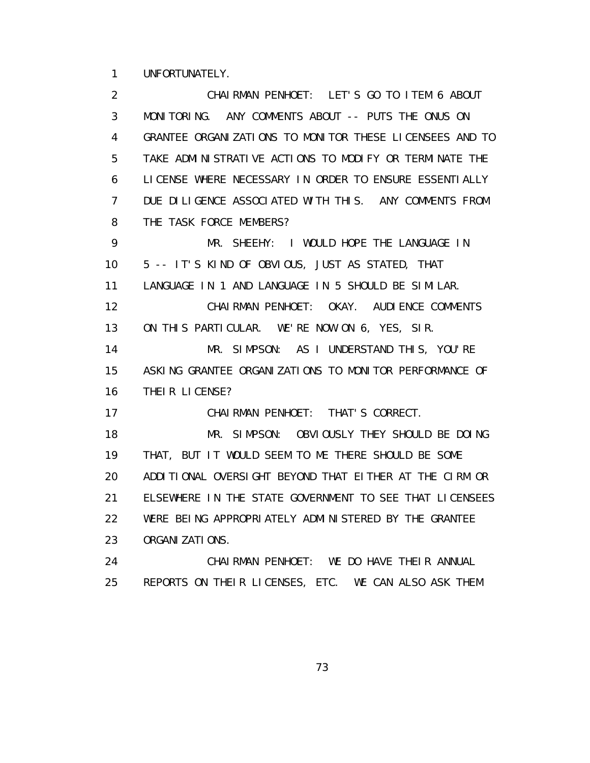1 UNFORTUNATELY.

 2 CHAIRMAN PENHOET: LET'S GO TO ITEM 6 ABOUT 3 MONITORING. ANY COMMENTS ABOUT -- PUTS THE ONUS ON 4 GRANTEE ORGANIZATIONS TO MONITOR THESE LICENSEES AND TO 5 TAKE ADMINISTRATIVE ACTIONS TO MODIFY OR TERMINATE THE 6 LICENSE WHERE NECESSARY IN ORDER TO ENSURE ESSENTIALLY 7 DUE DILIGENCE ASSOCIATED WITH THIS. ANY COMMENTS FROM 8 THE TASK FORCE MEMBERS? 9 MR. SHEEHY: I WOULD HOPE THE LANGUAGE IN 10 5 -- IT'S KIND OF OBVIOUS, JUST AS STATED, THAT 11 LANGUAGE IN 1 AND LANGUAGE IN 5 SHOULD BE SIMILAR. 12 CHAIRMAN PENHOET: OKAY. AUDIENCE COMMENTS 13 ON THIS PARTICULAR. WE'RE NOW ON 6, YES, SIR. 14 MR. SIMPSON: AS I UNDERSTAND THIS, YOU'RE 15 ASKING GRANTEE ORGANIZATIONS TO MONITOR PERFORMANCE OF 16 THEIR LICENSE? 17 CHAIRMAN PENHOET: THAT'S CORRECT. 18 MR. SIMPSON: OBVIOUSLY THEY SHOULD BE DOING 19 THAT, BUT IT WOULD SEEM TO ME THERE SHOULD BE SOME 20 ADDITIONAL OVERSIGHT BEYOND THAT EITHER AT THE CIRM OR 21 ELSEWHERE IN THE STATE GOVERNMENT TO SEE THAT LICENSEES 22 WERE BEING APPROPRIATELY ADMINISTERED BY THE GRANTEE 23 ORGANIZATIONS. 24 CHAIRMAN PENHOET: WE DO HAVE THEIR ANNUAL 25 REPORTS ON THEIR LICENSES, ETC. WE CAN ALSO ASK THEM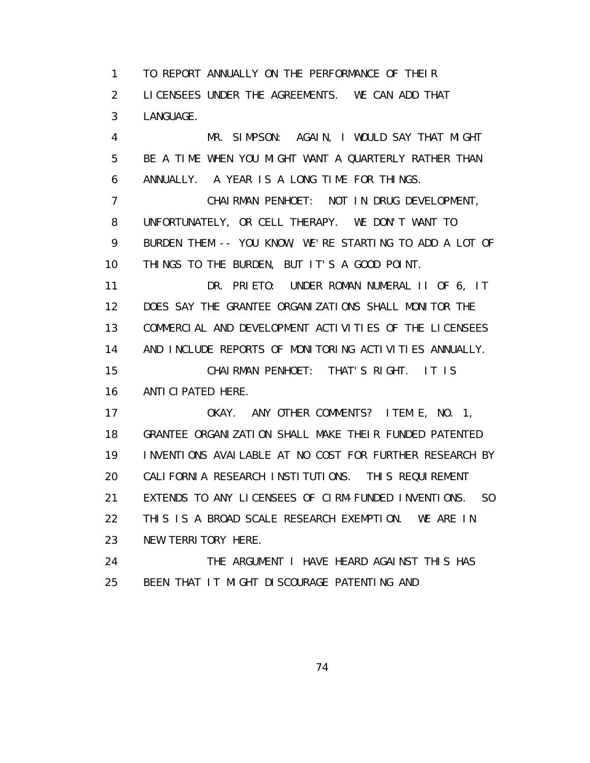1 TO REPORT ANNUALLY ON THE PERFORMANCE OF THEIR 2 LICENSEES UNDER THE AGREEMENTS. WE CAN ADD THAT 3 LANGUAGE.

 4 MR. SIMPSON: AGAIN, I WOULD SAY THAT MIGHT 5 BE A TIME WHEN YOU MIGHT WANT A QUARTERLY RATHER THAN 6 ANNUALLY. A YEAR IS A LONG TIME FOR THINGS. 7 CHAIRMAN PENHOET: NOT IN DRUG DEVELOPMENT, 8 UNFORTUNATELY, OR CELL THERAPY. WE DON'T WANT TO 9 BURDEN THEM -- YOU KNOW, WE'RE STARTING TO ADD A LOT OF 10 THINGS TO THE BURDEN, BUT IT'S A GOOD POINT. 11 DR. PRIETO: UNDER ROMAN NUMERAL II OF 6, IT 12 DOES SAY THE GRANTEE ORGANIZATIONS SHALL MONITOR THE 13 COMMERCIAL AND DEVELOPMENT ACTIVITIES OF THE LICENSEES 14 AND INCLUDE REPORTS OF MONITORING ACTIVITIES ANNUALLY. 15 CHAIRMAN PENHOET: THAT'S RIGHT. IT IS 16 ANTICIPATED HERE. 17 OKAY. ANY OTHER COMMENTS? ITEM E, NO. 1, 18 GRANTEE ORGANIZATION SHALL MAKE THEIR FUNDED PATENTED 19 INVENTIONS AVAILABLE AT NO COST FOR FURTHER RESEARCH BY 20 CALIFORNIA RESEARCH INSTITUTIONS. THIS REQUIREMENT 21 EXTENDS TO ANY LICENSEES OF CIRM-FUNDED INVENTIONS. SO 22 THIS IS A BROAD SCALE RESEARCH EXEMPTION. WE ARE IN

 23 NEW TERRITORY HERE. 24 THE ARGUMENT I HAVE HEARD AGAINST THIS HAS

25 BEEN THAT IT MIGHT DISCOURAGE PATENTING AND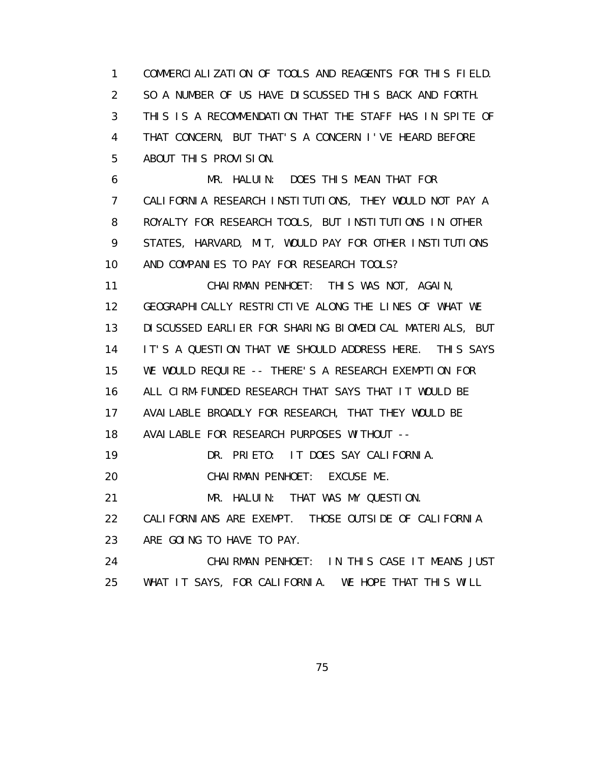1 COMMERCIALIZATION OF TOOLS AND REAGENTS FOR THIS FIELD. 2 SO A NUMBER OF US HAVE DISCUSSED THIS BACK AND FORTH. 3 THIS IS A RECOMMENDATION THAT THE STAFF HAS IN SPITE OF 4 THAT CONCERN, BUT THAT'S A CONCERN I'VE HEARD BEFORE 5 ABOUT THIS PROVISION.

 6 MR. HALUIN: DOES THIS MEAN THAT FOR 7 CALIFORNIA RESEARCH INSTITUTIONS, THEY WOULD NOT PAY A 8 ROYALTY FOR RESEARCH TOOLS, BUT INSTITUTIONS IN OTHER 9 STATES, HARVARD, MIT, WOULD PAY FOR OTHER INSTITUTIONS 10 AND COMPANIES TO PAY FOR RESEARCH TOOLS?

 11 CHAIRMAN PENHOET: THIS WAS NOT, AGAIN, 12 GEOGRAPHICALLY RESTRICTIVE ALONG THE LINES OF WHAT WE 13 DISCUSSED EARLIER FOR SHARING BIOMEDICAL MATERIALS, BUT 14 IT'S A QUESTION THAT WE SHOULD ADDRESS HERE. THIS SAYS 15 WE WOULD REQUIRE -- THERE'S A RESEARCH EXEMPTION FOR 16 ALL CIRM-FUNDED RESEARCH THAT SAYS THAT IT WOULD BE 17 AVAILABLE BROADLY FOR RESEARCH, THAT THEY WOULD BE 18 AVAILABLE FOR RESEARCH PURPOSES WITHOUT -- 19 DR. PRIETO: IT DOES SAY CALIFORNIA. 20 CHAIRMAN PENHOET: EXCUSE ME. 21 MR. HALUIN: THAT WAS MY QUESTION. 22 CALIFORNIANS ARE EXEMPT. THOSE OUTSIDE OF CALIFORNIA 23 ARE GOING TO HAVE TO PAY. 24 CHAIRMAN PENHOET: IN THIS CASE IT MEANS JUST 25 WHAT IT SAYS, FOR CALIFORNIA. WE HOPE THAT THIS WILL

<u>75 and 2012 and 2013 and 2014 and 2014 and 2014 and 2014 and 2014 and 2014 and 2014 and 2014 and 2014 and 20</u>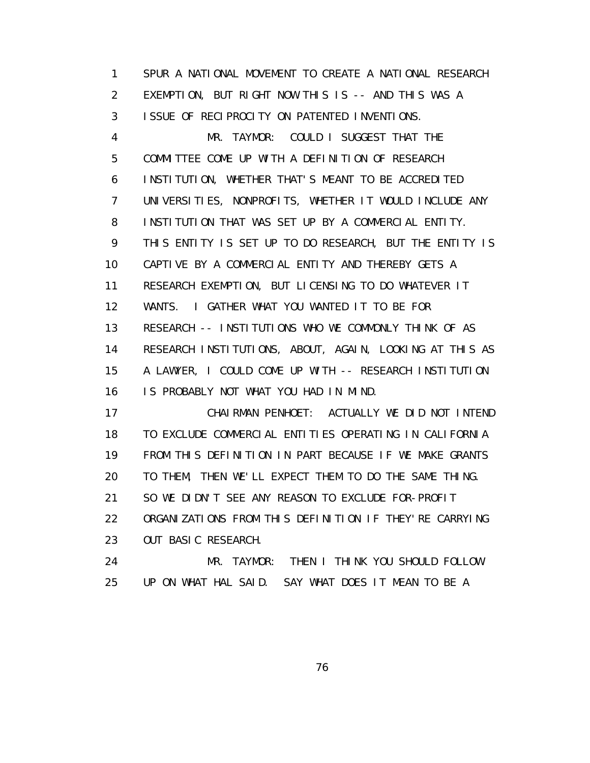1 SPUR A NATIONAL MOVEMENT TO CREATE A NATIONAL RESEARCH 2 EXEMPTION, BUT RIGHT NOW THIS IS -- AND THIS WAS A 3 ISSUE OF RECIPROCITY ON PATENTED INVENTIONS. 4 MR. TAYMOR: COULD I SUGGEST THAT THE 5 COMMITTEE COME UP WITH A DEFINITION OF RESEARCH 6 INSTITUTION, WHETHER THAT'S MEANT TO BE ACCREDITED 7 UNIVERSITIES, NONPROFITS, WHETHER IT WOULD INCLUDE ANY 8 INSTITUTION THAT WAS SET UP BY A COMMERCIAL ENTITY. 9 THIS ENTITY IS SET UP TO DO RESEARCH, BUT THE ENTITY IS 10 CAPTIVE BY A COMMERCIAL ENTITY AND THEREBY GETS A 11 RESEARCH EXEMPTION, BUT LICENSING TO DO WHATEVER IT 12 WANTS. I GATHER WHAT YOU WANTED IT TO BE FOR 13 RESEARCH -- INSTITUTIONS WHO WE COMMONLY THINK OF AS 14 RESEARCH INSTITUTIONS, ABOUT, AGAIN, LOOKING AT THIS AS 15 A LAWYER, I COULD COME UP WITH -- RESEARCH INSTITUTION 16 IS PROBABLY NOT WHAT YOU HAD IN MIND. 17 CHAIRMAN PENHOET: ACTUALLY WE DID NOT INTEND 18 TO EXCLUDE COMMERCIAL ENTITIES OPERATING IN CALIFORNIA 19 FROM THIS DEFINITION IN PART BECAUSE IF WE MAKE GRANTS 20 TO THEM, THEN WE'LL EXPECT THEM TO DO THE SAME THING. 21 SO WE DIDN'T SEE ANY REASON TO EXCLUDE FOR-PROFIT

 22 ORGANIZATIONS FROM THIS DEFINITION IF THEY'RE CARRYING 23 OUT BASIC RESEARCH.

 24 MR. TAYMOR: THEN I THINK YOU SHOULD FOLLOW 25 UP ON WHAT HAL SAID. SAY WHAT DOES IT MEAN TO BE A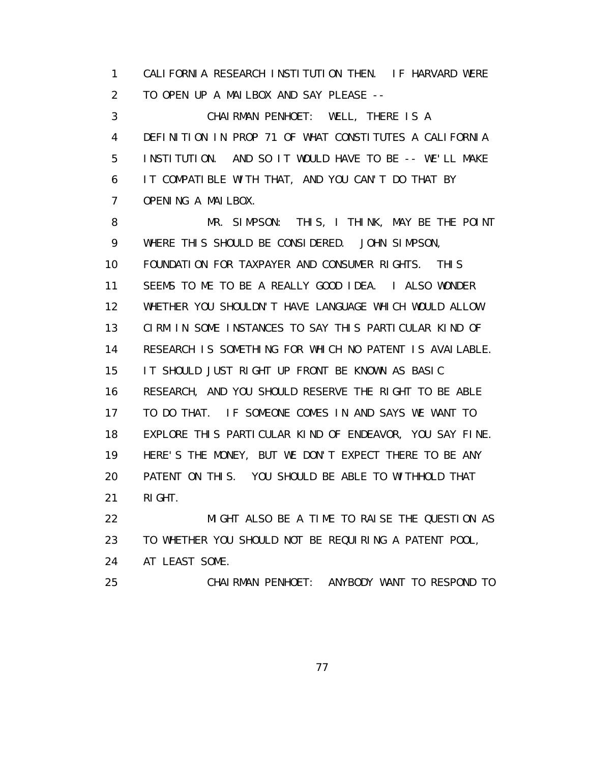1 CALIFORNIA RESEARCH INSTITUTION THEN. IF HARVARD WERE 2 TO OPEN UP A MAILBOX AND SAY PLEASE --

 3 CHAIRMAN PENHOET: WELL, THERE IS A 4 DEFINITION IN PROP 71 OF WHAT CONSTITUTES A CALIFORNIA 5 INSTITUTION. AND SO IT WOULD HAVE TO BE -- WE'LL MAKE 6 IT COMPATIBLE WITH THAT, AND YOU CAN'T DO THAT BY 7 OPENING A MAILBOX.

 8 MR. SIMPSON: THIS, I THINK, MAY BE THE POINT 9 WHERE THIS SHOULD BE CONSIDERED. JOHN SIMPSON, 10 FOUNDATION FOR TAXPAYER AND CONSUMER RIGHTS. THIS 11 SEEMS TO ME TO BE A REALLY GOOD IDEA. I ALSO WONDER 12 WHETHER YOU SHOULDN'T HAVE LANGUAGE WHICH WOULD ALLOW 13 CIRM IN SOME INSTANCES TO SAY THIS PARTICULAR KIND OF 14 RESEARCH IS SOMETHING FOR WHICH NO PATENT IS AVAILABLE. 15 IT SHOULD JUST RIGHT UP FRONT BE KNOWN AS BASIC 16 RESEARCH, AND YOU SHOULD RESERVE THE RIGHT TO BE ABLE 17 TO DO THAT. IF SOMEONE COMES IN AND SAYS WE WANT TO 18 EXPLORE THIS PARTICULAR KIND OF ENDEAVOR, YOU SAY FINE. 19 HERE'S THE MONEY, BUT WE DON'T EXPECT THERE TO BE ANY 20 PATENT ON THIS. YOU SHOULD BE ABLE TO WITHHOLD THAT 21 RIGHT.

 22 MIGHT ALSO BE A TIME TO RAISE THE QUESTION AS 23 TO WHETHER YOU SHOULD NOT BE REQUIRING A PATENT POOL, 24 AT LEAST SOME. 25 CHAIRMAN PENHOET: ANYBODY WANT TO RESPOND TO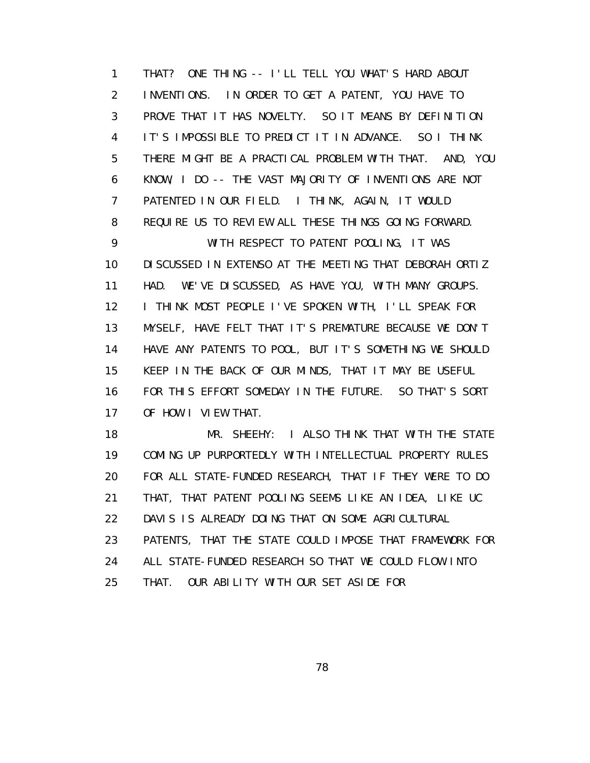1 THAT? ONE THING -- I'LL TELL YOU WHAT'S HARD ABOUT 2 INVENTIONS. IN ORDER TO GET A PATENT, YOU HAVE TO 3 PROVE THAT IT HAS NOVELTY. SO IT MEANS BY DEFINITION 4 IT'S IMPOSSIBLE TO PREDICT IT IN ADVANCE. SO I THINK 5 THERE MIGHT BE A PRACTICAL PROBLEM WITH THAT. AND, YOU 6 KNOW, I DO -- THE VAST MAJORITY OF INVENTIONS ARE NOT 7 PATENTED IN OUR FIELD. I THINK, AGAIN, IT WOULD 8 REQUIRE US TO REVIEW ALL THESE THINGS GOING FORWARD. 9 WITH RESPECT TO PATENT POOLING, IT WAS 10 DISCUSSED IN EXTENSO AT THE MEETING THAT DEBORAH ORTIZ 11 HAD. WE'VE DISCUSSED, AS HAVE YOU, WITH MANY GROUPS. 12 I THINK MOST PEOPLE I'VE SPOKEN WITH, I'LL SPEAK FOR 13 MYSELF, HAVE FELT THAT IT'S PREMATURE BECAUSE WE DON'T 14 HAVE ANY PATENTS TO POOL, BUT IT'S SOMETHING WE SHOULD 15 KEEP IN THE BACK OF OUR MINDS, THAT IT MAY BE USEFUL 16 FOR THIS EFFORT SOMEDAY IN THE FUTURE. SO THAT'S SORT 17 OF HOW I VIEW THAT.

 18 MR. SHEEHY: I ALSO THINK THAT WITH THE STATE 19 COMING UP PURPORTEDLY WITH INTELLECTUAL PROPERTY RULES 20 FOR ALL STATE-FUNDED RESEARCH, THAT IF THEY WERE TO DO 21 THAT, THAT PATENT POOLING SEEMS LIKE AN IDEA, LIKE UC 22 DAVIS IS ALREADY DOING THAT ON SOME AGRICULTURAL 23 PATENTS, THAT THE STATE COULD IMPOSE THAT FRAMEWORK FOR 24 ALL STATE-FUNDED RESEARCH SO THAT WE COULD FLOW INTO 25 THAT. OUR ABILITY WITH OUR SET ASIDE FOR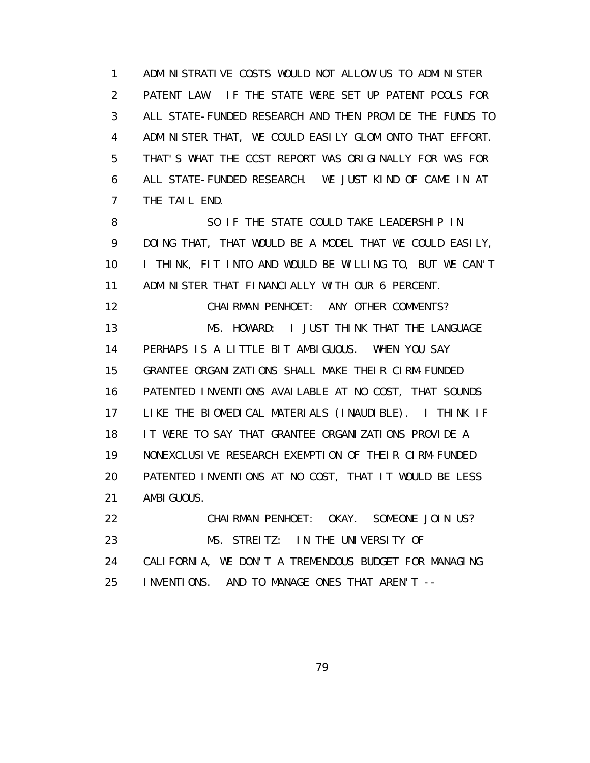1 ADMINISTRATIVE COSTS WOULD NOT ALLOW US TO ADMINISTER 2 PATENT LAW. IF THE STATE WERE SET UP PATENT POOLS FOR 3 ALL STATE-FUNDED RESEARCH AND THEN PROVIDE THE FUNDS TO 4 ADMINISTER THAT, WE COULD EASILY GLOM ONTO THAT EFFORT. 5 THAT'S WHAT THE CCST REPORT WAS ORIGINALLY FOR WAS FOR 6 ALL STATE-FUNDED RESEARCH. WE JUST KIND OF CAME IN AT 7 THE TAIL END.

 8 SO IF THE STATE COULD TAKE LEADERSHIP IN 9 DOING THAT, THAT WOULD BE A MODEL THAT WE COULD EASILY, 10 I THINK, FIT INTO AND WOULD BE WILLING TO, BUT WE CAN'T 11 ADMINISTER THAT FINANCIALLY WITH OUR 6 PERCENT. 12 CHAIRMAN PENHOET: ANY OTHER COMMENTS? 13 MS. HOWARD: I JUST THINK THAT THE LANGUAGE 14 PERHAPS IS A LITTLE BIT AMBIGUOUS. WHEN YOU SAY 15 GRANTEE ORGANIZATIONS SHALL MAKE THEIR CIRM-FUNDED 16 PATENTED INVENTIONS AVAILABLE AT NO COST, THAT SOUNDS 17 LIKE THE BIOMEDICAL MATERIALS (INAUDIBLE). I THINK IF 18 IT WERE TO SAY THAT GRANTEE ORGANIZATIONS PROVIDE A 19 NONEXCLUSIVE RESEARCH EXEMPTION OF THEIR CIRM-FUNDED 20 PATENTED INVENTIONS AT NO COST, THAT IT WOULD BE LESS 21 AMBIGUOUS. 22 CHAIRMAN PENHOET: OKAY. SOMEONE JOIN US?

23 MS. STREITZ: IN THE UNIVERSITY OF 24 CALIFORNIA, WE DON'T A TREMENDOUS BUDGET FOR MANAGING 25 INVENTIONS. AND TO MANAGE ONES THAT AREN'T --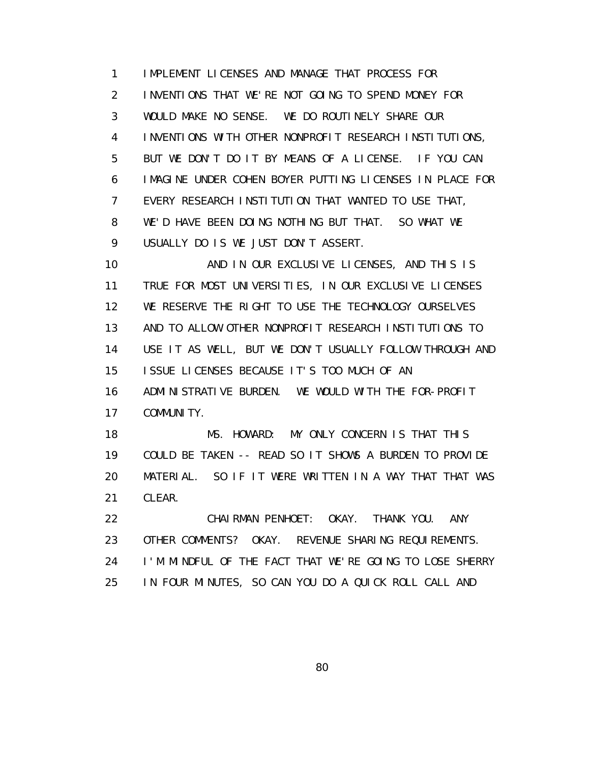1 IMPLEMENT LICENSES AND MANAGE THAT PROCESS FOR 2 INVENTIONS THAT WE'RE NOT GOING TO SPEND MONEY FOR 3 WOULD MAKE NO SENSE. WE DO ROUTINELY SHARE OUR 4 INVENTIONS WITH OTHER NONPROFIT RESEARCH INSTITUTIONS, 5 BUT WE DON'T DO IT BY MEANS OF A LICENSE. IF YOU CAN 6 IMAGINE UNDER COHEN BOYER PUTTING LICENSES IN PLACE FOR 7 EVERY RESEARCH INSTITUTION THAT WANTED TO USE THAT, 8 WE'D HAVE BEEN DOING NOTHING BUT THAT. SO WHAT WE 9 USUALLY DO IS WE JUST DON'T ASSERT.

 10 AND IN OUR EXCLUSIVE LICENSES, AND THIS IS 11 TRUE FOR MOST UNIVERSITIES, IN OUR EXCLUSIVE LICENSES 12 WE RESERVE THE RIGHT TO USE THE TECHNOLOGY OURSELVES 13 AND TO ALLOW OTHER NONPROFIT RESEARCH INSTITUTIONS TO 14 USE IT AS WELL, BUT WE DON'T USUALLY FOLLOW THROUGH AND 15 ISSUE LICENSES BECAUSE IT'S TOO MUCH OF AN 16 ADMINISTRATIVE BURDEN. WE WOULD WITH THE FOR-PROFIT 17 COMMUNITY.

 18 MS. HOWARD: MY ONLY CONCERN IS THAT THIS 19 COULD BE TAKEN -- READ SO IT SHOWS A BURDEN TO PROVIDE 20 MATERIAL. SO IF IT WERE WRITTEN IN A WAY THAT THAT WAS 21 CLEAR.

 22 CHAIRMAN PENHOET: OKAY. THANK YOU. ANY 23 OTHER COMMENTS? OKAY. REVENUE SHARING REQUIREMENTS. 24 I'M MINDFUL OF THE FACT THAT WE'RE GOING TO LOSE SHERRY 25 IN FOUR MINUTES, SO CAN YOU DO A QUICK ROLL CALL AND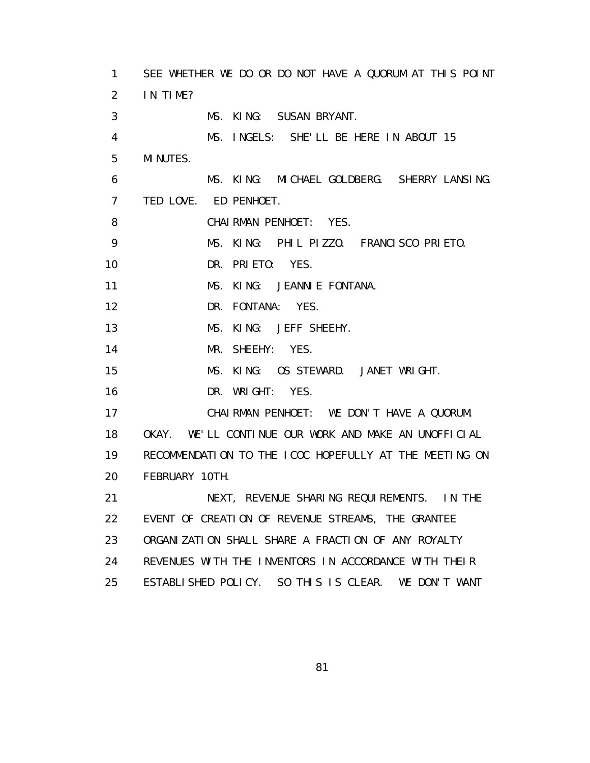| 1              | SEE WHETHER WE DO OR DO NOT HAVE A QUORUM AT THIS POINT |
|----------------|---------------------------------------------------------|
| $\overline{2}$ | IN TIME?                                                |
| 3              | MS. KING: SUSAN BRYANT.                                 |
| 4              | MS. INGELS: SHE'LL BE HERE IN ABOUT 15                  |
| 5              | MI NUTES.                                               |
| 6              | MS. KING: MICHAEL GOLDBERG. SHERRY LANSING.             |
| $\overline{7}$ | TED LOVE. ED PENHOET.                                   |
| 8              | CHAIRMAN PENHOET: YES.                                  |
| 9              | MS. KING: PHIL PIZZO. FRANCISCO PRIETO.                 |
| 10             | DR. PRIETO: YES.                                        |
| 11             | MS. KING: JEANNIE FONTANA.                              |
| 12             | DR. FONTANA: YES.                                       |
| 13             | MS. KING: JEFF SHEEHY.                                  |
| 14             | MR. SHEEHY: YES.                                        |
| 15             | MS. KING: OS STEWARD. JANET WRIGHT.                     |
| 16             | DR. WRIGHT:<br>YES.                                     |
| 17             | CHAIRMAN PENHOET: WE DON'T HAVE A QUORUM.               |
| 18             | OKAY. WE'LL CONTINUE OUR WORK AND MAKE AN UNOFFICIAL    |
| 19             | RECOMMENDATION TO THE ICOC HOPEFULLY AT THE MEETING ON  |
| 20             | FEBRUARY 10TH.                                          |
| 21             | NEXT, REVENUE SHARING REQUIREMENTS. IN THE              |
| 22             | EVENT OF CREATION OF REVENUE STREAMS, THE GRANTEE       |
| 23             | ORGANIZATION SHALL SHARE A FRACTION OF ANY ROYALTY      |
| 24             | REVENUES WITH THE INVENTORS IN ACCORDANCE WITH THEIR    |
| 25             | ESTABLISHED POLICY. SO THIS IS CLEAR.<br>WE DON'T WANT  |

e a construction and the construction of the State of the State of the State of the State of the State of the S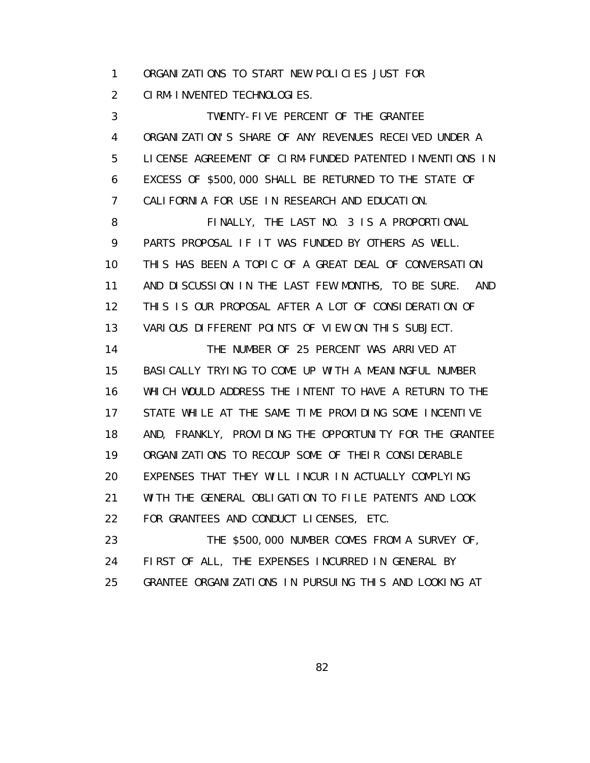1 ORGANIZATIONS TO START NEW POLICIES JUST FOR

2 CIRM-INVENTED TECHNOLOGIES.

 3 TWENTY-FIVE PERCENT OF THE GRANTEE 4 ORGANIZATION'S SHARE OF ANY REVENUES RECEIVED UNDER A 5 LICENSE AGREEMENT OF CIRM-FUNDED PATENTED INVENTIONS IN 6 EXCESS OF \$500,000 SHALL BE RETURNED TO THE STATE OF 7 CALIFORNIA FOR USE IN RESEARCH AND EDUCATION.

 8 FINALLY, THE LAST NO. 3 IS A PROPORTIONAL 9 PARTS PROPOSAL IF IT WAS FUNDED BY OTHERS AS WELL. 10 THIS HAS BEEN A TOPIC OF A GREAT DEAL OF CONVERSATION 11 AND DISCUSSION IN THE LAST FEW MONTHS, TO BE SURE. AND 12 THIS IS OUR PROPOSAL AFTER A LOT OF CONSIDERATION OF 13 VARIOUS DIFFERENT POINTS OF VIEW ON THIS SUBJECT.

 14 THE NUMBER OF 25 PERCENT WAS ARRIVED AT 15 BASICALLY TRYING TO COME UP WITH A MEANINGFUL NUMBER 16 WHICH WOULD ADDRESS THE INTENT TO HAVE A RETURN TO THE 17 STATE WHILE AT THE SAME TIME PROVIDING SOME INCENTIVE 18 AND, FRANKLY, PROVIDING THE OPPORTUNITY FOR THE GRANTEE 19 ORGANIZATIONS TO RECOUP SOME OF THEIR CONSIDERABLE 20 EXPENSES THAT THEY WILL INCUR IN ACTUALLY COMPLYING 21 WITH THE GENERAL OBLIGATION TO FILE PATENTS AND LOOK 22 FOR GRANTEES AND CONDUCT LICENSES, ETC.

 23 THE \$500,000 NUMBER COMES FROM A SURVEY OF, 24 FIRST OF ALL, THE EXPENSES INCURRED IN GENERAL BY 25 GRANTEE ORGANIZATIONS IN PURSUING THIS AND LOOKING AT

<u>82 and 2014 and 2014 and 2014 and 2014 and 2014 and 2014 and 2014 and 2014 and 2014 and 2014 and 2014 and 201</u>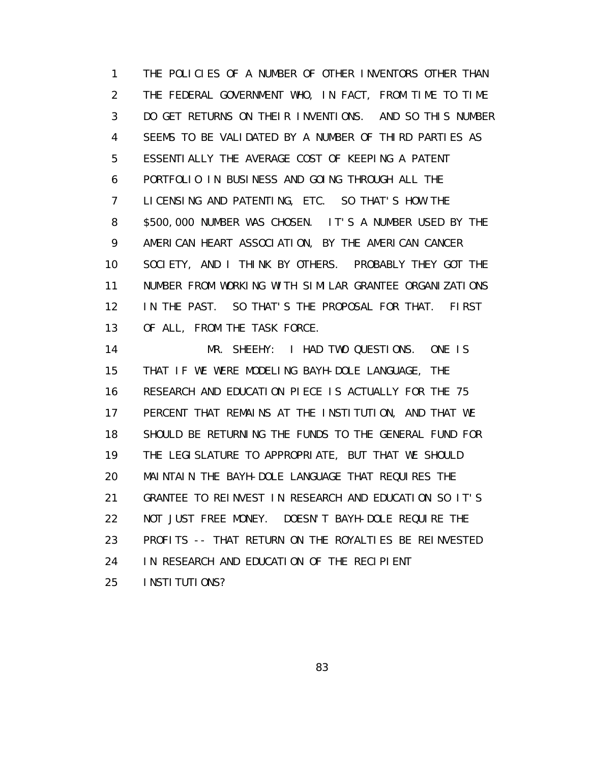1 THE POLICIES OF A NUMBER OF OTHER INVENTORS OTHER THAN 2 THE FEDERAL GOVERNMENT WHO, IN FACT, FROM TIME TO TIME 3 DO GET RETURNS ON THEIR INVENTIONS. AND SO THIS NUMBER 4 SEEMS TO BE VALIDATED BY A NUMBER OF THIRD PARTIES AS 5 ESSENTIALLY THE AVERAGE COST OF KEEPING A PATENT 6 PORTFOLIO IN BUSINESS AND GOING THROUGH ALL THE 7 LICENSING AND PATENTING, ETC. SO THAT'S HOW THE 8 \$500,000 NUMBER WAS CHOSEN. IT'S A NUMBER USED BY THE 9 AMERICAN HEART ASSOCIATION, BY THE AMERICAN CANCER 10 SOCIETY, AND I THINK BY OTHERS. PROBABLY THEY GOT THE 11 NUMBER FROM WORKING WITH SIMILAR GRANTEE ORGANIZATIONS 12 IN THE PAST. SO THAT'S THE PROPOSAL FOR THAT. FIRST 13 OF ALL, FROM THE TASK FORCE.

 14 MR. SHEEHY: I HAD TWO QUESTIONS. ONE IS 15 THAT IF WE WERE MODELING BAYH-DOLE LANGUAGE, THE 16 RESEARCH AND EDUCATION PIECE IS ACTUALLY FOR THE 75 17 PERCENT THAT REMAINS AT THE INSTITUTION, AND THAT WE 18 SHOULD BE RETURNING THE FUNDS TO THE GENERAL FUND FOR 19 THE LEGISLATURE TO APPROPRIATE, BUT THAT WE SHOULD 20 MAINTAIN THE BAYH-DOLE LANGUAGE THAT REQUIRES THE 21 GRANTEE TO REINVEST IN RESEARCH AND EDUCATION SO IT'S 22 NOT JUST FREE MONEY. DOESN'T BAYH-DOLE REQUIRE THE 23 PROFITS -- THAT RETURN ON THE ROYALTIES BE REINVESTED 24 IN RESEARCH AND EDUCATION OF THE RECIPIENT 25 INSTITUTIONS?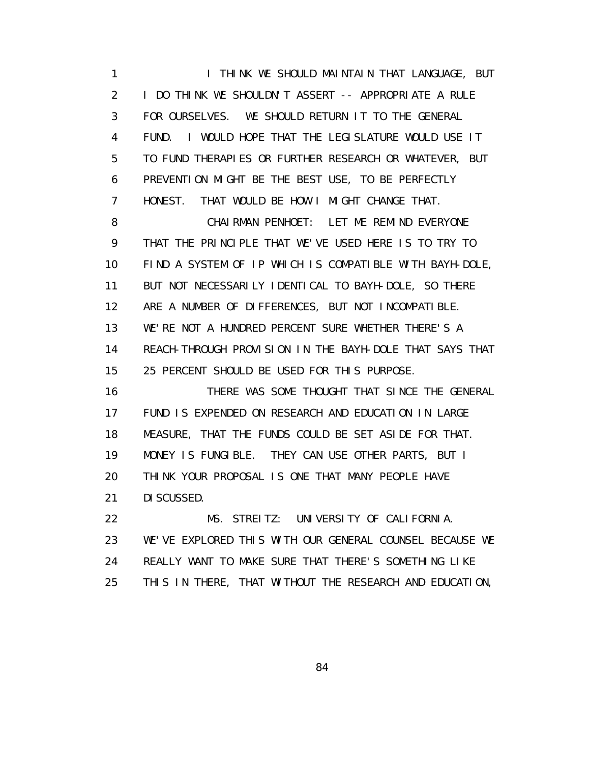1 **I THINK WE SHOULD MAINTAIN THAT LANGUAGE, BUT**  2 I DO THINK WE SHOULDN'T ASSERT -- APPROPRIATE A RULE 3 FOR OURSELVES. WE SHOULD RETURN IT TO THE GENERAL 4 FUND. I WOULD HOPE THAT THE LEGISLATURE WOULD USE IT 5 TO FUND THERAPIES OR FURTHER RESEARCH OR WHATEVER, BUT 6 PREVENTION MIGHT BE THE BEST USE, TO BE PERFECTLY 7 HONEST. THAT WOULD BE HOW I MIGHT CHANGE THAT. 8 CHAIRMAN PENHOET: LET ME REMIND EVERYONE 9 THAT THE PRINCIPLE THAT WE'VE USED HERE IS TO TRY TO 10 FIND A SYSTEM OF IP WHICH IS COMPATIBLE WITH BAYH-DOLE, 11 BUT NOT NECESSARILY IDENTICAL TO BAYH-DOLE, SO THERE 12 ARE A NUMBER OF DIFFERENCES, BUT NOT INCOMPATIBLE. 13 WE'RE NOT A HUNDRED PERCENT SURE WHETHER THERE'S A 14 REACH-THROUGH PROVISION IN THE BAYH-DOLE THAT SAYS THAT 15 25 PERCENT SHOULD BE USED FOR THIS PURPOSE. 16 THERE WAS SOME THOUGHT THAT SINCE THE GENERAL 17 FUND IS EXPENDED ON RESEARCH AND EDUCATION IN LARGE 18 MEASURE, THAT THE FUNDS COULD BE SET ASIDE FOR THAT. 19 MONEY IS FUNGIBLE. THEY CAN USE OTHER PARTS, BUT I 20 THINK YOUR PROPOSAL IS ONE THAT MANY PEOPLE HAVE 21 DISCUSSED. 22 MS. STREITZ: UNIVERSITY OF CALIFORNIA. 23 WE'VE EXPLORED THIS WITH OUR GENERAL COUNSEL BECAUSE WE 24 REALLY WANT TO MAKE SURE THAT THERE'S SOMETHING LIKE

25 THIS IN THERE, THAT WITHOUT THE RESEARCH AND EDUCATION,

<u>84 and 2012 and 2013</u>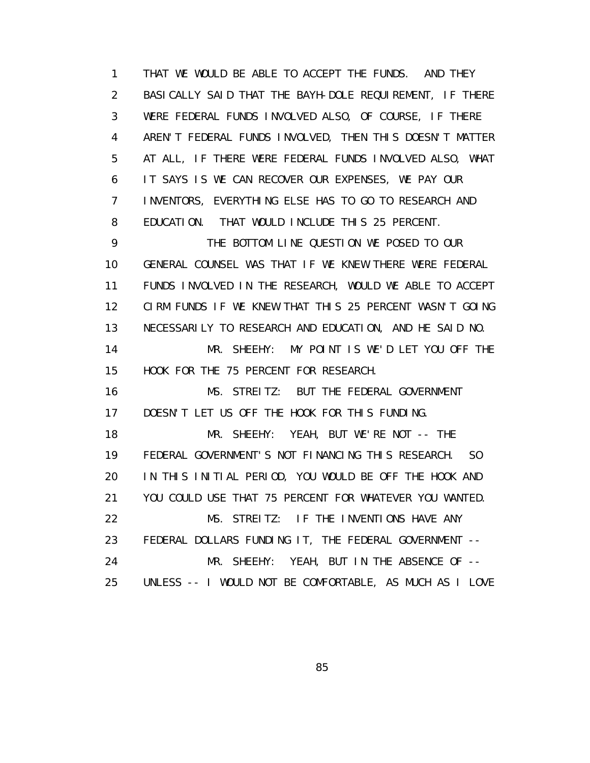1 THAT WE WOULD BE ABLE TO ACCEPT THE FUNDS. AND THEY 2 BASICALLY SAID THAT THE BAYH-DOLE REQUIREMENT, IF THERE 3 WERE FEDERAL FUNDS INVOLVED ALSO, OF COURSE, IF THERE 4 AREN'T FEDERAL FUNDS INVOLVED, THEN THIS DOESN'T MATTER 5 AT ALL, IF THERE WERE FEDERAL FUNDS INVOLVED ALSO, WHAT 6 IT SAYS IS WE CAN RECOVER OUR EXPENSES, WE PAY OUR 7 INVENTORS, EVERYTHING ELSE HAS TO GO TO RESEARCH AND 8 EDUCATION. THAT WOULD INCLUDE THIS 25 PERCENT. 9 THE BOTTOM LINE QUESTION WE POSED TO OUR 10 GENERAL COUNSEL WAS THAT IF WE KNEW THERE WERE FEDERAL 11 FUNDS INVOLVED IN THE RESEARCH, WOULD WE ABLE TO ACCEPT 12 CIRM FUNDS IF WE KNEW THAT THIS 25 PERCENT WASN'T GOING 13 NECESSARILY TO RESEARCH AND EDUCATION, AND HE SAID NO. 14 MR. SHEEHY: MY POINT IS WE'D LET YOU OFF THE 15 HOOK FOR THE 75 PERCENT FOR RESEARCH. 16 MS. STREITZ: BUT THE FEDERAL GOVERNMENT 17 DOESN'T LET US OFF THE HOOK FOR THIS FUNDING. 18 MR. SHEEHY: YEAH, BUT WE'RE NOT -- THE 19 FEDERAL GOVERNMENT'S NOT FINANCING THIS RESEARCH. SO 20 IN THIS INITIAL PERIOD, YOU WOULD BE OFF THE HOOK AND 21 YOU COULD USE THAT 75 PERCENT FOR WHATEVER YOU WANTED. 22 MS. STREITZ: IF THE INVENTIONS HAVE ANY 23 FEDERAL DOLLARS FUNDING IT, THE FEDERAL GOVERNMENT -- 24 MR. SHEEHY: YEAH, BUT IN THE ABSENCE OF -- 25 UNLESS -- I WOULD NOT BE COMFORTABLE, AS MUCH AS I LOVE

<u>85 and 2008 and 2008 and 2008 and 2008 and 2008 and 2008 and 2008 and 2008 and 2008 and 2008 and 2008 and 200</u>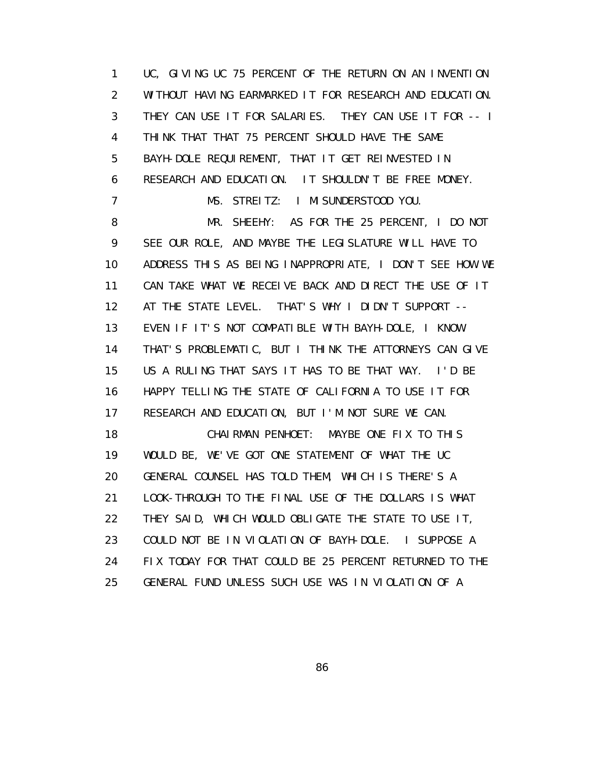1 UC, GIVING UC 75 PERCENT OF THE RETURN ON AN INVENTION 2 WITHOUT HAVING EARMARKED IT FOR RESEARCH AND EDUCATION. 3 THEY CAN USE IT FOR SALARIES. THEY CAN USE IT FOR -- I 4 THINK THAT THAT 75 PERCENT SHOULD HAVE THE SAME 5 BAYH-DOLE REQUIREMENT, THAT IT GET REINVESTED IN 6 RESEARCH AND EDUCATION. IT SHOULDN'T BE FREE MONEY. 7 MS. STREITZ: I MISUNDERSTOOD YOU. 8 MR. SHEEHY: AS FOR THE 25 PERCENT, I DO NOT 9 SEE OUR ROLE, AND MAYBE THE LEGISLATURE WILL HAVE TO 10 ADDRESS THIS AS BEING INAPPROPRIATE, I DON'T SEE HOW WE 11 CAN TAKE WHAT WE RECEIVE BACK AND DIRECT THE USE OF IT 12 AT THE STATE LEVEL. THAT'S WHY I DIDN'T SUPPORT -- 13 EVEN IF IT'S NOT COMPATIBLE WITH BAYH-DOLE, I KNOW 14 THAT'S PROBLEMATIC, BUT I THINK THE ATTORNEYS CAN GIVE 15 US A RULING THAT SAYS IT HAS TO BE THAT WAY. I'D BE 16 HAPPY TELLING THE STATE OF CALIFORNIA TO USE IT FOR 17 RESEARCH AND EDUCATION, BUT I'M NOT SURE WE CAN. 18 CHAIRMAN PENHOET: MAYBE ONE FIX TO THIS 19 WOULD BE, WE'VE GOT ONE STATEMENT OF WHAT THE UC 20 GENERAL COUNSEL HAS TOLD THEM, WHICH IS THERE'S A 21 LOOK-THROUGH TO THE FINAL USE OF THE DOLLARS IS WHAT 22 THEY SAID, WHICH WOULD OBLIGATE THE STATE TO USE IT, 23 COULD NOT BE IN VIOLATION OF BAYH-DOLE. I SUPPOSE A 24 FIX TODAY FOR THAT COULD BE 25 PERCENT RETURNED TO THE 25 GENERAL FUND UNLESS SUCH USE WAS IN VIOLATION OF A

<u>and the second second second second second second second second second second second second second second second second second second second second second second second second second second second second second second sec</u>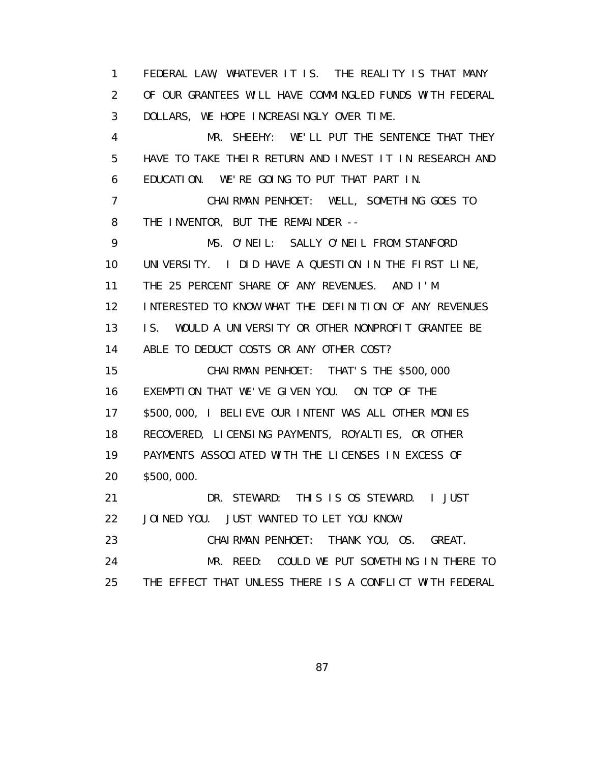1 FEDERAL LAW, WHATEVER IT IS. THE REALITY IS THAT MANY 2 OF OUR GRANTEES WILL HAVE COMMINGLED FUNDS WITH FEDERAL 3 DOLLARS, WE HOPE INCREASINGLY OVER TIME.

 4 MR. SHEEHY: WE'LL PUT THE SENTENCE THAT THEY 5 HAVE TO TAKE THEIR RETURN AND INVEST IT IN RESEARCH AND 6 EDUCATION. WE'RE GOING TO PUT THAT PART IN.

 7 CHAIRMAN PENHOET: WELL, SOMETHING GOES TO 8 THE INVENTOR, BUT THE REMAINDER --

 9 MS. O'NEIL: SALLY O'NEIL FROM STANFORD 10 UNIVERSITY. I DID HAVE A QUESTION IN THE FIRST LINE, 11 THE 25 PERCENT SHARE OF ANY REVENUES. AND I'M 12 INTERESTED TO KNOW WHAT THE DEFINITION OF ANY REVENUES 13 IS. WOULD A UNIVERSITY OR OTHER NONPROFIT GRANTEE BE 14 ABLE TO DEDUCT COSTS OR ANY OTHER COST? 15 CHAIRMAN PENHOET: THAT'S THE \$500,000 16 EXEMPTION THAT WE'VE GIVEN YOU. ON TOP OF THE 17 \$500,000, I BELIEVE OUR INTENT WAS ALL OTHER MONIES 18 RECOVERED, LICENSING PAYMENTS, ROYALTIES, OR OTHER 19 PAYMENTS ASSOCIATED WITH THE LICENSES IN EXCESS OF 20 \$500,000. 21 DR. STEWARD: THIS IS OS STEWARD. I JUST 22 JOINED YOU. JUST WANTED TO LET YOU KNOW. 23 CHAIRMAN PENHOET: THANK YOU, OS. GREAT. 24 MR. REED: COULD WE PUT SOMETHING IN THERE TO

25 THE EFFECT THAT UNLESS THERE IS A CONFLICT WITH FEDERAL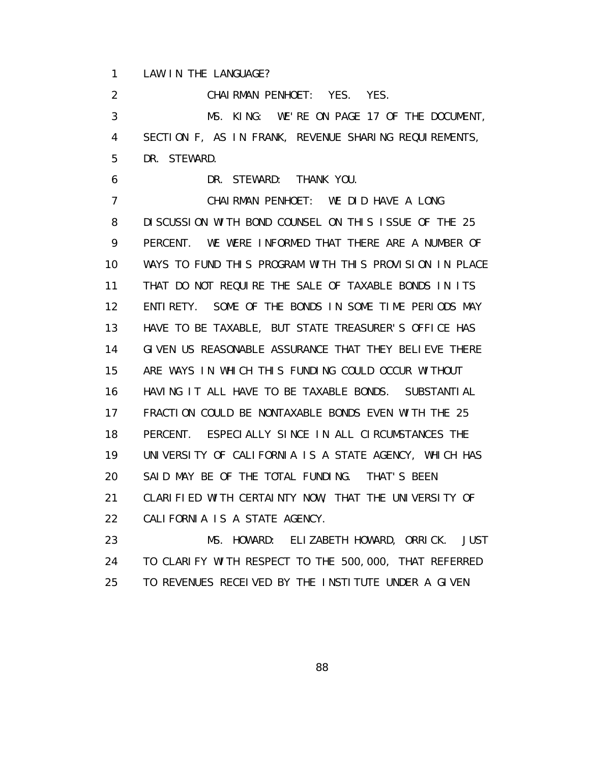1 LAW IN THE LANGUAGE?

2 CHAIRMAN PENHOET: YES. YES.

 3 MS. KING: WE'RE ON PAGE 17 OF THE DOCUMENT, 4 SECTION F, AS IN FRANK, REVENUE SHARING REQUIREMENTS, 5 DR. STEWARD.

6 DR. STEWARD: THANK YOU.

 7 CHAIRMAN PENHOET: WE DID HAVE A LONG 8 DISCUSSION WITH BOND COUNSEL ON THIS ISSUE OF THE 25 9 PERCENT. WE WERE INFORMED THAT THERE ARE A NUMBER OF 10 WAYS TO FUND THIS PROGRAM WITH THIS PROVISION IN PLACE 11 THAT DO NOT REQUIRE THE SALE OF TAXABLE BONDS IN ITS 12 ENTIRETY. SOME OF THE BONDS IN SOME TIME PERIODS MAY 13 HAVE TO BE TAXABLE, BUT STATE TREASURER'S OFFICE HAS 14 GIVEN US REASONABLE ASSURANCE THAT THEY BELIEVE THERE 15 ARE WAYS IN WHICH THIS FUNDING COULD OCCUR WITHOUT 16 HAVING IT ALL HAVE TO BE TAXABLE BONDS. SUBSTANTIAL 17 FRACTION COULD BE NONTAXABLE BONDS EVEN WITH THE 25 18 PERCENT. ESPECIALLY SINCE IN ALL CIRCUMSTANCES THE 19 UNIVERSITY OF CALIFORNIA IS A STATE AGENCY, WHICH HAS 20 SAID MAY BE OF THE TOTAL FUNDING. THAT'S BEEN 21 CLARIFIED WITH CERTAINTY NOW, THAT THE UNIVERSITY OF 22 CALIFORNIA IS A STATE AGENCY.

 23 MS. HOWARD: ELIZABETH HOWARD, ORRICK. JUST 24 TO CLARIFY WITH RESPECT TO THE 500,000, THAT REFERRED 25 TO REVENUES RECEIVED BY THE INSTITUTE UNDER A GIVEN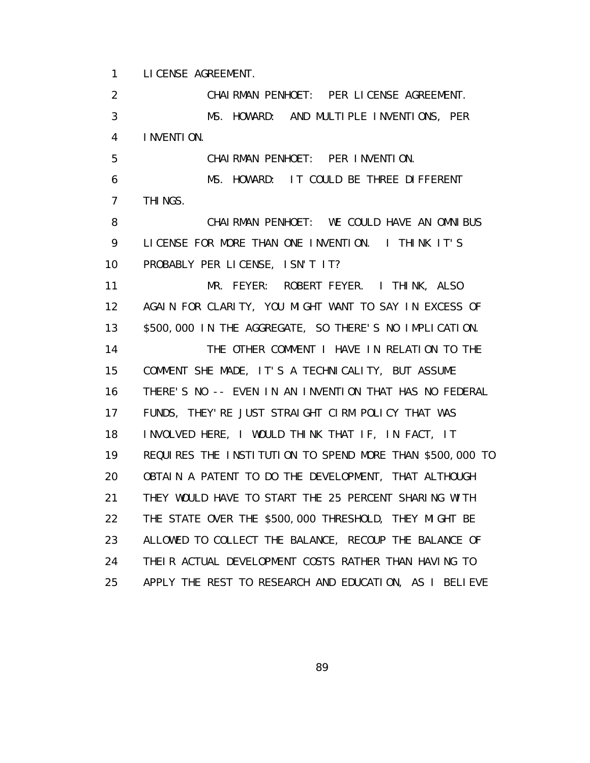1 LICENSE AGREEMENT.

 2 CHAIRMAN PENHOET: PER LICENSE AGREEMENT. 3 MS. HOWARD: AND MULTIPLE INVENTIONS, PER 4 INVENTION. 5 CHAIRMAN PENHOET: PER INVENTION. 6 MS. HOWARD: IT COULD BE THREE DIFFERENT 7 THINGS. 8 CHAIRMAN PENHOET: WE COULD HAVE AN OMNIBUS 9 LICENSE FOR MORE THAN ONE INVENTION. I THINK IT'S 10 PROBABLY PER LICENSE, ISN'T IT? 11 MR. FEYER: ROBERT FEYER. I THINK, ALSO 12 AGAIN FOR CLARITY, YOU MIGHT WANT TO SAY IN EXCESS OF 13 \$500,000 IN THE AGGREGATE, SO THERE'S NO IMPLICATION. 14 THE OTHER COMMENT I HAVE IN RELATION TO THE 15 COMMENT SHE MADE, IT'S A TECHNICALITY, BUT ASSUME 16 THERE'S NO -- EVEN IN AN INVENTION THAT HAS NO FEDERAL 17 FUNDS, THEY'RE JUST STRAIGHT CIRM POLICY THAT WAS 18 INVOLVED HERE, I WOULD THINK THAT IF, IN FACT, IT 19 REQUIRES THE INSTITUTION TO SPEND MORE THAN \$500,000 TO 20 OBTAIN A PATENT TO DO THE DEVELOPMENT, THAT ALTHOUGH 21 THEY WOULD HAVE TO START THE 25 PERCENT SHARING WITH 22 THE STATE OVER THE \$500,000 THRESHOLD, THEY MIGHT BE 23 ALLOWED TO COLLECT THE BALANCE, RECOUP THE BALANCE OF 24 THEIR ACTUAL DEVELOPMENT COSTS RATHER THAN HAVING TO 25 APPLY THE REST TO RESEARCH AND EDUCATION, AS I BELIEVE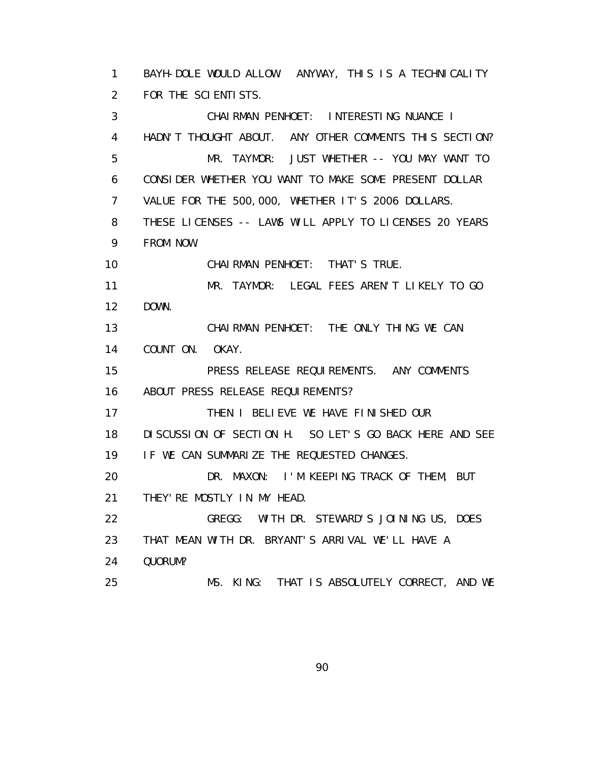1 BAYH-DOLE WOULD ALLOW. ANYWAY, THIS IS A TECHNICALITY 2 FOR THE SCIENTISTS. 3 CHAIRMAN PENHOET: INTERESTING NUANCE I 4 HADN'T THOUGHT ABOUT. ANY OTHER COMMENTS THIS SECTION? 5 MR. TAYMOR: JUST WHETHER -- YOU MAY WANT TO 6 CONSIDER WHETHER YOU WANT TO MAKE SOME PRESENT DOLLAR 7 VALUE FOR THE 500,000, WHETHER IT'S 2006 DOLLARS. 8 THESE LICENSES -- LAWS WILL APPLY TO LICENSES 20 YEARS 9 FROM NOW. 10 CHAIRMAN PENHOET: THAT'S TRUE. 11 MR. TAYMOR: LEGAL FEES AREN'T LIKELY TO GO 12 DOWN. 13 CHAIRMAN PENHOET: THE ONLY THING WE CAN 14 COUNT ON. OKAY. 15 PRESS RELEASE REQUIREMENTS. ANY COMMENTS 16 ABOUT PRESS RELEASE REQUI REMENTS? 17 THEN I BELIEVE WE HAVE FINISHED OUR 18 DISCUSSION OF SECTION H. SO LET'S GO BACK HERE AND SEE 19 IF WE CAN SUMMARIZE THE REQUESTED CHANGES. 20 DR. MAXON: I'M KEEPING TRACK OF THEM, BUT 21 THEY'RE MOSTLY IN MY HEAD. 22 GREGG: WITH DR. STEWARD'S JOINING US, DOES 23 THAT MEAN WITH DR. BRYANT'S ARRIVAL WE'LL HAVE A 24 QUORUM? 25 MS. KING: THAT IS ABSOLUTELY CORRECT, AND WE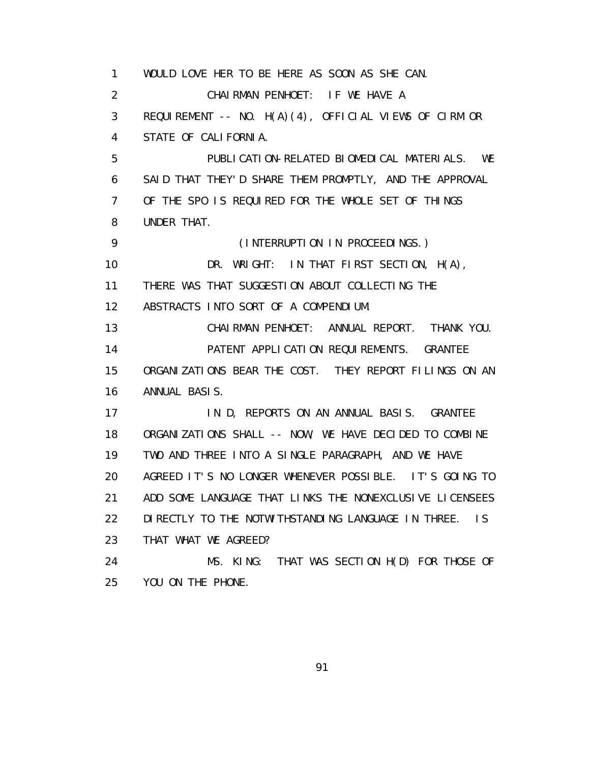1 WOULD LOVE HER TO BE HERE AS SOON AS SHE CAN. 2 CHAIRMAN PENHOET: IF WE HAVE A 3 REQUIREMENT -- NO. H(A)(4), OFFICIAL VIEWS OF CIRM OR 4 STATE OF CALIFORNIA. 5 PUBLICATION-RELATED BIOMEDICAL MATERIALS. WE 6 SAID THAT THEY'D SHARE THEM PROMPTLY, AND THE APPROVAL 7 OF THE SPO IS REQUIRED FOR THE WHOLE SET OF THINGS 8 UNDER THAT. 9 (INTERRUPTION IN PROCEEDINGS.) 10 DR. WRIGHT: IN THAT FIRST SECTION, H(A), 11 THERE WAS THAT SUGGESTION ABOUT COLLECTING THE 12 ABSTRACTS INTO SORT OF A COMPENDIUM. 13 CHAIRMAN PENHOET: ANNUAL REPORT. THANK YOU. 14 PATENT APPLICATION REQUIREMENTS. GRANTEE 15 ORGANIZATIONS BEAR THE COST. THEY REPORT FILINGS ON AN 16 ANNUAL BASIS. 17 IN D, REPORTS ON AN ANNUAL BASIS. GRANTEE 18 ORGANIZATIONS SHALL -- NOW, WE HAVE DECIDED TO COMBINE 19 TWO AND THREE INTO A SINGLE PARAGRAPH, AND WE HAVE 20 AGREED IT'S NO LONGER WHENEVER POSSIBLE. IT'S GOING TO 21 ADD SOME LANGUAGE THAT LINKS THE NONEXCLUSIVE LICENSEES 22 DI RECTLY TO THE NOTWITHSTANDING LANGUAGE IN THREE. IS 23 THAT WHAT WE AGREED? 24 MS. KING: THAT WAS SECTION H(D) FOR THOSE OF 25 YOU ON THE PHONE.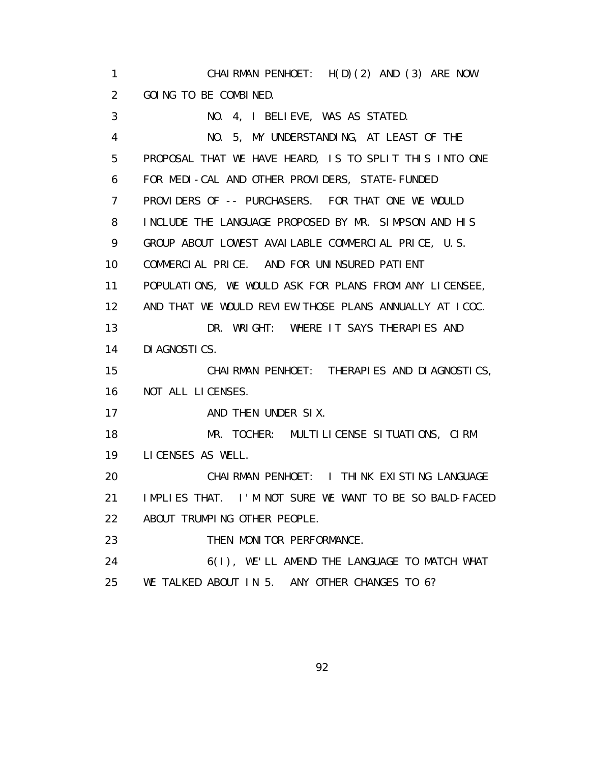1 CHAIRMAN PENHOET: H(D)(2) AND (3) ARE NOW 2 GOING TO BE COMBINED. 3 NO. 4, I BELIEVE, WAS AS STATED. 4 NO. 5, MY UNDERSTANDING, AT LEAST OF THE 5 PROPOSAL THAT WE HAVE HEARD, IS TO SPLIT THIS INTO ONE 6 FOR MEDI-CAL AND OTHER PROVIDERS, STATE-FUNDED 7 PROVIDERS OF -- PURCHASERS. FOR THAT ONE WE WOULD 8 INCLUDE THE LANGUAGE PROPOSED BY MR. SIMPSON AND HIS 9 GROUP ABOUT LOWEST AVAILABLE COMMERCIAL PRICE, U.S. 10 COMMERCIAL PRICE. AND FOR UNINSURED PATIENT 11 POPULATIONS, WE WOULD ASK FOR PLANS FROM ANY LICENSEE, 12 AND THAT WE WOULD REVIEW THOSE PLANS ANNUALLY AT ICOC. 13 DR. WRIGHT: WHERE IT SAYS THERAPIES AND 14 DIAGNOSTICS. 15 CHAIRMAN PENHOET: THERAPIES AND DIAGNOSTICS, 16 NOT ALL LICENSES. 17 AND THEN UNDER SIX. 18 MR. TOCHER: MULTILICENSE SITUATIONS, CIRM 19 LICENSES AS WELL. 20 CHAIRMAN PENHOET: I THINK EXISTING LANGUAGE 21 IMPLIES THAT. I'M NOT SURE WE WANT TO BE SO BALD-FACED 22 ABOUT TRUMPING OTHER PEOPLE. 23 THEN MONITOR PERFORMANCE. 24 6(I), WE'LL AMEND THE LANGUAGE TO MATCH WHAT 25 WE TALKED ABOUT IN 5. ANY OTHER CHANGES TO 6?

<u>92 and 2011 and 2012 and 2012 and 2012 and 2012 and 2012 and 2012 and 2012 and 2012 and 2012 and 2012 and 201</u>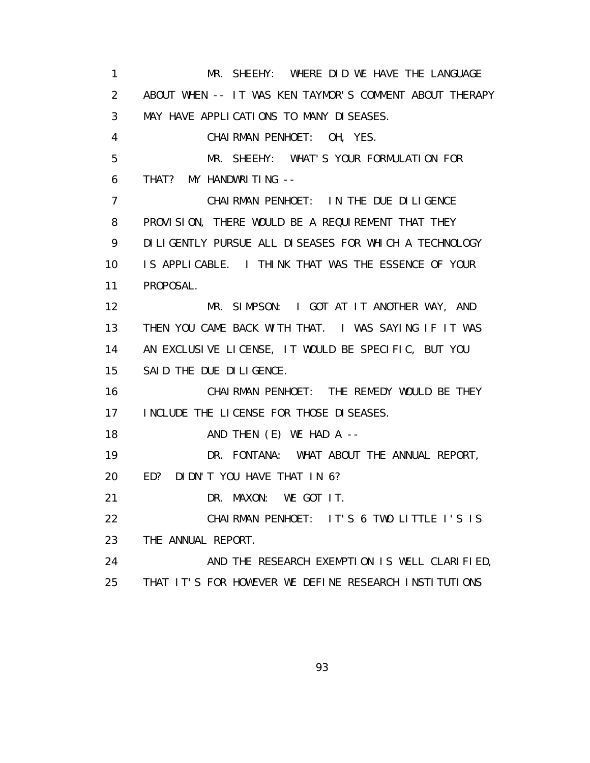1 MR. SHEEHY: WHERE DID WE HAVE THE LANGUAGE 2 ABOUT WHEN -- IT WAS KEN TAYMOR'S COMMENT ABOUT THERAPY 3 MAY HAVE APPLICATIONS TO MANY DISEASES. 4 CHAIRMAN PENHOET: OH, YES. 5 MR. SHEEHY: WHAT'S YOUR FORMULATION FOR 6 THAT? MY HANDWRITING -- 7 CHAIRMAN PENHOET: IN THE DUE DILIGENCE 8 PROVISION, THERE WOULD BE A REQUIREMENT THAT THEY 9 DILIGENTLY PURSUE ALL DISEASES FOR WHICH A TECHNOLOGY 10 IS APPLICABLE. I THINK THAT WAS THE ESSENCE OF YOUR 11 PROPOSAL. 12 MR. SIMPSON: I GOT AT IT ANOTHER WAY, AND 13 THEN YOU CAME BACK WITH THAT. I WAS SAYING IF IT WAS 14 AN EXCLUSIVE LICENSE, IT WOULD BE SPECIFIC, BUT YOU 15 SAID THE DUE DILIGENCE. 16 CHAIRMAN PENHOET: THE REMEDY WOULD BE THEY 17 INCLUDE THE LICENSE FOR THOSE DISEASES. 18 AND THEN (E) WE HAD A -- 19 DR. FONTANA: WHAT ABOUT THE ANNUAL REPORT, 20 ED? DIDN'T YOU HAVE THAT IN 6? 21 DR. MAXON: WE GOT IT. 22 CHAIRMAN PENHOET: IT'S 6 TWO LITTLE I'S IS 23 THE ANNUAL REPORT. 24 AND THE RESEARCH EXEMPTION IS WELL CLARIFIED, 25 THAT IT'S FOR HOWEVER WE DEFINE RESEARCH INSTITUTIONS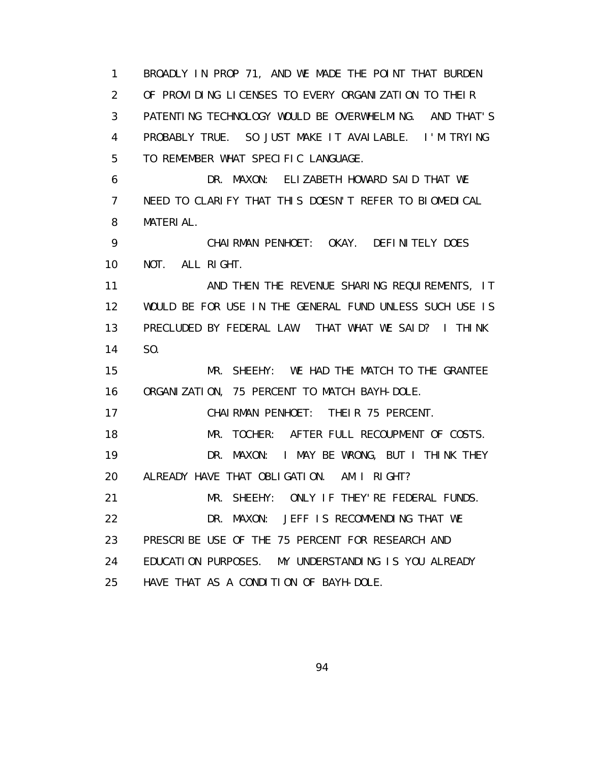1 BROADLY IN PROP 71, AND WE MADE THE POINT THAT BURDEN 2 OF PROVIDING LICENSES TO EVERY ORGANIZATION TO THEIR 3 PATENTING TECHNOLOGY WOULD BE OVERWHELMING. AND THAT'S 4 PROBABLY TRUE. SO JUST MAKE IT AVAILABLE. I'M TRYING 5 TO REMEMBER WHAT SPECIFIC LANGUAGE. 6 DR. MAXON: ELIZABETH HOWARD SAID THAT WE 7 NEED TO CLARIFY THAT THIS DOESN'T REFER TO BIOMEDICAL 8 MATERIAL. 9 CHAIRMAN PENHOET: OKAY. DEFINITELY DOES 10 NOT. ALL RIGHT. 11 AND THEN THE REVENUE SHARING REQUIREMENTS, IT 12 WOULD BE FOR USE IN THE GENERAL FUND UNLESS SUCH USE IS 13 PRECLUDED BY FEDERAL LAW. THAT WHAT WE SAID? I THINK 14 SO. 15 MR. SHEEHY: WE HAD THE MATCH TO THE GRANTEE 16 ORGANIZATION, 75 PERCENT TO MATCH BAYH-DOLE. 17 CHAIRMAN PENHOET: THEIR 75 PERCENT. 18 MR. TOCHER: AFTER FULL RECOUPMENT OF COSTS. 19 DR. MAXON: I MAY BE WRONG, BUT I THINK THEY 20 ALREADY HAVE THAT OBLIGATION. AM I RIGHT? 21 MR. SHEEHY: ONLY IF THEY'RE FEDERAL FUNDS. 22 DR. MAXON: JEFF IS RECOMMENDING THAT WE 23 PRESCRIBE USE OF THE 75 PERCENT FOR RESEARCH AND 24 EDUCATION PURPOSES. MY UNDERSTANDING IS YOU ALREADY 25 HAVE THAT AS A CONDITION OF BAYH-DOLE.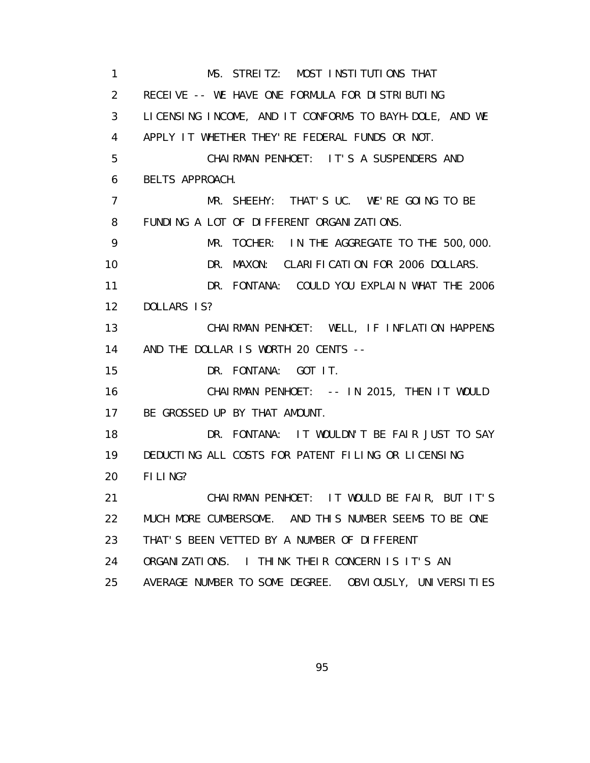1 MS. STREITZ: MOST INSTITUTIONS THAT 2 RECEIVE -- WE HAVE ONE FORMULA FOR DISTRIBUTING 3 LICENSING INCOME, AND IT CONFORMS TO BAYH-DOLE, AND WE 4 APPLY IT WHETHER THEY'RE FEDERAL FUNDS OR NOT. 5 CHAIRMAN PENHOET: IT'S A SUSPENDERS AND 6 BELTS APPROACH. 7 MR. SHEEHY: THAT'S UC. WE'RE GOING TO BE 8 FUNDING A LOT OF DIFFERENT ORGANIZATIONS. 9 MR. TOCHER: IN THE AGGREGATE TO THE 500,000. 10 DR. MAXON: CLARIFICATION FOR 2006 DOLLARS. 11 DR. FONTANA: COULD YOU EXPLAIN WHAT THE 2006 12 DOLLARS IS? 13 CHAIRMAN PENHOET: WELL, IF INFLATION HAPPENS 14 AND THE DOLLAR IS WORTH 20 CENTS -- 15 DR. FONTANA: GOT IT. 16 CHAIRMAN PENHOET: -- IN 2015, THEN IT WOULD 17 BE GROSSED UP BY THAT AMOUNT. 18 DR. FONTANA: IT WOULDN'T BE FAIR JUST TO SAY 19 DEDUCTING ALL COSTS FOR PATENT FILING OR LICENSING 20 FILING? 21 CHAIRMAN PENHOET: IT WOULD BE FAIR, BUT IT'S 22 MUCH MORE CUMBERSOME. AND THIS NUMBER SEEMS TO BE ONE 23 THAT'S BEEN VETTED BY A NUMBER OF DIFFERENT 24 ORGANIZATIONS. I THINK THEIR CONCERN IS IT'S AN 25 AVERAGE NUMBER TO SOME DEGREE. OBVIOUSLY, UNIVERSITIES

<u>95 and the state of the state of the state of the state of the state of the state of the state of the state of the state of the state of the state of the state of the state of the state of the state of the state of the st</u>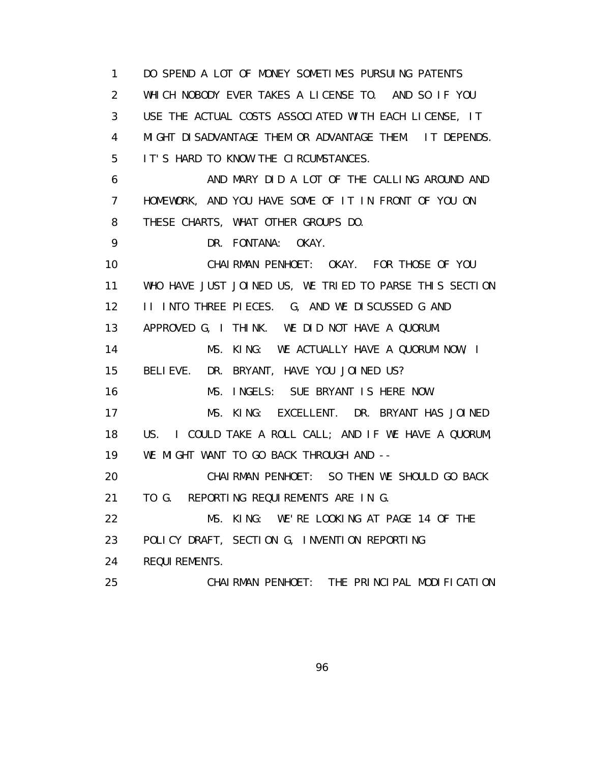1 DO SPEND A LOT OF MONEY SOMETIMES PURSUING PATENTS 2 WHICH NOBODY EVER TAKES A LICENSE TO. AND SO IF YOU 3 USE THE ACTUAL COSTS ASSOCIATED WITH EACH LICENSE, IT 4 MIGHT DISADVANTAGE THEM OR ADVANTAGE THEM. IT DEPENDS. 5 IT'S HARD TO KNOW THE CIRCUMSTANCES. 6 AND MARY DID A LOT OF THE CALLING AROUND AND 7 HOMEWORK, AND YOU HAVE SOME OF IT IN FRONT OF YOU ON 8 THESE CHARTS, WHAT OTHER GROUPS DO. 9 DR. FONTANA: OKAY. 10 CHAIRMAN PENHOET: OKAY. FOR THOSE OF YOU 11 WHO HAVE JUST JOINED US, WE TRIED TO PARSE THIS SECTION 12 II INTO THREE PIECES. G, AND WE DISCUSSED G AND 13 APPROVED G, I THINK. WE DID NOT HAVE A QUORUM. 14 MS. KING: WE ACTUALLY HAVE A QUORUM NOW, I 15 BELIEVE. DR. BRYANT, HAVE YOU JOINED US? 16 MS. INGELS: SUE BRYANT IS HERE NOW. 17 MS. KING: EXCELLENT. DR. BRYANT HAS JOINED 18 US. I COULD TAKE A ROLL CALL; AND IF WE HAVE A QUORUM, 19 WE MIGHT WANT TO GO BACK THROUGH AND -- 20 CHAIRMAN PENHOET: SO THEN WE SHOULD GO BACK 21 TO G. REPORTING REQUIREMENTS ARE IN G. 22 MS. KING: WE'RE LOOKING AT PAGE 14 OF THE 23 POLICY DRAFT, SECTION G, INVENTION REPORTING 24 REQUIREMENTS. 25 CHAIRMAN PENHOET: THE PRINCIPAL MODIFICATION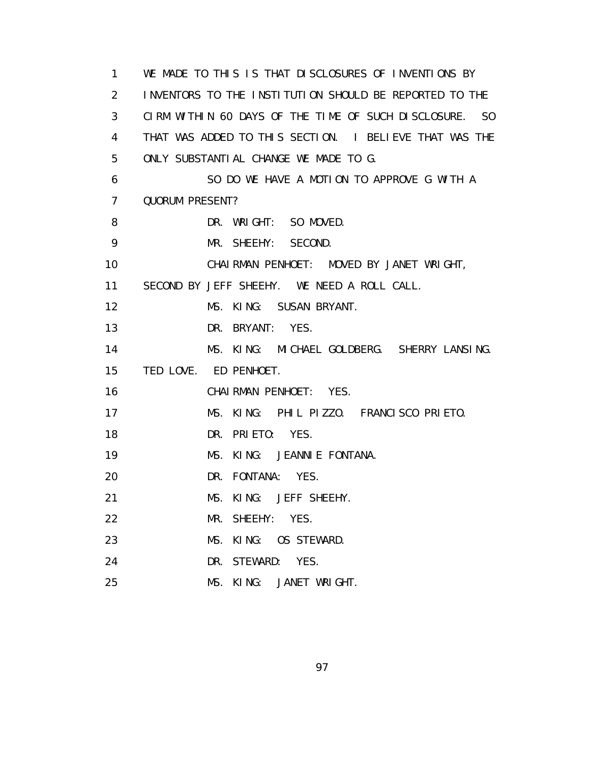1 WE MADE TO THIS IS THAT DISCLOSURES OF INVENTIONS BY 2 INVENTORS TO THE INSTITUTION SHOULD BE REPORTED TO THE 3 CIRM WITHIN 60 DAYS OF THE TIME OF SUCH DISCLOSURE. SO 4 THAT WAS ADDED TO THIS SECTION. I BELIEVE THAT WAS THE 5 ONLY SUBSTANTIAL CHANGE WE MADE TO G. 6 SO DO WE HAVE A MOTION TO APPROVE G WITH A 7 QUORUM PRESENT? 8 DR. WRIGHT: SO MOVED. 9 MR. SHEEHY: SECOND. 10 CHAIRMAN PENHOET: MOVED BY JANET WRIGHT, 11 SECOND BY JEFF SHEEHY. WE NEED A ROLL CALL. 12 MS. KING: SUSAN BRYANT. 13 DR. BRYANT: YES. 14 MS. KING: MICHAEL GOLDBERG. SHERRY LANSING. 15 TED LOVE. ED PENHOET. 16 CHAIRMAN PENHOET: YES. 17 MS. KING: PHIL PIZZO. FRANCISCO PRIETO. 18 DR. PRIETO: YES. 19 MS. KING: JEANNIE FONTANA. 20 DR. FONTANA: YES. 21 MS. KING: JEFF SHEEHY. 22 MR. SHEEHY: YES. 23 MS. KING: OS STEWARD. 24 DR. STEWARD: YES. 25 MS. KING: JANET WRIGHT.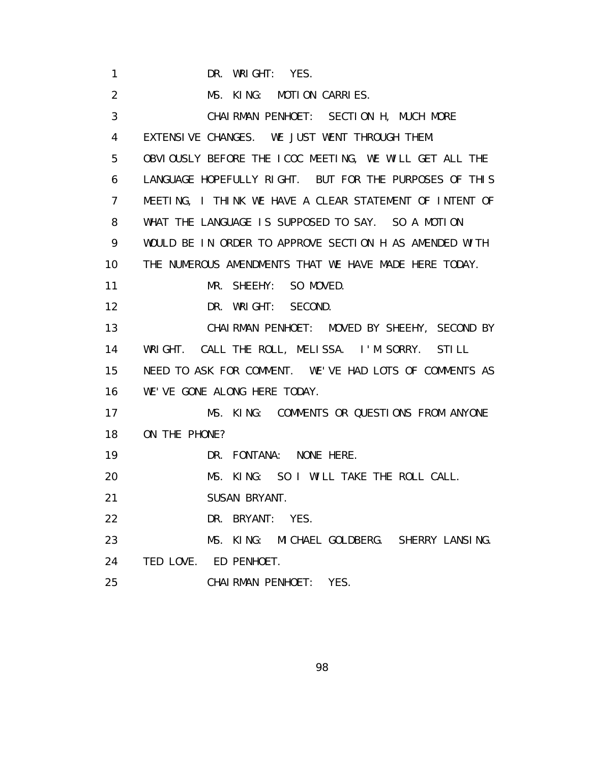1 DR. WRIGHT: YES. 2 MS. KING: MOTION CARRIES. 3 CHAIRMAN PENHOET: SECTION H, MUCH MORE 4 EXTENSIVE CHANGES. WE JUST WENT THROUGH THEM. 5 OBVIOUSLY BEFORE THE ICOC MEETING, WE WILL GET ALL THE 6 LANGUAGE HOPEFULLY RIGHT. BUT FOR THE PURPOSES OF THIS 7 MEETING, I THINK WE HAVE A CLEAR STATEMENT OF INTENT OF 8 WHAT THE LANGUAGE IS SUPPOSED TO SAY. SO A MOTION 9 WOULD BE IN ORDER TO APPROVE SECTION H AS AMENDED WITH 10 THE NUMEROUS AMENDMENTS THAT WE HAVE MADE HERE TODAY. 11 MR. SHEEHY: SO MOVED. 12 DR. WRIGHT: SECOND. 13 CHAIRMAN PENHOET: MOVED BY SHEEHY, SECOND BY 14 WRIGHT. CALL THE ROLL, MELISSA. I'M SORRY. STILL 15 NEED TO ASK FOR COMMENT. WE'VE HAD LOTS OF COMMENTS AS 16 WE'VE GONE ALONG HERE TODAY. 17 MS. KING: COMMENTS OR QUESTIONS FROM ANYONE 18 ON THE PHONE? 19 DR. FONTANA: NONE HERE. 20 MS. KING: SO I WILL TAKE THE ROLL CALL. 21 SUSAN BRYANT. 22 DR. BRYANT: YES. 23 MS. KING: MICHAEL GOLDBERG. SHERRY LANSING. 24 TED LOVE. ED PENHOET. 25 CHAIRMAN PENHOET: YES.

e de la construction de la construction de la construction de la construction de la construction de la constru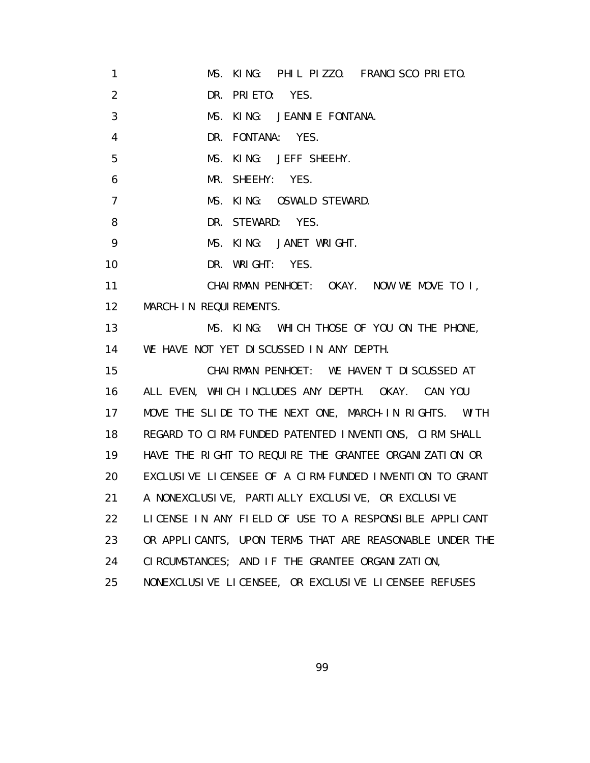1 MS. KING: PHIL PIZZO. FRANCISCO PRIETO. 2 DR. PRIETO: YES. 3 MS. KING: JEANNIE FONTANA. 4 DR. FONTANA: YES. 5 MS. KING: JEFF SHEEHY. 6 MR. SHEEHY: YES. 7 MS. KING: OSWALD STEWARD. 8 DR. STEWARD: YES. 9 MS. KING: JANET WRIGHT. 10 DR. WRIGHT: YES. 11 CHAIRMAN PENHOET: OKAY. NOW WE MOVE TO I, 12 MARCH-IN REQUIREMENTS. 13 MS. KING: WHICH THOSE OF YOU ON THE PHONE, 14 WE HAVE NOT YET DISCUSSED IN ANY DEPTH. 15 CHAIRMAN PENHOET: WE HAVEN'T DISCUSSED AT 16 ALL EVEN, WHICH INCLUDES ANY DEPTH. OKAY. CAN YOU 17 MOVE THE SLIDE TO THE NEXT ONE, MARCH-IN RIGHTS. WITH 18 REGARD TO CIRM-FUNDED PATENTED INVENTIONS, CIRM SHALL 19 HAVE THE RIGHT TO REQUIRE THE GRANTEE ORGANIZATION OR 20 EXCLUSIVE LICENSEE OF A CIRM-FUNDED INVENTION TO GRANT 21 A NONEXCLUSIVE, PARTIALLY EXCLUSIVE, OR EXCLUSIVE 22 LICENSE IN ANY FIELD OF USE TO A RESPONSIBLE APPLICANT 23 OR APPLICANTS, UPON TERMS THAT ARE REASONABLE UNDER THE 24 CIRCUMSTANCES; AND IF THE GRANTEE ORGANIZATION, 25 NONEXCLUSIVE LICENSEE, OR EXCLUSIVE LICENSEE REFUSES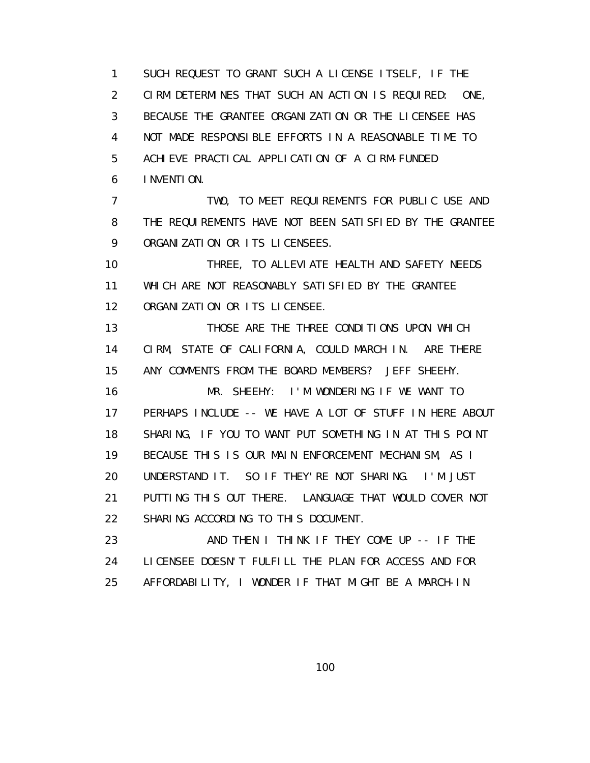1 SUCH REQUEST TO GRANT SUCH A LICENSE ITSELF, IF THE 2 CIRM DETERMINES THAT SUCH AN ACTION IS REQUIRED: ONE, 3 BECAUSE THE GRANTEE ORGANIZATION OR THE LICENSEE HAS 4 NOT MADE RESPONSIBLE EFFORTS IN A REASONABLE TIME TO 5 ACHIEVE PRACTICAL APPLICATION OF A CIRM-FUNDED 6 INVENTION. 7 TWO, TO MEET REQUIREMENTS FOR PUBLIC USE AND 8 THE REQUIREMENTS HAVE NOT BEEN SATISFIED BY THE GRANTEE 9 ORGANIZATION OR ITS LICENSEES. 10 THREE, TO ALLEVIATE HEALTH AND SAFETY NEEDS 11 WHICH ARE NOT REASONABLY SATISFIED BY THE GRANTEE 12 ORGANIZATION OR ITS LICENSEE. 13 THOSE ARE THE THREE CONDITIONS UPON WHICH 14 CIRM, STATE OF CALIFORNIA, COULD MARCH IN. ARE THERE 15 ANY COMMENTS FROM THE BOARD MEMBERS? JEFF SHEEHY. 16 MR. SHEEHY: I'M WONDERING IF WE WANT TO 17 PERHAPS INCLUDE -- WE HAVE A LOT OF STUFF IN HERE ABOUT 18 SHARING, IF YOU TO WANT PUT SOMETHING IN AT THIS POINT 19 BECAUSE THIS IS OUR MAIN ENFORCEMENT MECHANISM, AS I 20 UNDERSTAND IT. SO IF THEY'RE NOT SHARING. I'M JUST 21 PUTTING THIS OUT THERE. LANGUAGE THAT WOULD COVER NOT 22 SHARING ACCORDING TO THIS DOCUMENT. 23 AND THEN I THINK IF THEY COME UP -- IF THE 24 LICENSEE DOESN'T FULFILL THE PLAN FOR ACCESS AND FOR

25 AFFORDABILITY, I WONDER IF THAT MIGHT BE A MARCH-IN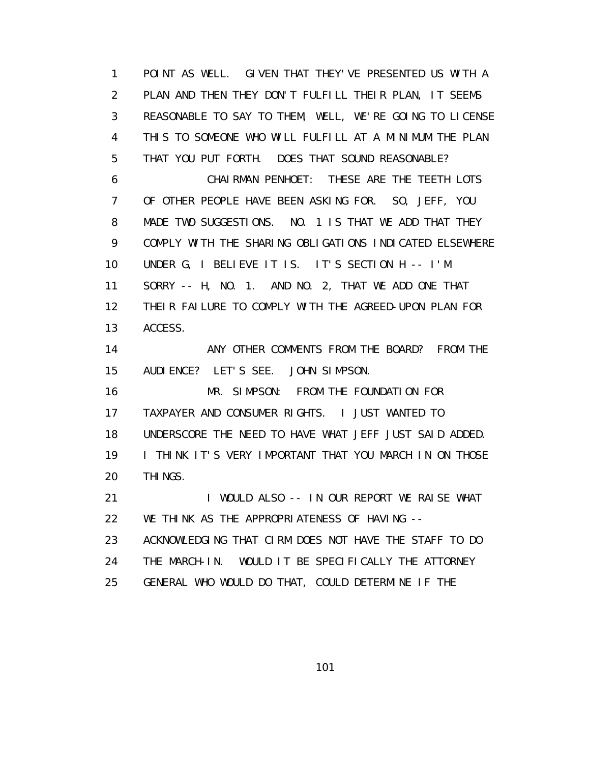1 POINT AS WELL. GIVEN THAT THEY'VE PRESENTED US WITH A 2 PLAN AND THEN THEY DON'T FULFILL THEIR PLAN, IT SEEMS 3 REASONABLE TO SAY TO THEM, WELL, WE'RE GOING TO LICENSE 4 THIS TO SOMEONE WHO WILL FULFILL AT A MINIMUM THE PLAN 5 THAT YOU PUT FORTH. DOES THAT SOUND REASONABLE? 6 CHAIRMAN PENHOET: THESE ARE THE TEETH LOTS 7 OF OTHER PEOPLE HAVE BEEN ASKING FOR. SO, JEFF, YOU 8 MADE TWO SUGGESTIONS. NO. 1 IS THAT WE ADD THAT THEY 9 COMPLY WITH THE SHARING OBLIGATIONS INDICATED ELSEWHERE 10 UNDER G, I BELIEVE IT IS. IT'S SECTION H -- I'M 11 SORRY -- H, NO. 1. AND NO. 2, THAT WE ADD ONE THAT 12 THEIR FAILURE TO COMPLY WITH THE AGREED-UPON PLAN FOR 13 ACCESS. 14 ANY OTHER COMMENTS FROM THE BOARD? FROM THE 15 AUDIENCE? LET'S SEE. JOHN SIMPSON. 16 MR. SIMPSON: FROM THE FOUNDATION FOR 17 TAXPAYER AND CONSUMER RIGHTS. I JUST WANTED TO 18 UNDERSCORE THE NEED TO HAVE WHAT JEFF JUST SAID ADDED. 19 I THINK IT'S VERY IMPORTANT THAT YOU MARCH IN ON THOSE 20 THINGS. 21 I WOULD ALSO -- IN OUR REPORT WE RAISE WHAT 22 WE THINK AS THE APPROPRIATENESS OF HAVING -- 23 ACKNOWLEDGING THAT CIRM DOES NOT HAVE THE STAFF TO DO 24 THE MARCH-IN. WOULD IT BE SPECIFICALLY THE ATTORNEY 25 GENERAL WHO WOULD DO THAT, COULD DETERMINE IF THE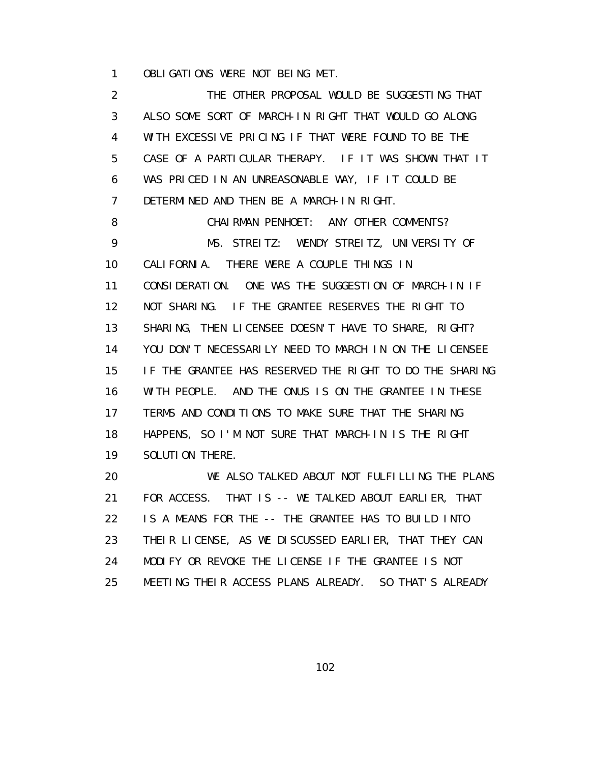1 OBLIGATIONS WERE NOT BEING MET.

 2 THE OTHER PROPOSAL WOULD BE SUGGESTING THAT 3 ALSO SOME SORT OF MARCH-IN RIGHT THAT WOULD GO ALONG 4 WITH EXCESSIVE PRICING IF THAT WERE FOUND TO BE THE 5 CASE OF A PARTICULAR THERAPY. IF IT WAS SHOWN THAT IT 6 WAS PRICED IN AN UNREASONABLE WAY, IF IT COULD BE 7 DETERMINED AND THEN BE A MARCH-IN RIGHT. 8 CHAIRMAN PENHOET: ANY OTHER COMMENTS? 9 MS. STREITZ: WENDY STREITZ, UNIVERSITY OF 10 CALIFORNIA. THERE WERE A COUPLE THINGS IN 11 CONSIDERATION. ONE WAS THE SUGGESTION OF MARCH-IN IF 12 NOT SHARING. IF THE GRANTEE RESERVES THE RIGHT TO 13 SHARING, THEN LICENSEE DOESN'T HAVE TO SHARE, RIGHT? 14 YOU DON'T NECESSARILY NEED TO MARCH IN ON THE LICENSEE 15 IF THE GRANTEE HAS RESERVED THE RIGHT TO DO THE SHARING 16 WITH PEOPLE. AND THE ONUS IS ON THE GRANTEE IN THESE 17 TERMS AND CONDITIONS TO MAKE SURE THAT THE SHARING 18 HAPPENS, SO I'M NOT SURE THAT MARCH-IN IS THE RIGHT 19 SOLUTION THERE. 20 WE ALSO TALKED ABOUT NOT FULFILLING THE PLANS

 21 FOR ACCESS. THAT IS -- WE TALKED ABOUT EARLIER, THAT 22 IS A MEANS FOR THE -- THE GRANTEE HAS TO BUILD INTO 23 THEIR LICENSE, AS WE DISCUSSED EARLIER, THAT THEY CAN 24 MODIFY OR REVOKE THE LICENSE IF THE GRANTEE IS NOT 25 MEETING THEIR ACCESS PLANS ALREADY. SO THAT'S ALREADY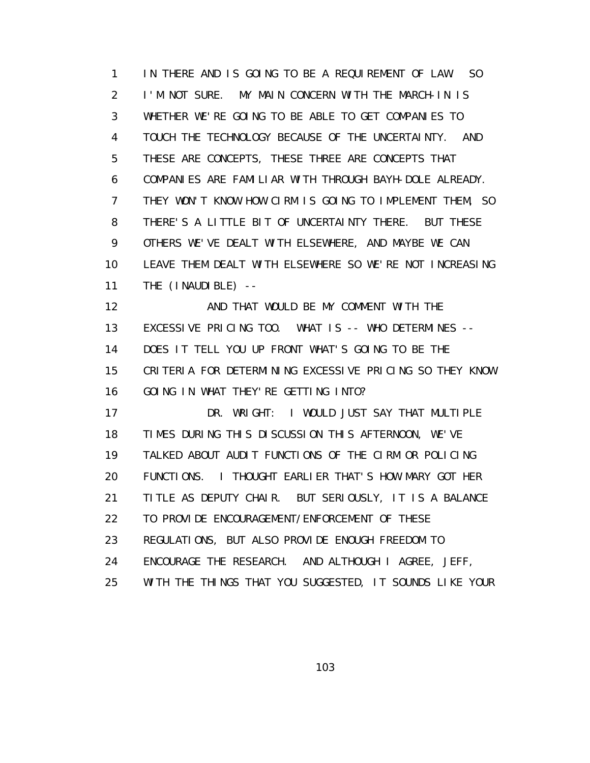1 IN THERE AND IS GOING TO BE A REQUIREMENT OF LAW. SO 2 I'M NOT SURE. MY MAIN CONCERN WITH THE MARCH-IN IS 3 WHETHER WE'RE GOING TO BE ABLE TO GET COMPANIES TO 4 TOUCH THE TECHNOLOGY BECAUSE OF THE UNCERTAINTY. AND 5 THESE ARE CONCEPTS, THESE THREE ARE CONCEPTS THAT 6 COMPANIES ARE FAMILIAR WITH THROUGH BAYH-DOLE ALREADY. 7 THEY WON'T KNOW HOW CIRM IS GOING TO IMPLEMENT THEM, SO 8 THERE'S A LITTLE BIT OF UNCERTAINTY THERE. BUT THESE 9 OTHERS WE'VE DEALT WITH ELSEWHERE, AND MAYBE WE CAN 10 LEAVE THEM DEALT WITH ELSEWHERE SO WE'RE NOT INCREASING 11 THE (INAUDIBLE) --

12 **AND THAT WOULD BE MY COMMENT WITH THE**  13 EXCESSIVE PRICING TOO. WHAT IS -- WHO DETERMINES -- 14 DOES IT TELL YOU UP FRONT WHAT'S GOING TO BE THE 15 CRITERIA FOR DETERMINING EXCESSIVE PRICING SO THEY KNOW 16 GOING IN WHAT THEY'RE GETTING INTO?

 17 DR. WRIGHT: I WOULD JUST SAY THAT MULTIPLE 18 TIMES DURING THIS DISCUSSION THIS AFTERNOON, WE'VE 19 TALKED ABOUT AUDIT FUNCTIONS OF THE CIRM OR POLICING 20 FUNCTIONS. I THOUGHT EARLIER THAT'S HOW MARY GOT HER 21 TITLE AS DEPUTY CHAIR. BUT SERIOUSLY, IT IS A BALANCE 22 TO PROVIDE ENCOURAGEMENT/ENFORCEMENT OF THESE 23 REGULATIONS, BUT ALSO PROVIDE ENOUGH FREEDOM TO 24 ENCOURAGE THE RESEARCH. AND ALTHOUGH I AGREE, JEFF, 25 WITH THE THINGS THAT YOU SUGGESTED, IT SOUNDS LIKE YOUR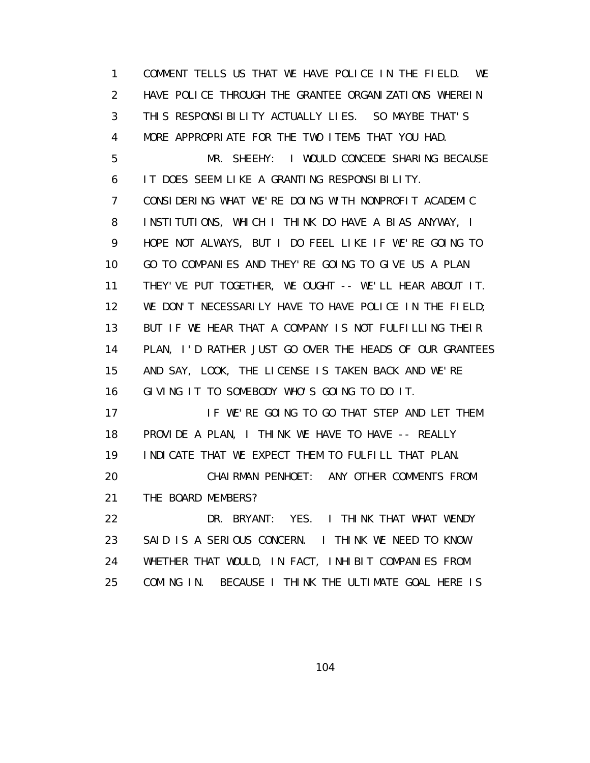1 COMMENT TELLS US THAT WE HAVE POLICE IN THE FIELD. WE 2 HAVE POLICE THROUGH THE GRANTEE ORGANIZATIONS WHEREIN 3 THIS RESPONSIBILITY ACTUALLY LIES. SO MAYBE THAT'S 4 MORE APPROPRIATE FOR THE TWO ITEMS THAT YOU HAD. 5 MR. SHEEHY: I WOULD CONCEDE SHARING BECAUSE 6 IT DOES SEEM LIKE A GRANTING RESPONSIBILITY. 7 CONSIDERING WHAT WE'RE DOING WITH NONPROFIT ACADEMIC 8 INSTITUTIONS, WHICH I THINK DO HAVE A BIAS ANYWAY, I 9 HOPE NOT ALWAYS, BUT I DO FEEL LIKE IF WE'RE GOING TO 10 GO TO COMPANIES AND THEY'RE GOING TO GIVE US A PLAN 11 THEY'VE PUT TOGETHER, WE OUGHT -- WE'LL HEAR ABOUT IT. 12 WE DON'T NECESSARILY HAVE TO HAVE POLICE IN THE FIELD; 13 BUT IF WE HEAR THAT A COMPANY IS NOT FULFILLING THEIR 14 PLAN, I'D RATHER JUST GO OVER THE HEADS OF OUR GRANTEES 15 AND SAY, LOOK, THE LICENSE IS TAKEN BACK AND WE'RE 16 GIVING IT TO SOMEBODY WHO'S GOING TO DO IT. 17 **IF WE'RE GOING TO GO THAT STEP AND LET THEM**  18 PROVIDE A PLAN, I THINK WE HAVE TO HAVE -- REALLY 19 INDICATE THAT WE EXPECT THEM TO FULFILL THAT PLAN. 20 CHAIRMAN PENHOET: ANY OTHER COMMENTS FROM 21 THE BOARD MEMBERS? 22 DR. BRYANT: YES. I THINK THAT WHAT WENDY 23 SAID IS A SERIOUS CONCERN. I THINK WE NEED TO KNOW 24 WHETHER THAT WOULD, IN FACT, INHIBIT COMPANIES FROM 25 COMING IN. BECAUSE I THINK THE ULTIMATE GOAL HERE IS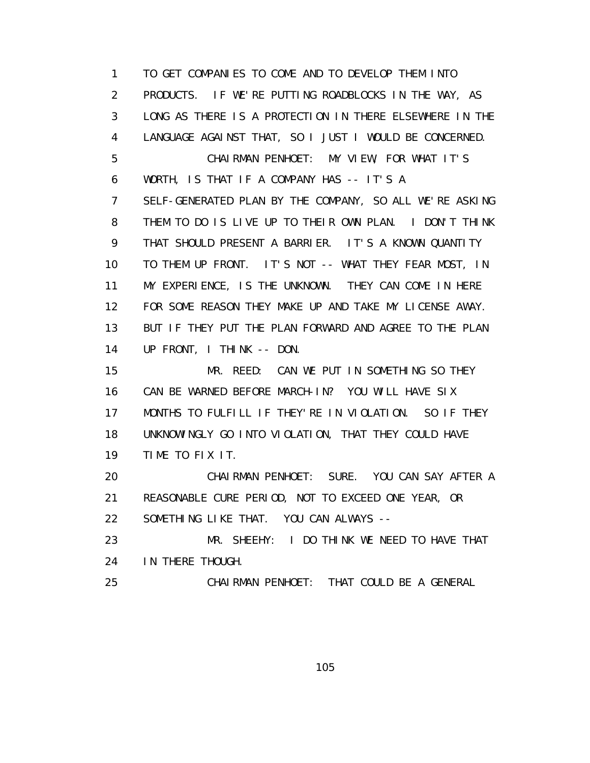1 TO GET COMPANIES TO COME AND TO DEVELOP THEM INTO 2 PRODUCTS. IF WE'RE PUTTING ROADBLOCKS IN THE WAY, AS 3 LONG AS THERE IS A PROTECTION IN THERE ELSEWHERE IN THE 4 LANGUAGE AGAINST THAT, SO I JUST I WOULD BE CONCERNED. 5 CHAIRMAN PENHOET: MY VIEW, FOR WHAT IT'S 6 WORTH, IS THAT IF A COMPANY HAS -- IT'S A 7 SELF-GENERATED PLAN BY THE COMPANY, SO ALL WE'RE ASKING 8 THEM TO DO IS LIVE UP TO THEIR OWN PLAN. I DON'T THINK 9 THAT SHOULD PRESENT A BARRIER. IT'S A KNOWN QUANTITY 10 TO THEM UP FRONT. IT'S NOT -- WHAT THEY FEAR MOST, IN 11 MY EXPERIENCE, IS THE UNKNOWN. THEY CAN COME IN HERE 12 FOR SOME REASON THEY MAKE UP AND TAKE MY LICENSE AWAY. 13 BUT IF THEY PUT THE PLAN FORWARD AND AGREE TO THE PLAN 14 UP FRONT, I THINK -- DON. 15 MR. REED: CAN WE PUT IN SOMETHING SO THEY 16 CAN BE WARNED BEFORE MARCH-IN? YOU WILL HAVE SIX 17 MONTHS TO FULFILL IF THEY'RE IN VIOLATION. SO IF THEY 18 UNKNOWINGLY GO INTO VIOLATION, THAT THEY COULD HAVE 19 TIME TO FIX IT. 20 CHAIRMAN PENHOET: SURE. YOU CAN SAY AFTER A 21 REASONABLE CURE PERIOD, NOT TO EXCEED ONE YEAR, OR 22 SOMETHING LIKE THAT. YOU CAN ALWAYS -- 23 MR. SHEEHY: I DO THINK WE NEED TO HAVE THAT 24 IN THERE THOUGH. 25 CHAIRMAN PENHOET: THAT COULD BE A GENERAL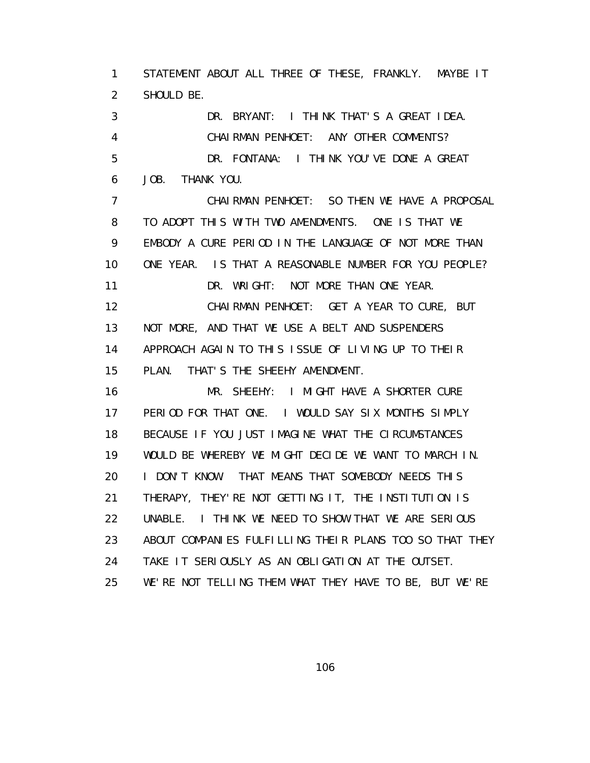1 STATEMENT ABOUT ALL THREE OF THESE, FRANKLY. MAYBE IT 2 SHOULD BE. 3 DR. BRYANT: I THINK THAT'S A GREAT IDEA. 4 CHAIRMAN PENHOET: ANY OTHER COMMENTS? 5 DR. FONTANA: I THINK YOU'VE DONE A GREAT 6 JOB. THANK YOU. 7 CHAIRMAN PENHOET: SO THEN WE HAVE A PROPOSAL 8 TO ADOPT THIS WITH TWO AMENDMENTS. ONE IS THAT WE 9 EMBODY A CURE PERIOD IN THE LANGUAGE OF NOT MORE THAN 10 ONE YEAR. IS THAT A REASONABLE NUMBER FOR YOU PEOPLE? 11 DR. WRIGHT: NOT MORE THAN ONE YEAR. 12 CHAIRMAN PENHOET: GET A YEAR TO CURE, BUT 13 NOT MORE, AND THAT WE USE A BELT AND SUSPENDERS 14 APPROACH AGAIN TO THIS ISSUE OF LIVING UP TO THEIR 15 PLAN. THAT'S THE SHEEHY AMENDMENT. 16 MR. SHEEHY: I MIGHT HAVE A SHORTER CURE 17 PERIOD FOR THAT ONE. I WOULD SAY SIX MONTHS SIMPLY 18 BECAUSE IF YOU JUST IMAGINE WHAT THE CIRCUMSTANCES 19 WOULD BE WHEREBY WE MIGHT DECIDE WE WANT TO MARCH IN. 20 I DON'T KNOW. THAT MEANS THAT SOMEBODY NEEDS THIS 21 THERAPY, THEY'RE NOT GETTING IT, THE INSTITUTION IS 22 UNABLE. I THINK WE NEED TO SHOW THAT WE ARE SERIOUS 23 ABOUT COMPANIES FULFILLING THEIR PLANS TOO SO THAT THEY 24 TAKE IT SERIOUSLY AS AN OBLIGATION AT THE OUTSET.

25 WE'RE NOT TELLING THEM WHAT THEY HAVE TO BE, BUT WE'RE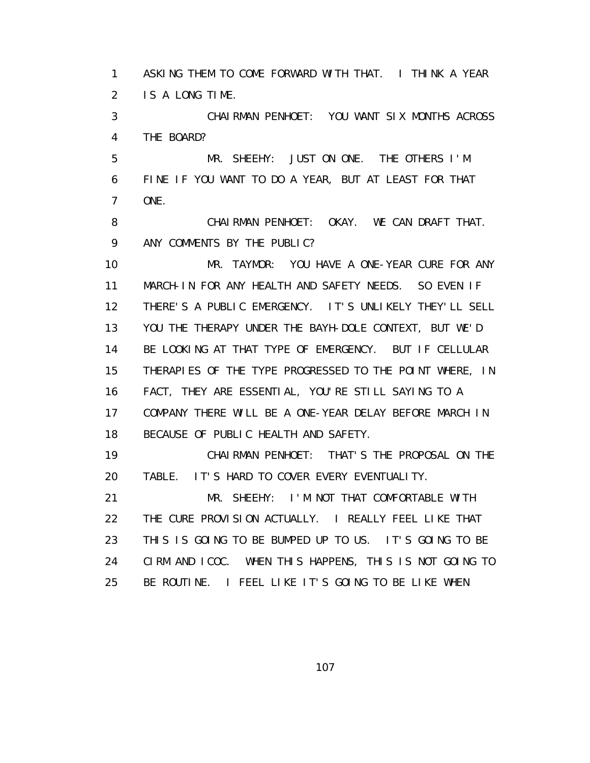1 ASKING THEM TO COME FORWARD WITH THAT. I THINK A YEAR 2 IS A LONG TIME.

 3 CHAIRMAN PENHOET: YOU WANT SIX MONTHS ACROSS 4 THE BOARD?

 5 MR. SHEEHY: JUST ON ONE. THE OTHERS I'M 6 FINE IF YOU WANT TO DO A YEAR, BUT AT LEAST FOR THAT 7 ONE.

 8 CHAIRMAN PENHOET: OKAY. WE CAN DRAFT THAT. 9 ANY COMMENTS BY THE PUBLIC?

 10 MR. TAYMOR: YOU HAVE A ONE-YEAR CURE FOR ANY 11 MARCH-IN FOR ANY HEALTH AND SAFETY NEEDS. SO EVEN IF 12 THERE'S A PUBLIC EMERGENCY. IT'S UNLIKELY THEY'LL SELL 13 YOU THE THERAPY UNDER THE BAYH-DOLE CONTEXT, BUT WE'D 14 BE LOOKING AT THAT TYPE OF EMERGENCY. BUT IF CELLULAR 15 THERAPIES OF THE TYPE PROGRESSED TO THE POINT WHERE, IN 16 FACT, THEY ARE ESSENTIAL, YOU'RE STILL SAYING TO A 17 COMPANY THERE WILL BE A ONE-YEAR DELAY BEFORE MARCH IN 18 BECAUSE OF PUBLIC HEALTH AND SAFETY.

 19 CHAIRMAN PENHOET: THAT'S THE PROPOSAL ON THE 20 TABLE. IT'S HARD TO COVER EVERY EVENTUALITY.

 21 MR. SHEEHY: I'M NOT THAT COMFORTABLE WITH 22 THE CURE PROVISION ACTUALLY. I REALLY FEEL LIKE THAT 23 THIS IS GOING TO BE BUMPED UP TO US. IT'S GOING TO BE 24 CIRM AND ICOC. WHEN THIS HAPPENS, THIS IS NOT GOING TO 25 BE ROUTINE. I FEEL LIKE IT'S GOING TO BE LIKE WHEN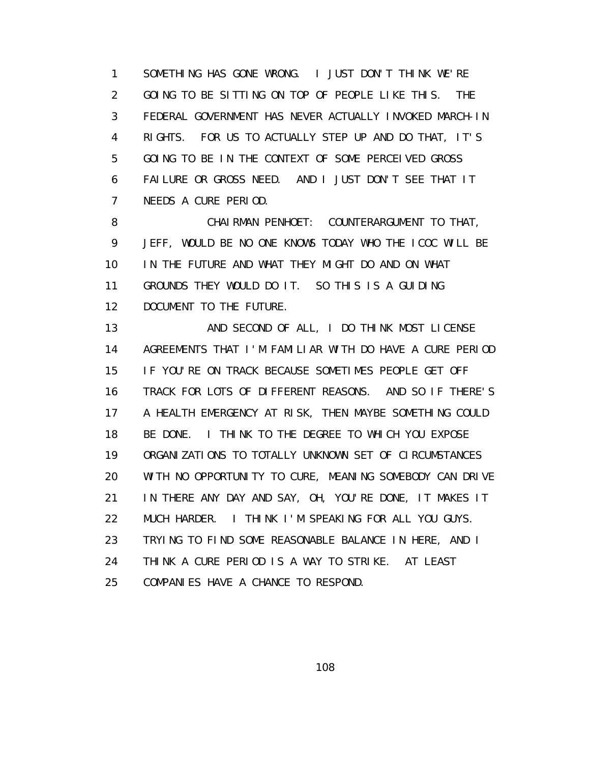1 SOMETHING HAS GONE WRONG. I JUST DON'T THINK WE'RE 2 GOING TO BE SITTING ON TOP OF PEOPLE LIKE THIS. THE 3 FEDERAL GOVERNMENT HAS NEVER ACTUALLY INVOKED MARCH-IN 4 RIGHTS. FOR US TO ACTUALLY STEP UP AND DO THAT, IT'S 5 GOING TO BE IN THE CONTEXT OF SOME PERCEIVED GROSS 6 FAILURE OR GROSS NEED. AND I JUST DON'T SEE THAT IT 7 NEEDS A CURE PERIOD.

 8 CHAIRMAN PENHOET: COUNTERARGUMENT TO THAT, 9 JEFF, WOULD BE NO ONE KNOWS TODAY WHO THE ICOC WILL BE 10 IN THE FUTURE AND WHAT THEY MIGHT DO AND ON WHAT 11 GROUNDS THEY WOULD DO IT. SO THIS IS A GUIDING 12 DOCUMENT TO THE FUTURE.

13 AND SECOND OF ALL, I DO THINK MOST LICENSE 14 AGREEMENTS THAT I'M FAMILIAR WITH DO HAVE A CURE PERIOD 15 IF YOU'RE ON TRACK BECAUSE SOMETIMES PEOPLE GET OFF 16 TRACK FOR LOTS OF DIFFERENT REASONS. AND SO IF THERE'S 17 A HEALTH EMERGENCY AT RISK, THEN MAYBE SOMETHING COULD 18 BE DONE. I THINK TO THE DEGREE TO WHICH YOU EXPOSE 19 ORGANIZATIONS TO TOTALLY UNKNOWN SET OF CIRCUMSTANCES 20 WITH NO OPPORTUNITY TO CURE, MEANING SOMEBODY CAN DRIVE 21 IN THERE ANY DAY AND SAY, OH, YOU'RE DONE, IT MAKES IT 22 MUCH HARDER. I THINK I'M SPEAKING FOR ALL YOU GUYS. 23 TRYING TO FIND SOME REASONABLE BALANCE IN HERE, AND I 24 THINK A CURE PERIOD IS A WAY TO STRIKE. AT LEAST 25 COMPANIES HAVE A CHANCE TO RESPOND.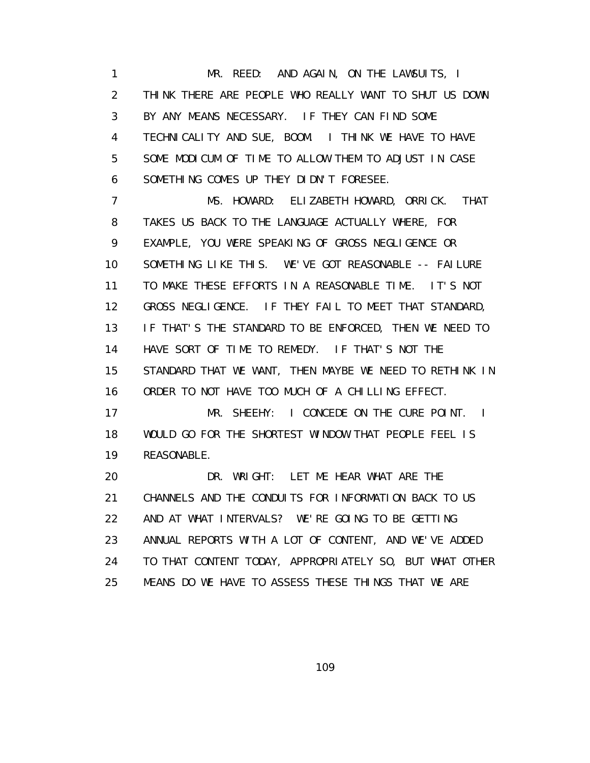1 MR. REED: AND AGAIN, ON THE LAWSUITS, I 2 THINK THERE ARE PEOPLE WHO REALLY WANT TO SHUT US DOWN 3 BY ANY MEANS NECESSARY. IF THEY CAN FIND SOME 4 TECHNICALITY AND SUE, BOOM. I THINK WE HAVE TO HAVE 5 SOME MODICUM OF TIME TO ALLOW THEM TO ADJUST IN CASE 6 SOMETHING COMES UP THEY DIDN'T FORESEE.

 7 MS. HOWARD: ELIZABETH HOWARD, ORRICK. THAT 8 TAKES US BACK TO THE LANGUAGE ACTUALLY WHERE, FOR 9 EXAMPLE, YOU WERE SPEAKING OF GROSS NEGLIGENCE OR 10 SOMETHING LIKE THIS. WE'VE GOT REASONABLE -- FAILURE 11 TO MAKE THESE EFFORTS IN A REASONABLE TIME. IT'S NOT 12 GROSS NEGLIGENCE. IF THEY FAIL TO MEET THAT STANDARD, 13 IF THAT'S THE STANDARD TO BE ENFORCED, THEN WE NEED TO 14 HAVE SORT OF TIME TO REMEDY. IF THAT'S NOT THE 15 STANDARD THAT WE WANT, THEN MAYBE WE NEED TO RETHINK IN 16 ORDER TO NOT HAVE TOO MUCH OF A CHILLING EFFECT. 17 MR. SHEEHY: I CONCEDE ON THE CURE POINT. I

 18 WOULD GO FOR THE SHORTEST WINDOW THAT PEOPLE FEEL IS 19 REASONABLE.

 20 DR. WRIGHT: LET ME HEAR WHAT ARE THE 21 CHANNELS AND THE CONDUITS FOR INFORMATION BACK TO US 22 AND AT WHAT INTERVALS? WE'RE GOING TO BE GETTING 23 ANNUAL REPORTS WITH A LOT OF CONTENT, AND WE'VE ADDED 24 TO THAT CONTENT TODAY, APPROPRIATELY SO, BUT WHAT OTHER 25 MEANS DO WE HAVE TO ASSESS THESE THINGS THAT WE ARE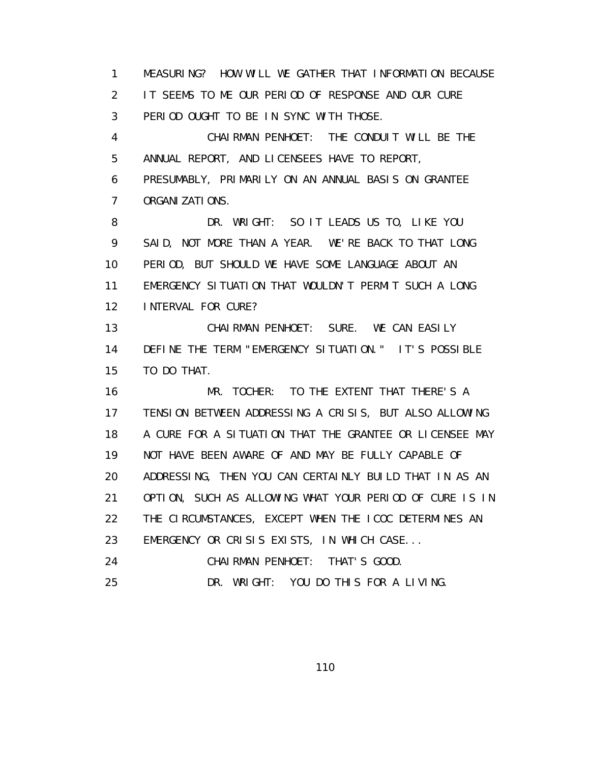1 MEASURING? HOW WILL WE GATHER THAT INFORMATION BECAUSE 2 IT SEEMS TO ME OUR PERIOD OF RESPONSE AND OUR CURE 3 PERIOD OUGHT TO BE IN SYNC WITH THOSE.

 4 CHAIRMAN PENHOET: THE CONDUIT WILL BE THE 5 ANNUAL REPORT, AND LICENSEES HAVE TO REPORT,

 6 PRESUMABLY, PRIMARILY ON AN ANNUAL BASIS ON GRANTEE 7 ORGANIZATIONS.

 8 DR. WRIGHT: SO IT LEADS US TO, LIKE YOU 9 SAID, NOT MORE THAN A YEAR. WE'RE BACK TO THAT LONG 10 PERIOD, BUT SHOULD WE HAVE SOME LANGUAGE ABOUT AN 11 EMERGENCY SITUATION THAT WOULDN'T PERMIT SUCH A LONG 12 INTERVAL FOR CURE?

 13 CHAIRMAN PENHOET: SURE. WE CAN EASILY 14 DEFINE THE TERM "EMERGENCY SITUATION." IT'S POSSIBLE 15 TO DO THAT.

 16 MR. TOCHER: TO THE EXTENT THAT THERE'S A 17 TENSION BETWEEN ADDRESSING A CRISIS, BUT ALSO ALLOWING 18 A CURE FOR A SITUATION THAT THE GRANTEE OR LICENSEE MAY 19 NOT HAVE BEEN AWARE OF AND MAY BE FULLY CAPABLE OF 20 ADDRESSING, THEN YOU CAN CERTAINLY BUILD THAT IN AS AN 21 OPTION, SUCH AS ALLOWING WHAT YOUR PERIOD OF CURE IS IN 22 THE CIRCUMSTANCES, EXCEPT WHEN THE ICOC DETERMINES AN 23 EMERGENCY OR CRISIS EXISTS, IN WHICH CASE... 24 CHAIRMAN PENHOET: THAT'S GOOD.

25 DR. WRIGHT: YOU DO THIS FOR A LIVING.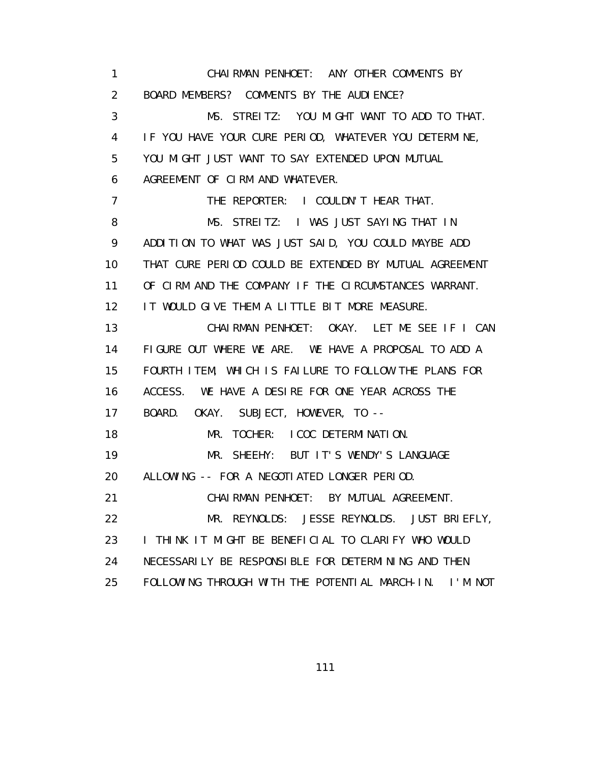1 CHAIRMAN PENHOET: ANY OTHER COMMENTS BY 2 BOARD MEMBERS? COMMENTS BY THE AUDIENCE? 3 MS. STREITZ: YOU MIGHT WANT TO ADD TO THAT. 4 IF YOU HAVE YOUR CURE PERIOD, WHATEVER YOU DETERMINE, 5 YOU MIGHT JUST WANT TO SAY EXTENDED UPON MUTUAL 6 AGREEMENT OF CIRM AND WHATEVER. 7 THE REPORTER: I COULDN'T HEAR THAT. 8 MS. STREITZ: I WAS JUST SAYING THAT IN 9 ADDITION TO WHAT WAS JUST SAID, YOU COULD MAYBE ADD 10 THAT CURE PERIOD COULD BE EXTENDED BY MUTUAL AGREEMENT 11 OF CIRM AND THE COMPANY IF THE CIRCUMSTANCES WARRANT. 12 IT WOULD GIVE THEM A LITTLE BIT MORE MEASURE. 13 CHAIRMAN PENHOET: OKAY. LET ME SEE IF I CAN 14 FIGURE OUT WHERE WE ARE. WE HAVE A PROPOSAL TO ADD A 15 FOURTH ITEM, WHICH IS FAILURE TO FOLLOW THE PLANS FOR 16 ACCESS. WE HAVE A DESIRE FOR ONE YEAR ACROSS THE 17 BOARD. OKAY. SUBJECT, HOWEVER, TO -- 18 MR. TOCHER: I COC DETERMINATION. 19 MR. SHEEHY: BUT IT'S WENDY'S LANGUAGE 20 ALLOWING -- FOR A NEGOTIATED LONGER PERIOD. 21 CHAIRMAN PENHOET: BY MUTUAL AGREEMENT. 22 MR. REYNOLDS: JESSE REYNOLDS. JUST BRIEFLY, 23 I THINK IT MIGHT BE BENEFICIAL TO CLARIFY WHO WOULD 24 NECESSARILY BE RESPONSIBLE FOR DETERMINING AND THEN 25 FOLLOWING THROUGH WITH THE POTENTIAL MARCH-IN. I'M NOT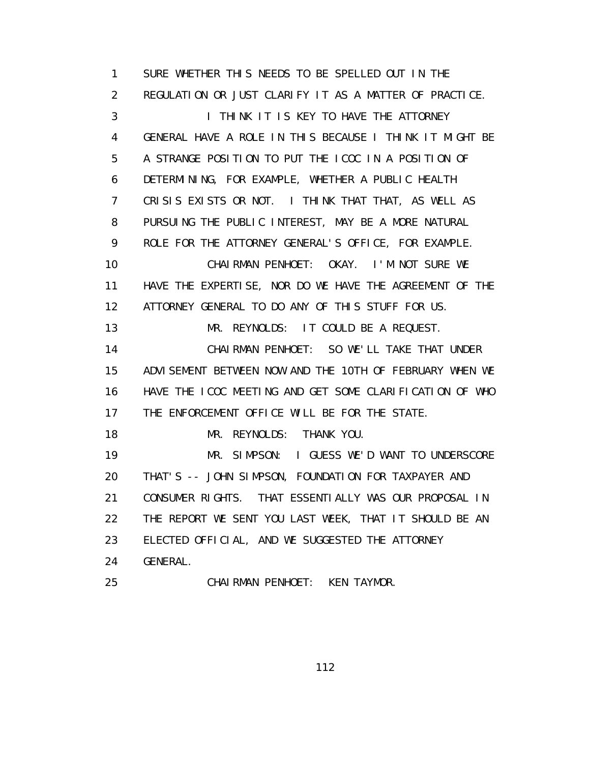1 SURE WHETHER THIS NEEDS TO BE SPELLED OUT IN THE 2 REGULATION OR JUST CLARIFY IT AS A MATTER OF PRACTICE. 3 **I THINK IT IS KEY TO HAVE THE ATTORNEY**  4 GENERAL HAVE A ROLE IN THIS BECAUSE I THINK IT MIGHT BE 5 A STRANGE POSITION TO PUT THE ICOC IN A POSITION OF 6 DETERMINING, FOR EXAMPLE, WHETHER A PUBLIC HEALTH 7 CRISIS EXISTS OR NOT. I THINK THAT THAT, AS WELL AS 8 PURSUING THE PUBLIC INTEREST, MAY BE A MORE NATURAL 9 ROLE FOR THE ATTORNEY GENERAL'S OFFICE, FOR EXAMPLE. 10 CHAIRMAN PENHOET: OKAY. I'M NOT SURE WE 11 HAVE THE EXPERTISE, NOR DO WE HAVE THE AGREEMENT OF THE 12 ATTORNEY GENERAL TO DO ANY OF THIS STUFF FOR US. 13 MR. REYNOLDS: IT COULD BE A REQUEST. 14 CHAIRMAN PENHOET: SO WE'LL TAKE THAT UNDER 15 ADVISEMENT BETWEEN NOW AND THE 10TH OF FEBRUARY WHEN WE 16 HAVE THE ICOC MEETING AND GET SOME CLARIFICATION OF WHO 17 THE ENFORCEMENT OFFICE WILL BE FOR THE STATE. 18 MR. REYNOLDS: THANK YOU. 19 MR. SIMPSON: I GUESS WE'D WANT TO UNDERSCORE 20 THAT'S -- JOHN SIMPSON, FOUNDATION FOR TAXPAYER AND 21 CONSUMER RIGHTS. THAT ESSENTIALLY WAS OUR PROPOSAL IN 22 THE REPORT WE SENT YOU LAST WEEK, THAT IT SHOULD BE AN 23 ELECTED OFFICIAL, AND WE SUGGESTED THE ATTORNEY 24 GENERAL. 25 CHAIRMAN PENHOET: KEN TAYMOR.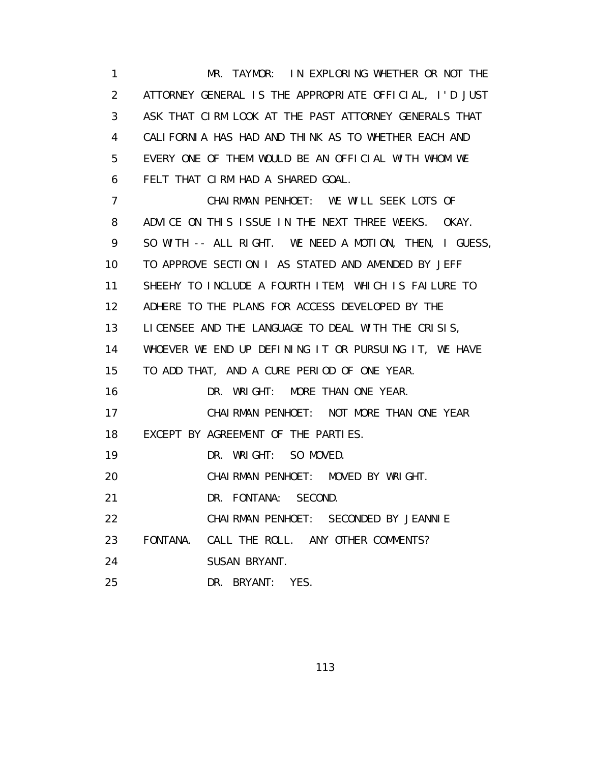1 MR. TAYMOR: IN EXPLORING WHETHER OR NOT THE 2 ATTORNEY GENERAL IS THE APPROPRIATE OFFICIAL, I'D JUST 3 ASK THAT CIRM LOOK AT THE PAST ATTORNEY GENERALS THAT 4 CALIFORNIA HAS HAD AND THINK AS TO WHETHER EACH AND 5 EVERY ONE OF THEM WOULD BE AN OFFICIAL WITH WHOM WE 6 FELT THAT CIRM HAD A SHARED GOAL. 7 CHAIRMAN PENHOET: WE WILL SEEK LOTS OF 8 ADVICE ON THIS ISSUE IN THE NEXT THREE WEEKS. OKAY. 9 SO WITH -- ALL RIGHT. WE NEED A MOTION, THEN, I GUESS, 10 TO APPROVE SECTION I AS STATED AND AMENDED BY JEFF 11 SHEEHY TO INCLUDE A FOURTH ITEM, WHICH IS FAILURE TO 12 ADHERE TO THE PLANS FOR ACCESS DEVELOPED BY THE 13 LICENSEE AND THE LANGUAGE TO DEAL WITH THE CRISIS, 14 WHOEVER WE END UP DEFINING IT OR PURSUING IT, WE HAVE 15 TO ADD THAT, AND A CURE PERIOD OF ONE YEAR. 16 DR. WRIGHT: MORE THAN ONE YEAR. 17 CHAIRMAN PENHOET: NOT MORE THAN ONE YEAR 18 EXCEPT BY AGREEMENT OF THE PARTIES. 19 DR. WRIGHT: SO MOVED. 20 CHAIRMAN PENHOET: MOVED BY WRIGHT. 21 DR. FONTANA: SECOND. 22 CHAIRMAN PENHOET: SECONDED BY JEANNIE 23 FONTANA. CALL THE ROLL. ANY OTHER COMMENTS? 24 SUSAN BRYANT. 25 DR. BRYANT: YES.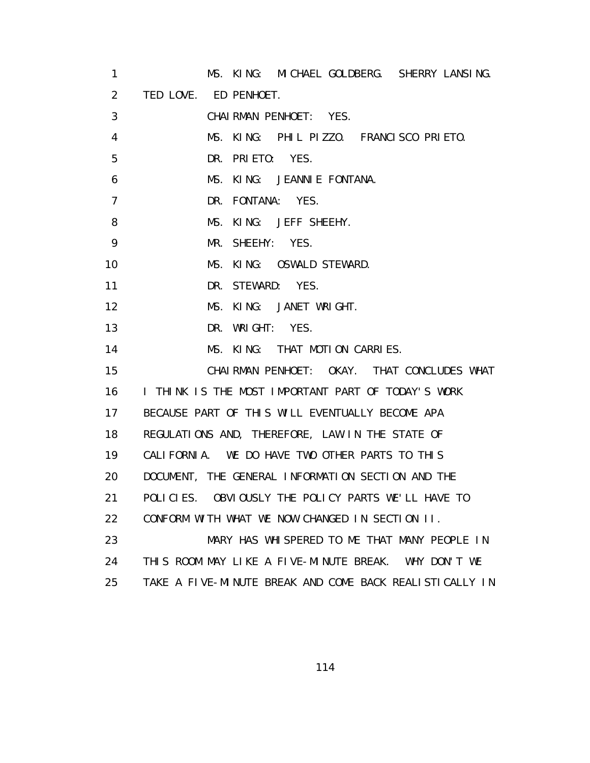| 1              | MS. KING: MICHAEL GOLDBERG. SHERRY LANSING.             |
|----------------|---------------------------------------------------------|
| $\overline{2}$ | TED LOVE. ED PENHOET.                                   |
| 3              | CHAIRMAN PENHOET: YES.                                  |
| 4              | MS. KING: PHIL PIZZO. FRANCISCO PRIETO.                 |
| 5              | DR. PRIETO: YES.                                        |
| 6              | MS. KING: JEANNIE FONTANA.                              |
| $\overline{7}$ | DR. FONTANA: YES.                                       |
| 8              | MS. KING: JEFF SHEEHY.                                  |
| 9              | MR. SHEEHY: YES.                                        |
| 10             | MS. KING: OSWALD STEWARD.                               |
| 11             | DR. STEWARD: YES.                                       |
| 12             | MS. KING: JANET WRIGHT.                                 |
| 13             | DR. WRIGHT: YES.                                        |
| 14             | MS. KING: THAT MOTION CARRIES.                          |
| 15             | CHAIRMAN PENHOET: OKAY. THAT CONCLUDES WHAT             |
| 16             | I THINK IS THE MOST IMPORTANT PART OF TODAY'S WORK      |
| 17             | BECAUSE PART OF THIS WILL EVENTUALLY BECOME APA         |
| 18             | REGULATIONS AND, THEREFORE, LAW IN THE STATE OF         |
| 19             | CALIFORNIA. WE DO HAVE TWO OTHER PARTS TO THIS          |
| 20             | DOCUMENT, THE GENERAL INFORMATION SECTION AND THE       |
| 21             | POLICIES. OBVIOUSLY THE POLICY PARTS WE'LL HAVE TO      |
| 22             | CONFORM WITH WHAT WE NOW CHANGED IN SECTION II.         |
| 23             | MARY HAS WHISPERED TO ME THAT MANY PEOPLE IN            |
| 24             | THIS ROOM MAY LIKE A FIVE-MINUTE BREAK.<br>WHY DON'T WE |
| 25             | TAKE A FIVE-MINUTE BREAK AND COME BACK REALISTICALLY IN |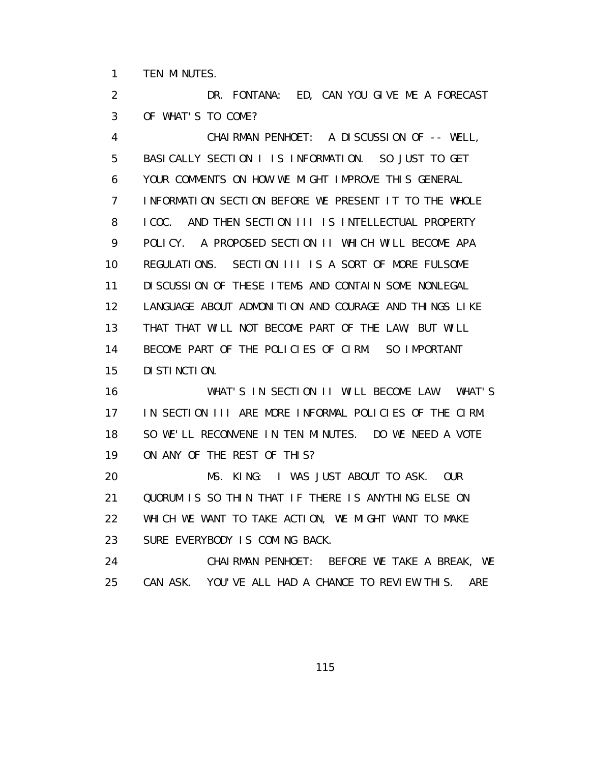1 TEN MINUTES.

 2 DR. FONTANA: ED, CAN YOU GIVE ME A FORECAST 3 OF WHAT'S TO COME?

 4 CHAIRMAN PENHOET: A DISCUSSION OF -- WELL, 5 BASICALLY SECTION I IS INFORMATION. SO JUST TO GET 6 YOUR COMMENTS ON HOW WE MIGHT IMPROVE THIS GENERAL 7 INFORMATION SECTION BEFORE WE PRESENT IT TO THE WHOLE 8 ICOC. AND THEN SECTION III IS INTELLECTUAL PROPERTY 9 POLICY. A PROPOSED SECTION II WHICH WILL BECOME APA 10 REGULATIONS. SECTION III IS A SORT OF MORE FULSOME 11 DISCUSSION OF THESE ITEMS AND CONTAIN SOME NONLEGAL 12 LANGUAGE ABOUT ADMONITION AND COURAGE AND THINGS LIKE 13 THAT THAT WILL NOT BECOME PART OF THE LAW, BUT WILL 14 BECOME PART OF THE POLICIES OF CIRM. SO IMPORTANT 15 DISTINCTION. 16 WHAT'S IN SECTION II WILL BECOME LAW. WHAT'S 17 IN SECTION III ARE MORE INFORMAL POLICIES OF THE CIRM. 18 SO WE'LL RECONVENE IN TEN MINUTES. DO WE NEED A VOTE

19 ON ANY OF THE REST OF THIS?

 20 MS. KING: I WAS JUST ABOUT TO ASK. OUR 21 QUORUM IS SO THIN THAT IF THERE IS ANYTHING ELSE ON 22 WHICH WE WANT TO TAKE ACTION, WE MIGHT WANT TO MAKE 23 SURE EVERYBODY IS COMING BACK.

 24 CHAIRMAN PENHOET: BEFORE WE TAKE A BREAK, WE 25 CAN ASK. YOU'VE ALL HAD A CHANCE TO REVIEW THIS. ARE

<u>115 - Andrea Stein, Amerikaansk politiker (</u>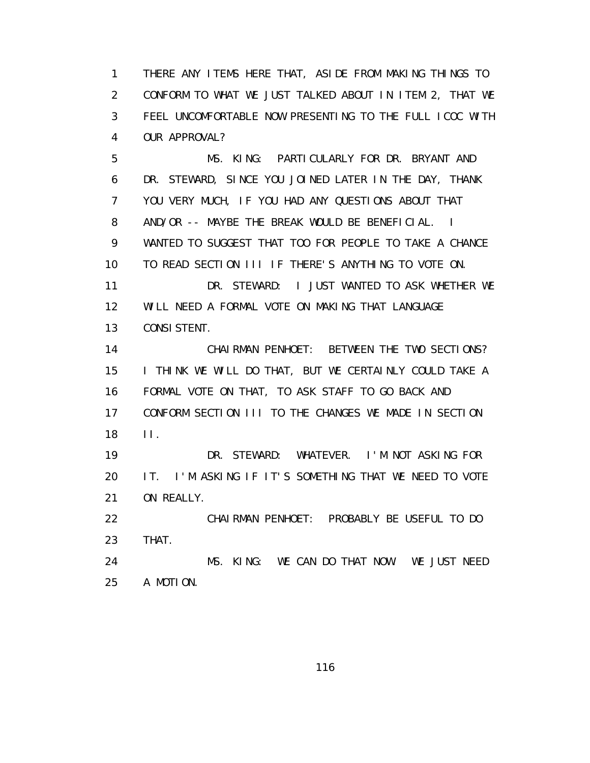1 THERE ANY ITEMS HERE THAT, ASIDE FROM MAKING THINGS TO 2 CONFORM TO WHAT WE JUST TALKED ABOUT IN ITEM 2, THAT WE 3 FEEL UNCOMFORTABLE NOW PRESENTING TO THE FULL ICOC WITH 4 OUR APPROVAL?

 5 MS. KING: PARTICULARLY FOR DR. BRYANT AND 6 DR. STEWARD, SINCE YOU JOINED LATER IN THE DAY, THANK 7 YOU VERY MUCH, IF YOU HAD ANY QUESTIONS ABOUT THAT 8 AND/OR -- MAYBE THE BREAK WOULD BE BENEFICIAL. I 9 WANTED TO SUGGEST THAT TOO FOR PEOPLE TO TAKE A CHANCE 10 TO READ SECTION III IF THERE'S ANYTHING TO VOTE ON. 11 DR. STEWARD: I JUST WANTED TO ASK WHETHER WE 12 WILL NEED A FORMAL VOTE ON MAKING THAT LANGUAGE 13 CONSISTENT. 14 CHAIRMAN PENHOET: BETWEEN THE TWO SECTIONS?

 15 I THINK WE WILL DO THAT, BUT WE CERTAINLY COULD TAKE A 16 FORMAL VOTE ON THAT, TO ASK STAFF TO GO BACK AND 17 CONFORM SECTION III TO THE CHANGES WE MADE IN SECTION 18 II.

 19 DR. STEWARD: WHATEVER. I'M NOT ASKING FOR 20 IT. I'M ASKING IF IT'S SOMETHING THAT WE NEED TO VOTE 21 ON REALLY.

 22 CHAIRMAN PENHOET: PROBABLY BE USEFUL TO DO 23 THAT.

 24 MS. KING: WE CAN DO THAT NOW. WE JUST NEED 25 A MOTION.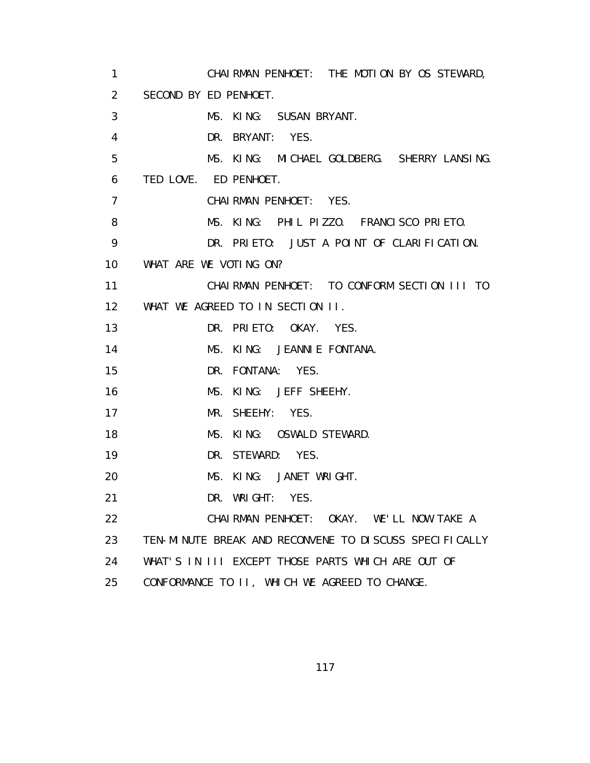1 CHAIRMAN PENHOET: THE MOTION BY OS STEWARD, 2 SECOND BY ED PENHOET. 3 MS. KING: SUSAN BRYANT. 4 DR. BRYANT: YES. 5 MS. KING: MICHAEL GOLDBERG. SHERRY LANSING. 6 TED LOVE. ED PENHOET. 7 CHAIRMAN PENHOET: YES. 8 MS. KING: PHIL PIZZO. FRANCISCO PRIETO. 9 DR. PRIETO: JUST A POINT OF CLARIFICATION. 10 WHAT ARE WE VOTING ON? 11 CHAIRMAN PENHOET: TO CONFORM SECTION III TO 12 WHAT WE AGREED TO IN SECTION II. 13 DR. PRIETO: OKAY. YES. 14 MS. KING: JEANNIE FONTANA. 15 DR. FONTANA: YES. 16 MS. KING: JEFF SHEEHY. 17 MR. SHEEHY: YES. 18 MS. KING: OSWALD STEWARD. 19 DR. STEWARD: YES. 20 MS. KING: JANET WRIGHT. 21 DR. WRIGHT: YES. 22 CHAIRMAN PENHOET: OKAY. WE'LL NOW TAKE A 23 TEN-MINUTE BREAK AND RECONVENE TO DISCUSS SPECIFICALLY 24 WHAT'S IN III EXCEPT THOSE PARTS WHICH ARE OUT OF 25 CONFORMANCE TO II, WHICH WE AGREED TO CHANGE.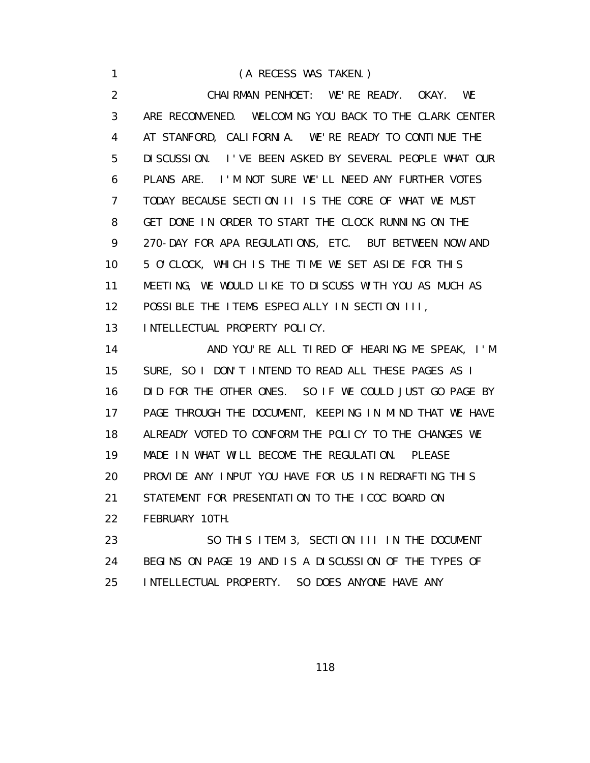1 (A RECESS WAS TAKEN.) 2 CHAIRMAN PENHOET: WE'RE READY. OKAY. WE 3 ARE RECONVENED. WELCOMING YOU BACK TO THE CLARK CENTER 4 AT STANFORD, CALIFORNIA. WE'RE READY TO CONTINUE THE 5 DISCUSSION. I'VE BEEN ASKED BY SEVERAL PEOPLE WHAT OUR 6 PLANS ARE. I'M NOT SURE WE'LL NEED ANY FURTHER VOTES 7 TODAY BECAUSE SECTION II IS THE CORE OF WHAT WE MUST 8 GET DONE IN ORDER TO START THE CLOCK RUNNING ON THE 9 270-DAY FOR APA REGULATIONS, ETC. BUT BETWEEN NOW AND 10 5 O'CLOCK, WHICH IS THE TIME WE SET ASIDE FOR THIS 11 MEETING, WE WOULD LIKE TO DISCUSS WITH YOU AS MUCH AS 12 POSSIBLE THE ITEMS ESPECIALLY IN SECTION III, 13 INTELLECTUAL PROPERTY POLICY. 14 AND YOU'RE ALL TIRED OF HEARING ME SPEAK, I'M 15 SURE, SO I DON'T INTEND TO READ ALL THESE PAGES AS I 16 DID FOR THE OTHER ONES. SO IF WE COULD JUST GO PAGE BY 17 PAGE THROUGH THE DOCUMENT, KEEPING IN MIND THAT WE HAVE 18 ALREADY VOTED TO CONFORM THE POLICY TO THE CHANGES WE 19 MADE IN WHAT WILL BECOME THE REGULATION. PLEASE 20 PROVIDE ANY INPUT YOU HAVE FOR US IN REDRAFTING THIS 21 STATEMENT FOR PRESENTATION TO THE ICOC BOARD ON 22 FEBRUARY 10TH. 23 SO THIS ITEM 3, SECTION III IN THE DOCUMENT 24 BEGINS ON PAGE 19 AND IS A DISCUSSION OF THE TYPES OF

25 INTELLECTUAL PROPERTY. SO DOES ANYONE HAVE ANY

<u>118 - Andrea Stein, Amerikaansk politiker (</u>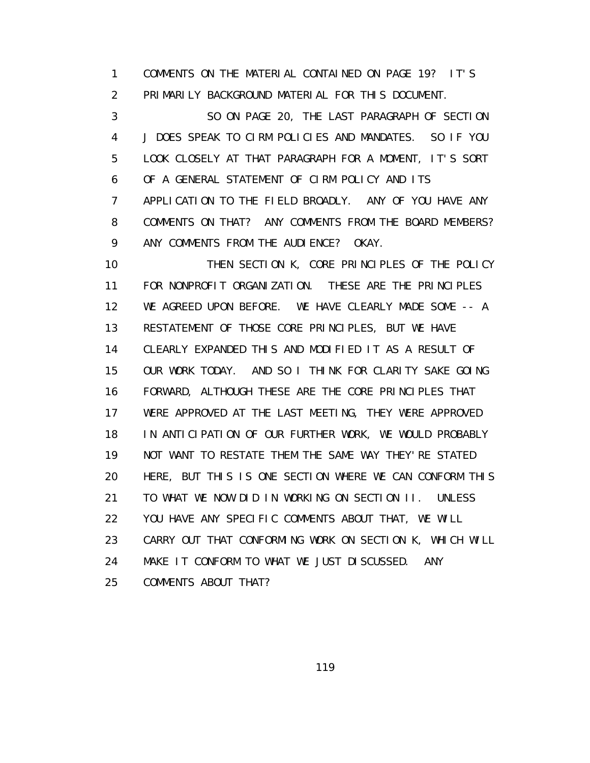1 COMMENTS ON THE MATERIAL CONTAINED ON PAGE 19? IT'S 2 PRIMARILY BACKGROUND MATERIAL FOR THIS DOCUMENT.

 3 SO ON PAGE 20, THE LAST PARAGRAPH OF SECTION 4 J DOES SPEAK TO CIRM POLICIES AND MANDATES. SO IF YOU 5 LOOK CLOSELY AT THAT PARAGRAPH FOR A MOMENT, IT'S SORT 6 OF A GENERAL STATEMENT OF CIRM POLICY AND ITS 7 APPLICATION TO THE FIELD BROADLY. ANY OF YOU HAVE ANY 8 COMMENTS ON THAT? ANY COMMENTS FROM THE BOARD MEMBERS? 9 ANY COMMENTS FROM THE AUDIENCE? OKAY.

 10 THEN SECTION K, CORE PRINCIPLES OF THE POLICY 11 FOR NONPROFIT ORGANIZATION. THESE ARE THE PRINCIPLES 12 WE AGREED UPON BEFORE. WE HAVE CLEARLY MADE SOME -- A 13 RESTATEMENT OF THOSE CORE PRINCIPLES, BUT WE HAVE 14 CLEARLY EXPANDED THIS AND MODIFIED IT AS A RESULT OF 15 OUR WORK TODAY. AND SO I THINK FOR CLARITY SAKE GOING 16 FORWARD, ALTHOUGH THESE ARE THE CORE PRINCIPLES THAT 17 WERE APPROVED AT THE LAST MEETING, THEY WERE APPROVED 18 IN ANTICIPATION OF OUR FURTHER WORK, WE WOULD PROBABLY 19 NOT WANT TO RESTATE THEM THE SAME WAY THEY'RE STATED 20 HERE, BUT THIS IS ONE SECTION WHERE WE CAN CONFORM THIS 21 TO WHAT WE NOW DID IN WORKING ON SECTION II. UNLESS 22 YOU HAVE ANY SPECIFIC COMMENTS ABOUT THAT, WE WILL 23 CARRY OUT THAT CONFORMING WORK ON SECTION K, WHICH WILL 24 MAKE IT CONFORM TO WHAT WE JUST DISCUSSED. ANY 25 COMMENTS ABOUT THAT?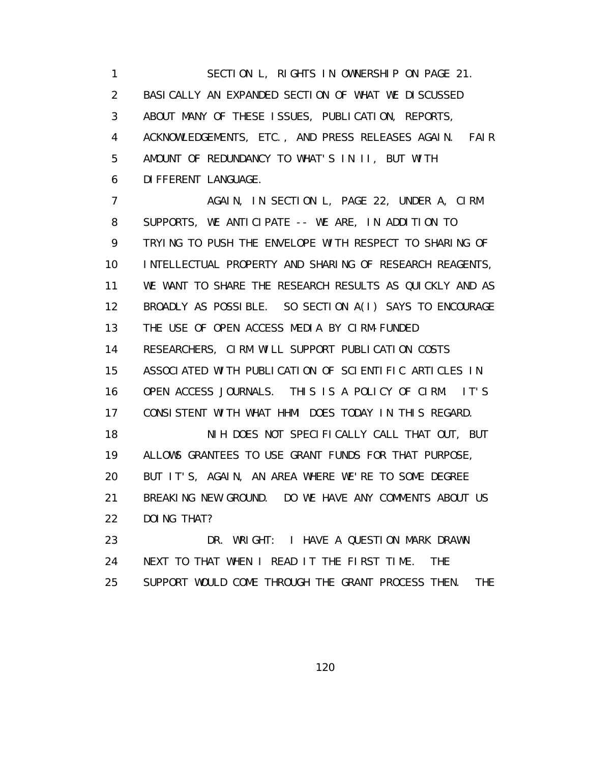1 SECTION L, RIGHTS IN OWNERSHIP ON PAGE 21. 2 BASICALLY AN EXPANDED SECTION OF WHAT WE DISCUSSED 3 ABOUT MANY OF THESE ISSUES, PUBLICATION, REPORTS, 4 ACKNOWLEDGEMENTS, ETC., AND PRESS RELEASES AGAIN. FAIR 5 AMOUNT OF REDUNDANCY TO WHAT'S IN II, BUT WITH 6 DIFFERENT LANGUAGE.

7 AGAIN, IN SECTION L, PAGE 22, UNDER A, CIRM 8 SUPPORTS, WE ANTICIPATE -- WE ARE, IN ADDITION TO 9 TRYING TO PUSH THE ENVELOPE WITH RESPECT TO SHARING OF 10 INTELLECTUAL PROPERTY AND SHARING OF RESEARCH REAGENTS, 11 WE WANT TO SHARE THE RESEARCH RESULTS AS QUICKLY AND AS 12 BROADLY AS POSSIBLE. SO SECTION A(I) SAYS TO ENCOURAGE 13 THE USE OF OPEN ACCESS MEDIA BY CIRM-FUNDED 14 RESEARCHERS, CIRM WILL SUPPORT PUBLICATION COSTS 15 ASSOCIATED WITH PUBLICATION OF SCIENTIFIC ARTICLES IN 16 OPEN ACCESS JOURNALS. THIS IS A POLICY OF CIRM. IT'S 17 CONSISTENT WITH WHAT HHMI DOES TODAY IN THIS REGARD. 18 NIH DOES NOT SPECIFICALLY CALL THAT OUT, BUT 19 ALLOWS GRANTEES TO USE GRANT FUNDS FOR THAT PURPOSE, 20 BUT IT'S, AGAIN, AN AREA WHERE WE'RE TO SOME DEGREE 21 BREAKING NEW GROUND. DO WE HAVE ANY COMMENTS ABOUT US 22 DOING THAT? 23 DR. WRIGHT: I HAVE A QUESTION MARK DRAWN

 24 NEXT TO THAT WHEN I READ IT THE FIRST TIME. THE 25 SUPPORT WOULD COME THROUGH THE GRANT PROCESS THEN. THE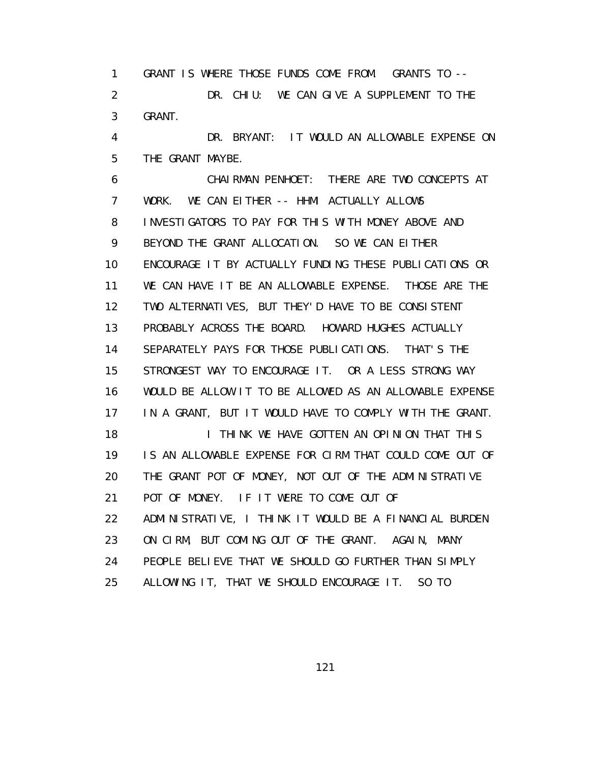1 GRANT IS WHERE THOSE FUNDS COME FROM. GRANTS TO -- 2 DR. CHIU: WE CAN GIVE A SUPPLEMENT TO THE 3 GRANT.

 4 DR. BRYANT: IT WOULD AN ALLOWABLE EXPENSE ON 5 THE GRANT MAYBE.

 6 CHAIRMAN PENHOET: THERE ARE TWO CONCEPTS AT 7 WORK. WE CAN EITHER -- HHMI ACTUALLY ALLOWS 8 INVESTIGATORS TO PAY FOR THIS WITH MONEY ABOVE AND 9 BEYOND THE GRANT ALLOCATION. SO WE CAN EITHER 10 ENCOURAGE IT BY ACTUALLY FUNDING THESE PUBLICATIONS OR 11 WE CAN HAVE IT BE AN ALLOWABLE EXPENSE. THOSE ARE THE 12 TWO ALTERNATIVES, BUT THEY'D HAVE TO BE CONSISTENT 13 PROBABLY ACROSS THE BOARD. HOWARD HUGHES ACTUALLY 14 SEPARATELY PAYS FOR THOSE PUBLICATIONS. THAT'S THE 15 STRONGEST WAY TO ENCOURAGE IT. OR A LESS STRONG WAY 16 WOULD BE ALLOW IT TO BE ALLOWED AS AN ALLOWABLE EXPENSE 17 IN A GRANT, BUT IT WOULD HAVE TO COMPLY WITH THE GRANT. 18 **I THINK WE HAVE GOTTEN AN OPINION THAT THIS**  19 IS AN ALLOWABLE EXPENSE FOR CIRM THAT COULD COME OUT OF 20 THE GRANT POT OF MONEY, NOT OUT OF THE ADMINISTRATIVE 21 POT OF MONEY. IF IT WERE TO COME OUT OF 22 ADMINISTRATIVE, I THINK IT WOULD BE A FINANCIAL BURDEN 23 ON CIRM, BUT COMING OUT OF THE GRANT. AGAIN, MANY 24 PEOPLE BELIEVE THAT WE SHOULD GO FURTHER THAN SIMPLY 25 ALLOWING IT, THAT WE SHOULD ENCOURAGE IT. SO TO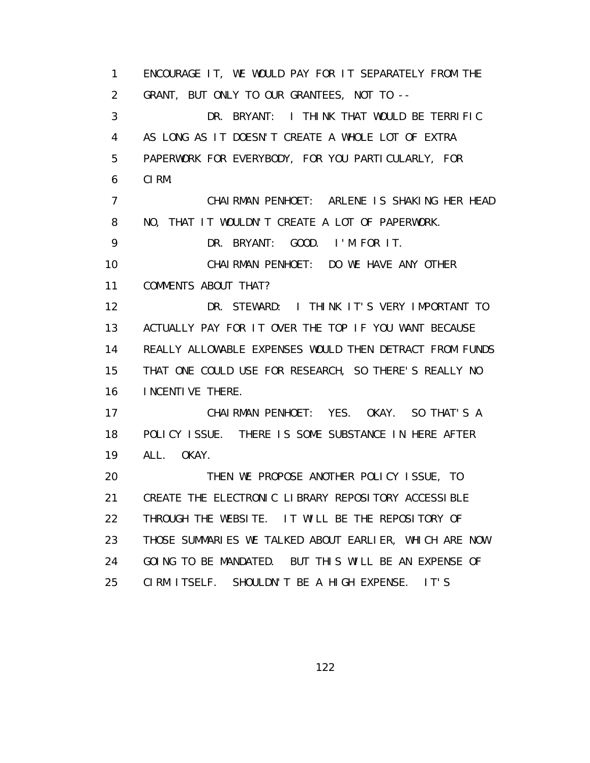1 ENCOURAGE IT, WE WOULD PAY FOR IT SEPARATELY FROM THE 2 GRANT, BUT ONLY TO OUR GRANTEES, NOT TO -- 3 DR. BRYANT: I THINK THAT WOULD BE TERRIFIC 4 AS LONG AS IT DOESN'T CREATE A WHOLE LOT OF EXTRA 5 PAPERWORK FOR EVERYBODY, FOR YOU PARTICULARLY, FOR 6 CIRM. 7 CHAIRMAN PENHOET: ARLENE IS SHAKING HER HEAD 8 NO, THAT IT WOULDN'T CREATE A LOT OF PAPERWORK. 9 DR. BRYANT: GOOD. I'M FOR IT. 10 CHAIRMAN PENHOET: DO WE HAVE ANY OTHER 11 COMMENTS ABOUT THAT? 12 DR. STEWARD: I THINK IT'S VERY IMPORTANT TO 13 ACTUALLY PAY FOR IT OVER THE TOP IF YOU WANT BECAUSE 14 REALLY ALLOWABLE EXPENSES WOULD THEN DETRACT FROM FUNDS 15 THAT ONE COULD USE FOR RESEARCH, SO THERE'S REALLY NO 16 INCENTIVE THERE. 17 CHAIRMAN PENHOET: YES. OKAY. SO THAT'S A 18 POLICY ISSUE. THERE IS SOME SUBSTANCE IN HERE AFTER 19 ALL. OKAY. 20 THEN WE PROPOSE ANOTHER POLICY ISSUE, TO 21 CREATE THE ELECTRONIC LIBRARY REPOSITORY ACCESSIBLE 22 THROUGH THE WEBSITE. IT WILL BE THE REPOSITORY OF 23 THOSE SUMMARIES WE TALKED ABOUT EARLIER, WHICH ARE NOW 24 GOING TO BE MANDATED. BUT THIS WILL BE AN EXPENSE OF 25 CIRM ITSELF. SHOULDN'T BE A HIGH EXPENSE. IT'S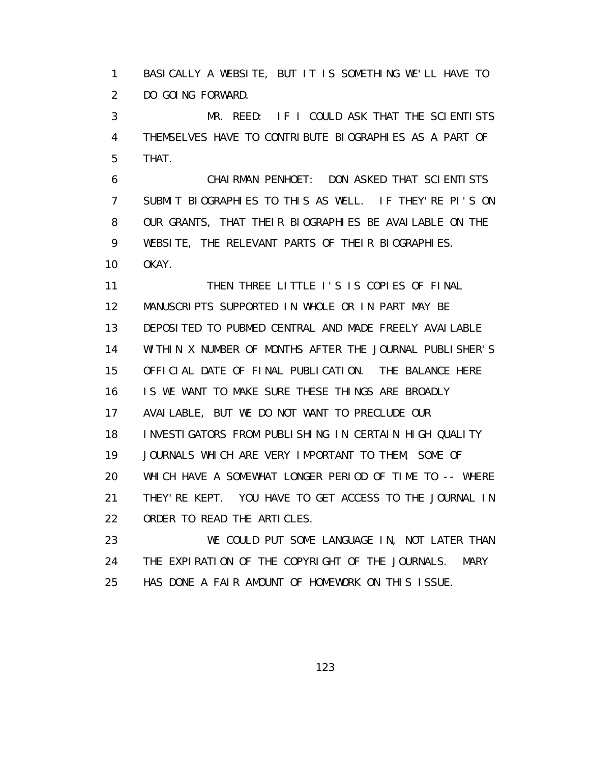1 BASICALLY A WEBSITE, BUT IT IS SOMETHING WE'LL HAVE TO 2 DO GOING FORWARD.

 3 MR. REED: IF I COULD ASK THAT THE SCIENTISTS 4 THEMSELVES HAVE TO CONTRIBUTE BIOGRAPHIES AS A PART OF 5 THAT.

 6 CHAIRMAN PENHOET: DON ASKED THAT SCIENTISTS 7 SUBMIT BIOGRAPHIES TO THIS AS WELL. IF THEY'RE PI'S ON 8 OUR GRANTS, THAT THEIR BIOGRAPHIES BE AVAILABLE ON THE 9 WEBSITE, THE RELEVANT PARTS OF THEIR BIOGRAPHIES. 10 OKAY.

11 THEN THREE LITTLE I'S IS COPIES OF FINAL 12 MANUSCRIPTS SUPPORTED IN WHOLE OR IN PART MAY BE 13 DEPOSITED TO PUBMED CENTRAL AND MADE FREELY AVAILABLE 14 WITHIN X NUMBER OF MONTHS AFTER THE JOURNAL PUBLISHER'S 15 OFFICIAL DATE OF FINAL PUBLICATION. THE BALANCE HERE 16 IS WE WANT TO MAKE SURE THESE THINGS ARE BROADLY 17 AVAILABLE, BUT WE DO NOT WANT TO PRECLUDE OUR 18 INVESTIGATORS FROM PUBLISHING IN CERTAIN HIGH QUALITY 19 JOURNALS WHICH ARE VERY IMPORTANT TO THEM, SOME OF 20 WHICH HAVE A SOMEWHAT LONGER PERIOD OF TIME TO -- WHERE 21 THEY'RE KEPT. YOU HAVE TO GET ACCESS TO THE JOURNAL IN 22 ORDER TO READ THE ARTICLES.

23 WE COULD PUT SOME LANGUAGE IN, NOT LATER THAN 24 THE EXPIRATION OF THE COPYRIGHT OF THE JOURNALS. MARY 25 HAS DONE A FAIR AMOUNT OF HOMEWORK ON THIS ISSUE.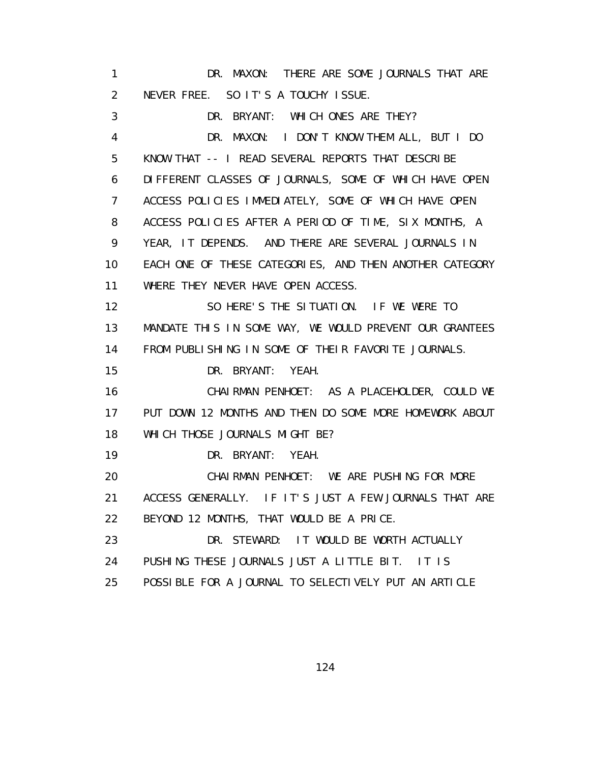1 DR. MAXON: THERE ARE SOME JOURNALS THAT ARE 2 NEVER FREE. SO IT'S A TOUCHY ISSUE. 3 DR. BRYANT: WHICH ONES ARE THEY? 4 DR. MAXON: I DON'T KNOW THEM ALL, BUT I DO 5 KNOW THAT -- I READ SEVERAL REPORTS THAT DESCRIBE 6 DIFFERENT CLASSES OF JOURNALS, SOME OF WHICH HAVE OPEN 7 ACCESS POLICIES IMMEDIATELY, SOME OF WHICH HAVE OPEN 8 ACCESS POLICIES AFTER A PERIOD OF TIME, SIX MONTHS, A 9 YEAR, IT DEPENDS. AND THERE ARE SEVERAL JOURNALS IN 10 EACH ONE OF THESE CATEGORIES, AND THEN ANOTHER CATEGORY 11 WHERE THEY NEVER HAVE OPEN ACCESS. 12 SO HERE'S THE SITUATION. IF WE WERE TO 13 MANDATE THIS IN SOME WAY, WE WOULD PREVENT OUR GRANTEES 14 FROM PUBLISHING IN SOME OF THEIR FAVORITE JOURNALS. 15 DR. BRYANT: YEAH. 16 CHAIRMAN PENHOET: AS A PLACEHOLDER, COULD WE 17 PUT DOWN 12 MONTHS AND THEN DO SOME MORE HOMEWORK ABOUT 18 WHICH THOSE JOURNALS MIGHT BE? 19 DR. BRYANT: YEAH. 20 CHAIRMAN PENHOET: WE ARE PUSHING FOR MORE 21 ACCESS GENERALLY. IF IT'S JUST A FEW JOURNALS THAT ARE 22 BEYOND 12 MONTHS, THAT WOULD BE A PRICE. 23 DR. STEWARD: IT WOULD BE WORTH ACTUALLY 24 PUSHING THESE JOURNALS JUST A LITTLE BIT. IT IS 25 POSSIBLE FOR A JOURNAL TO SELECTIVELY PUT AN ARTICLE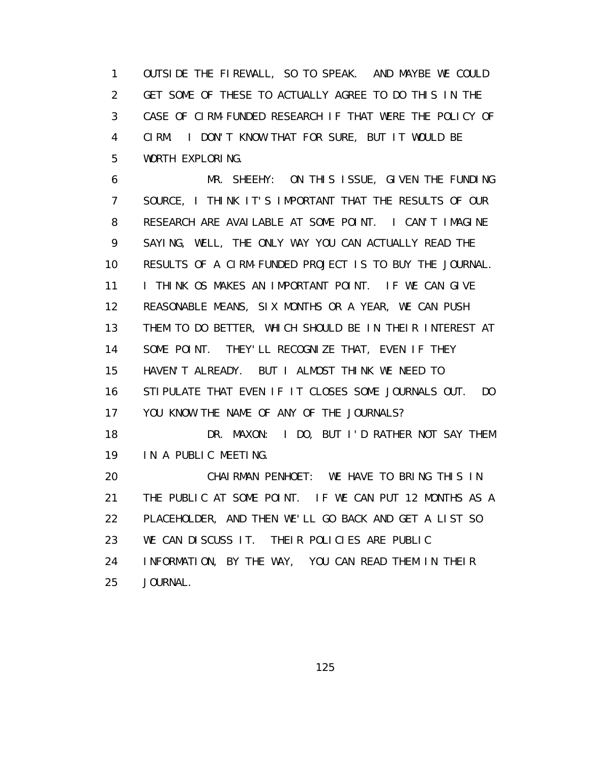1 OUTSIDE THE FIREWALL, SO TO SPEAK. AND MAYBE WE COULD 2 GET SOME OF THESE TO ACTUALLY AGREE TO DO THIS IN THE 3 CASE OF CIRM-FUNDED RESEARCH IF THAT WERE THE POLICY OF 4 CIRM. I DON'T KNOW THAT FOR SURE, BUT IT WOULD BE 5 WORTH EXPLORING.

 6 MR. SHEEHY: ON THIS ISSUE, GIVEN THE FUNDING 7 SOURCE, I THINK IT'S IMPORTANT THAT THE RESULTS OF OUR 8 RESEARCH ARE AVAILABLE AT SOME POINT. I CAN'T IMAGINE 9 SAYING, WELL, THE ONLY WAY YOU CAN ACTUALLY READ THE 10 RESULTS OF A CIRM-FUNDED PROJECT IS TO BUY THE JOURNAL. 11 I THINK OS MAKES AN IMPORTANT POINT. IF WE CAN GIVE 12 REASONABLE MEANS, SIX MONTHS OR A YEAR, WE CAN PUSH 13 THEM TO DO BETTER, WHICH SHOULD BE IN THEIR INTEREST AT 14 SOME POINT. THEY'LL RECOGNIZE THAT, EVEN IF THEY 15 HAVEN'T ALREADY. BUT I ALMOST THINK WE NEED TO 16 STIPULATE THAT EVEN IF IT CLOSES SOME JOURNALS OUT. DO 17 YOU KNOW THE NAME OF ANY OF THE JOURNALS? 18 DR. MAXON: I DO, BUT I'D RATHER NOT SAY THEM 19 IN A PUBLIC MEETING. 20 CHAIRMAN PENHOET: WE HAVE TO BRING THIS IN 21 THE PUBLIC AT SOME POINT. IF WE CAN PUT 12 MONTHS AS A 22 PLACEHOLDER, AND THEN WE'LL GO BACK AND GET A LIST SO 23 WE CAN DISCUSS IT. THEIR POLICIES ARE PUBLIC 24 INFORMATION, BY THE WAY, YOU CAN READ THEM IN THEIR 25 JOURNAL.

<u>125 - Johann Stein, Amerikaansk politiker (</u>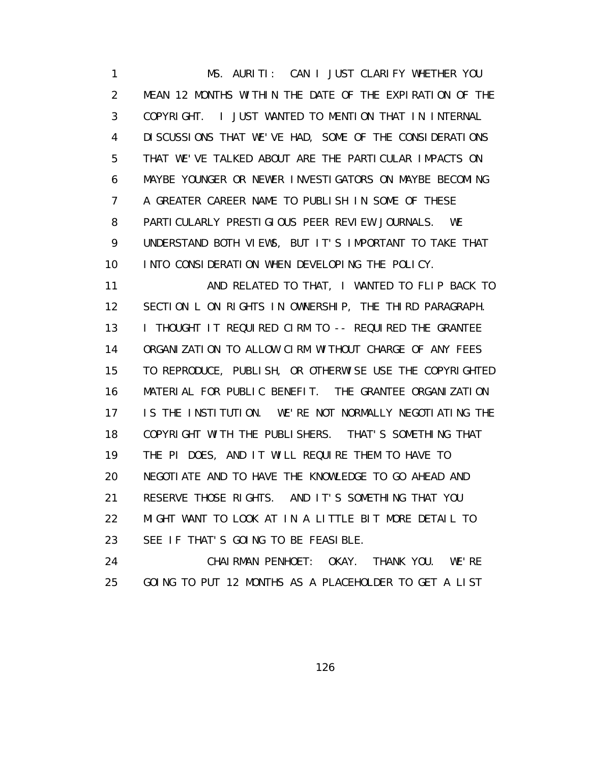1 MS. AURITI: CAN I JUST CLARIFY WHETHER YOU 2 MEAN 12 MONTHS WITHIN THE DATE OF THE EXPIRATION OF THE 3 COPYRIGHT. I JUST WANTED TO MENTION THAT IN INTERNAL 4 DISCUSSIONS THAT WE'VE HAD, SOME OF THE CONSIDERATIONS 5 THAT WE'VE TALKED ABOUT ARE THE PARTICULAR IMPACTS ON 6 MAYBE YOUNGER OR NEWER INVESTIGATORS ON MAYBE BECOMING 7 A GREATER CAREER NAME TO PUBLISH IN SOME OF THESE 8 PARTICULARLY PRESTIGIOUS PEER REVIEW JOURNALS. WE 9 UNDERSTAND BOTH VIEWS, BUT IT'S IMPORTANT TO TAKE THAT 10 INTO CONSIDERATION WHEN DEVELOPING THE POLICY.

 11 AND RELATED TO THAT, I WANTED TO FLIP BACK TO 12 SECTION L ON RIGHTS IN OWNERSHIP, THE THIRD PARAGRAPH. 13 I THOUGHT IT REQUIRED CIRM TO -- REQUIRED THE GRANTEE 14 ORGANIZATION TO ALLOW CIRM WITHOUT CHARGE OF ANY FEES 15 TO REPRODUCE, PUBLISH, OR OTHERWISE USE THE COPYRIGHTED 16 MATERIAL FOR PUBLIC BENEFIT. THE GRANTEE ORGANIZATION 17 IS THE INSTITUTION. WE'RE NOT NORMALLY NEGOTIATING THE 18 COPYRIGHT WITH THE PUBLISHERS. THAT'S SOMETHING THAT 19 THE PI DOES, AND IT WILL REQUIRE THEM TO HAVE TO 20 NEGOTIATE AND TO HAVE THE KNOWLEDGE TO GO AHEAD AND 21 RESERVE THOSE RIGHTS. AND IT'S SOMETHING THAT YOU 22 MIGHT WANT TO LOOK AT IN A LITTLE BIT MORE DETAIL TO 23 SEE IF THAT'S GOING TO BE FEASIBLE.

 24 CHAIRMAN PENHOET: OKAY. THANK YOU. WE'RE 25 GOING TO PUT 12 MONTHS AS A PLACEHOLDER TO GET A LIST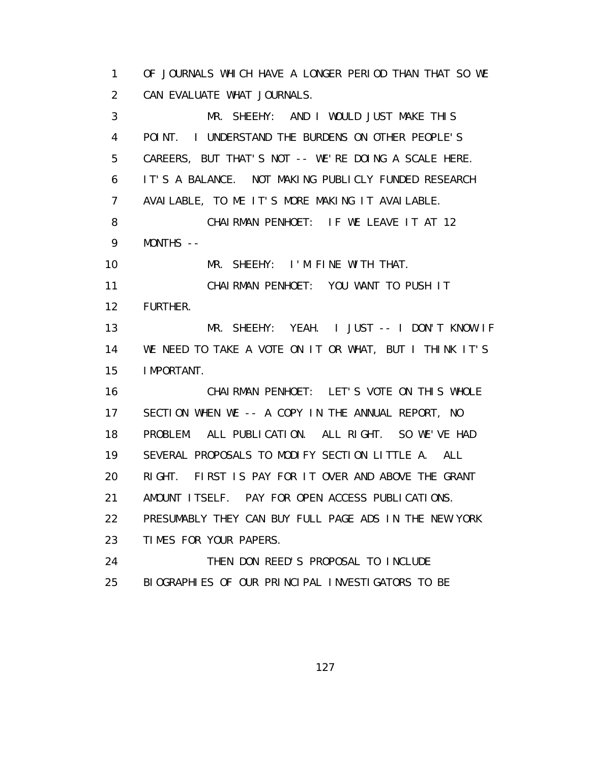1 OF JOURNALS WHICH HAVE A LONGER PERIOD THAN THAT SO WE 2 CAN EVALUATE WHAT JOURNALS. 3 MR. SHEEHY: AND I WOULD JUST MAKE THIS 4 POINT. I UNDERSTAND THE BURDENS ON OTHER PEOPLE'S 5 CAREERS, BUT THAT'S NOT -- WE'RE DOING A SCALE HERE. 6 IT'S A BALANCE. NOT MAKING PUBLICLY FUNDED RESEARCH 7 AVAILABLE, TO ME IT'S MORE MAKING IT AVAILABLE. 8 CHAIRMAN PENHOET: IF WE LEAVE IT AT 12 9 MONTHS -- 10 MR. SHEEHY: I'M FINE WITH THAT. 11 CHAIRMAN PENHOET: YOU WANT TO PUSH IT 12 FURTHER. 13 MR. SHEEHY: YEAH. I JUST -- I DON'T KNOW IF 14 WE NEED TO TAKE A VOTE ON IT OR WHAT, BUT I THINK IT'S 15 IMPORTANT. 16 CHAIRMAN PENHOET: LET'S VOTE ON THIS WHOLE 17 SECTION WHEN WE -- A COPY IN THE ANNUAL REPORT, NO 18 PROBLEM. ALL PUBLICATION. ALL RIGHT. SO WE'VE HAD 19 SEVERAL PROPOSALS TO MODIFY SECTION LITTLE A. ALL 20 RIGHT. FIRST IS PAY FOR IT OVER AND ABOVE THE GRANT 21 AMOUNT ITSELF. PAY FOR OPEN ACCESS PUBLICATIONS. 22 PRESUMABLY THEY CAN BUY FULL PAGE ADS IN THE NEW YORK 23 TIMES FOR YOUR PAPERS. 24 THEN DON REED'S PROPOSAL TO INCLUDE 25 BIOGRAPHIES OF OUR PRINCIPAL INVESTIGATORS TO BE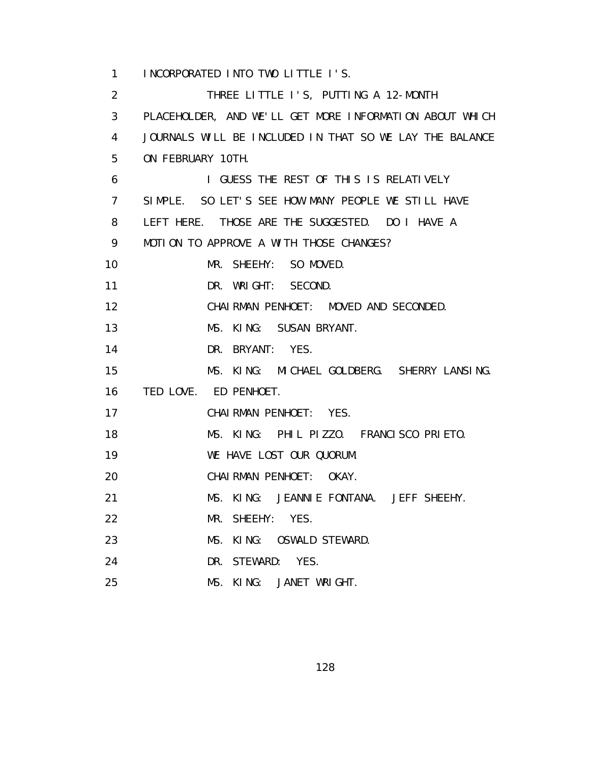1 INCORPORATED INTO TWO LITTLE I'S. 2 THREE LITTLE I'S, PUTTING A 12-MONTH 3 PLACEHOLDER, AND WE'LL GET MORE INFORMATION ABOUT WHICH 4 JOURNALS WILL BE INCLUDED IN THAT SO WE LAY THE BALANCE 5 ON FEBRUARY 10TH. 6 I GUESS THE REST OF THIS IS RELATIVELY 7 SIMPLE. SO LET'S SEE HOW MANY PEOPLE WE STILL HAVE 8 LEFT HERE. THOSE ARE THE SUGGESTED. DO I HAVE A 9 MOTION TO APPROVE A WITH THOSE CHANGES? 10 MR. SHEEHY: SO MOVED. 11 DR. WRIGHT: SECOND. 12 CHAIRMAN PENHOET: MOVED AND SECONDED. 13 MS. KING: SUSAN BRYANT. 14 DR. BRYANT: YES. 15 MS. KING: MICHAEL GOLDBERG. SHERRY LANSING. 16 TED LOVE. ED PENHOET. 17 CHAIRMAN PENHOET: YES. 18 MS. KING: PHIL PIZZO. FRANCISCO PRIETO. 19 WE HAVE LOST OUR QUORUM. 20 CHAIRMAN PENHOET: OKAY. 21 MS. KING: JEANNIE FONTANA. JEFF SHEEHY. 22 MR. SHEEHY: YES. 23 MS. KING: OSWALD STEWARD. 24 DR. STEWARD: YES. 25 MS. KING: JANET WRIGHT.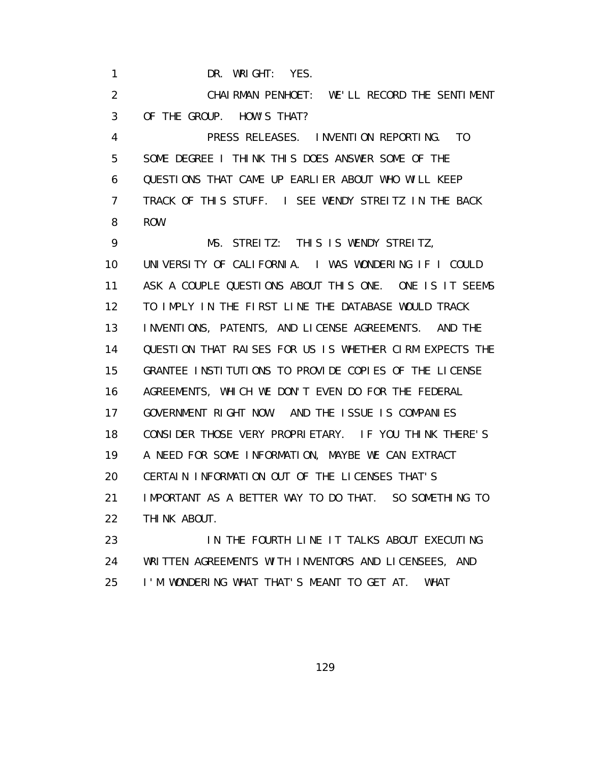1 DR. WRIGHT: YES.

 2 CHAIRMAN PENHOET: WE'LL RECORD THE SENTIMENT 3 OF THE GROUP. HOW'S THAT?

 4 PRESS RELEASES. INVENTION REPORTING. TO 5 SOME DEGREE I THINK THIS DOES ANSWER SOME OF THE 6 QUESTIONS THAT CAME UP EARLIER ABOUT WHO WILL KEEP 7 TRACK OF THIS STUFF. I SEE WENDY STREITZ IN THE BACK 8 ROW.

 9 MS. STREITZ: THIS IS WENDY STREITZ, 10 UNIVERSITY OF CALIFORNIA. I WAS WONDERING IF I COULD 11 ASK A COUPLE QUESTIONS ABOUT THIS ONE. ONE IS IT SEEMS 12 TO IMPLY IN THE FIRST LINE THE DATABASE WOULD TRACK 13 INVENTIONS, PATENTS, AND LICENSE AGREEMENTS. AND THE 14 QUESTION THAT RAISES FOR US IS WHETHER CIRM EXPECTS THE 15 GRANTEE INSTITUTIONS TO PROVIDE COPIES OF THE LICENSE 16 AGREEMENTS, WHICH WE DON'T EVEN DO FOR THE FEDERAL 17 GOVERNMENT RIGHT NOW. AND THE ISSUE IS COMPANIES 18 CONSIDER THOSE VERY PROPRIETARY. IF YOU THINK THERE'S 19 A NEED FOR SOME INFORMATION, MAYBE WE CAN EXTRACT 20 CERTAIN INFORMATION OUT OF THE LICENSES THAT'S 21 IMPORTANT AS A BETTER WAY TO DO THAT. SO SOMETHING TO 22 THINK ABOUT.

23 **IN THE FOURTH LINE IT TALKS ABOUT EXECUTING**  24 WRITTEN AGREEMENTS WITH INVENTORS AND LICENSEES, AND 25 I'M WONDERING WHAT THAT'S MEANT TO GET AT. WHAT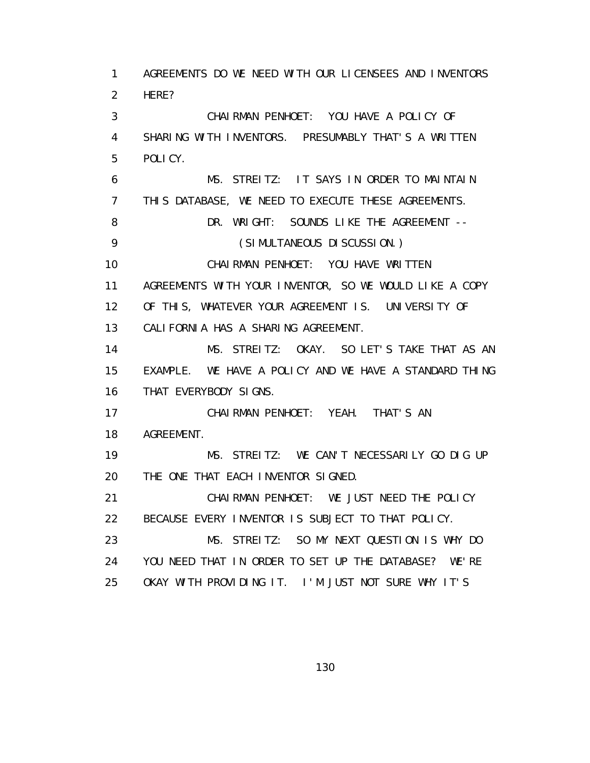1 AGREEMENTS DO WE NEED WITH OUR LICENSEES AND INVENTORS 2 HERE? 3 CHAIRMAN PENHOET: YOU HAVE A POLICY OF 4 SHARING WITH INVENTORS. PRESUMABLY THAT'S A WRITTEN 5 POLICY. 6 MS. STREITZ: IT SAYS IN ORDER TO MAINTAIN 7 THIS DATABASE, WE NEED TO EXECUTE THESE AGREEMENTS. 8 DR. WRIGHT: SOUNDS LIKE THE AGREEMENT --9 (SI MULTANEOUS DI SCUSSI ON.) 10 CHAIRMAN PENHOET: YOU HAVE WRITTEN 11 AGREEMENTS WITH YOUR INVENTOR, SO WE WOULD LIKE A COPY 12 OF THIS, WHATEVER YOUR AGREEMENT IS. UNIVERSITY OF 13 CALIFORNIA HAS A SHARING AGREEMENT. 14 MS. STREITZ: OKAY. SO LET'S TAKE THAT AS AN 15 EXAMPLE. WE HAVE A POLICY AND WE HAVE A STANDARD THING 16 THAT EVERYBODY SIGNS. 17 CHAIRMAN PENHOET: YEAH. THAT'S AN 18 AGREEMENT. 19 MS. STREITZ: WE CAN'T NECESSARILY GO DIG UP 20 THE ONE THAT EACH INVENTOR SIGNED. 21 CHAIRMAN PENHOET: WE JUST NEED THE POLICY 22 BECAUSE EVERY INVENTOR IS SUBJECT TO THAT POLICY. 23 MS. STREITZ: SO MY NEXT QUESTION IS WHY DO 24 YOU NEED THAT IN ORDER TO SET UP THE DATABASE? WE'RE 25 OKAY WITH PROVIDING IT. I'M JUST NOT SURE WHY IT'S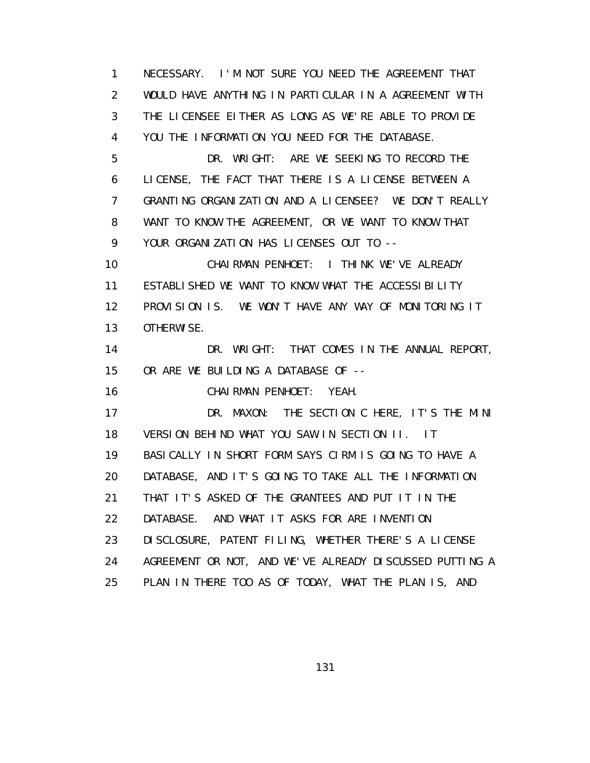1 NECESSARY. I'M NOT SURE YOU NEED THE AGREEMENT THAT 2 WOULD HAVE ANYTHING IN PARTICULAR IN A AGREEMENT WITH 3 THE LICENSEE EITHER AS LONG AS WE'RE ABLE TO PROVIDE 4 YOU THE INFORMATION YOU NEED FOR THE DATABASE. 5 DR. WRIGHT: ARE WE SEEKING TO RECORD THE 6 LICENSE, THE FACT THAT THERE IS A LICENSE BETWEEN A 7 GRANTING ORGANIZATION AND A LICENSEE? WE DON'T REALLY 8 WANT TO KNOW THE AGREEMENT, OR WE WANT TO KNOW THAT 9 YOUR ORGANIZATION HAS LICENSES OUT TO -- 10 CHAIRMAN PENHOET: I THINK WE'VE ALREADY 11 ESTABLISHED WE WANT TO KNOW WHAT THE ACCESSIBILITY 12 PROVISION IS. WE WON'T HAVE ANY WAY OF MONITORING IT 13 OTHERWISE. 14 DR. WRIGHT: THAT COMES IN THE ANNUAL REPORT, 15 OR ARE WE BUILDING A DATABASE OF -- 16 CHAIRMAN PENHOET: YEAH. 17 DR. MAXON: THE SECTION C HERE, IT'S THE MINI 18 VERSION BEHIND WHAT YOU SAW IN SECTION II. IT 19 BASICALLY IN SHORT FORM SAYS CIRM IS GOING TO HAVE A 20 DATABASE, AND IT'S GOING TO TAKE ALL THE INFORMATION 21 THAT IT'S ASKED OF THE GRANTEES AND PUT IT IN THE 22 DATABASE. AND WHAT IT ASKS FOR ARE INVENTION 23 DISCLOSURE, PATENT FILING, WHETHER THERE'S A LICENSE 24 AGREEMENT OR NOT, AND WE'VE ALREADY DISCUSSED PUTTING A 25 PLAN IN THERE TOO AS OF TODAY, WHAT THE PLAN IS, AND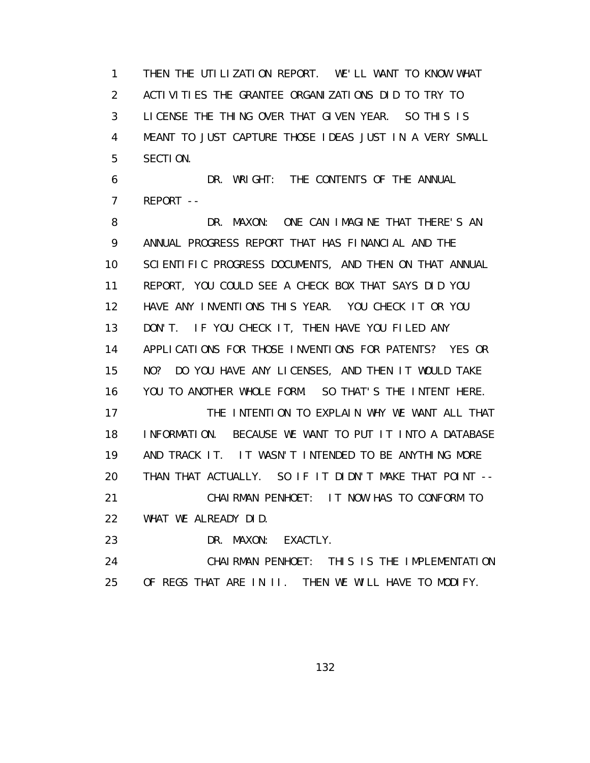1 THEN THE UTILIZATION REPORT. WE'LL WANT TO KNOW WHAT 2 ACTIVITIES THE GRANTEE ORGANIZATIONS DID TO TRY TO 3 LICENSE THE THING OVER THAT GIVEN YEAR. SO THIS IS 4 MEANT TO JUST CAPTURE THOSE IDEAS JUST IN A VERY SMALL 5 SECTION.

 6 DR. WRIGHT: THE CONTENTS OF THE ANNUAL 7 REPORT --

8 DR. MAXON: ONE CAN IMAGINE THAT THERE'S AN 9 ANNUAL PROGRESS REPORT THAT HAS FINANCIAL AND THE 10 SCIENTIFIC PROGRESS DOCUMENTS, AND THEN ON THAT ANNUAL 11 REPORT, YOU COULD SEE A CHECK BOX THAT SAYS DID YOU 12 HAVE ANY INVENTIONS THIS YEAR. YOU CHECK IT OR YOU 13 DON'T. IF YOU CHECK IT, THEN HAVE YOU FILED ANY 14 APPLICATIONS FOR THOSE INVENTIONS FOR PATENTS? YES OR 15 NO? DO YOU HAVE ANY LICENSES, AND THEN IT WOULD TAKE 16 YOU TO ANOTHER WHOLE FORM. SO THAT'S THE INTENT HERE. 17 THE INTENTION TO EXPLAIN WHY WE WANT ALL THAT 18 INFORMATION. BECAUSE WE WANT TO PUT IT INTO A DATABASE 19 AND TRACK IT. IT WASN'T INTENDED TO BE ANYTHING MORE 20 THAN THAT ACTUALLY. SO IF IT DIDN'T MAKE THAT POINT -- 21 CHAIRMAN PENHOET: IT NOW HAS TO CONFORM TO 22 WHAT WE ALREADY DID. 23 DR. MAXON: EXACTLY.

 24 CHAIRMAN PENHOET: THIS IS THE IMPLEMENTATION 25 OF REGS THAT ARE IN II. THEN WE WILL HAVE TO MODIFY.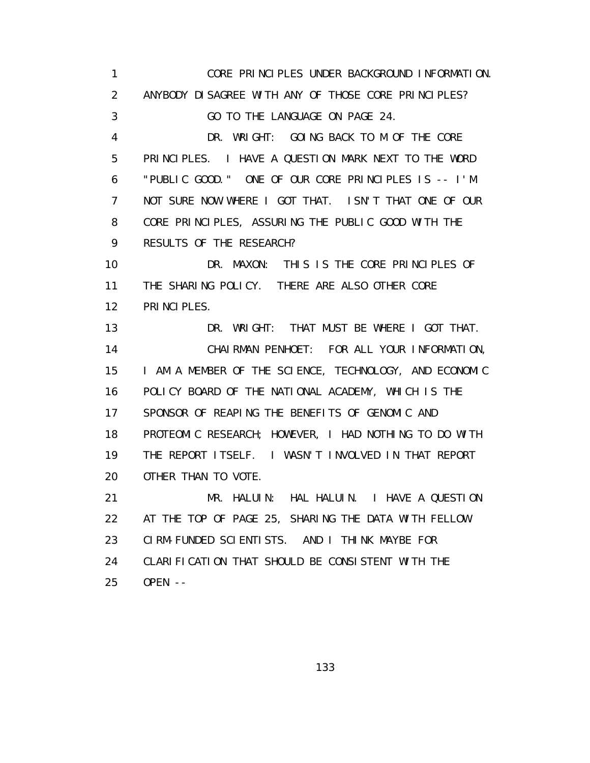1 CORE PRINCIPLES UNDER BACKGROUND INFORMATION. 2 ANYBODY DISAGREE WITH ANY OF THOSE CORE PRINCIPLES? 3 GO TO THE LANGUAGE ON PAGE 24. 4 DR. WRIGHT: GOING BACK TO M OF THE CORE 5 PRINCIPLES. I HAVE A QUESTION MARK NEXT TO THE WORD 6 "PUBLIC GOOD." ONE OF OUR CORE PRINCIPLES IS -- I'M 7 NOT SURE NOW WHERE I GOT THAT. ISN'T THAT ONE OF OUR 8 CORE PRINCIPLES, ASSURING THE PUBLIC GOOD WITH THE 9 RESULTS OF THE RESEARCH? 10 DR. MAXON: THIS IS THE CORE PRINCIPLES OF 11 THE SHARING POLICY. THERE ARE ALSO OTHER CORE 12 PRINCIPLES. 13 DR. WRIGHT: THAT MUST BE WHERE I GOT THAT. 14 CHAIRMAN PENHOET: FOR ALL YOUR INFORMATION, 15 I AM A MEMBER OF THE SCIENCE, TECHNOLOGY, AND ECONOMIC 16 POLICY BOARD OF THE NATIONAL ACADEMY, WHICH IS THE 17 SPONSOR OF REAPING THE BENEFITS OF GENOMIC AND 18 PROTEOMIC RESEARCH; HOWEVER, I HAD NOTHING TO DO WITH 19 THE REPORT ITSELF. I WASN'T INVOLVED IN THAT REPORT 20 OTHER THAN TO VOTE. 21 MR. HALUIN: HAL HALUIN. I HAVE A QUESTION 22 AT THE TOP OF PAGE 25, SHARING THE DATA WITH FELLOW 23 CIRM-FUNDED SCIENTISTS. AND I THINK MAYBE FOR 24 CLARIFICATION THAT SHOULD BE CONSISTENT WITH THE 25 OPEN --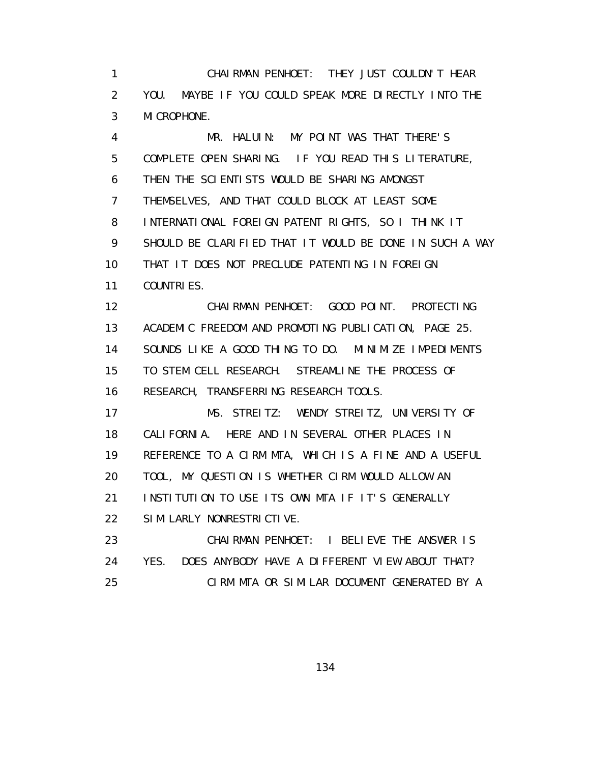1 CHAIRMAN PENHOET: THEY JUST COULDN'T HEAR 2 YOU. MAYBE IF YOU COULD SPEAK MORE DIRECTLY INTO THE 3 MICROPHONE.

 4 MR. HALUIN: MY POINT WAS THAT THERE'S 5 COMPLETE OPEN SHARING. IF YOU READ THIS LITERATURE, 6 THEN THE SCIENTISTS WOULD BE SHARING AMONGST 7 THEMSELVES, AND THAT COULD BLOCK AT LEAST SOME 8 INTERNATIONAL FOREIGN PATENT RIGHTS, SO I THINK IT 9 SHOULD BE CLARIFIED THAT IT WOULD BE DONE IN SUCH A WAY 10 THAT IT DOES NOT PRECLUDE PATENTING IN FOREIGN 11 COUNTRIES. 12 CHAIRMAN PENHOET: GOOD POINT. PROTECTING 13 ACADEMIC FREEDOM AND PROMOTING PUBLICATION, PAGE 25. 14 SOUNDS LIKE A GOOD THING TO DO. MINIMIZE IMPEDIMENTS 15 TO STEM CELL RESEARCH. STREAMLINE THE PROCESS OF 16 RESEARCH, TRANSFERRING RESEARCH TOOLS. 17 MS. STREITZ: WENDY STREITZ, UNIVERSITY OF 18 CALIFORNIA. HERE AND IN SEVERAL OTHER PLACES IN 19 REFERENCE TO A CIRM MTA, WHICH IS A FINE AND A USEFUL

20 TOOL, MY QUESTION IS WHETHER CIRM WOULD ALLOW AN

21 INSTITUTION TO USE ITS OWN MTA IF IT'S GENERALLY

22 SIMILARLY NONRESTRICTIVE.

23 CHAIRMAN PENHOET: I BELIEVE THE ANSWER IS 24 YES. DOES ANYBODY HAVE A DIFFERENT VIEW ABOUT THAT? 25 CIRM MTA OR SIMILAR DOCUMENT GENERATED BY A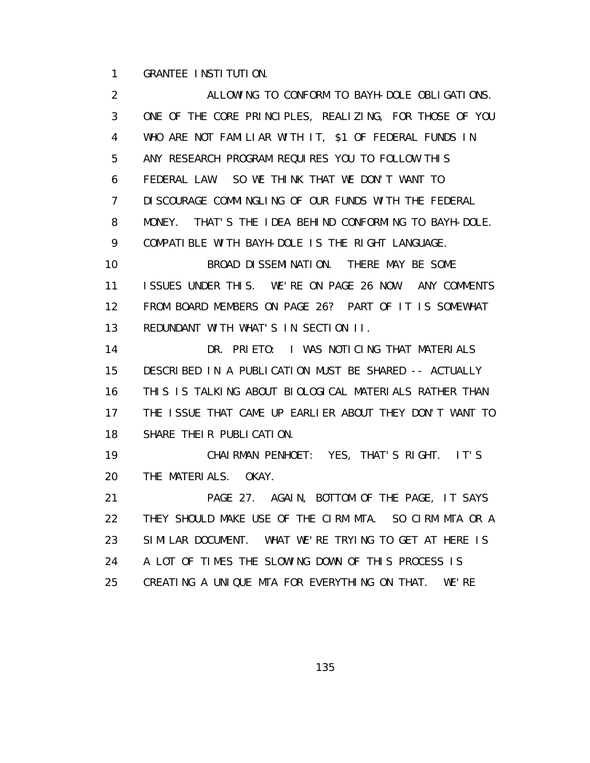1 GRANTEE INSTITUTION.

 2 ALLOWING TO CONFORM TO BAYH-DOLE OBLIGATIONS. 3 ONE OF THE CORE PRINCIPLES, REALIZING, FOR THOSE OF YOU 4 WHO ARE NOT FAMILIAR WITH IT, \$1 OF FEDERAL FUNDS IN 5 ANY RESEARCH PROGRAM REQUIRES YOU TO FOLLOW THIS 6 FEDERAL LAW. SO WE THINK THAT WE DON'T WANT TO 7 DISCOURAGE COMMINGLING OF OUR FUNDS WITH THE FEDERAL 8 MONEY. THAT'S THE IDEA BEHIND CONFORMING TO BAYH-DOLE. 9 COMPATIBLE WITH BAYH-DOLE IS THE RIGHT LANGUAGE. 10 BROAD DISSEMINATION. THERE MAY BE SOME 11 ISSUES UNDER THIS. WE'RE ON PAGE 26 NOW. ANY COMMENTS 12 FROM BOARD MEMBERS ON PAGE 26? PART OF IT IS SOMEWHAT 13 REDUNDANT WITH WHAT'S IN SECTION II. 14 DR. PRIETO: I WAS NOTICING THAT MATERIALS 15 DESCRIBED IN A PUBLICATION MUST BE SHARED -- ACTUALLY 16 THIS IS TALKING ABOUT BIOLOGICAL MATERIALS RATHER THAN 17 THE ISSUE THAT CAME UP EARLIER ABOUT THEY DON'T WANT TO 18 SHARE THEIR PUBLICATION. 19 CHAIRMAN PENHOET: YES, THAT'S RIGHT. IT'S 20 THE MATERIALS. OKAY. 21 PAGE 27. AGAIN, BOTTOM OF THE PAGE, IT SAYS 22 THEY SHOULD MAKE USE OF THE CIRM MTA. SO CIRM MTA OR A 23 SIMILAR DOCUMENT. WHAT WE'RE TRYING TO GET AT HERE IS 24 A LOT OF TIMES THE SLOWING DOWN OF THIS PROCESS IS 25 CREATING A UNIQUE MTA FOR EVERYTHING ON THAT. WE'RE

<u>135 - Andrea Santa Andrea Statistica (h. 135</u>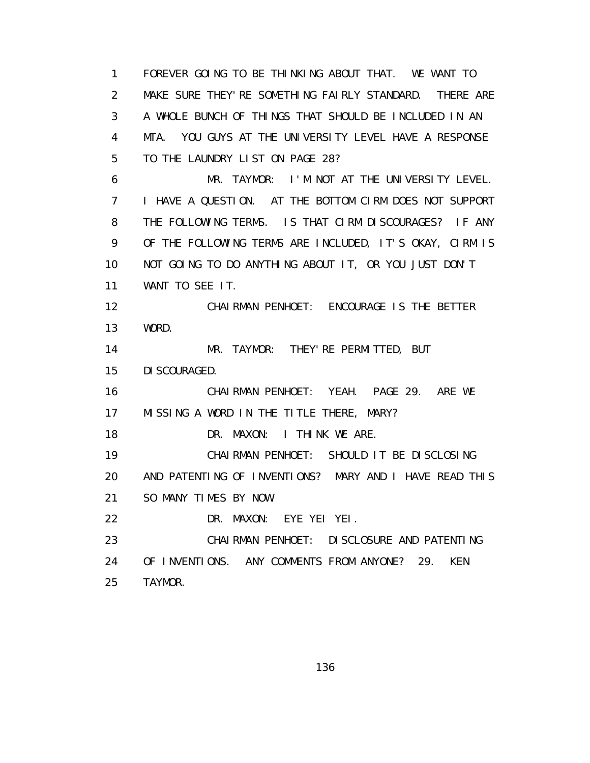1 FOREVER GOING TO BE THINKING ABOUT THAT. WE WANT TO 2 MAKE SURE THEY'RE SOMETHING FAIRLY STANDARD. THERE ARE 3 A WHOLE BUNCH OF THINGS THAT SHOULD BE INCLUDED IN AN 4 MTA. YOU GUYS AT THE UNIVERSITY LEVEL HAVE A RESPONSE 5 TO THE LAUNDRY LIST ON PAGE 28? 6 MR. TAYMOR: I'M NOT AT THE UNIVERSITY LEVEL. 7 I HAVE A QUESTION. AT THE BOTTOM CIRM DOES NOT SUPPORT 8 THE FOLLOWING TERMS. IS THAT CIRM DISCOURAGES? IF ANY 9 OF THE FOLLOWING TERMS ARE INCLUDED, IT'S OKAY, CIRM IS 10 NOT GOING TO DO ANYTHING ABOUT IT, OR YOU JUST DON'T 11 WANT TO SEE IT. 12 CHAIRMAN PENHOET: ENCOURAGE IS THE BETTER 13 WORD. 14 MR. TAYMOR: THEY'RE PERMITTED, BUT 15 DISCOURAGED. 16 CHAIRMAN PENHOET: YEAH. PAGE 29. ARE WE 17 MISSING A WORD IN THE TITLE THERE, MARY? 18 DR. MAXON: I THINK WE ARE. 19 CHAIRMAN PENHOET: SHOULD IT BE DISCLOSING 20 AND PATENTING OF INVENTIONS? MARY AND I HAVE READ THIS 21 SO MANY TIMES BY NOW. 22 DR. MAXON: EYE YEI YEI. 23 CHAIRMAN PENHOET: DISCLOSURE AND PATENTING 24 OF INVENTIONS. ANY COMMENTS FROM ANYONE? 29. KEN 25 TAYMOR.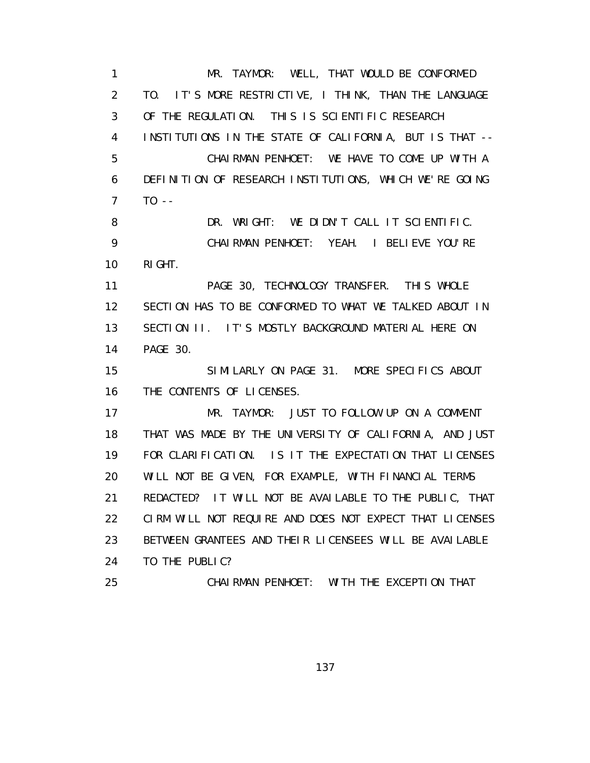1 MR. TAYMOR: WELL, THAT WOULD BE CONFORMED 2 TO. IT'S MORE RESTRICTIVE, I THINK, THAN THE LANGUAGE 3 OF THE REGULATION. THIS IS SCIENTIFIC RESEARCH 4 INSTITUTIONS IN THE STATE OF CALIFORNIA, BUT IS THAT -- 5 CHAIRMAN PENHOET: WE HAVE TO COME UP WITH A 6 DEFINITION OF RESEARCH INSTITUTIONS, WHICH WE'RE GOING 7 TO -- 8 DR. WRIGHT: WE DIDN'T CALL IT SCIENTIFIC. 9 CHAIRMAN PENHOET: YEAH. I BELIEVE YOU'RE 10 RIGHT. 11 PAGE 30, TECHNOLOGY TRANSFER. THIS WHOLE 12 SECTION HAS TO BE CONFORMED TO WHAT WE TALKED ABOUT IN 13 SECTION II. IT'S MOSTLY BACKGROUND MATERIAL HERE ON 14 PAGE 30. 15 SIMILARLY ON PAGE 31. MORE SPECIFICS ABOUT 16 THE CONTENTS OF LICENSES. 17 MR. TAYMOR: JUST TO FOLLOW UP ON A COMMENT 18 THAT WAS MADE BY THE UNIVERSITY OF CALIFORNIA, AND JUST 19 FOR CLARIFICATION. IS IT THE EXPECTATION THAT LICENSES 20 WILL NOT BE GIVEN, FOR EXAMPLE, WITH FINANCIAL TERMS 21 REDACTED? IT WILL NOT BE AVAILABLE TO THE PUBLIC, THAT 22 CIRM WILL NOT REQUIRE AND DOES NOT EXPECT THAT LICENSES 23 BETWEEN GRANTEES AND THEIR LICENSEES WILL BE AVAILABLE 24 TO THE PUBLIC? 25 CHAIRMAN PENHOET: WITH THE EXCEPTION THAT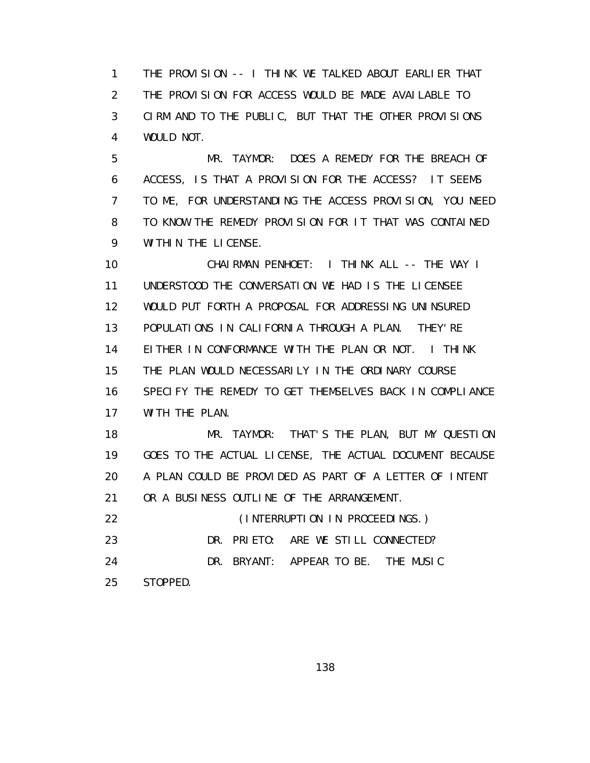1 THE PROVISION -- I THINK WE TALKED ABOUT EARLIER THAT 2 THE PROVISION FOR ACCESS WOULD BE MADE AVAILABLE TO 3 CIRM AND TO THE PUBLIC, BUT THAT THE OTHER PROVISIONS 4 WOULD NOT.

 5 MR. TAYMOR: DOES A REMEDY FOR THE BREACH OF 6 ACCESS, IS THAT A PROVISION FOR THE ACCESS? IT SEEMS 7 TO ME, FOR UNDERSTANDING THE ACCESS PROVISION, YOU NEED 8 TO KNOW THE REMEDY PROVISION FOR IT THAT WAS CONTAINED 9 WITHIN THE LICENSE.

 10 CHAIRMAN PENHOET: I THINK ALL -- THE WAY I 11 UNDERSTOOD THE CONVERSATION WE HAD IS THE LICENSEE 12 WOULD PUT FORTH A PROPOSAL FOR ADDRESSING UNINSURED 13 POPULATIONS IN CALIFORNIA THROUGH A PLAN. THEY'RE 14 EITHER IN CONFORMANCE WITH THE PLAN OR NOT. I THINK 15 THE PLAN WOULD NECESSARILY IN THE ORDINARY COURSE 16 SPECIFY THE REMEDY TO GET THEMSELVES BACK IN COMPLIANCE 17 WITH THE PLAN.

 18 MR. TAYMOR: THAT'S THE PLAN, BUT MY QUESTION 19 GOES TO THE ACTUAL LICENSE, THE ACTUAL DOCUMENT BECAUSE 20 A PLAN COULD BE PROVIDED AS PART OF A LETTER OF INTENT 21 OR A BUSINESS OUTLINE OF THE ARRANGEMENT.

 22 (INTERRUPTION IN PROCEEDINGS.) 23 DR. PRIETO: ARE WE STILL CONNECTED? 24 DR. BRYANT: APPEAR TO BE. THE MUSIC 25 STOPPED.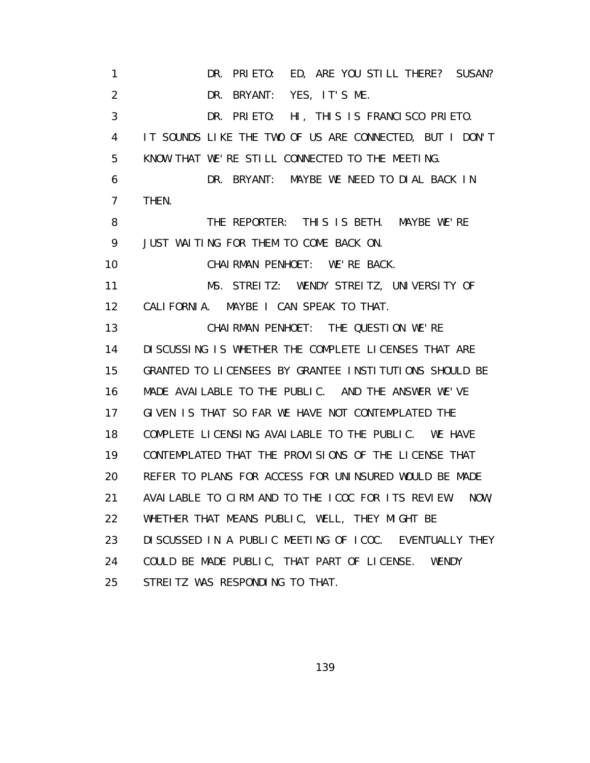1 DR. PRIETO: ED, ARE YOU STILL THERE? SUSAN? 2 DR. BRYANT: YES, IT'S ME. 3 DR. PRIETO: HI, THIS IS FRANCISCO PRIETO. 4 IT SOUNDS LIKE THE TWO OF US ARE CONNECTED, BUT I DON'T 5 KNOW THAT WE'RE STILL CONNECTED TO THE MEETING. 6 DR. BRYANT: MAYBE WE NEED TO DIAL BACK IN 7 THEN. 8 THE REPORTER: THIS IS BETH. MAYBE WE'RE 9 JUST WAITING FOR THEM TO COME BACK ON. 10 CHAIRMAN PENHOET: WE'RE BACK. 11 MS. STREITZ: WENDY STREITZ, UNIVERSITY OF 12 CALIFORNIA. MAYBE I CAN SPEAK TO THAT. 13 CHAIRMAN PENHOET: THE QUESTION WE'RE 14 DISCUSSING IS WHETHER THE COMPLETE LICENSES THAT ARE 15 GRANTED TO LICENSEES BY GRANTEE INSTITUTIONS SHOULD BE 16 MADE AVAILABLE TO THE PUBLIC. AND THE ANSWER WE'VE 17 GIVEN IS THAT SO FAR WE HAVE NOT CONTEMPLATED THE 18 COMPLETE LICENSING AVAILABLE TO THE PUBLIC. WE HAVE 19 CONTEMPLATED THAT THE PROVISIONS OF THE LICENSE THAT 20 REFER TO PLANS FOR ACCESS FOR UNINSURED WOULD BE MADE 21 AVAILABLE TO CIRM AND TO THE ICOC FOR ITS REVIEW. NOW, 22 WHETHER THAT MEANS PUBLIC, WELL, THEY MIGHT BE 23 DISCUSSED IN A PUBLIC MEETING OF ICOC. EVENTUALLY THEY 24 COULD BE MADE PUBLIC, THAT PART OF LICENSE. WENDY 25 STREITZ WAS RESPONDING TO THAT.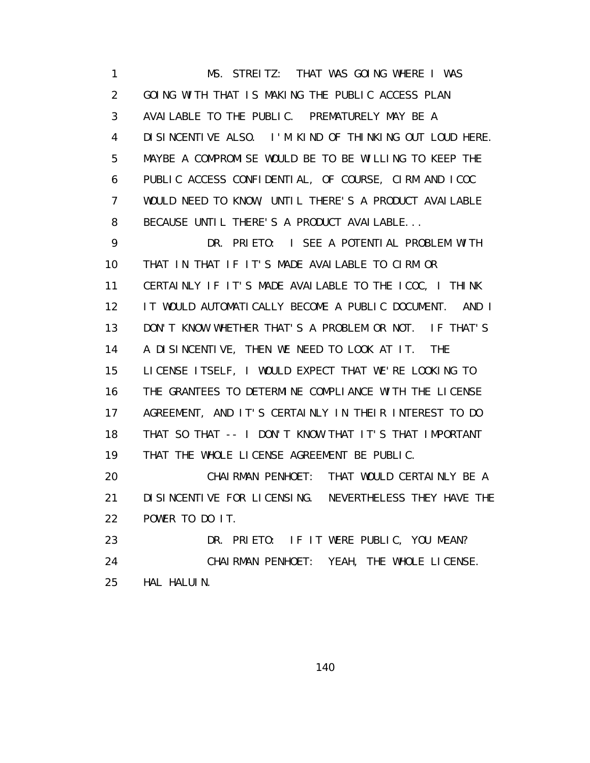1 MS. STREITZ: THAT WAS GOING WHERE I WAS 2 GOING WITH THAT IS MAKING THE PUBLIC ACCESS PLAN 3 AVAILABLE TO THE PUBLIC. PREMATURELY MAY BE A 4 DISINCENTIVE ALSO. I'M KIND OF THINKING OUT LOUD HERE. 5 MAYBE A COMPROMISE WOULD BE TO BE WILLING TO KEEP THE 6 PUBLIC ACCESS CONFIDENTIAL, OF COURSE, CIRM AND ICOC 7 WOULD NEED TO KNOW, UNTIL THERE'S A PRODUCT AVAILABLE 8 BECAUSE UNTIL THERE'S A PRODUCT AVAILABLE...

 9 DR. PRIETO: I SEE A POTENTIAL PROBLEM WITH 10 THAT IN THAT IF IT'S MADE AVAILABLE TO CIRM OR 11 CERTAINLY IF IT'S MADE AVAILABLE TO THE ICOC, I THINK 12 IT WOULD AUTOMATICALLY BECOME A PUBLIC DOCUMENT. AND I 13 DON'T KNOW WHETHER THAT'S A PROBLEM OR NOT. IF THAT'S 14 A DISINCENTIVE, THEN WE NEED TO LOOK AT IT. THE 15 LICENSE ITSELF, I WOULD EXPECT THAT WE'RE LOOKING TO 16 THE GRANTEES TO DETERMINE COMPLIANCE WITH THE LICENSE 17 AGREEMENT, AND IT'S CERTAINLY IN THEIR INTEREST TO DO 18 THAT SO THAT -- I DON'T KNOW THAT IT'S THAT IMPORTANT 19 THAT THE WHOLE LICENSE AGREEMENT BE PUBLIC.

 20 CHAIRMAN PENHOET: THAT WOULD CERTAINLY BE A 21 DISINCENTIVE FOR LICENSING. NEVERTHELESS THEY HAVE THE 22 POWER TO DO IT.

23 DR. PRIETO: IF IT WERE PUBLIC, YOU MEAN? 24 CHAIRMAN PENHOET: YEAH, THE WHOLE LICENSE. 25 HAL HALUIN.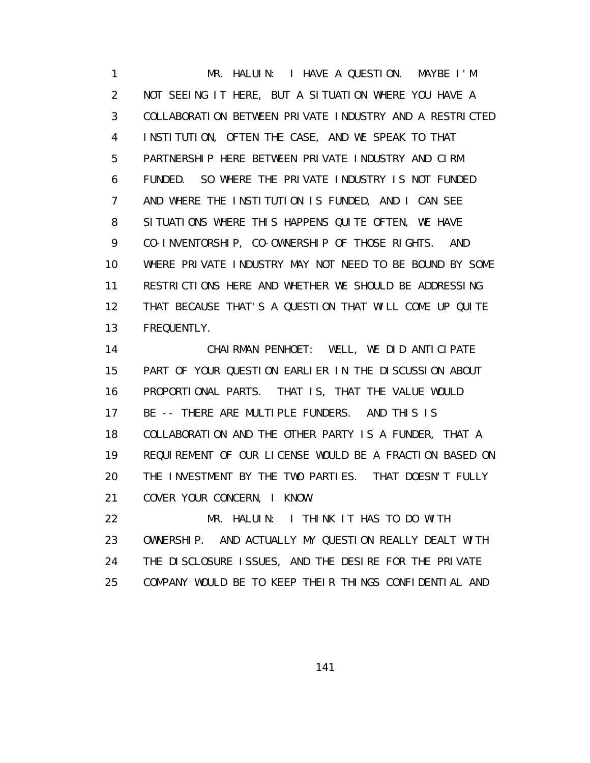1 MR. HALUIN: I HAVE A QUESTION. MAYBE I'M 2 NOT SEEING IT HERE, BUT A SITUATION WHERE YOU HAVE A 3 COLLABORATION BETWEEN PRIVATE INDUSTRY AND A RESTRICTED 4 INSTITUTION, OFTEN THE CASE, AND WE SPEAK TO THAT 5 PARTNERSHIP HERE BETWEEN PRIVATE INDUSTRY AND CIRM 6 FUNDED. SO WHERE THE PRIVATE INDUSTRY IS NOT FUNDED 7 AND WHERE THE INSTITUTION IS FUNDED, AND I CAN SEE 8 SITUATIONS WHERE THIS HAPPENS QUITE OFTEN, WE HAVE 9 CO-INVENTORSHIP, CO-OWNERSHIP OF THOSE RIGHTS. AND 10 WHERE PRIVATE INDUSTRY MAY NOT NEED TO BE BOUND BY SOME 11 RESTRICTIONS HERE AND WHETHER WE SHOULD BE ADDRESSING 12 THAT BECAUSE THAT'S A QUESTION THAT WILL COME UP QUITE 13 FREQUENTLY.

 14 CHAIRMAN PENHOET: WELL, WE DID ANTICIPATE 15 PART OF YOUR QUESTION EARLIER IN THE DISCUSSION ABOUT 16 PROPORTIONAL PARTS. THAT IS, THAT THE VALUE WOULD 17 BE -- THERE ARE MULTIPLE FUNDERS. AND THIS IS 18 COLLABORATION AND THE OTHER PARTY IS A FUNDER, THAT A 19 REQUIREMENT OF OUR LICENSE WOULD BE A FRACTION BASED ON 20 THE INVESTMENT BY THE TWO PARTIES. THAT DOESN'T FULLY 21 COVER YOUR CONCERN, I KNOW.

 22 MR. HALUIN: I THINK IT HAS TO DO WITH 23 OWNERSHIP. AND ACTUALLY MY QUESTION REALLY DEALT WITH 24 THE DISCLOSURE ISSUES, AND THE DESIRE FOR THE PRIVATE 25 COMPANY WOULD BE TO KEEP THEIR THINGS CONFIDENTIAL AND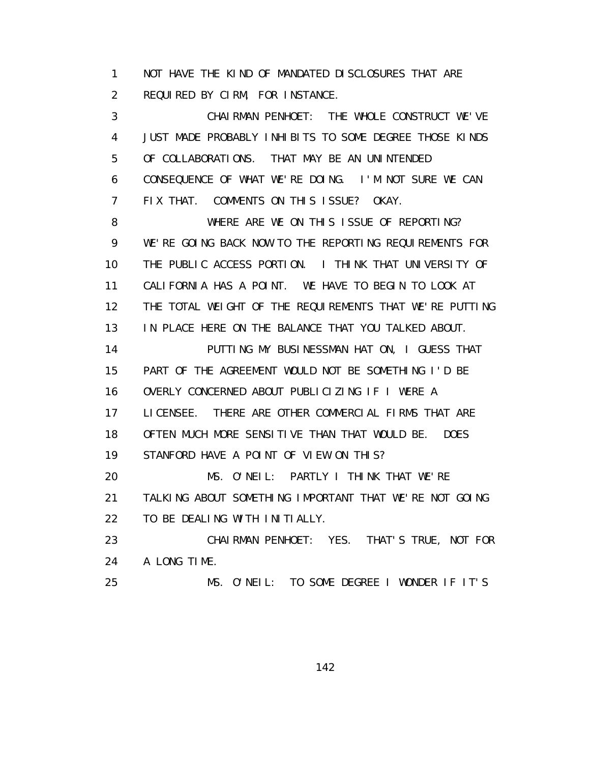1 NOT HAVE THE KIND OF MANDATED DISCLOSURES THAT ARE 2 REQUIRED BY CIRM, FOR INSTANCE.

 3 CHAIRMAN PENHOET: THE WHOLE CONSTRUCT WE'VE 4 JUST MADE PROBABLY INHIBITS TO SOME DEGREE THOSE KINDS 5 OF COLLABORATIONS. THAT MAY BE AN UNINTENDED 6 CONSEQUENCE OF WHAT WE'RE DOING. I'M NOT SURE WE CAN 7 FIX THAT. COMMENTS ON THIS ISSUE? OKAY.

8 WHERE ARE WE ON THIS ISSUE OF REPORTING? 9 WE'RE GOING BACK NOW TO THE REPORTING REQUIREMENTS FOR 10 THE PUBLIC ACCESS PORTION. I THINK THAT UNIVERSITY OF 11 CALIFORNIA HAS A POINT. WE HAVE TO BEGIN TO LOOK AT 12 THE TOTAL WEIGHT OF THE REQUIREMENTS THAT WE'RE PUTTING 13 IN PLACE HERE ON THE BALANCE THAT YOU TALKED ABOUT. 14 PUTTING MY BUSINESSMAN HAT ON, I GUESS THAT 15 PART OF THE AGREEMENT WOULD NOT BE SOMETHING I'D BE 16 OVERLY CONCERNED ABOUT PUBLICIZING IF I WERE A 17 LICENSEE. THERE ARE OTHER COMMERCIAL FIRMS THAT ARE 18 OFTEN MUCH MORE SENSITIVE THAN THAT WOULD BE. DOES 19 STANFORD HAVE A POINT OF VIEW ON THIS? 20 MS. O'NEIL: PARTLY I THINK THAT WE'RE 21 TALKING ABOUT SOMETHING IMPORTANT THAT WE'RE NOT GOING 22 TO BE DEALING WITH INITIALLY. 23 CHAIRMAN PENHOET: YES. THAT'S TRUE, NOT FOR 24 A LONG TIME.

25 MS. O'NEIL: TO SOME DEGREE I WONDER IF IT'S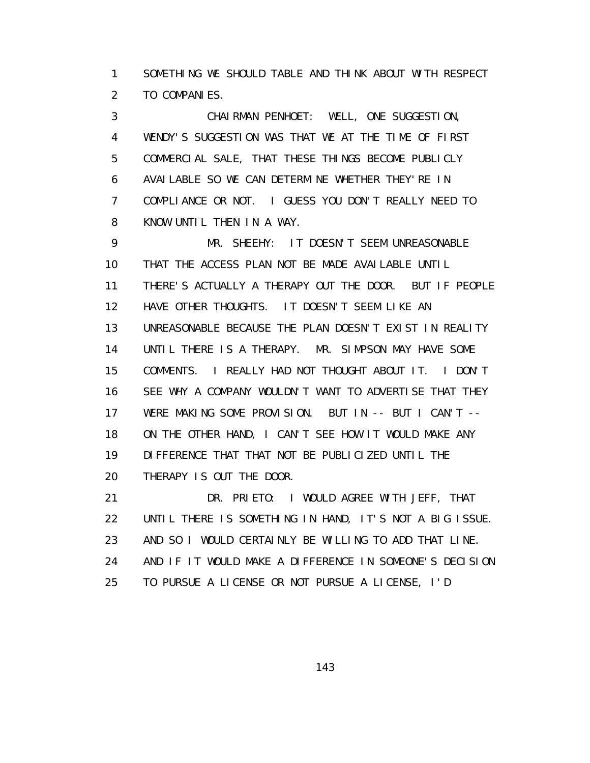1 SOMETHING WE SHOULD TABLE AND THINK ABOUT WITH RESPECT 2 TO COMPANIES.

 3 CHAIRMAN PENHOET: WELL, ONE SUGGESTION, 4 WENDY'S SUGGESTION WAS THAT WE AT THE TIME OF FIRST 5 COMMERCIAL SALE, THAT THESE THINGS BECOME PUBLICLY 6 AVAILABLE SO WE CAN DETERMINE WHETHER THEY'RE IN 7 COMPLIANCE OR NOT. I GUESS YOU DON'T REALLY NEED TO 8 KNOW UNTIL THEN IN A WAY.

 9 MR. SHEEHY: IT DOESN'T SEEM UNREASONABLE 10 THAT THE ACCESS PLAN NOT BE MADE AVAILABLE UNTIL 11 THERE'S ACTUALLY A THERAPY OUT THE DOOR. BUT IF PEOPLE 12 HAVE OTHER THOUGHTS. IT DOESN'T SEEM LIKE AN 13 UNREASONABLE BECAUSE THE PLAN DOESN'T EXIST IN REALITY 14 UNTIL THERE IS A THERAPY. MR. SIMPSON MAY HAVE SOME 15 COMMENTS. I REALLY HAD NOT THOUGHT ABOUT IT. I DON'T 16 SEE WHY A COMPANY WOULDN'T WANT TO ADVERTISE THAT THEY 17 WERE MAKING SOME PROVISION. BUT IN -- BUT I CAN'T -- 18 ON THE OTHER HAND, I CAN'T SEE HOW IT WOULD MAKE ANY 19 DIFFERENCE THAT THAT NOT BE PUBLICIZED UNTIL THE 20 THERAPY IS OUT THE DOOR.

 21 DR. PRIETO: I WOULD AGREE WITH JEFF, THAT 22 UNTIL THERE IS SOMETHING IN HAND, IT'S NOT A BIG ISSUE. 23 AND SO I WOULD CERTAINLY BE WILLING TO ADD THAT LINE. 24 AND IF IT WOULD MAKE A DIFFERENCE IN SOMEONE'S DECISION 25 TO PURSUE A LICENSE OR NOT PURSUE A LICENSE, I'D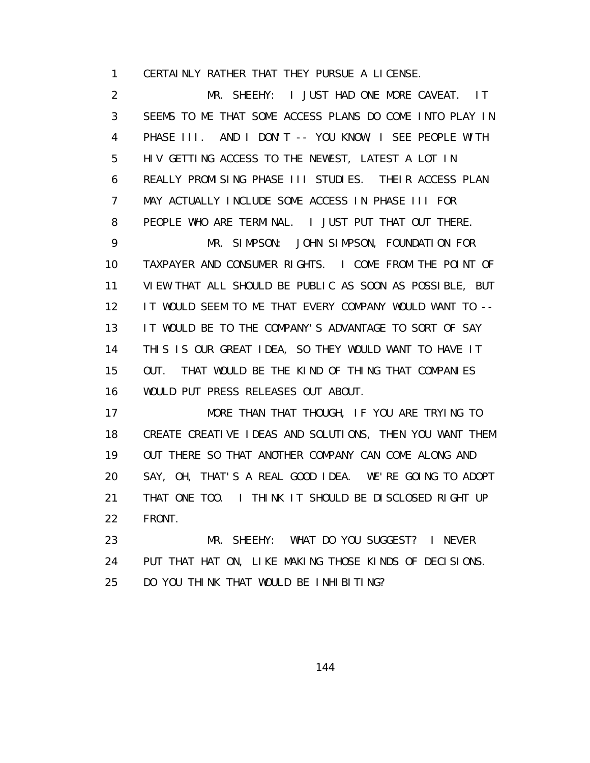1 CERTAINLY RATHER THAT THEY PURSUE A LICENSE.

 2 MR. SHEEHY: I JUST HAD ONE MORE CAVEAT. IT 3 SEEMS TO ME THAT SOME ACCESS PLANS DO COME INTO PLAY IN 4 PHASE III. AND I DON'T -- YOU KNOW, I SEE PEOPLE WITH 5 HIV GETTING ACCESS TO THE NEWEST, LATEST A LOT IN 6 REALLY PROMISING PHASE III STUDIES. THEIR ACCESS PLAN 7 MAY ACTUALLY INCLUDE SOME ACCESS IN PHASE III FOR 8 PEOPLE WHO ARE TERMINAL. I JUST PUT THAT OUT THERE. 9 MR. SIMPSON: JOHN SIMPSON, FOUNDATION FOR 10 TAXPAYER AND CONSUMER RIGHTS. I COME FROM THE POINT OF 11 VIEW THAT ALL SHOULD BE PUBLIC AS SOON AS POSSIBLE, BUT 12 IT WOULD SEEM TO ME THAT EVERY COMPANY WOULD WANT TO -- 13 IT WOULD BE TO THE COMPANY'S ADVANTAGE TO SORT OF SAY 14 THIS IS OUR GREAT IDEA, SO THEY WOULD WANT TO HAVE IT 15 OUT. THAT WOULD BE THE KIND OF THING THAT COMPANIES 16 WOULD PUT PRESS RELEASES OUT ABOUT.

17 MORE THAN THAT THOUGH, IF YOU ARE TRYING TO 18 CREATE CREATIVE IDEAS AND SOLUTIONS, THEN YOU WANT THEM 19 OUT THERE SO THAT ANOTHER COMPANY CAN COME ALONG AND 20 SAY, OH, THAT'S A REAL GOOD IDEA. WE'RE GOING TO ADOPT 21 THAT ONE TOO. I THINK IT SHOULD BE DISCLOSED RIGHT UP 22 FRONT.

 23 MR. SHEEHY: WHAT DO YOU SUGGEST? I NEVER 24 PUT THAT HAT ON, LIKE MAKING THOSE KINDS OF DECISIONS. 25 DO YOU THINK THAT WOULD BE INHIBITING?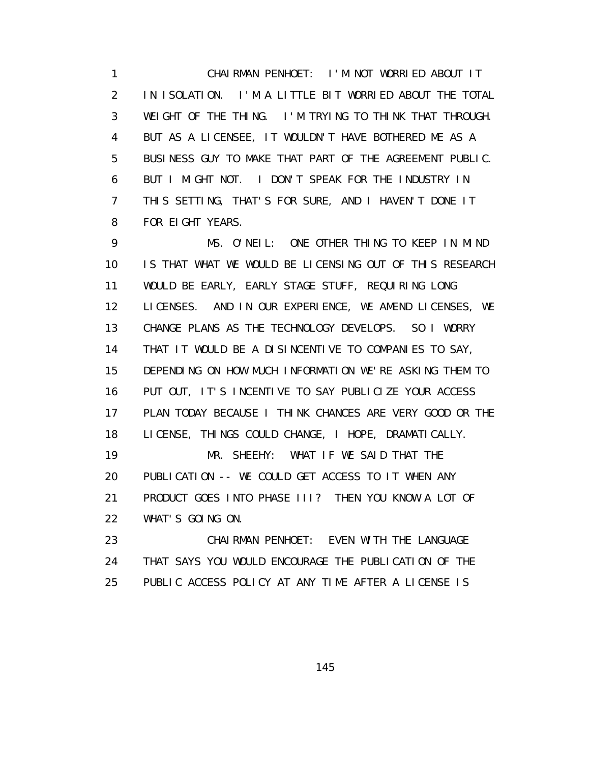1 CHAIRMAN PENHOET: I'M NOT WORRIED ABOUT IT 2 IN ISOLATION. I'M A LITTLE BIT WORRIED ABOUT THE TOTAL 3 WEIGHT OF THE THING. I'M TRYING TO THINK THAT THROUGH. 4 BUT AS A LICENSEE, IT WOULDN'T HAVE BOTHERED ME AS A 5 BUSINESS GUY TO MAKE THAT PART OF THE AGREEMENT PUBLIC. 6 BUT I MIGHT NOT. I DON'T SPEAK FOR THE INDUSTRY IN 7 THIS SETTING, THAT'S FOR SURE, AND I HAVEN'T DONE IT 8 FOR EIGHT YEARS.

 9 MS. O'NEIL: ONE OTHER THING TO KEEP IN MIND 10 IS THAT WHAT WE WOULD BE LICENSING OUT OF THIS RESEARCH 11 WOULD BE EARLY, EARLY STAGE STUFF, REQUIRING LONG 12 LICENSES. AND IN OUR EXPERIENCE, WE AMEND LICENSES, WE 13 CHANGE PLANS AS THE TECHNOLOGY DEVELOPS. SO I WORRY 14 THAT IT WOULD BE A DISINCENTIVE TO COMPANIES TO SAY, 15 DEPENDING ON HOW MUCH INFORMATION WE'RE ASKING THEM TO 16 PUT OUT, IT'S INCENTIVE TO SAY PUBLICIZE YOUR ACCESS 17 PLAN TODAY BECAUSE I THINK CHANCES ARE VERY GOOD OR THE 18 LICENSE, THINGS COULD CHANGE, I HOPE, DRAMATICALLY. 19 MR. SHEEHY: WHAT IF WE SAID THAT THE 20 PUBLICATION -- WE COULD GET ACCESS TO IT WHEN ANY 21 PRODUCT GOES INTO PHASE III? THEN YOU KNOW A LOT OF 22 WHAT'S GOING ON.

 23 CHAIRMAN PENHOET: EVEN WITH THE LANGUAGE 24 THAT SAYS YOU WOULD ENCOURAGE THE PUBLICATION OF THE 25 PUBLIC ACCESS POLICY AT ANY TIME AFTER A LICENSE IS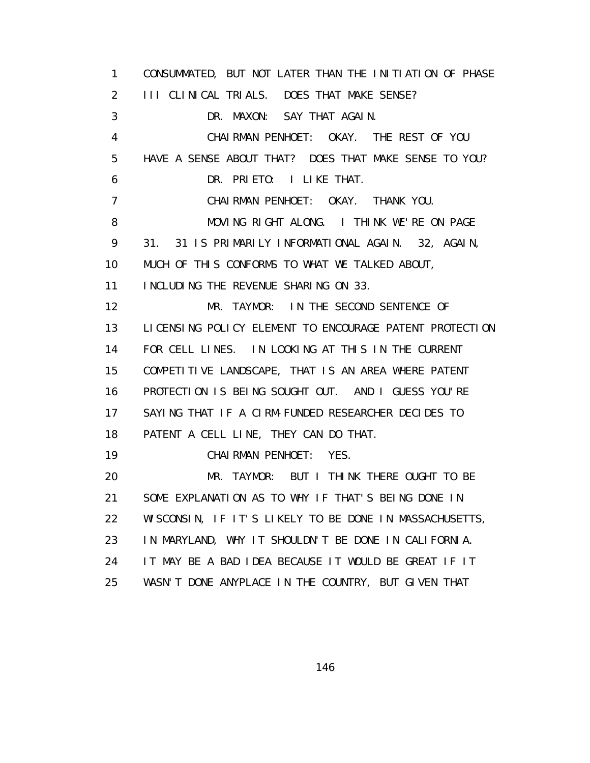1 CONSUMMATED, BUT NOT LATER THAN THE INITIATION OF PHASE 2 III CLINICAL TRIALS. DOES THAT MAKE SENSE? 3 DR. MAXON: SAY THAT AGAIN. 4 CHAIRMAN PENHOET: OKAY. THE REST OF YOU 5 HAVE A SENSE ABOUT THAT? DOES THAT MAKE SENSE TO YOU? 6 DR. PRIETO: I LIKE THAT. 7 CHAIRMAN PENHOET: OKAY. THANK YOU. 8 MOVING RIGHT ALONG. I THINK WE'RE ON PAGE 9 31. 31 IS PRIMARILY INFORMATIONAL AGAIN. 32, AGAIN, 10 MUCH OF THIS CONFORMS TO WHAT WE TALKED ABOUT, 11 INCLUDING THE REVENUE SHARING ON 33. 12 MR. TAYMOR: IN THE SECOND SENTENCE OF 13 LICENSING POLICY ELEMENT TO ENCOURAGE PATENT PROTECTION 14 FOR CELL LINES. IN LOOKING AT THIS IN THE CURRENT 15 COMPETITIVE LANDSCAPE, THAT IS AN AREA WHERE PATENT 16 PROTECTION IS BEING SOUGHT OUT. AND I GUESS YOU'RE 17 SAYING THAT IF A CIRM-FUNDED RESEARCHER DECIDES TO 18 PATENT A CELL LINE, THEY CAN DO THAT. 19 CHAIRMAN PENHOET: YES. 20 MR. TAYMOR: BUT I THINK THERE OUGHT TO BE 21 SOME EXPLANATION AS TO WHY IF THAT'S BEING DONE IN 22 WISCONSIN, IF IT'S LIKELY TO BE DONE IN MASSACHUSETTS, 23 IN MARYLAND, WHY IT SHOULDN'T BE DONE IN CALIFORNIA. 24 IT MAY BE A BAD IDEA BECAUSE IT WOULD BE GREAT IF IT 25 WASN'T DONE ANYPLACE IN THE COUNTRY, BUT GIVEN THAT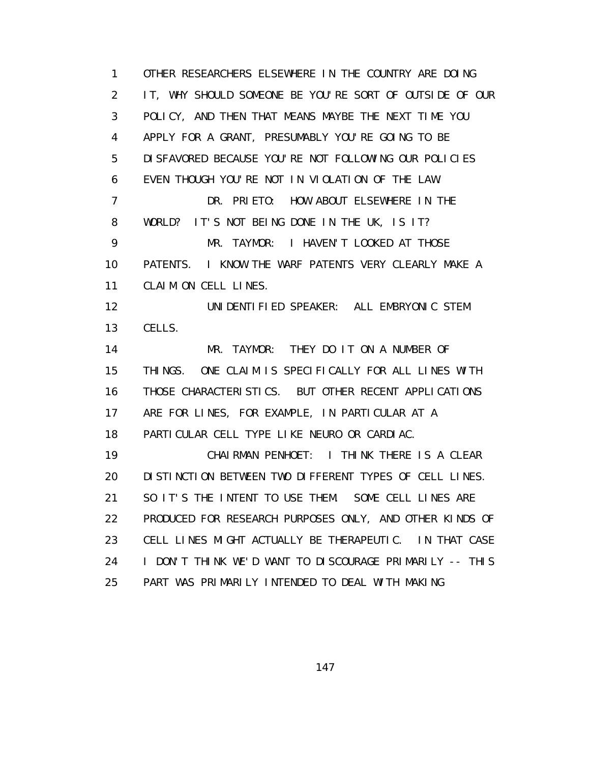1 OTHER RESEARCHERS ELSEWHERE IN THE COUNTRY ARE DOING 2 IT, WHY SHOULD SOMEONE BE YOU'RE SORT OF OUTSIDE OF OUR 3 POLICY, AND THEN THAT MEANS MAYBE THE NEXT TIME YOU 4 APPLY FOR A GRANT, PRESUMABLY YOU'RE GOING TO BE 5 DISFAVORED BECAUSE YOU'RE NOT FOLLOWING OUR POLICIES 6 EVEN THOUGH YOU'RE NOT IN VIOLATION OF THE LAW. 7 DR. PRIETO: HOW ABOUT ELSEWHERE IN THE 8 WORLD? IT'S NOT BEING DONE IN THE UK, IS IT? 9 MR. TAYMOR: I HAVEN'T LOOKED AT THOSE 10 PATENTS. I KNOW THE WARF PATENTS VERY CLEARLY MAKE A 11 CLAIM ON CELL LINES. 12 UNIDENTIFIED SPEAKER: ALL EMBRYONIC STEM 13 CELLS. 14 MR. TAYMOR: THEY DO IT ON A NUMBER OF 15 THINGS. ONE CLAIM IS SPECIFICALLY FOR ALL LINES WITH 16 THOSE CHARACTERISTICS. BUT OTHER RECENT APPLICATIONS 17 ARE FOR LINES, FOR EXAMPLE, IN PARTICULAR AT A 18 PARTICULAR CELL TYPE LIKE NEURO OR CARDIAC. 19 CHAIRMAN PENHOET: I THINK THERE IS A CLEAR 20 DISTINCTION BETWEEN TWO DIFFERENT TYPES OF CELL LINES. 21 SO IT'S THE INTENT TO USE THEM. SOME CELL LINES ARE 22 PRODUCED FOR RESEARCH PURPOSES ONLY, AND OTHER KINDS OF 23 CELL LINES MIGHT ACTUALLY BE THERAPEUTIC. IN THAT CASE 24 I DON'T THINK WE'D WANT TO DISCOURAGE PRIMARILY -- THIS 25 PART WAS PRIMARILY INTENDED TO DEAL WITH MAKING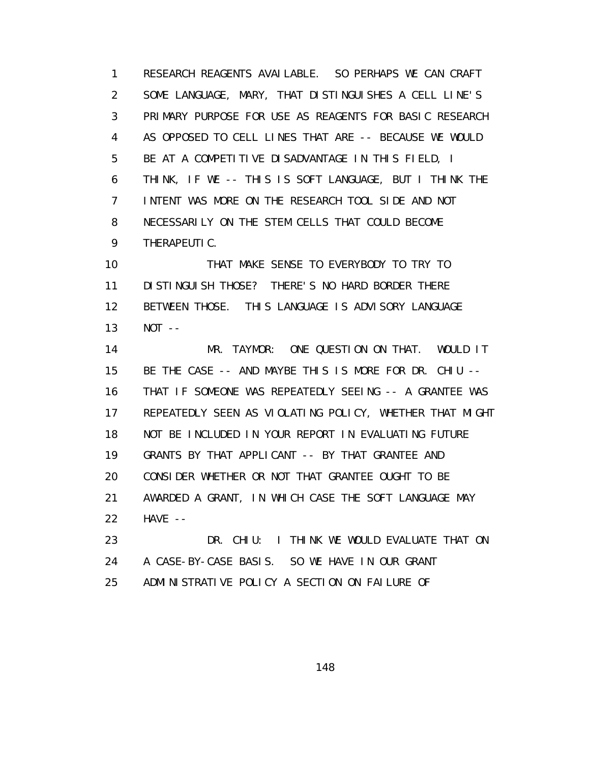1 RESEARCH REAGENTS AVAILABLE. SO PERHAPS WE CAN CRAFT 2 SOME LANGUAGE, MARY, THAT DISTINGUISHES A CELL LINE'S 3 PRIMARY PURPOSE FOR USE AS REAGENTS FOR BASIC RESEARCH 4 AS OPPOSED TO CELL LINES THAT ARE -- BECAUSE WE WOULD 5 BE AT A COMPETITIVE DISADVANTAGE IN THIS FIELD, I 6 THINK, IF WE -- THIS IS SOFT LANGUAGE, BUT I THINK THE 7 INTENT WAS MORE ON THE RESEARCH TOOL SIDE AND NOT 8 NECESSARILY ON THE STEM CELLS THAT COULD BECOME 9 THERAPEUTIC.

 10 THAT MAKE SENSE TO EVERYBODY TO TRY TO 11 DISTINGUISH THOSE? THERE'S NO HARD BORDER THERE 12 BETWEEN THOSE. THIS LANGUAGE IS ADVISORY LANGUAGE 13 NOT --

 14 MR. TAYMOR: ONE QUESTION ON THAT. WOULD IT 15 BE THE CASE -- AND MAYBE THIS IS MORE FOR DR. CHIU -- 16 THAT IF SOMEONE WAS REPEATEDLY SEEING -- A GRANTEE WAS 17 REPEATEDLY SEEN AS VIOLATING POLICY, WHETHER THAT MIGHT 18 NOT BE INCLUDED IN YOUR REPORT IN EVALUATING FUTURE 19 GRANTS BY THAT APPLICANT -- BY THAT GRANTEE AND 20 CONSIDER WHETHER OR NOT THAT GRANTEE OUGHT TO BE 21 AWARDED A GRANT, IN WHICH CASE THE SOFT LANGUAGE MAY 22 HAVE --

 23 DR. CHIU: I THINK WE WOULD EVALUATE THAT ON 24 A CASE-BY-CASE BASIS. SO WE HAVE IN OUR GRANT 25 ADMINISTRATIVE POLICY A SECTION ON FAILURE OF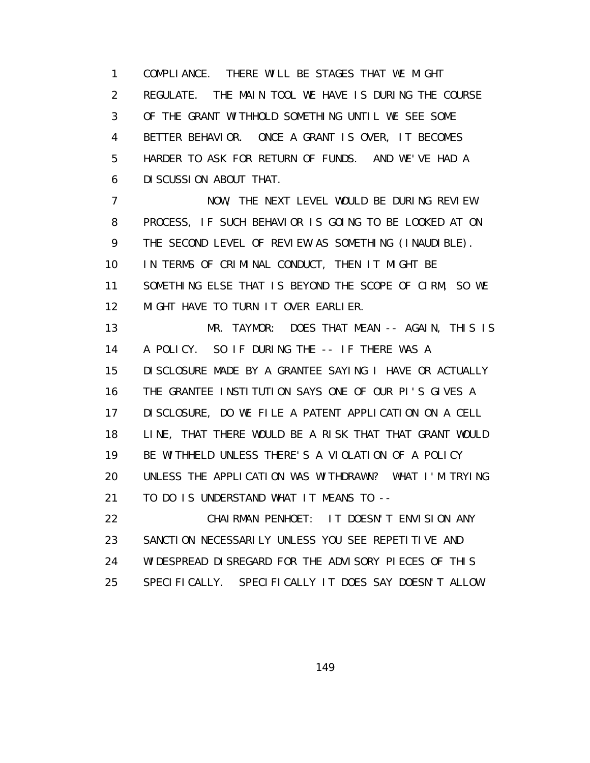1 COMPLIANCE. THERE WILL BE STAGES THAT WE MIGHT 2 REGULATE. THE MAIN TOOL WE HAVE IS DURING THE COURSE 3 OF THE GRANT WITHHOLD SOMETHING UNTIL WE SEE SOME 4 BETTER BEHAVIOR. ONCE A GRANT IS OVER, IT BECOMES 5 HARDER TO ASK FOR RETURN OF FUNDS. AND WE'VE HAD A 6 DISCUSSION ABOUT THAT. 7 NOW, THE NEXT LEVEL WOULD BE DURING REVIEW 8 PROCESS, IF SUCH BEHAVIOR IS GOING TO BE LOOKED AT ON 9 THE SECOND LEVEL OF REVIEW AS SOMETHING (INAUDIBLE). 10 IN TERMS OF CRIMINAL CONDUCT, THEN IT MIGHT BE 11 SOMETHING ELSE THAT IS BEYOND THE SCOPE OF CIRM, SO WE 12 MIGHT HAVE TO TURN IT OVER EARLIER. 13 MR. TAYMOR: DOES THAT MEAN -- AGAIN, THIS IS 14 A POLICY. SO IF DURING THE -- IF THERE WAS A 15 DISCLOSURE MADE BY A GRANTEE SAYING I HAVE OR ACTUALLY 16 THE GRANTEE INSTITUTION SAYS ONE OF OUR PI'S GIVES A 17 DISCLOSURE, DO WE FILE A PATENT APPLICATION ON A CELL 18 LINE, THAT THERE WOULD BE A RISK THAT THAT GRANT WOULD 19 BE WITHHELD UNLESS THERE'S A VIOLATION OF A POLICY 20 UNLESS THE APPLICATION WAS WITHDRAWN? WHAT I'M TRYING

21 TO DO IS UNDERSTAND WHAT IT MEANS TO --

 22 CHAIRMAN PENHOET: IT DOESN'T ENVISION ANY 23 SANCTION NECESSARILY UNLESS YOU SEE REPETITIVE AND 24 WIDESPREAD DISREGARD FOR THE ADVISORY PIECES OF THIS 25 SPECIFICALLY. SPECIFICALLY IT DOES SAY DOESN'T ALLOW.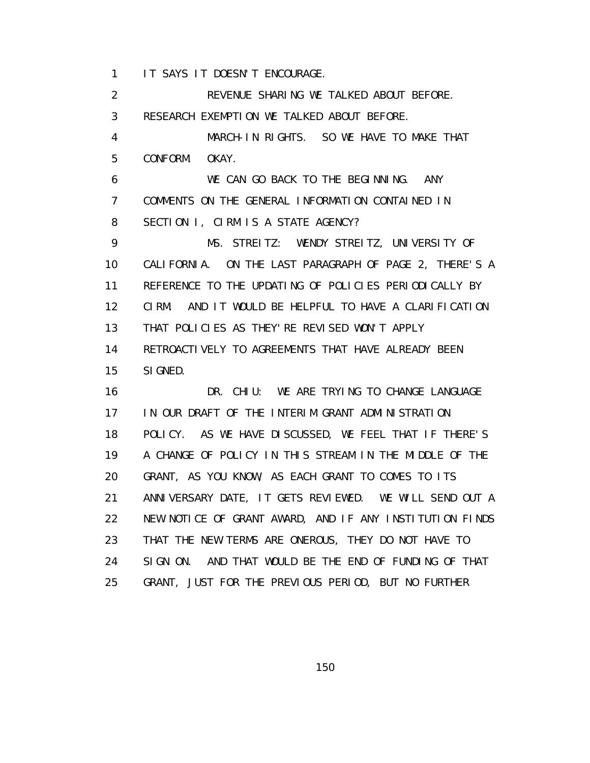1 IT SAYS IT DOESN'T ENCOURAGE.

 2 REVENUE SHARING WE TALKED ABOUT BEFORE. 3 RESEARCH EXEMPTION WE TALKED ABOUT BEFORE. 4 MARCH-IN RIGHTS. SO WE HAVE TO MAKE THAT 5 CONFORM. OKAY. 6 WE CAN GO BACK TO THE BEGINNING. ANY 7 COMMENTS ON THE GENERAL INFORMATION CONTAINED IN 8 SECTION I, CIRM IS A STATE AGENCY? 9 MS. STREITZ: WENDY STREITZ, UNIVERSITY OF 10 CALIFORNIA. ON THE LAST PARAGRAPH OF PAGE 2, THERE'S A 11 REFERENCE TO THE UPDATING OF POLICIES PERIODICALLY BY 12 CIRM. AND IT WOULD BE HELPFUL TO HAVE A CLARIFICATION 13 THAT POLICIES AS THEY'RE REVISED WON'T APPLY 14 RETROACTIVELY TO AGREEMENTS THAT HAVE ALREADY BEEN 15 SIGNED. 16 DR. CHIU: WE ARE TRYING TO CHANGE LANGUAGE 17 IN OUR DRAFT OF THE INTERIM GRANT ADMINISTRATION 18 POLICY. AS WE HAVE DISCUSSED, WE FEEL THAT IF THERE'S 19 A CHANGE OF POLICY IN THIS STREAM IN THE MIDDLE OF THE 20 GRANT, AS YOU KNOW, AS EACH GRANT TO COMES TO ITS 21 ANNIVERSARY DATE, IT GETS REVIEWED. WE WILL SEND OUT A 22 NEW NOTICE OF GRANT AWARD, AND IF ANY INSTITUTION FINDS 23 THAT THE NEW TERMS ARE ONEROUS, THEY DO NOT HAVE TO 24 SIGN ON. AND THAT WOULD BE THE END OF FUNDING OF THAT 25 GRANT, JUST FOR THE PREVIOUS PERIOD, BUT NO FURTHER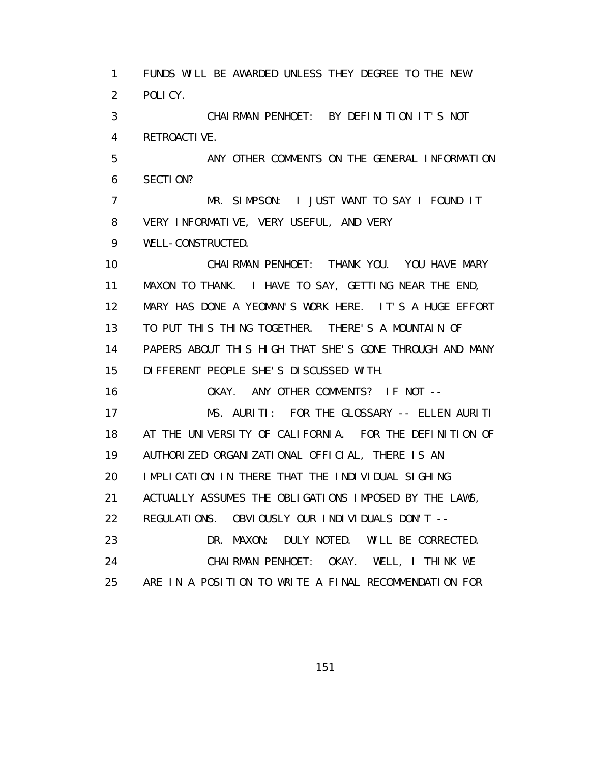1 FUNDS WILL BE AWARDED UNLESS THEY DEGREE TO THE NEW 2 POLICY. 3 CHAIRMAN PENHOET: BY DEFINITION IT'S NOT 4 RETROACTIVE. 5 ANY OTHER COMMENTS ON THE GENERAL INFORMATION 6 SECTION? 7 MR. SIMPSON: I JUST WANT TO SAY I FOUND IT 8 VERY INFORMATIVE, VERY USEFUL, AND VERY 9 WELL-CONSTRUCTED. 10 CHAIRMAN PENHOET: THANK YOU. YOU HAVE MARY 11 MAXON TO THANK. I HAVE TO SAY, GETTING NEAR THE END, 12 MARY HAS DONE A YEOMAN'S WORK HERE. IT'S A HUGE EFFORT 13 TO PUT THIS THING TOGETHER. THERE'S A MOUNTAIN OF 14 PAPERS ABOUT THIS HIGH THAT SHE'S GONE THROUGH AND MANY 15 DIFFERENT PEOPLE SHE'S DISCUSSED WITH. 16 OKAY. ANY OTHER COMMENTS? IF NOT -- 17 MS. AURITI: FOR THE GLOSSARY -- ELLEN AURITI 18 AT THE UNIVERSITY OF CALIFORNIA. FOR THE DEFINITION OF 19 AUTHORIZED ORGANIZATIONAL OFFICIAL, THERE IS AN 20 IMPLICATION IN THERE THAT THE INDIVIDUAL SIGHING 21 ACTUALLY ASSUMES THE OBLIGATIONS IMPOSED BY THE LAWS, 22 REGULATIONS. OBVIOUSLY OUR INDIVIDUALS DON'T -- 23 DR. MAXON: DULY NOTED. WILL BE CORRECTED. 24 CHAIRMAN PENHOET: OKAY. WELL, I THINK WE 25 ARE IN A POSITION TO WRITE A FINAL RECOMMENDATION FOR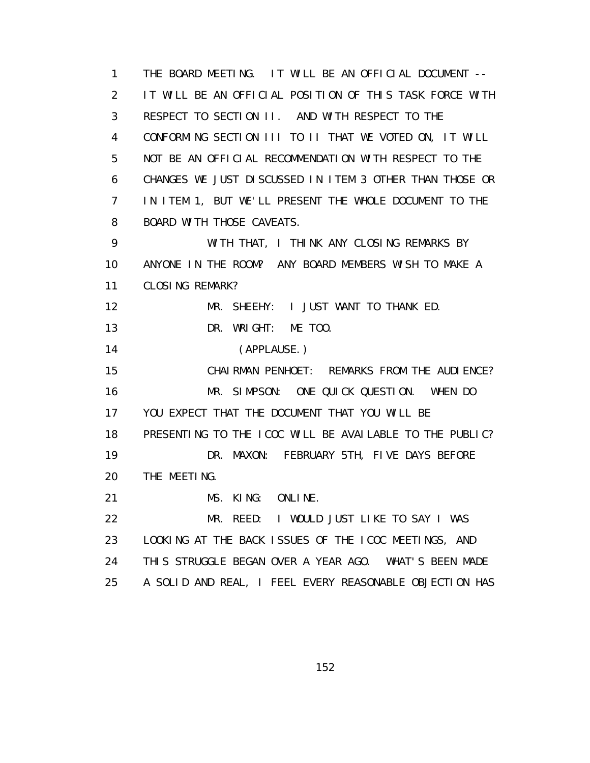1 THE BOARD MEETING. IT WILL BE AN OFFICIAL DOCUMENT -- 2 IT WILL BE AN OFFICIAL POSITION OF THIS TASK FORCE WITH 3 RESPECT TO SECTION II. AND WITH RESPECT TO THE 4 CONFORMING SECTION III TO II THAT WE VOTED ON, IT WILL 5 NOT BE AN OFFICIAL RECOMMENDATION WITH RESPECT TO THE 6 CHANGES WE JUST DISCUSSED IN ITEM 3 OTHER THAN THOSE OR 7 IN ITEM 1, BUT WE'LL PRESENT THE WHOLE DOCUMENT TO THE 8 BOARD WITH THOSE CAVEATS. 9 WITH THAT, I THINK ANY CLOSING REMARKS BY 10 ANYONE IN THE ROOM? ANY BOARD MEMBERS WISH TO MAKE A 11 CLOSING REMARK? 12 MR. SHEEHY: I JUST WANT TO THANK ED. 13 DR. WRIGHT: ME TOO. 14 (APPLAUSE.) 15 CHAIRMAN PENHOET: REMARKS FROM THE AUDIENCE? 16 MR. SIMPSON: ONE QUICK QUESTION. WHEN DO 17 YOU EXPECT THAT THE DOCUMENT THAT YOU WILL BE 18 PRESENTING TO THE ICOC WILL BE AVAILABLE TO THE PUBLIC? 19 DR. MAXON: FEBRUARY 5TH, FIVE DAYS BEFORE 20 THE MEETING. 21 MS. KING: ONLINE. 22 MR. REED: I WOULD JUST LIKE TO SAY I WAS 23 LOOKING AT THE BACK ISSUES OF THE ICOC MEETINGS, AND 24 THIS STRUGGLE BEGAN OVER A YEAR AGO. WHAT'S BEEN MADE 25 A SOLID AND REAL, I FEEL EVERY REASONABLE OBJECTION HAS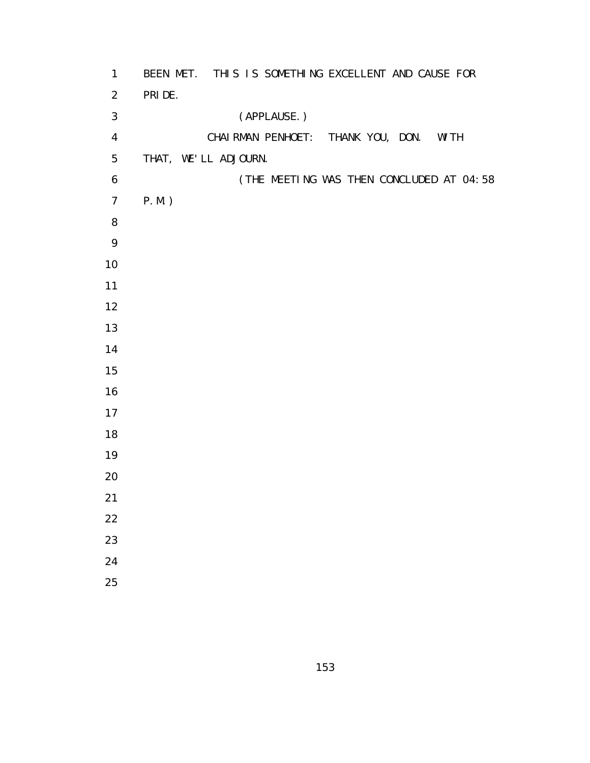| $\mathbf{1}$     | BEEN MET. THIS IS SOMETHING EXCELLENT AND CAUSE FOR |
|------------------|-----------------------------------------------------|
| $\overline{2}$   | PRI DE.                                             |
| $\mathfrak{Z}$   | (APPLAUSE.)                                         |
| $\overline{4}$   | CHAI RMAN PENHOET: THANK YOU, DON.<br>WI TH         |
| 5                | THAT, WE'LL ADJOURN.                                |
| $\boldsymbol{6}$ | (THE MEETING WAS THEN CONCLUDED AT 04:58            |
| $\overline{7}$   | $P.M.$ )                                            |
| 8                |                                                     |
| 9                |                                                     |
| $10\,$           |                                                     |
| 11               |                                                     |
| 12               |                                                     |
| 13               |                                                     |
| 14               |                                                     |
| 15               |                                                     |
| 16               |                                                     |
| 17               |                                                     |
| 18               |                                                     |
| 19               |                                                     |
| 20               |                                                     |
| 21               |                                                     |
| $22\,$           |                                                     |
| 23               |                                                     |
| 24               |                                                     |
| 25               |                                                     |